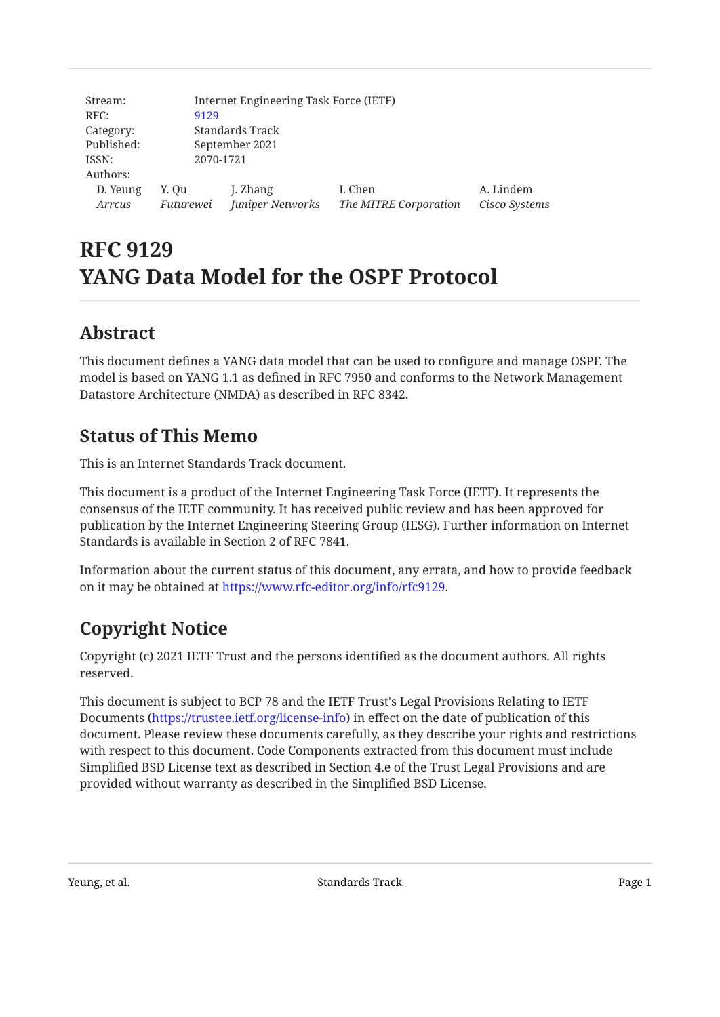| Stream:    | Internet Engineering Task Force (IETF) |                  |                       |               |  |  |
|------------|----------------------------------------|------------------|-----------------------|---------------|--|--|
| RFC:       | 9129                                   |                  |                       |               |  |  |
| Category:  |                                        | Standards Track  |                       |               |  |  |
| Published: | September 2021                         |                  |                       |               |  |  |
| ISSN:      | 2070-1721                              |                  |                       |               |  |  |
| Authors:   |                                        |                  |                       |               |  |  |
| D. Yeung   | Y. Ou                                  | J. Zhang         | I. Chen               | A. Lindem     |  |  |
| Arrcus     | Futurewei                              | Juniper Networks | The MITRE Corporation | Cisco Systems |  |  |

# **RFC 9129 YANG Data Model for the OSPF Protocol**

## <span id="page-0-0"></span>**[Abstract](#page-0-0)**

This document defines a YANG data model that can be used to configure and manage OSPF. The model is based on YANG 1.1 as defined in RFC 7950 and conforms to the Network Management Datastore Architecture (NMDA) as described in RFC 8342.

## <span id="page-0-1"></span>**[Status of This Memo](#page-0-1)**

This is an Internet Standards Track document.

This document is a product of the Internet Engineering Task Force (IETF). It represents the consensus of the IETF community. It has received public review and has been approved for publication by the Internet Engineering Steering Group (IESG). Further information on Internet Standards is available in Section 2 of RFC 7841.

Information about the current status of this document, any errata, and how to provide feedback on it may be obtained at <https://www.rfc-editor.org/info/rfc9129>.

# <span id="page-0-2"></span>**[Copyright Notice](#page-0-2)**

Copyright (c) 2021 IETF Trust and the persons identified as the document authors. All rights reserved.

This document is subject to BCP 78 and the IETF Trust's Legal Provisions Relating to IETF Documents (<https://trustee.ietf.org/license-info>) in effect on the date of publication of this document. Please review these documents carefully, as they describe your rights and restrictions with respect to this document. Code Components extracted from this document must include Simplified BSD License text as described in Section 4.e of the Trust Legal Provisions and are provided without warranty as described in the Simplified BSD License.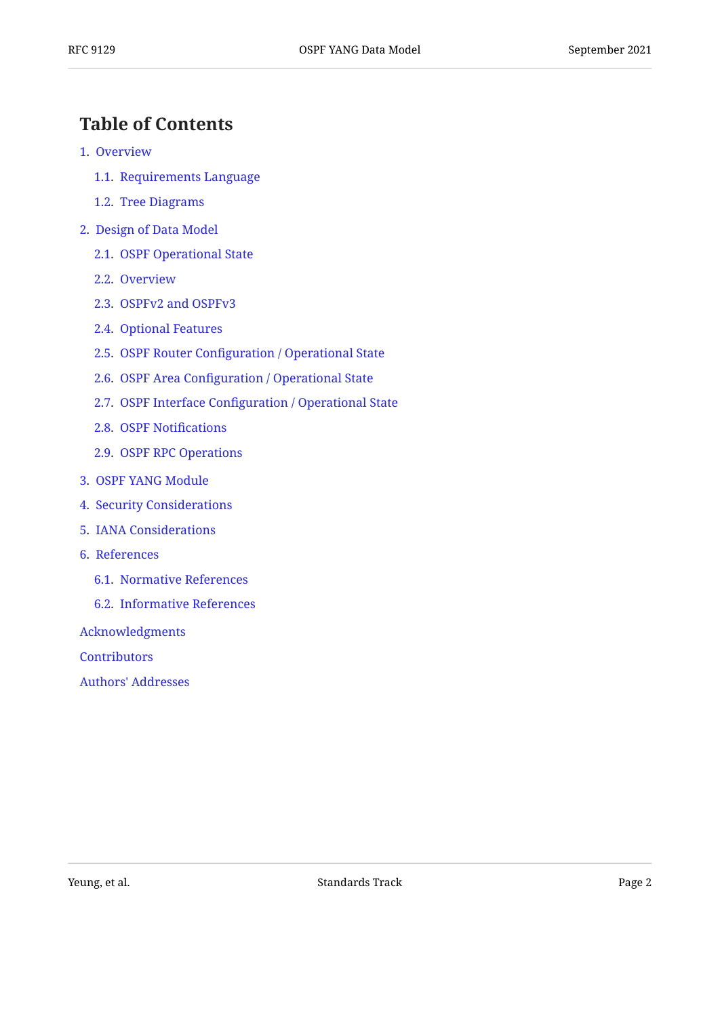### <span id="page-1-0"></span>**[Table of Contents](#page-1-0)**

- [1.](#page-2-0) [Overview](#page-2-0)
	- [1.1.](#page-2-1) [Requirements Language](#page-2-1)
	- [1.2.](#page-2-2) [Tree Diagrams](#page-2-2)
- [2.](#page-2-3) [Design of Data Model](#page-2-3)
	- [2.1.](#page-3-0) [OSPF Operational State](#page-3-0)
	- [2.2.](#page-3-1) [Overview](#page-3-1)
	- [2.3.](#page-4-0) [OSPFv2 and OSPFv3](#page-4-0)
	- [2.4.](#page-4-1) [Optional Features](#page-4-1)
	- [2.5.](#page-6-0) OSPF Router Confi[guration / Operational State](#page-6-0)
	- [2.6.](#page-10-0) OSPF Area Confi[guration / Operational State](#page-10-0)
	- [2.7.](#page-16-0) OSPF Interface Confi[guration / Operational State](#page-16-0)
	- [2.8.](#page-20-0) [OSPF Noti](#page-20-0)fications
	- [2.9.](#page-23-0) [OSPF RPC Operations](#page-23-0)
- [3.](#page-24-0) [OSPF YANG Module](#page-24-0)
- [4.](#page-112-0) [Security Considerations](#page-112-0)
- [5.](#page-114-0) [IANA Considerations](#page-114-0)
- [6.](#page-114-1) [References](#page-114-1)
	- [6.1.](#page-114-2) [Normative References](#page-114-2)
	- [6.2.](#page-118-0) [Informative References](#page-118-0)

[Acknowledgments](#page-119-0)

**[Contributors](#page-119-1)** 

[Authors' Addresses](#page-120-0)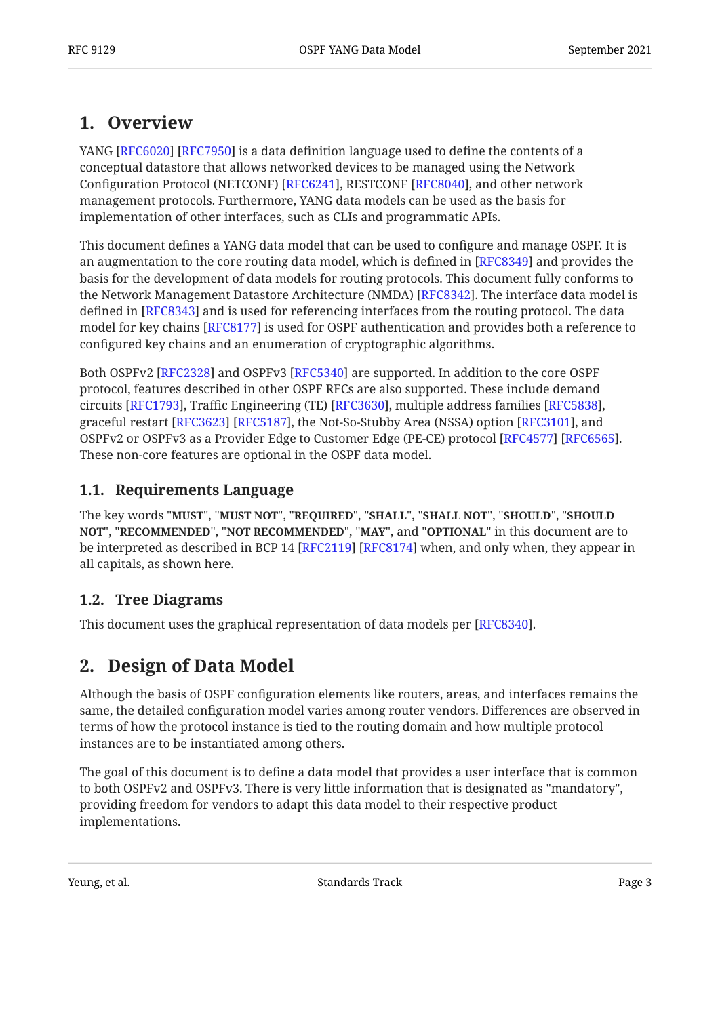### <span id="page-2-0"></span>**[1. Overview](#page-2-0)**

YANG [RFC6020] [RFC7950] is a data definition language used to define the contents of a conceptual datastore that allows networked devices to be managed using the Network Configuration Protocol (NETCONF) [RFC6241], RESTCONF [RFC8040], and other network management protocols. Furthermore, YANG data models can be used as the basis for implementation of other interfaces, such as CLIs and programmatic APIs.

This document defines a YANG data model that can be used to configure and manage OSPF. It is an augmentation to the core routing data model, which is defined in [RFC8349] and provides the basis for the development of data models for routing protocols. This document fully conforms to the Network Management Datastore Architecture (NMDA) [RFC8342]. The interface data model is defined in [RFC8343] and is used for referencing interfaces from the routing protocol. The data model for key chains [RFC8177] is used for OSPF authentication and provides both a reference to configured key chains and an enumeration of cryptographic algorithms.

Both OSPFv2 [RFC2328] and OSPFv3 [RFC5340] are supported. In addition to the core OSPF protocol, features described in other OSPF RFCs are also supported. These include demand circuits [\[RFC1793](#page-114-4)], Traffic Engineering (TE) [RFC3630], multiple address families [RFC5838], graceful restart [RFC3623] [RFC5187], the Not-So-Stubby Area (NSSA) option [RFC3101], and OSPFv2 or OSPFv3 as a Provider Edge to Customer Edge (PE-CE) protocol [RFC4577] [RFC6565]. These non-core features are optional in the OSPF data model.

#### <span id="page-2-1"></span>**[1.1. Requirements Language](#page-2-1)**

The key words "MUST", "MUST NOT", "REQUIRED", "SHALL", "SHALL NOT", "SHOULD", "SHOULD <code>NOT",</code> "<code>RECOMMENDED", "NOT RECOMMENDED", "MAY", and "OPTIONAL" in this document are to</code> be interpreted as described in BCP 14 [RFC2119] [RFC8174] when, and only when, they appear in all capitals, as shown here.

#### <span id="page-2-2"></span>**[1.2. Tree Diagrams](#page-2-2)**

<span id="page-2-3"></span>This document uses the graphical representation of data models per [RFC8340].

### **[2. Design of Data Model](#page-2-3)**

Although the basis of OSPF configuration elements like routers, areas, and interfaces remains the same, the detailed configuration model varies among router vendors. Differences are observed in terms of how the protocol instance is tied to the routing domain and how multiple protocol instances are to be instantiated among others.

The goal of this document is to define a data model that provides a user interface that is common to both OSPFv2 and OSPFv3. There is very little information that is designated as "mandatory", providing freedom for vendors to adapt this data model to their respective product implementations.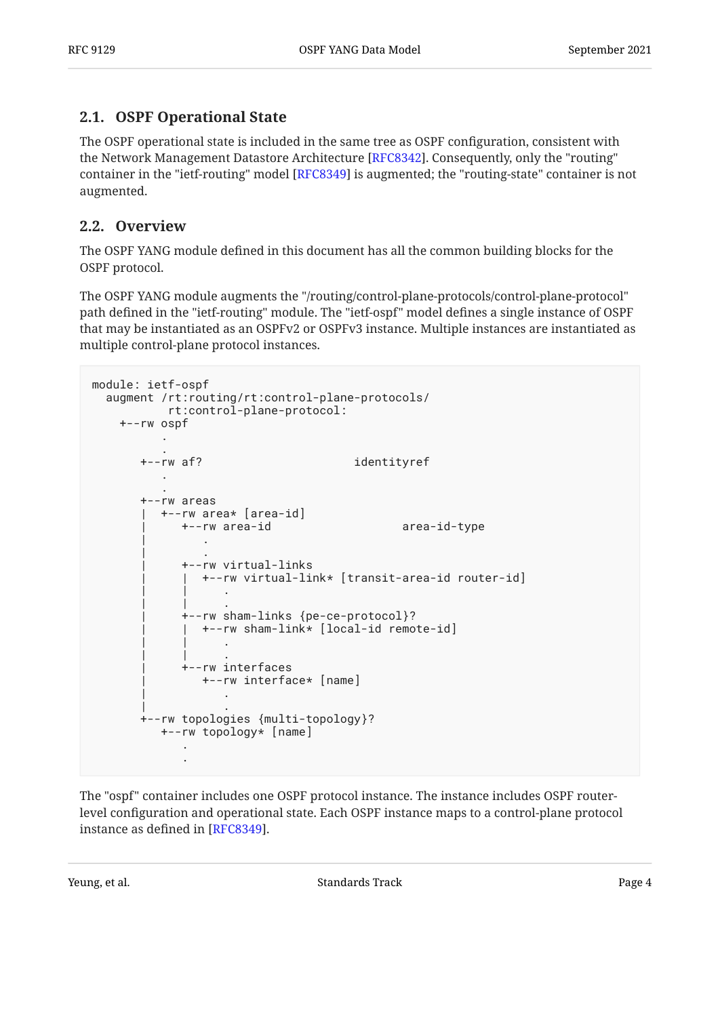#### <span id="page-3-0"></span>**[2.1. OSPF Operational State](#page-3-0)**

The OSPF operational state is included in the same tree as OSPF configuration, consistent with the Network Management Datastore Architecture [RFC8342]. Consequently, only the "routing" container in the "ietf-routing" model [RFC8349] is augmented; the "routing-state" container is not augmented.

#### <span id="page-3-1"></span>**[2.2. Overview](#page-3-1)**

The OSPF YANG module defined in this document has all the common building blocks for the OSPF protocol.

The OSPF YANG module augments the "/routing/control-plane-protocols/control-plane-protocol" path defined in the "ietf-routing" module. The "ietf-ospf" model defines a single instance of OSPF that may be instantiated as an OSPFv2 or OSPFv3 instance. Multiple instances are instantiated as multiple control-plane protocol instances.

```
module: ietf-ospf
  augment /rt:routing/rt:control-plane-protocols/
        rt:control-plane-protocol:
    +--rw ospf
 .
 .
      +--rw af? identityref
 .
 .
      +--rw areas
        | +--rw area* [area-id]
          | +--rw area-id area-id-type
 | .
 | .
          | +--rw virtual-links
           | | +--rw virtual-link* [transit-area-id router-id]
 | | .
 | | .
           | +--rw sham-links {pe-ce-protocol}?
            | | +--rw sham-link* [local-id remote-id]
 | | .
 | | .
           | +--rw interfaces
             | +--rw interface* [name]
 | .
 | .
      +--rw topologies {multi-topology}?
        +--rw topology* [name]
 .
 .
```
The "ospf" container includes one OSPF protocol instance. The instance includes OSPF routerlevel configuration and operational state. Each OSPF instance maps to a control-plane protocol instance as defined in [RFC8349].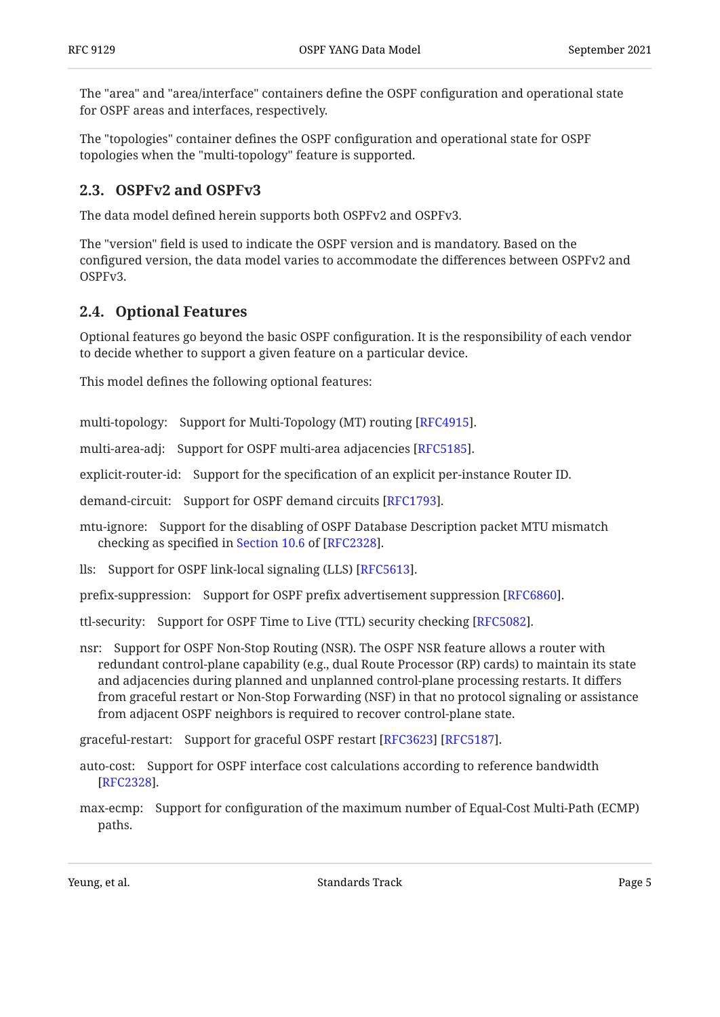The "area" and "area/interface" containers define the OSPF configuration and operational state for OSPF areas and interfaces, respectively.

The "topologies" container defines the OSPF configuration and operational state for OSPF topologies when the "multi-topology" feature is supported.

#### <span id="page-4-0"></span>**[2.3. OSPFv2 and OSPFv3](#page-4-0)**

The data model defined herein supports both OSPFv2 and OSPFv3.

The "version" field is used to indicate the OSPF version and is mandatory. Based on the configured version, the data model varies to accommodate the differences between OSPFv2 and OSPFv3.

#### <span id="page-4-1"></span>**[2.4. Optional Features](#page-4-1)**

Optional features go beyond the basic OSPF configuration. It is the responsibility of each vendor to decide whether to support a given feature on a particular device.

This model defines the following optional features:

multi-topology: Support for Multi-Topology (MT) routing [\[RFC4915](#page-115-3)].

multi-area-adj: Support for OSPF multi-area adjacencies [RFC5185].

explicit-router-id: Support for the specification of an explicit per-instance Router ID.

demand-circuit: Support for OSPF demand circuits [RFC1793].

mtu-ignore: Support for the disabling of OSPF Database Description packet MTU mismatch checking as specified in Section 10.6 of  $[RFC2328]$ .

lls: Support for OSPF link-local signaling (LLS) [\[RFC5613](#page-116-4)].

prefix-suppression: Support for OSPF prefix advertisement suppression [RFC6860].

ttl-security: Support for OSPF Time to Live (TTL) security checking [RFC5082].

nsr: Support for OSPF Non-Stop Routing (NSR). The OSPF NSR feature allows a router with redundant control-plane capability (e.g., dual Route Processor (RP) cards) to maintain its state and adjacencies during planned and unplanned control-plane processing restarts. It differs from graceful restart or Non-Stop Forwarding (NSF) in that no protocol signaling or assistance from adjacent OSPF neighbors is required to recover control-plane state.

graceful-restart: Support for graceful OSPF restart [\[RFC3623](#page-114-6)] [\[RFC5187\]](#page-115-1).

- auto-cost: Support for OSPF interface cost calculations according to reference bandwidth . [[RFC2328\]](#page-114-3)
- max-ecmp: Support for configuration of the maximum number of Equal-Cost Multi-Path (ECMP) paths.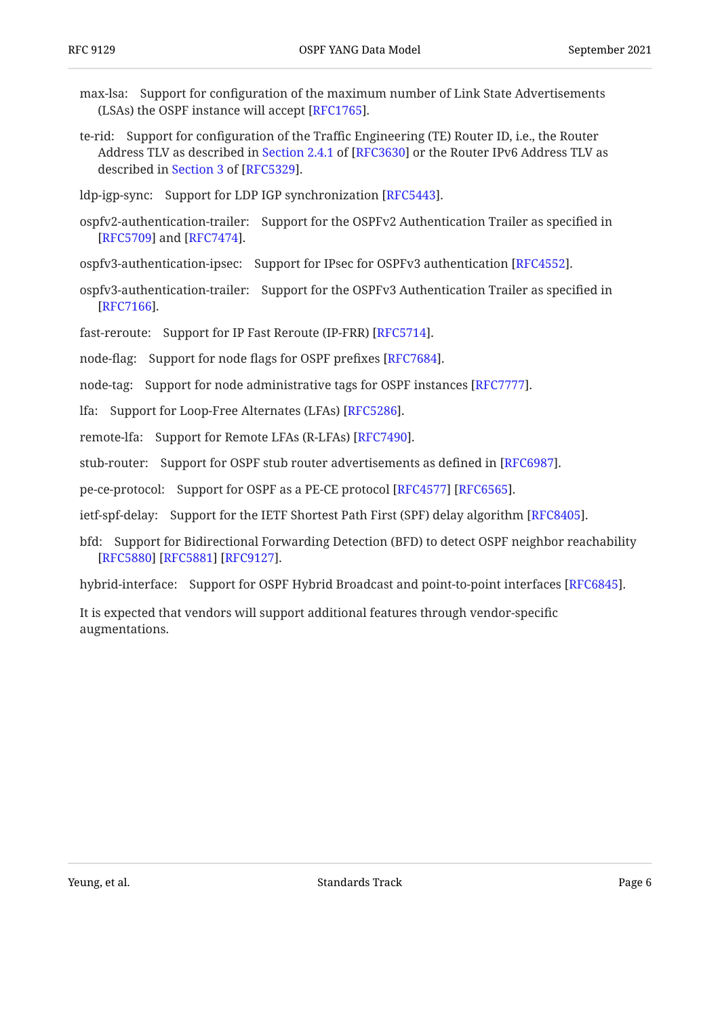- max-lsa: Support for configuration of the maximum number of Link State Advertisements (LSAs) the OSPF instance will accept  $[RFC1765]$ .
- te-rid: Support for configuration of the Traffic Engineering (TE) Router ID, i.e., the Router Address TLV as described in Section 2.4.1 of [RFC3630] or the Router IPv6 Address TLV as describedin Section 3 of [RFC5329].
- ldp-igp-sync: Support for LDP IGP synchronization [RFC5443].
- ospfv2-authentication-trailer: Support for the OSPFv2 Authentication Trailer as specified in [[RFC5709\]](#page-116-6) and [RFC7474].
- ospfv3-authentication-ipsec: Support for IPsec for OSPFv3 authentication [RFC4552].
- ospfv3-authentication-trailer: Support for the OSPFv3 Authentication Trailer as specified in . [[RFC7166\]](#page-117-6)
- fast-reroute: Support for IP Fast Reroute (IP-FRR) [RFC5714].
- node-flag: Support for node flags for OSPF prefixes [RFC7684].
- node-tag: Support for node administrative tags for OSPF instances [RFC7777].
- lfa: Support for Loop-Free Alternates (LFAs) [\[RFC5286](#page-115-8)].
- remote-lfa: Support for Remote LFAs (R-LFAs) [RFC7490].
- stub-router: Support for OSPF stub router advertisements as defined in [RFC6987].
- pe-ce-protocol: Support for OSPF as a PE-CE protocol [RFC4577] [RFC6565].
- ietf-spf-delay: Support for the IETF Shortest Path First (SPF) delay algorithm [\[RFC8405](#page-118-5)].
- bfd: Support for Bidirectional Forwarding Detection (BFD) to detect OSPF neighbor reachability . [[RFC5880\]](#page-119-2) [\[RFC5881](#page-119-3)] [\[RFC9127\]](#page-118-6)

hybrid-interface: Support for OSPF Hybrid Broadcast and point-to-point interfaces . [RFC6845]

It is expected that vendors will support additional features through vendor-specific augmentations.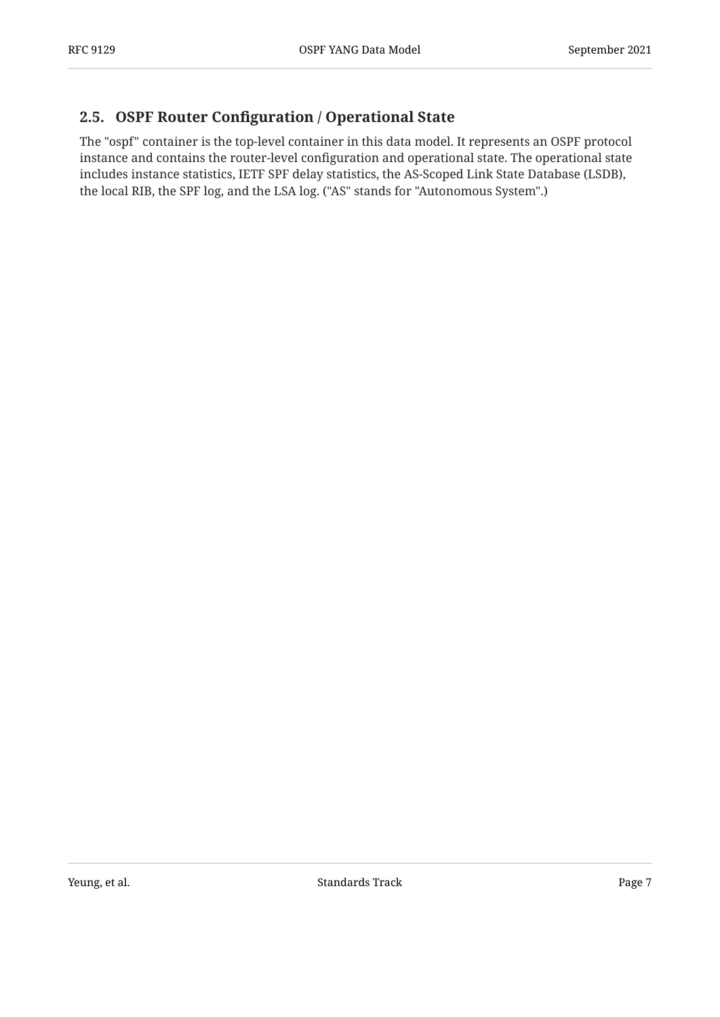#### <span id="page-6-0"></span>**[2.5. O](#page-6-0)SPF Router Confi[guration / Operational State](#page-6-0)**

The "ospf" container is the top-level container in this data model. It represents an OSPF protocol instance and contains the router-level configuration and operational state. The operational state includes instance statistics, IETF SPF delay statistics, the AS-Scoped Link State Database (LSDB), the local RIB, the SPF log, and the LSA log. ("AS" stands for "Autonomous System".)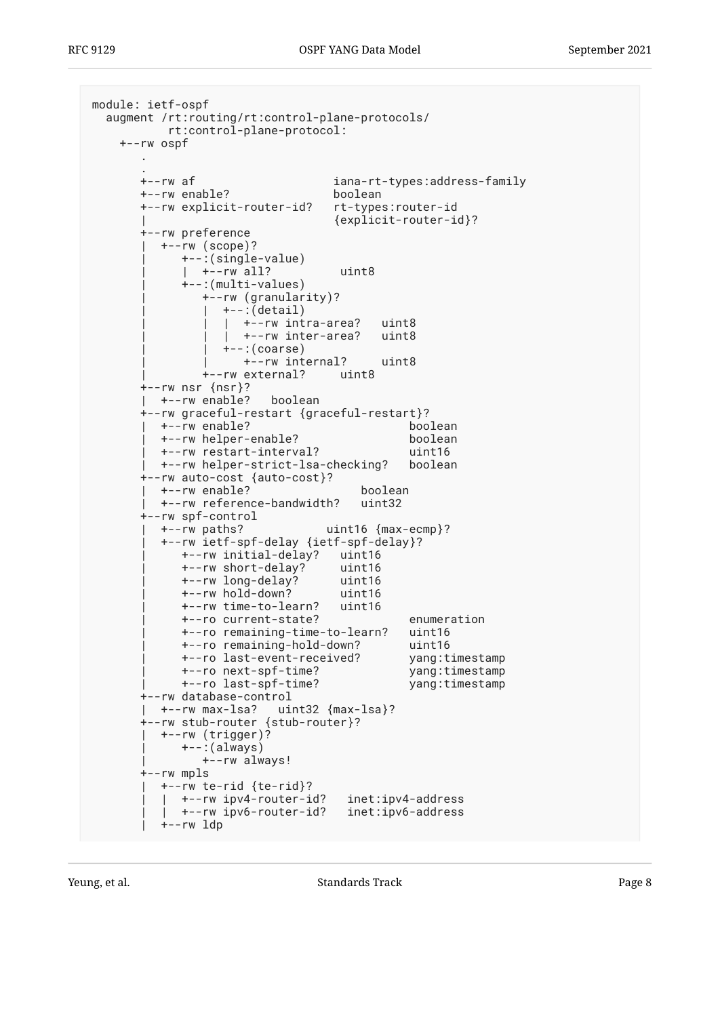```
module: ietf-ospf
   augment /rt:routing/rt:control-plane-protocols/
           rt:control-plane-protocol:
     +--rw ospf
 .
 .
       +--rw af iana-rt-types:address-family
       +--rw enable? boolean
       +--rw explicit-router-id? rt-types:router-id
                                  | {explicit-router-id}?
       +--rw preference
         | +--rw (scope)?
             | +--:(single-value)
              | | +--rw all? uint8
             | +--:(multi-values)
                | +--rw (granularity)?
                  | | +--:(detail)
                  | +-rw intra-area? uint8
                  | +--rw inter-area? uint8
                  +-: (coarse) | | +--rw internal? uint8
                | +--rw external? uint8
       +--rw nsr {nsr}?
       | +--rw enable? boolean
       +--rw graceful-restart {graceful-restart}?
         | +--rw enable? boolean
          | +--rw helper-enable? boolean
         +--rw restart-interval?
          | +--rw helper-strict-lsa-checking? boolean
       +--rw auto-cost {auto-cost}?
         | +--rw enable? boolean
          | +--rw reference-bandwidth? uint32
       +--rw spf-control
          | +--rw paths? uint16 {max-ecmp}?
          | +--rw ietf-spf-delay {ietf-spf-delay}?
             | +--rw initial-delay? uint16
             | +--rw short-delay? uint16
            +--rw long-delay?
             | +--rw hold-down? uint16
             | +--rw time-to-learn? uint16
             | +--ro current-state? enumeration
             | +--ro remaining-time-to-learn? uint16
             | +--ro remaining-hold-down? uint16
            +--ro last-event-received?
             | +--ro next-spf-time? yang:timestamp
             | +--ro last-spf-time? yang:timestamp
       +--rw database-control
        | +--rw max-lsa? uint32 {max-lsa}?
       +--rw stub-router {stub-router}?
          | +--rw (trigger)?
             | +--:(always)
               | +--rw always!
       +--rw mpls
          | +--rw te-rid {te-rid}?
            | | +--rw ipv4-router-id? inet:ipv4-address
            | | +--rw ipv6-router-id? inet:ipv6-address
          | +--rw ldp
```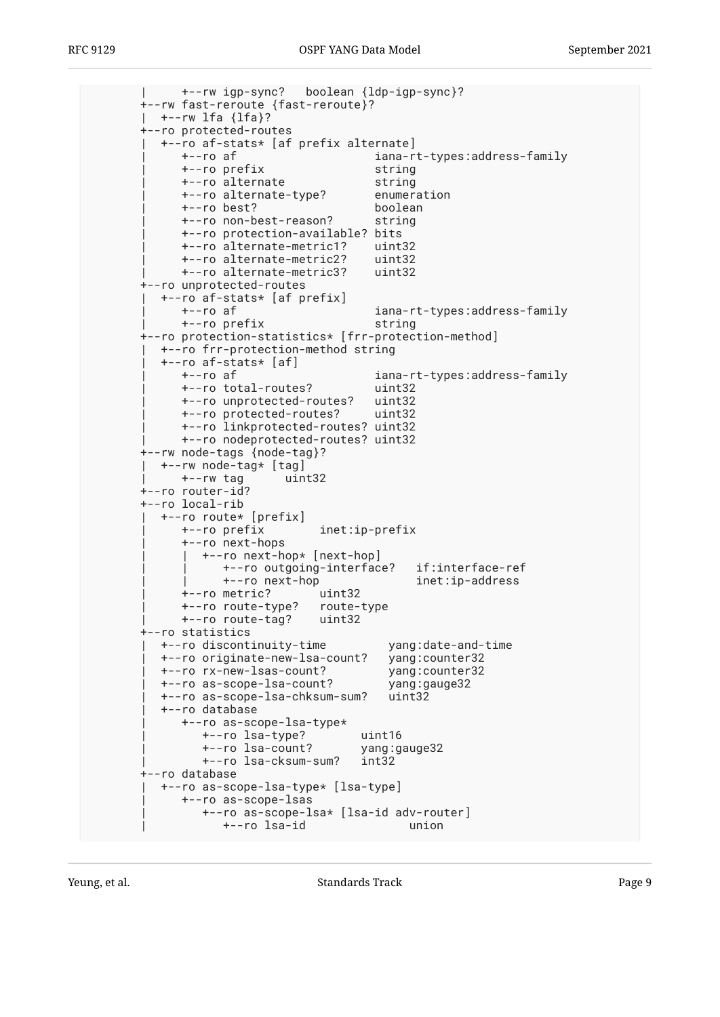| +--rw igp-sync? boolean {ldp-igp-sync}? +--rw fast-reroute {fast-reroute}? | +--rw lfa {lfa}? +--ro protected-routes | +--ro af-stats\* [af prefix alternate] | +--ro af iana-rt-types:address-family | +--ro prefix string | +--ro alternate string | +--ro alternate-type? enumeration | +--ro best? boolean | +--ro non-best-reason? string | +--ro protection-available? bits | +--ro alternate-metric1? uint32 | +--ro alternate-metric2? uint32 +--ro alternate-metric3? +--ro unprotected-routes | +--ro af-stats\* [af prefix] | +--ro af iana-rt-types:address-family | +--ro prefix string +--ro protection-statistics\* [frr-protection-method] | +--ro frr-protection-method string | +--ro af-stats\* [af] | +--ro af iana-rt-types:address-family | +--ro total-routes? uint32 +--ro unprotected-routes? | +--ro protected-routes? uint32 | +--ro linkprotected-routes? uint32 | +--ro nodeprotected-routes? uint32 +--rw node-tags {node-tag}? | +--rw node-tag\* [tag] | +--rw tag uint32 +--ro router-id? +--ro local-rib | +--ro route\* [prefix] | +--ro prefix inet:ip-prefix | +--ro next-hops | | +--ro next-hop\* [next-hop] | | +--ro outgoing-interface? if:interface-ref inet:ip-address | +--ro metric? uint32 | +--ro route-type? route-type +--ro route-tag? +--ro statistics | +--ro discontinuity-time yang:date-and-time +--ro originate-new-lsa-count? | +--ro rx-new-lsas-count? yang:counter32 | +--ro as-scope-lsa-count? yang:gauge32 | +--ro as-scope-lsa-chksum-sum? uint32 | +--ro database | +--ro as-scope-lsa-type\* | +--ro lsa-type? uint16 | +--ro lsa-count? yang:gauge32 | +--ro lsa-cksum-sum? int32 +--ro database | +--ro as-scope-lsa-type\* [lsa-type] | +--ro as-scope-lsas | +--ro as-scope-lsa\* [lsa-id adv-router] | +--ro lsa-id union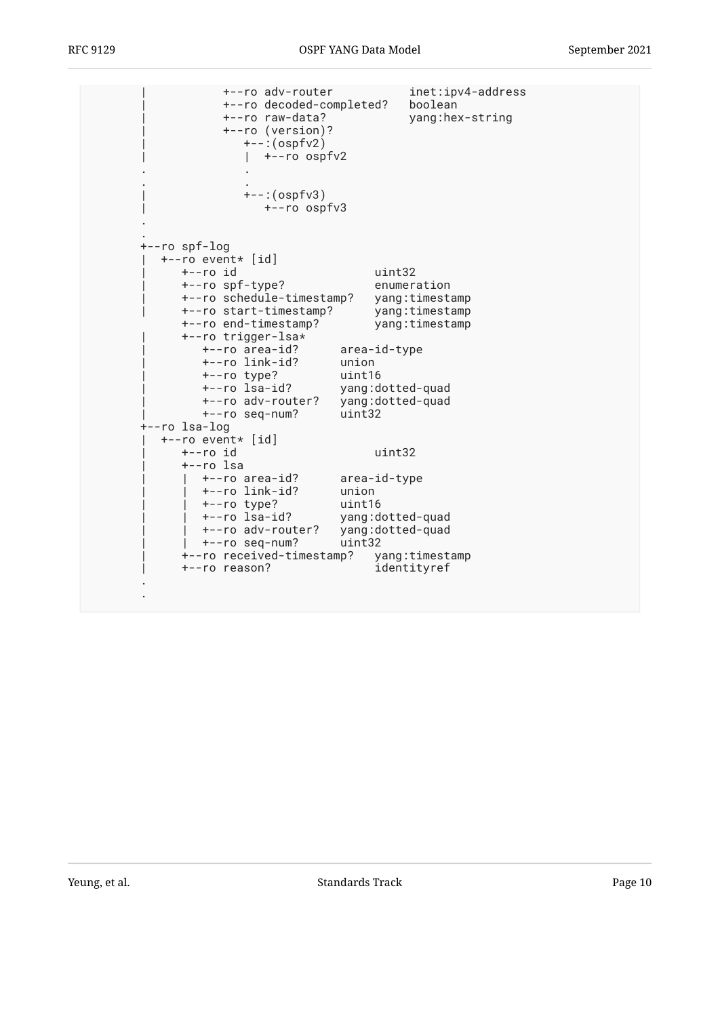| +--ro adv-router<br>+--ro decoded-completed?<br>+--ro raw-data?<br>+--ro (version)?<br>$+-:(ospfv2)$<br>+--ro ospfv2<br>$+-$ : (ospfv3)<br>+--ro ospfv3                                                                                                                                                                 |                                                                                             | inet:ipv4-address<br>boolean<br>yang:hex-string                   |
|-------------------------------------------------------------------------------------------------------------------------------------------------------------------------------------------------------------------------------------------------------------------------------------------------------------------------|---------------------------------------------------------------------------------------------|-------------------------------------------------------------------|
| +--ro spf-log<br>+--ro event* [id]<br>+--ro id<br>+--ro spf-type?<br>+--ro schedule-timestamp?<br>+--ro start-timestamp?<br>+--ro end-timestamp?<br>+--ro trigger-lsa*<br>+--ro area-id?<br>+--ro link-id?<br>+--ro type?<br>+--ro lsa-id?<br>+--ro adv-router?<br>+--ro seq-num?<br>+--ro lsa-log<br>+--ro event* [id] | uint32<br>area-id-type<br>union<br>uint16<br>yang:dotted-quad<br>yang:dotted-quad<br>uint32 | enumeration<br>yang:timestamp<br>yang:timestamp<br>yang:timestamp |
| +--ro id<br>+--ro lsa<br>+--ro area-id?<br>+--ro link-id?<br>+--ro type?<br>+--ro lsa-id?<br>+--ro adv-router?<br>+--ro seq-num?<br>+--ro received-timestamp?<br>+--ro reason?                                                                                                                                          | uint32<br>area-id-type<br>union<br>uint16<br>yang:dotted-quad<br>yang:dotted-quad<br>uint32 | yang:timestamp<br>identityref                                     |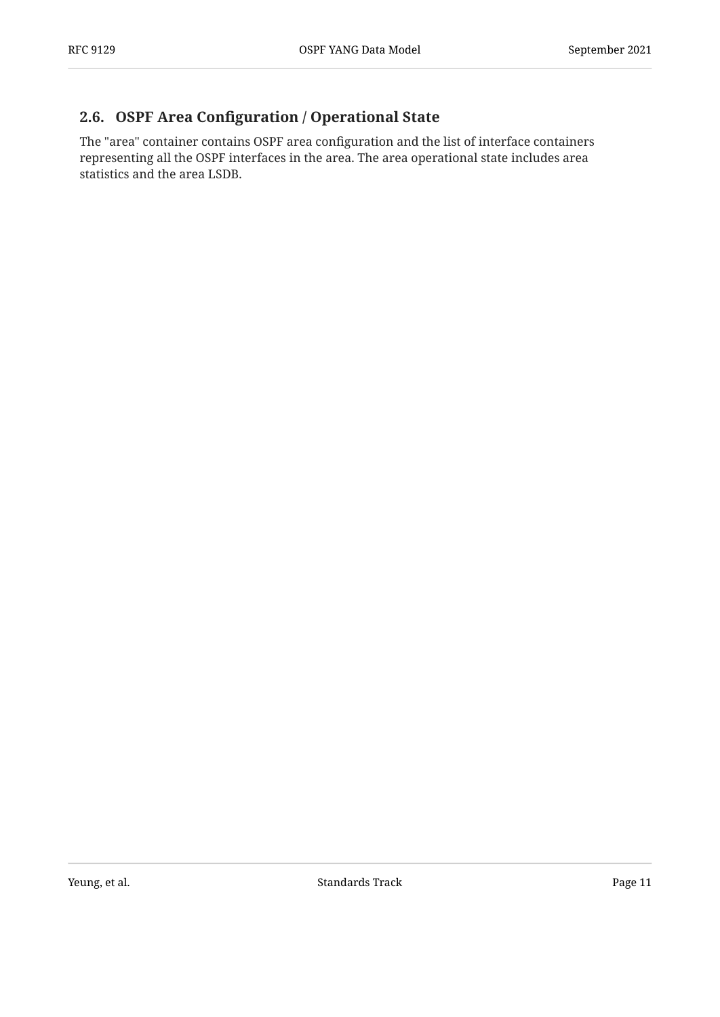#### <span id="page-10-0"></span>**[2.6. O](#page-10-0)SPF Area Confi[guration / Operational State](#page-10-0)**

The "area" container contains OSPF area configuration and the list of interface containers representing all the OSPF interfaces in the area. The area operational state includes area statistics and the area LSDB.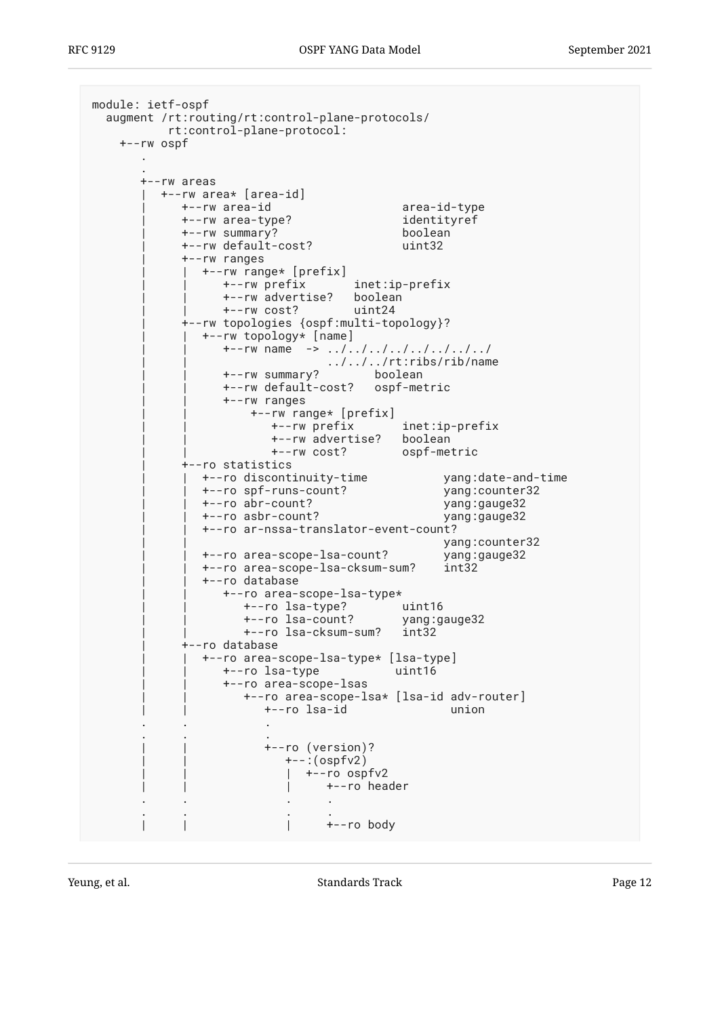```
module: ietf-ospf
  augment /rt:routing/rt:control-plane-protocols/
         rt:control-plane-protocol:
    +--rw ospf
 .
 .
      +--rw areas
        | +--rw area* [area-id]
          | +--rw area-id area-id-type
          | +--rw area-type? identityref
           | +--rw summary? boolean
           | +--rw default-cost? uint32
           | +--rw ranges
             | | +--rw range* [prefix]
 | | +--rw prefix inet:ip-prefix
 | | +--rw advertise? boolean
 | | +--rw cost? uint24
           | +--rw topologies {ospf:multi-topology}?
            | | +--rw topology* [name]
              +--rw name ->> ../../../../../../../../
 | | ../../../rt:ribs/rib/name
 | | +--rw summary? boolean
 | | +--rw default-cost? ospf-metric
                | | +--rw ranges
                   | | +--rw range* [prefix]
 | | +--rw prefix inet:ip-prefix
 | | +--rw advertise? boolean
                     | | +--rw cost? ospf-metric
           | +--ro statistics
 | | +--ro discontinuity-time yang:date-and-time
 | | +--ro spf-runs-count? yang:counter32
             | | +--ro abr-count? yang:gauge32
             | | +--ro asbr-count? yang:gauge32
             | | +--ro ar-nssa-translator-event-count?
                                   yang:counter32
 | | +--ro area-scope-lsa-count? yang:gauge32
 | | +--ro area-scope-lsa-cksum-sum? int32
            +--ro database
                | | +--ro area-scope-lsa-type*
 | | +--ro lsa-type? uint16
 | | +--ro lsa-count? yang:gauge32
                  | | +--ro lsa-cksum-sum? int32
           | +--ro database
             | | +--ro area-scope-lsa-type* [lsa-type]
                | | +--ro lsa-type uint16
                | | +--ro area-scope-lsas
                  | | +--ro area-scope-lsa* [lsa-id adv-router]
                    | | +--ro lsa-id union
 . . .
 . . .
                    | | +--ro (version)?
                       | | +--:(ospfv2)
                      | +--ro ospfv2
                       | | | +--ro header
 . . . .
 . . . .
                       | | | +--ro body
```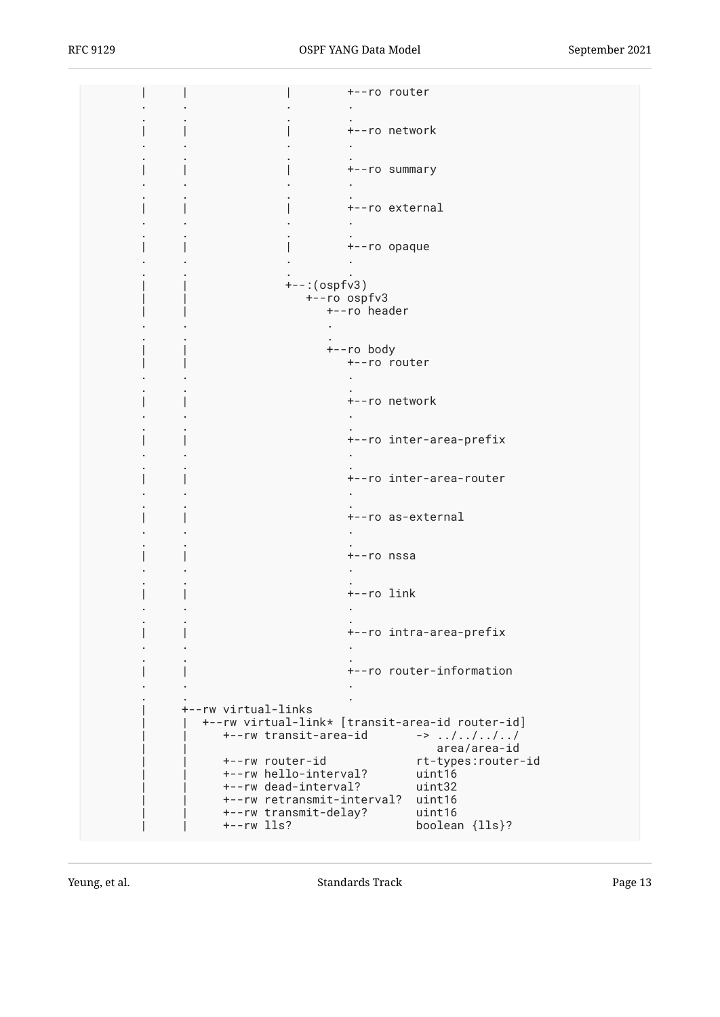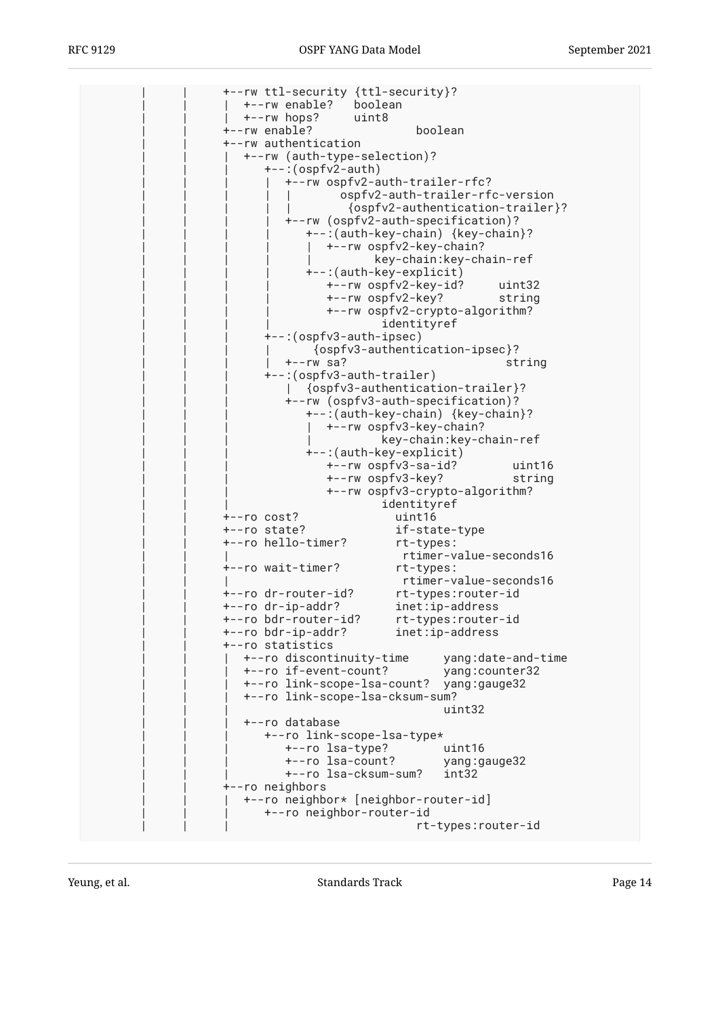| +--rw ttl-security {ttl-security}?      |                                  |
|-----------------------------------------|----------------------------------|
| +--rw enable? boolean                   |                                  |
| +--rw hops?<br>uint8                    |                                  |
|                                         |                                  |
| boolean<br>+--rw enable?                |                                  |
| +--rw authentication                    |                                  |
| +--rw (auth-type-selection)?            |                                  |
| +--:(ospfv2-auth)                       |                                  |
| +--rw ospfv2-auth-trailer-rfc?          |                                  |
| ospfv2-auth-trailer-rfc-version         |                                  |
|                                         | {ospfv2-authentication-trailer}? |
| +--rw (ospfv2-auth-specification)?      |                                  |
|                                         |                                  |
| +--:(auth-key-chain) {key-chain}?       |                                  |
| +--rw ospfv2-key-chain?                 |                                  |
|                                         | key-chain:key-chain-ref          |
| +--:(auth-key-explicit)                 |                                  |
| +--rw ospfv2-key-id?                    | uint32                           |
| +--rw ospfv2-key?                       | string                           |
| +--rw ospfv2-crypto-algorithm?          |                                  |
| identityref                             |                                  |
| +--:(ospfv3-auth-ipsec)                 |                                  |
|                                         |                                  |
| {ospfv3-authentication-ipsec}?          |                                  |
| $+--rw$ sa?                             | string                           |
| +--: (ospfv3-auth-trailer)              |                                  |
| {ospfv3-authentication-trailer}?        |                                  |
| +--rw (ospfv3-auth-specification)?      |                                  |
| +--: (auth-key-chain) {key-chain}?      |                                  |
| +--rw ospfv3-key-chain?                 |                                  |
|                                         | key-chain:key-chain-ref          |
| +--:(auth-key-explicit)                 |                                  |
| +--rw ospfv3-sa-id?                     | uint16                           |
|                                         |                                  |
| +--rw ospfv3-key?                       | string                           |
| +--rw ospfv3-crypto-algorithm?          |                                  |
| identityref                             |                                  |
| uint16<br>+--ro cost?                   |                                  |
| if-state-type<br>+--ro state?           |                                  |
| +--ro hello-timer?<br>rt-types:         |                                  |
|                                         | rtimer-value-seconds16           |
| +--ro wait-timer?<br>rt-types:          |                                  |
|                                         | rtimer-value-seconds16           |
| +--ro dr-router-id?                     | rt-types:router-id               |
| +--ro dr-ip-addr?<br>$inet:ip-address$  |                                  |
| +--ro bdr-router-id?                    |                                  |
|                                         | rt-types:router-id               |
| +--ro bdr-ip-addr?<br>$inet:ip-address$ |                                  |
| +--ro statistics                        |                                  |
| +--ro discontinuity-time                | yang:date-and-time               |
| +--ro if-event-count?                   | yang: counter32                  |
| +--ro link-scope-lsa-count?             | yang:gauge32                     |
| +--ro link-scope-lsa-cksum-sum?         |                                  |
|                                         | uint32                           |
| +--ro database                          |                                  |
| +--ro link-scope-lsa-type*              |                                  |
| +--ro lsa-type?                         | uint16                           |
| +--ro lsa-count?                        |                                  |
|                                         | yang:gauge32                     |
| +--ro lsa-cksum-sum?                    | int32                            |
| +--ro neighbors                         |                                  |
| +--ro neighbor* [neighbor-router-id]    |                                  |
| +--ro neighbor-router-id                |                                  |
|                                         | rt-types:router-id               |
|                                         |                                  |

Yeung, et al. Note as a standard a standards Track Contract the Standards Track Page 14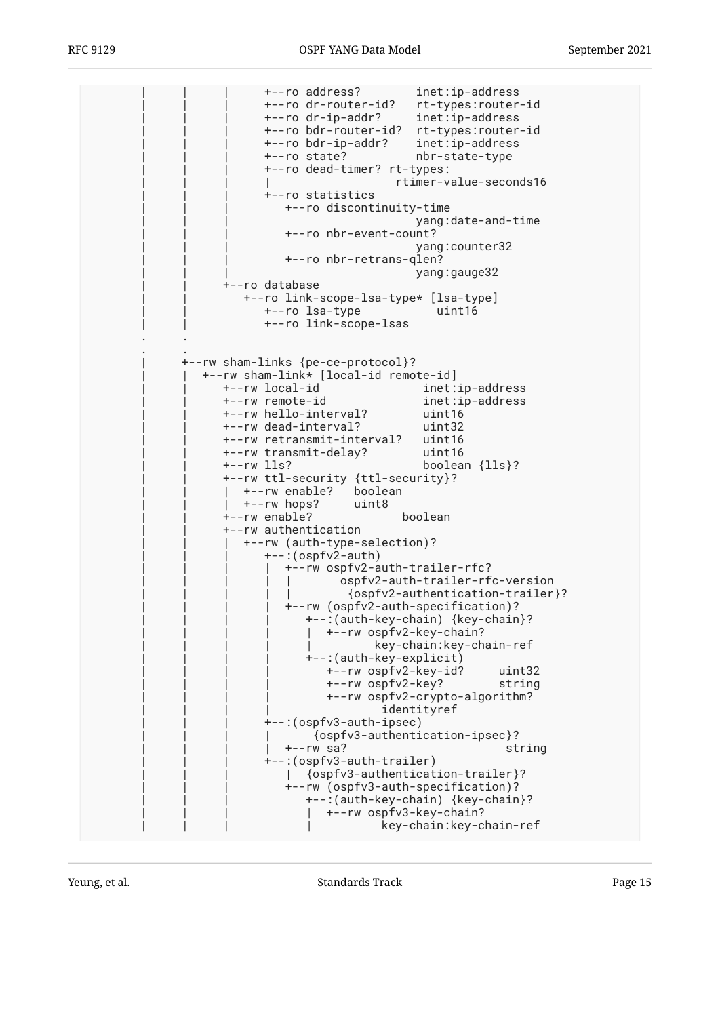```
 | | | +--ro address? inet:ip-address
                             | | | +--ro dr-router-id? rt-types:router-id
                             | | | +--ro dr-ip-addr? inet:ip-address
                            | | | +--ro bdr-router-id? rt-types:router-id
                            | | | +--ro bdr-ip-addr? inet:ip-address
                             | | | +--ro state? nbr-state-type
                             | | | +--ro dead-timer? rt-types:
                                                  | | | | rtimer-value-seconds16
                             | | | +--ro statistics
                                | | | +--ro discontinuity-time
                                                      | | | yang:date-and-time
                                | | | +--ro nbr-event-count?
                                                     | | | yang:counter32
                                | | | +--ro nbr-retrans-qlen?
                                                     yang: gauge32
                      | | +--ro database
                         | | +--ro link-scope-lsa-type* [lsa-type]
                            | | +--ro lsa-type uint16
                             | | +--ro link-scope-lsas
 . .
 . .
               | +--rw sham-links {pe-ce-protocol}?
                  | | +--rw sham-link* [local-id remote-id]
                     | | +--rw local-id inet:ip-address
                                                      inet:ip-address
                      | | +--rw hello-interval? uint16
                      | | +--rw dead-interval? uint32
                     +--rw retransmit-interval?
                      | | +--rw transmit-delay? uint16
                                                      boolean {lls}?
                      | | +--rw ttl-security {ttl-security}?
                     | +--rw enable? boolean
                        | | | +--rw hops? uint8
                      | | +--rw enable? boolean
                      | | +--rw authentication
                         | | | +--rw (auth-type-selection)?
                            +-: (ospfv2-auth)
                               | | | | +--rw ospfv2-auth-trailer-rfc?
                                         | | | | | ospfv2-auth-trailer-rfc-version
                                          | | | | | {ospfv2-authentication-trailer}?
                                | | | | +--rw (ospfv2-auth-specification)?
                                   | | | | +--:(auth-key-chain) {key-chain}?
                                   | +--rw ospfv2-key-chain?
                                               | | | | | key-chain:key-chain-ref
                                  +--:(auth-key-explicit)
                                       | | | | +--rw ospfv2-key-id? uint32
                                       | | | | +--rw ospfv2-key? string
                                       | | | | +--rw ospfv2-crypto-algorithm?
                                               identityref
                             | | | +--:(ospfv3-auth-ipsec)
                                     | | | | {ospfv3-authentication-ipsec}?
                                | | | | +--rw sa? string
                             | | | +--:(ospfv3-auth-trailer)
                                | | | | {ospfv3-authentication-trailer}?
                                | | | +--rw (ospfv3-auth-specification)?
                                   | | | +--:(auth-key-chain) {key-chain}?
                                     | | | | +--rw ospfv3-key-chain?
                                                | | | | key-chain:key-chain-ref
```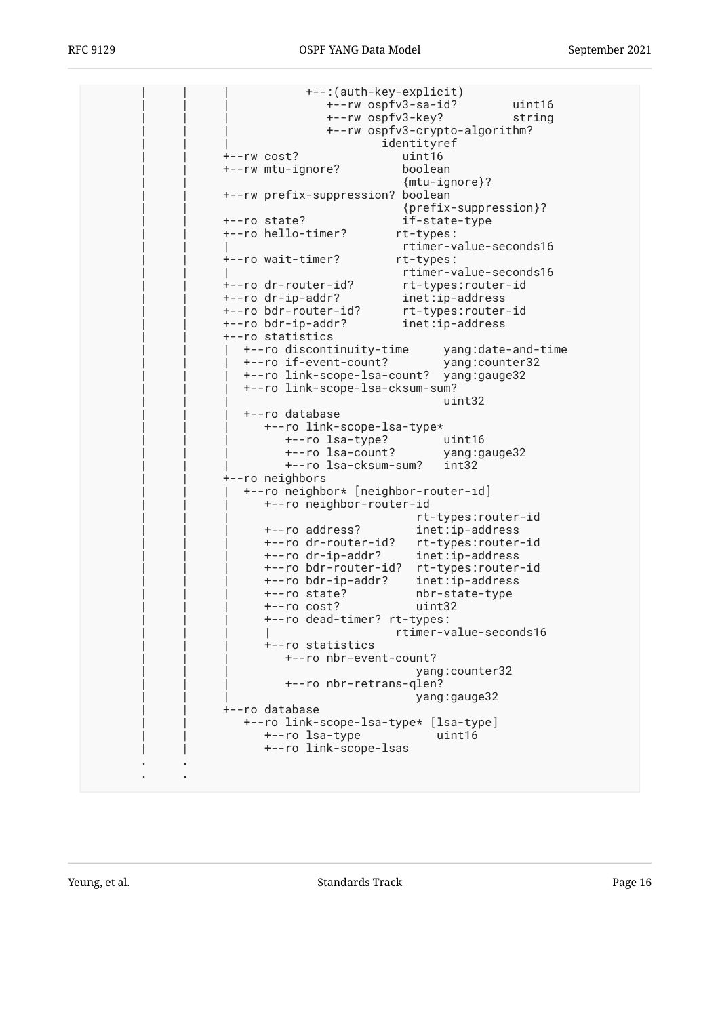| | | +--:(auth-key-explicit) | | | +--rw ospfv3-sa-id? uint16 | | | +--rw ospfv3-key? string | | | +--rw ospfv3-crypto-algorithm? identityref | | +--rw cost? uint16 | | +--rw mtu-ignore? boolean | | {mtu-ignore}? | | +--rw prefix-suppression? boolean | | {prefix-suppression}? | | +--ro state? if-state-type | | +--ro hello-timer? rt-types: | | | rtimer-value-seconds16 | | +--ro wait-timer? rt-types: rtimer-value-seconds16 | | +--ro dr-router-id? rt-types:router-id | | +--ro dr-ip-addr? inet:ip-address | | +--ro bdr-router-id? rt-types:router-id | | +--ro bdr-ip-addr? inet:ip-address | | +--ro statistics | | | +--ro discontinuity-time yang:date-and-time | | | +--ro if-event-count? yang:counter32 | | | +--ro link-scope-lsa-count? yang:gauge32 | | | +--ro link-scope-lsa-cksum-sum? | | | uint32 | | | +--ro database | | | +--ro link-scope-lsa-type\* | | | +--ro lsa-type? uint16 | | | +--ro lsa-count? yang:gauge32 | | | +--ro lsa-cksum-sum? int32 | | +--ro neighbors | | | +--ro neighbor\* [neighbor-router-id] | | | +--ro neighbor-router-id | | | rt-types:router-id  $\texttt{inet:ip-address}$  | | | +--ro dr-router-id? rt-types:router-id | | | +--ro dr-ip-addr? inet:ip-address | | | +--ro bdr-router-id? rt-types:router-id | | | +--ro bdr-ip-addr? inet:ip-address nbr-state-type | | | +--ro cost? uint32 | | | +--ro dead-timer? rt-types: rtimer-value-seconds16 | | | +--ro statistics +--ro nbr-event-count? yang: counter32 +--ro nbr-retrans-qlen? yang:gauge32 | | +--ro database | | +--ro link-scope-lsa-type\* [lsa-type] | | +--ro lsa-type uint16 | | +--ro link-scope-lsas . . . .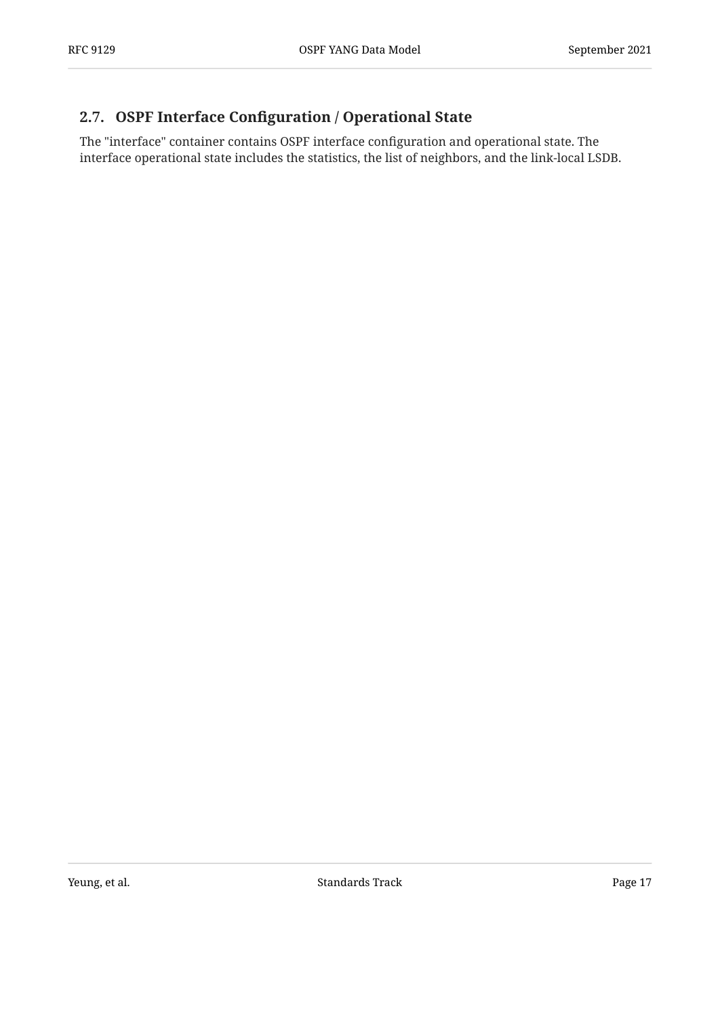#### <span id="page-16-0"></span>**[2.7. O](#page-16-0)SPF Interface Confi[guration / Operational State](#page-16-0)**

The "interface" container contains OSPF interface configuration and operational state. The interface operational state includes the statistics, the list of neighbors, and the link-local LSDB.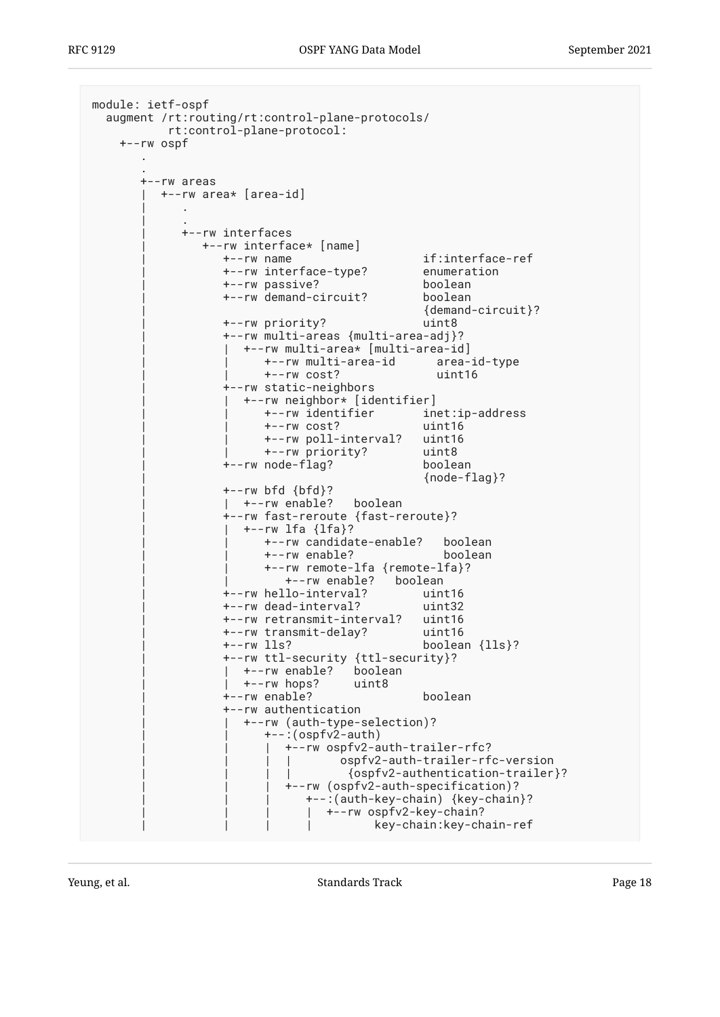```
module: ietf-ospf
   augment /rt:routing/rt:control-plane-protocols/
           rt:control-plane-protocol:
     +--rw ospf
 .
 .
       +--rw areas
          | +--rw area* [area-id]
 | .
 | .
             | +--rw interfaces
                | +--rw interface* [name]
                   | +--rw name if:interface-ref
                  +--rw interface-type?
                   | +--rw passive? boolean
                   | +--rw demand-circuit? boolean
                                               | {demand-circuit}?
                   | +--rw priority? uint8
                   | +--rw multi-areas {multi-area-adj}?
                   | | +--rw multi-area* [multi-area-id]
                         | | +--rw multi-area-id area-id-type
                         | | +--rw cost? uint16
                   | +--rw static-neighbors
                     | | +--rw neighbor* [identifier]
                         | | +--rw identifier inet:ip-address
                         | | +--rw cost? uint16
                        +--rw poll-interval?
                         | | +--rw priority? uint8
                  +--rw node-flag?
                                               | {node-flag}?
                  +--rw bfd {bf}?
                  | +-rw enable? boolean
                   | +--rw fast-reroute {fast-reroute}?
                     | | +--rw lfa {lfa}?
                        | | +--rw candidate-enable? boolean
                         | | +--rw enable? boolean
                         | | +--rw remote-lfa {remote-lfa}?
                            | | +--rw enable? boolean
                   | +--rw hello-interval? uint16
                   | +--rw dead-interval? uint32
                   | +--rw retransmit-interval? uint16
                   | +--rw transmit-delay? uint16
                                              boolean {lls}?
 | +--rw ttl-security {ttl-security}?
 | | +--rw enable? boolean
                     | | +--rw hops? uint8
                   | +--rw enable? boolean
                   | +--rw authentication
                      | | +--rw (auth-type-selection)?
                        +-: (ospfv2-auth)
                           | | | +--rw ospfv2-auth-trailer-rfc?
                                    | | | | ospfv2-auth-trailer-rfc-version
                                    | | | | {ospfv2-authentication-trailer}?
                            | | | +--rw (ospfv2-auth-specification)?
                               | | | +--:(auth-key-chain) {key-chain}?
                              | +--rw ospfv2-key-chain?
                               | | | | key-chain:key-chain-ref
```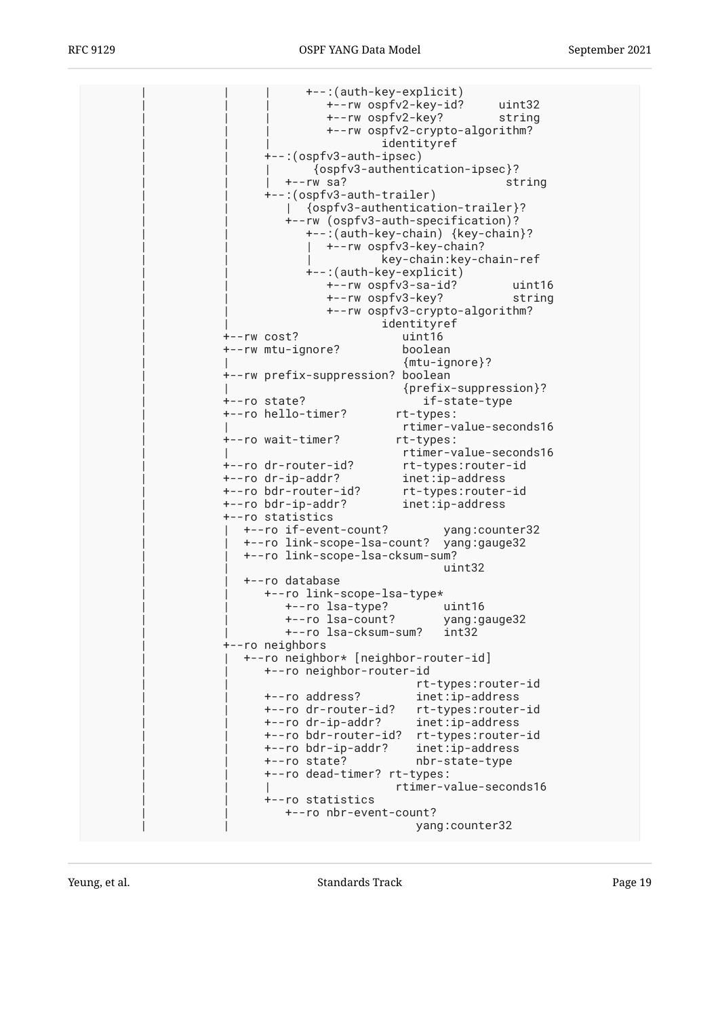| | | +--:(auth-key-explicit) | | | +--rw ospfv2-key-id? uint32 | | | +--rw ospfv2-key? string | | | +--rw ospfv2-crypto-algorithm? identityref | | +--:(ospfv3-auth-ipsec) | | | {ospfv3-authentication-ipsec}? | | | +--rw sa? string | | +--:(ospfv3-auth-trailer) | | | {ospfv3-authentication-trailer}? | | +--rw (ospfv3-auth-specification)? | | +--:(auth-key-chain) {key-chain}? |  $+--rw$  ospfv3-key-chain? | | | key-chain:key-chain-ref | | +--:(auth-key-explicit) | | +--rw ospfv3-sa-id? uint16 | | +--rw ospfv3-key? string | | +--rw ospfv3-crypto-algorithm? identityref<br>uint16  $+--rw$  cost? | +--rw mtu-ignore? boolean | | {mtu-ignore}? | +--rw prefix-suppression? boolean | | {prefix-suppression}? | +--ro state? if-state-type +--ro hello-timer? | | rtimer-value-seconds16 | +--ro wait-timer? rt-types: | | rtimer-value-seconds16 | +--ro dr-router-id? rt-types:router-id  $\texttt{inet:ip-address}$  | +--ro bdr-router-id? rt-types:router-id | +--ro bdr-ip-addr? inet:ip-address | +--ro statistics | | +--ro if-event-count? yang:counter32 | | +--ro link-scope-lsa-count? yang:gauge32 | | +--ro link-scope-lsa-cksum-sum? | | uint32 | | +--ro database | | +--ro link-scope-lsa-type\* | | +--ro lsa-type? uint16 | | +--ro lsa-count? yang:gauge32 | | +--ro lsa-cksum-sum? int32 | +--ro neighbors | | +--ro neighbor\* [neighbor-router-id] | | +--ro neighbor-router-id rt-types:router-id<br>+--ro address? inet:ip-address inet:ip-address +--ro dr-router-id? rt-types:router-id<br>+--ro dr-ip-addr? inet:ip-address | | +--ro dr-ip-addr? inet:ip-address | | +--ro bdr-router-id? rt-types:router-id | | +--ro bdr-ip-addr? inet:ip-address | | +--ro state? nbr-state-type | | +--ro dead-timer? rt-types: | | | rtimer-value-seconds16 | | +--ro statistics | | +--ro nbr-event-count? | | yang:counter32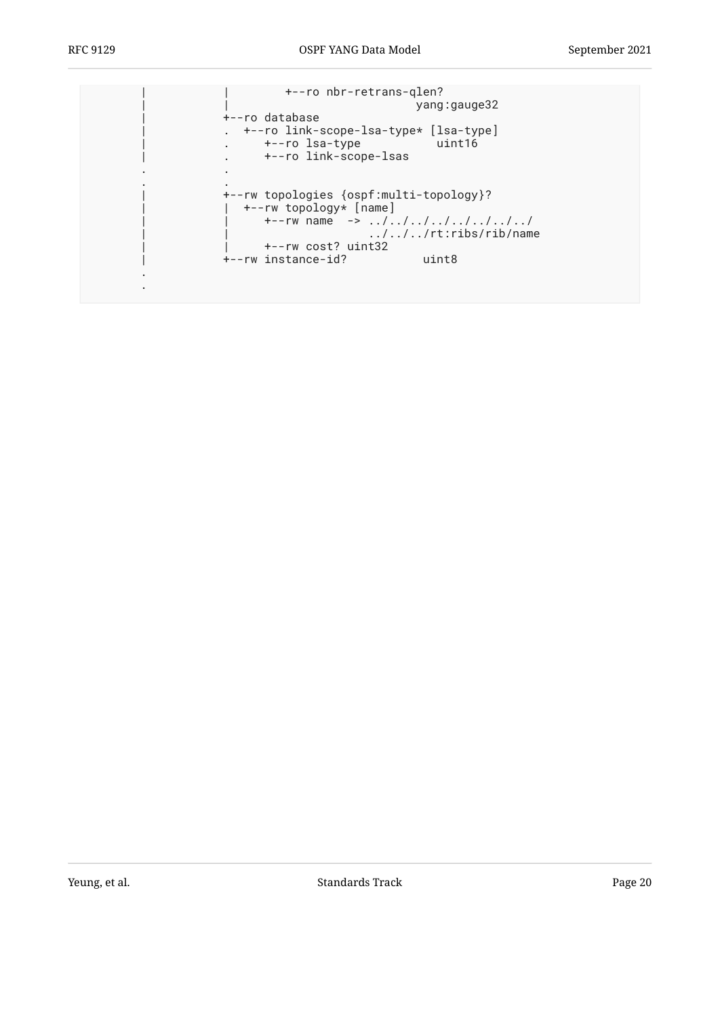. .

| +--ro nbr-retrans-glen?<br>+--ro database<br>. +--ro link-scope-lsa-type* [lsa-type]<br>+--ro lsa-type<br>uint16<br>+--ro link-scope-lsas                                                               | yang:gauge32 |
|---------------------------------------------------------------------------------------------------------------------------------------------------------------------------------------------------------|--------------|
|                                                                                                                                                                                                         |              |
| +--rw topologies {ospf:multi-topology}?<br>+--rw topology* [name]<br>$+ - -rw$ name $- > / / / / / / /$<br>$\ldots/\ldots/\ldots$ rt:ribs/rib/name<br>+--rw cost? uint32<br>+--rw instance-id?<br>uint8 |              |
|                                                                                                                                                                                                         |              |

Yeung, et al. Note as a standard a standards Track Change 20 and the standards Track Page 20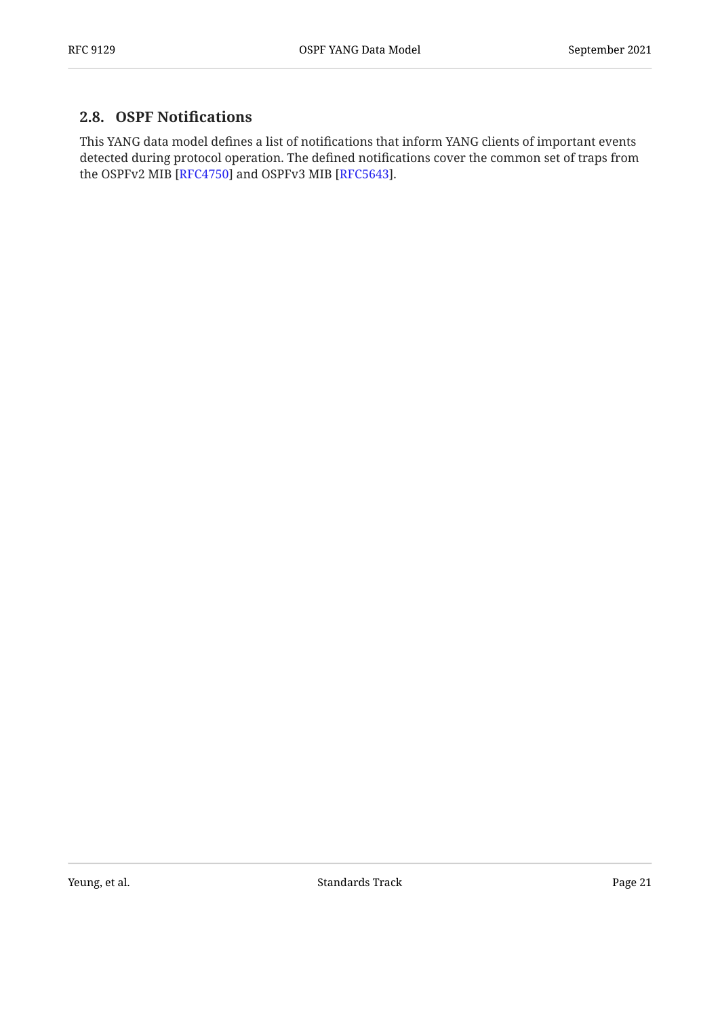#### <span id="page-20-0"></span>**[2.8. OSPF Noti](#page-20-0)fications**

This YANG data model defines a list of notifications that inform YANG clients of important events detected during protocol operation. The defined notifications cover the common set of traps from the OSPFv2 MIB [\[RFC4750](#page-118-7)] and OSPFv3 MIB [[RFC5643\]](#page-118-8).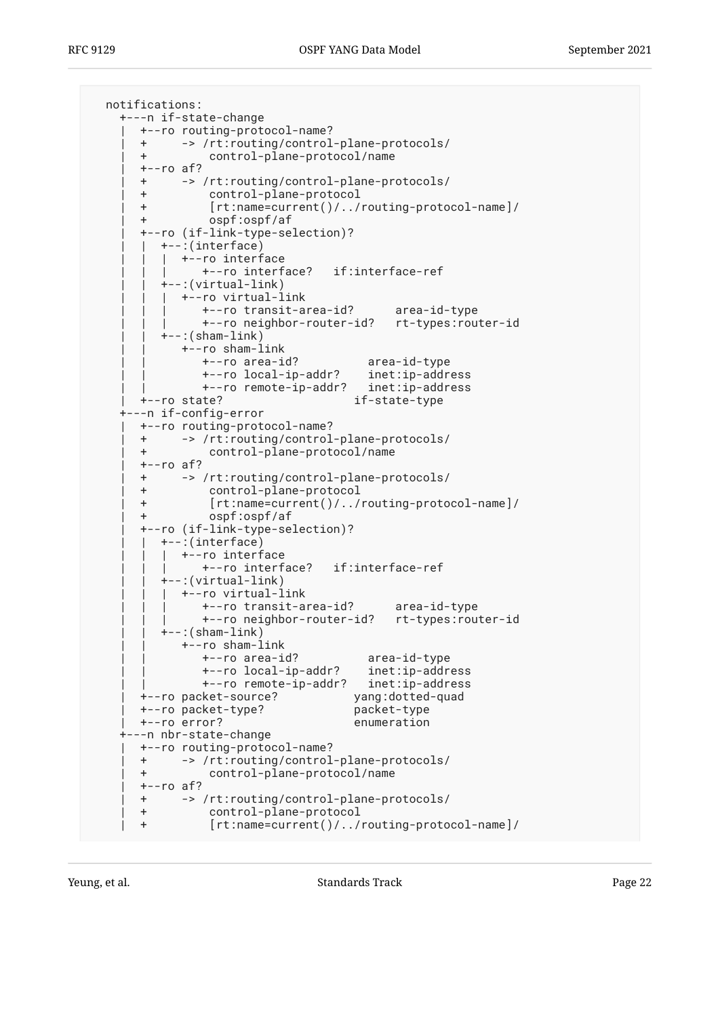```
 notifications:
    +---n if-state-change
       | +--ro routing-protocol-name?
       | + -> /rt:routing/control-plane-protocols/
       | + control-plane-protocol/name
       | +--ro af?
       | + -> /rt:routing/control-plane-protocols/
       | + control-plane-protocol
       | + [rt:name=current()/../routing-protocol-name]/
       | + ospf:ospf/af
       | +--ro (if-link-type-selection)?
         | | +--:(interface)
         | +--ro interface
               | | | +--ro interface? if:interface-ref
          | | +--:(virtual-link)
            | | | +--ro virtual-link
               | | | +--ro transit-area-id? area-id-type
               | | | +--ro neighbor-router-id? rt-types:router-id
         +--: (sham-link)
            | | +--ro sham-link
 | | +--ro area-id? area-id-type
 | | +--ro local-ip-addr? inet:ip-address
 | | +--ro remote-ip-addr? inet:ip-address
       | +--ro state? if-state-type
    +---n if-config-error
       | +--ro routing-protocol-name?
       | + -> /rt:routing/control-plane-protocols/
       | + control-plane-protocol/name
      +--ro af?
       | + -> /rt:routing/control-plane-protocols/
       | + control-plane-protocol
       | + [rt:name=current()/../routing-protocol-name]/
       | + ospf:ospf/af
       | +--ro (if-link-type-selection)?
      | +--:(interface)
         | +--ro interface
               | | | +--ro interface? if:interface-ref
         +-: (virtual-link)
         | +--ro virtual-link
               | | | +--ro transit-area-id? area-id-type
               | | | +--ro neighbor-router-id? rt-types:router-id
         +--: (sham-link)
            | | +--ro sham-link
 | | +--ro area-id? area-id-type
 | | +--ro local-ip-addr? inet:ip-address
 | | +--ro remote-ip-addr? inet:ip-address
       | +--ro packet-source? yang:dotted-quad
      +--ro packet-type?
       | +--ro error? enumeration
    +---n nbr-state-change
      | +--ro routing-protocol-name?
       | + -> /rt:routing/control-plane-protocols/
       | + control-plane-protocol/name
       | +--ro af?
       | + -> /rt:routing/control-plane-protocols/
       | + control-plane-protocol
       | + [rt:name=current()/../routing-protocol-name]/
```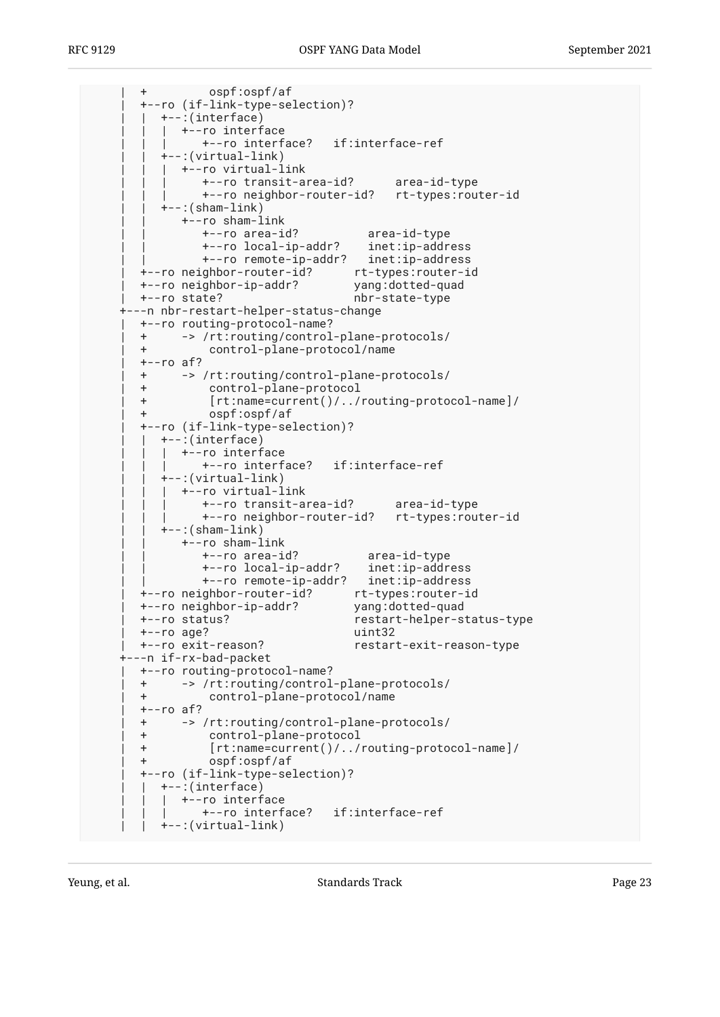| + ospf:ospf/af | +--ro (if-link-type-selection)? | | +--:(interface) | | | +--ro interface | | | +--ro interface? if:interface-ref | | +--:(virtual-link) | | | +--ro virtual-link | | | +--ro transit-area-id? area-id-type | | | +--ro neighbor-router-id? rt-types:router-id  $+-$ : (sham-link) | | +--ro sham-link | | +--ro area-id? area-id-type | | +--ro local-ip-addr? inet:ip-address | | +--ro remote-ip-addr? inet:ip-address | +--ro neighbor-router-id? rt-types:router-id | +--ro neighbor-ip-addr? yang:dotted-quad | +--ro state? nbr-state-type +---n nbr-restart-helper-status-change | +--ro routing-protocol-name? | + -> /rt:routing/control-plane-protocols/ | + control-plane-protocol/name | +--ro af? | + -> /rt:routing/control-plane-protocols/ | + control-plane-protocol | + [rt:name=current()/../routing-protocol-name]/ | + ospf:ospf/af | +--ro (if-link-type-selection)? | | +--:(interface) | +--ro interface | | | +--ro interface? if:interface-ref | | +--:(virtual-link) | | | +--ro virtual-link | | | +--ro transit-area-id? area-id-type | | | +--ro neighbor-router-id? rt-types:router-id  $+--$ : (sham-link) | | +--ro sham-link | | +--ro area-id? area-id-type | | +--ro local-ip-addr? inet:ip-address | | +--ro remote-ip-addr? inet:ip-address | +--ro neighbor-router-id? rt-types:router-id +--ro neighbor-ip-addr? | +--ro status? restart-helper-status-type | +--ro age? uint32 | +--ro exit-reason? restart-exit-reason-type +---n if-rx-bad-packet | +--ro routing-protocol-name? | + -> /rt:routing/control-plane-protocols/ | + control-plane-protocol/name  $+--ro$  af? | + -> /rt:routing/control-plane-protocols/ | + control-plane-protocol | + [rt:name=current()/../routing-protocol-name]/ | + ospf:ospf/af | +--ro (if-link-type-selection)? | | +--:(interface) | +--ro interface | | | +--ro interface? if:interface-ref | | +--:(virtual-link)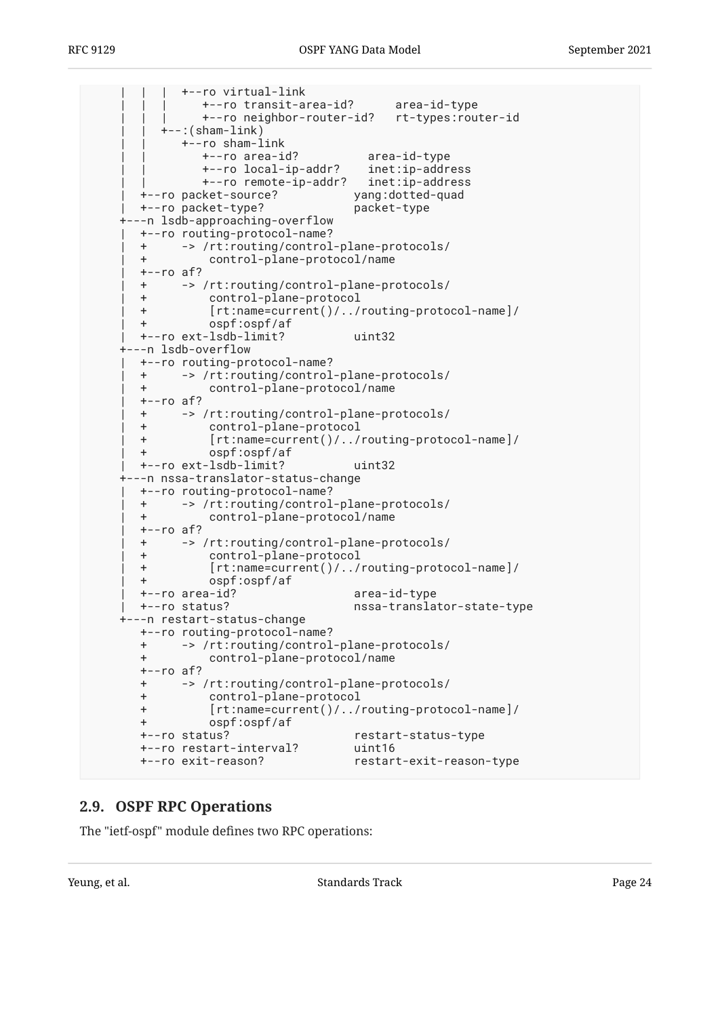| | | +--ro virtual-link | | | +--ro transit-area-id? area-id-type | | | +--ro neighbor-router-id? rt-types:router-id  $+--$ : (sham-link) | | +--ro sham-link | | +--ro area-id? area-id-type | | +--ro local-ip-addr? inet:ip-address +--ro remote-ip-addr? | +--ro packet-source? yang:dotted-quad | +--ro packet-type? packet-type +---n lsdb-approaching-overflow | +--ro routing-protocol-name? | + -> /rt:routing/control-plane-protocols/ | + control-plane-protocol/name  $+--ro$  af? | + -> /rt:routing/control-plane-protocols/ | + control-plane-protocol | + [rt:name=current()/../routing-protocol-name]/ | + ospf:ospf/af | +--ro ext-lsdb-limit? uint32 +---n lsdb-overflow | +--ro routing-protocol-name? | + -> /rt:routing/control-plane-protocols/ | + control-plane-protocol/name  $+--ro$  af? | + -> /rt:routing/control-plane-protocols/ | + control-plane-protocol | + [rt:name=current()/../routing-protocol-name]/ | + ospf:ospf/af | +--ro ext-lsdb-limit? uint32 +---n nssa-translator-status-change | +--ro routing-protocol-name? | + -> /rt:routing/control-plane-protocols/ | + control-plane-protocol/name  $+--ro$  af? | + -> /rt:routing/control-plane-protocols/ | + control-plane-protocol | + [rt:name=current()/../routing-protocol-name]/ | + ospf:ospf/af | +--ro area-id? area-id-type | +--ro status? nssa-translator-state-type +---n restart-status-change +--ro routing-protocol-name? + -> /rt:routing/control-plane-protocols/ + control-plane-protocol/name +--ro af? + -> /rt:routing/control-plane-protocols/ + control-plane-protocol + [rt:name=current()/../routing-protocol-name]/ + ospf:ospf/af +--ro status? restart-status-type +--ro restart-interval? uint16 +--ro exit-reason? restart-exit-reason-type

#### <span id="page-23-0"></span>**[2.9. OSPF RPC Operations](#page-23-0)**

The "ietf-ospf" module defines two RPC operations: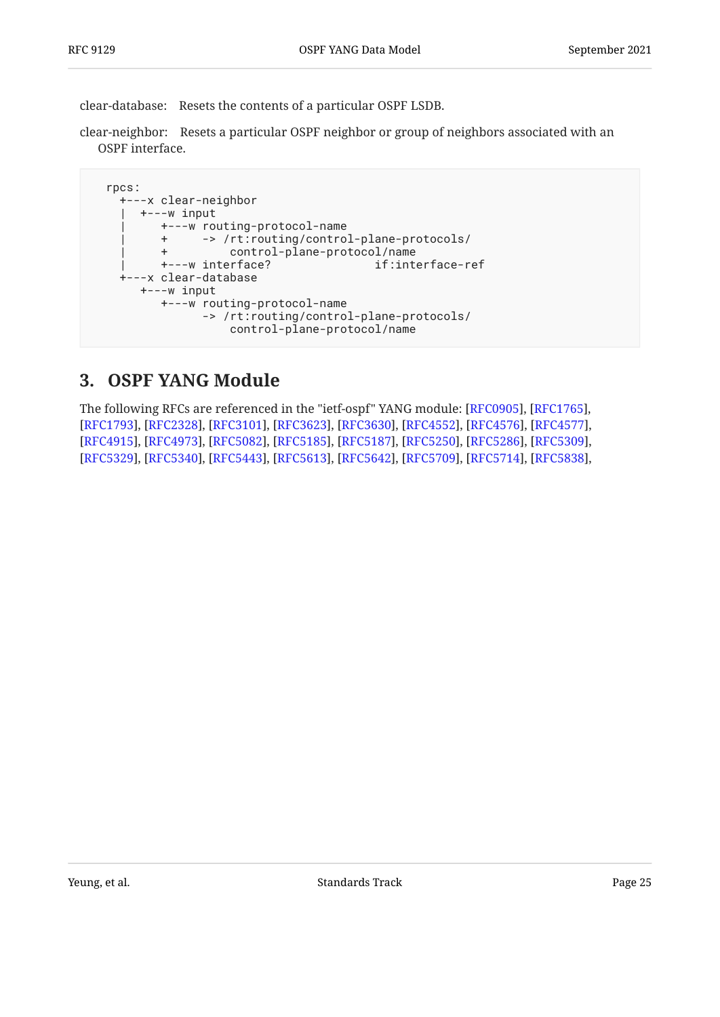clear-database: Resets the contents of a particular OSPF LSDB.

clear-neighbor: Resets a particular OSPF neighbor or group of neighbors associated with an OSPF interface.

```
 rpcs:
   +---x clear-neighbor
    | +---w input
         | +---w routing-protocol-name
         | + -> /rt:routing/control-plane-protocols/
        + control-plane-protocol/name<br>+---w interface? if:interface-ref
        +---w interface?
   +---x clear-database
      +---w input
         +---w routing-protocol-name
                -> /rt:routing/control-plane-protocols/
                    control-plane-protocol/name
```
### <span id="page-24-0"></span>**[3. OSPF YANG Module](#page-24-0)**

The following RFCs are referenced in the "ietf-ospf" YANG module: [RFC0905], [RFC1765], [[RFC1793\]](#page-114-4), [[RFC2328\]](#page-114-3), [\[RFC3101\]](#page-114-7), [\[RFC3623](#page-114-6)], [[RFC3630\]](#page-114-5), [[RFC4552\]](#page-115-7), [\[RFC4576](#page-115-9)], [\[RFC4577](#page-115-2)], [[RFC4915\]](#page-115-3), [[RFC4973\]](#page-115-10), [\[RFC5082\]](#page-115-5), [\[RFC5185](#page-115-4)], [[RFC5187\]](#page-115-1), [[RFC5250\]](#page-115-11), [\[RFC5286](#page-115-8)], [\[RFC5309](#page-115-12)], [[RFC5329\]](#page-115-6), [[RFC5340\]](#page-115-0), [\[RFC5443\]](#page-118-4), [\[RFC5613](#page-116-4)], [[RFC5642\]](#page-116-10), [[RFC5709\]](#page-116-6), [\[RFC5714](#page-116-7)], [\[RFC5838](#page-116-2)],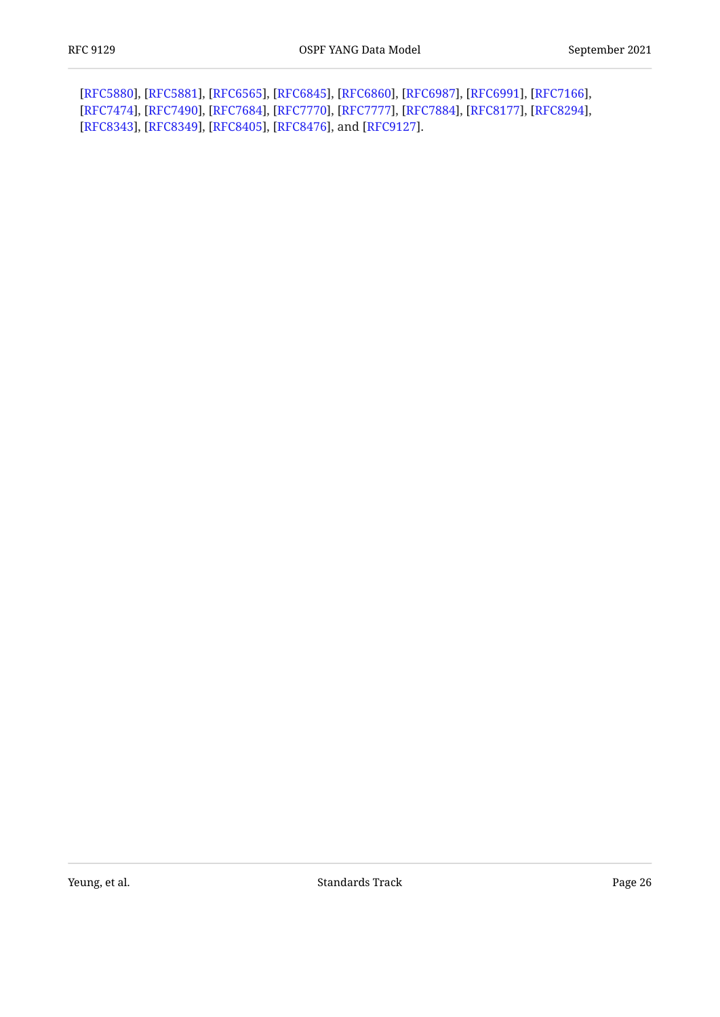[[RFC5880\]](#page-119-2), [RFC5881], [RFC6565], [RFC6845], [RFC6860], [RFC6987], [RFC6991], [RFC7166], [[RFC7474\]](#page-117-5), [RFC7490], [RFC7684], [RFC7770], [RFC7777], [RFC7884], [RFC8177], [RFC8294], [[RFC8343\]](#page-118-3), [RFC8349], [RFC8405], [RFC8476], and [RFC9127].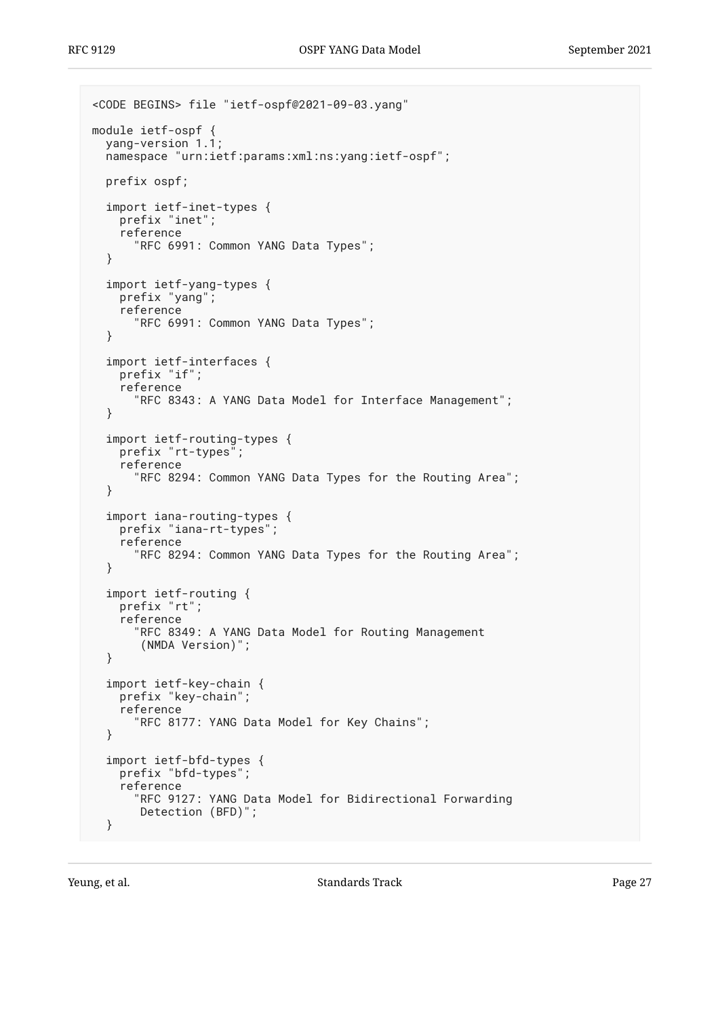```
<CODE BEGINS> file "ietf-ospf@2021-09-03.yang"
module ietf-ospf {
  yang-version 1.1;
   namespace "urn:ietf:params:xml:ns:yang:ietf-ospf";
   prefix ospf;
   import ietf-inet-types {
     prefix "inet";
     reference
       "RFC 6991: Common YANG Data Types";
   }
   import ietf-yang-types {
     prefix "yang";
     reference
       "RFC 6991: Common YANG Data Types";
   }
   import ietf-interfaces {
     prefix "if";
     reference
       "RFC 8343: A YANG Data Model for Interface Management";
   }
   import ietf-routing-types {
    prefix "rt-types";
     reference
       "RFC 8294: Common YANG Data Types for the Routing Area";
   }
   import iana-routing-types {
     prefix "iana-rt-types";
     reference
       "RFC 8294: Common YANG Data Types for the Routing Area";
   }
   import ietf-routing {
     prefix "rt";
     reference
       "RFC 8349: A YANG Data Model for Routing Management
        (NMDA Version)";
   }
   import ietf-key-chain {
     prefix "key-chain";
     reference
       "RFC 8177: YANG Data Model for Key Chains";
   }
   import ietf-bfd-types {
     prefix "bfd-types";
     reference
       "RFC 9127: YANG Data Model for Bidirectional Forwarding
       Detection (BFD)";
   }
```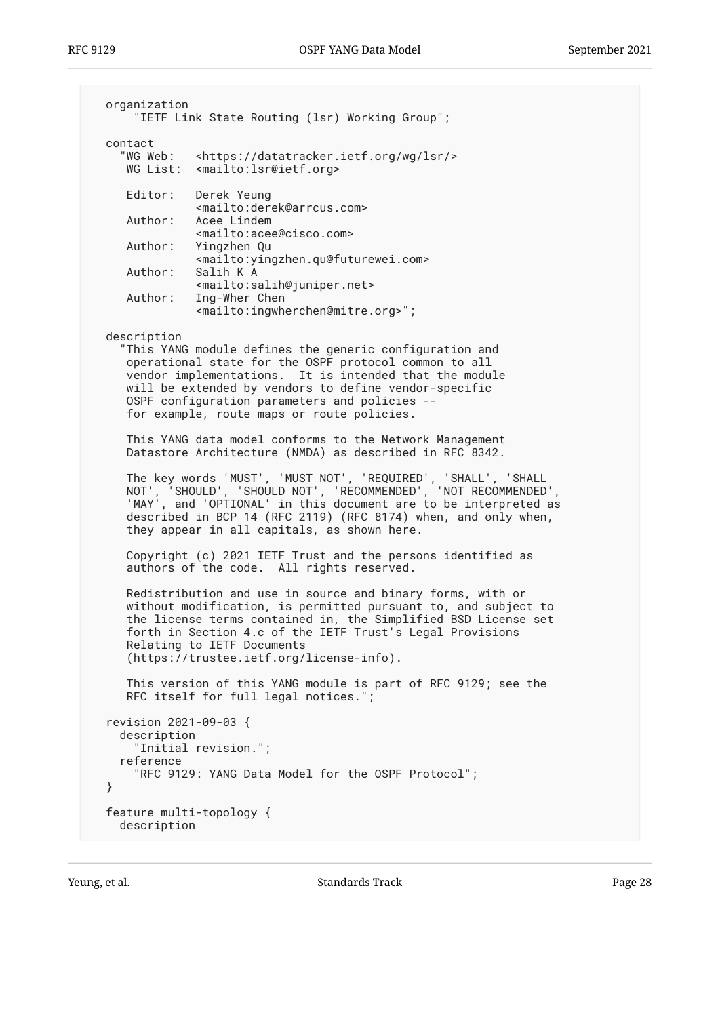```
 organization
       "IETF Link State Routing (lsr) Working Group";
  contact
     "WG Web: <https://datatracker.ietf.org/wg/lsr/>
     WG List: <mailto:lsr@ietf.org>
     Editor: Derek Yeung
                <mailto:derek@arrcus.com>
     Author: Acee Lindem
                <mailto:acee@cisco.com>
     Author: Yingzhen Qu
     <mailto:yingzhen.qu@futurewei.com>
              Salih K A
                <mailto:salih@juniper.net>
     Author: Ing-Wher Chen
               <mailto:ingwherchen@mitre.org>";
  description
     "This YANG module defines the generic configuration and
     operational state for the OSPF protocol common to all
     vendor implementations. It is intended that the module
     will be extended by vendors to define vendor-specific
     OSPF configuration parameters and policies --
     for example, route maps or route policies.
     This YANG data model conforms to the Network Management
     Datastore Architecture (NMDA) as described in RFC 8342.
 The key words 'MUST', 'MUST NOT', 'REQUIRED', 'SHALL', 'SHALL
 NOT', 'SHOULD', 'SHOULD NOT', 'RECOMMENDED', 'NOT RECOMMENDED',
     'MAY', and 'OPTIONAL' in this document are to be interpreted as
     described in BCP 14 (RFC 2119) (RFC 8174) when, and only when,
     they appear in all capitals, as shown here.
     Copyright (c) 2021 IETF Trust and the persons identified as
    authors of the code. All rights reserved.
     Redistribution and use in source and binary forms, with or
     without modification, is permitted pursuant to, and subject to
     the license terms contained in, the Simplified BSD License set
     forth in Section 4.c of the IETF Trust's Legal Provisions
     Relating to IETF Documents
     (https://trustee.ietf.org/license-info).
     This version of this YANG module is part of RFC 9129; see the
     RFC itself for full legal notices.";
  revision 2021-09-03 {
    description
       "Initial revision.";
    reference
       "RFC 9129: YANG Data Model for the OSPF Protocol";
  }
  feature multi-topology {
    description
```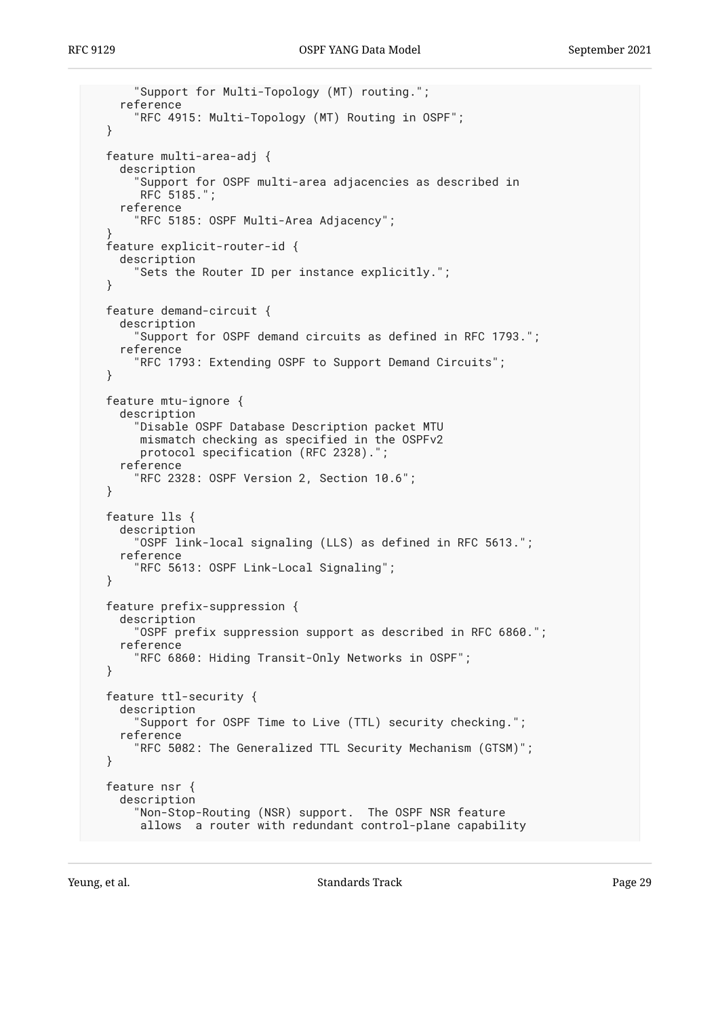```
 "Support for Multi-Topology (MT) routing.";
     reference
       "RFC 4915: Multi-Topology (MT) Routing in OSPF";
  }
  feature multi-area-adj {
     description
       "Support for OSPF multi-area adjacencies as described in
        RFC 5185.";
     reference
       "RFC 5185: OSPF Multi-Area Adjacency";
 }
  feature explicit-router-id {
     description
       "Sets the Router ID per instance explicitly.";
  }
  feature demand-circuit {
     description
       "Support for OSPF demand circuits as defined in RFC 1793.";
     reference
       "RFC 1793: Extending OSPF to Support Demand Circuits";
  }
  feature mtu-ignore {
     description
       "Disable OSPF Database Description packet MTU
        mismatch checking as specified in the OSPFv2
        protocol specification (RFC 2328).";
     reference
       "RFC 2328: OSPF Version 2, Section 10.6";
  }
  feature lls {
    description
       "OSPF link-local signaling (LLS) as defined in RFC 5613.";
     reference
       "RFC 5613: OSPF Link-Local Signaling";
  }
  feature prefix-suppression {
     description
       "OSPF prefix suppression support as described in RFC 6860.";
     reference
       "RFC 6860: Hiding Transit-Only Networks in OSPF";
  }
  feature ttl-security {
    description
       "Support for OSPF Time to Live (TTL) security checking.";
     reference
       "RFC 5082: The Generalized TTL Security Mechanism (GTSM)";
  }
  feature nsr {
     description
       "Non-Stop-Routing (NSR) support. The OSPF NSR feature
        allows a router with redundant control-plane capability
```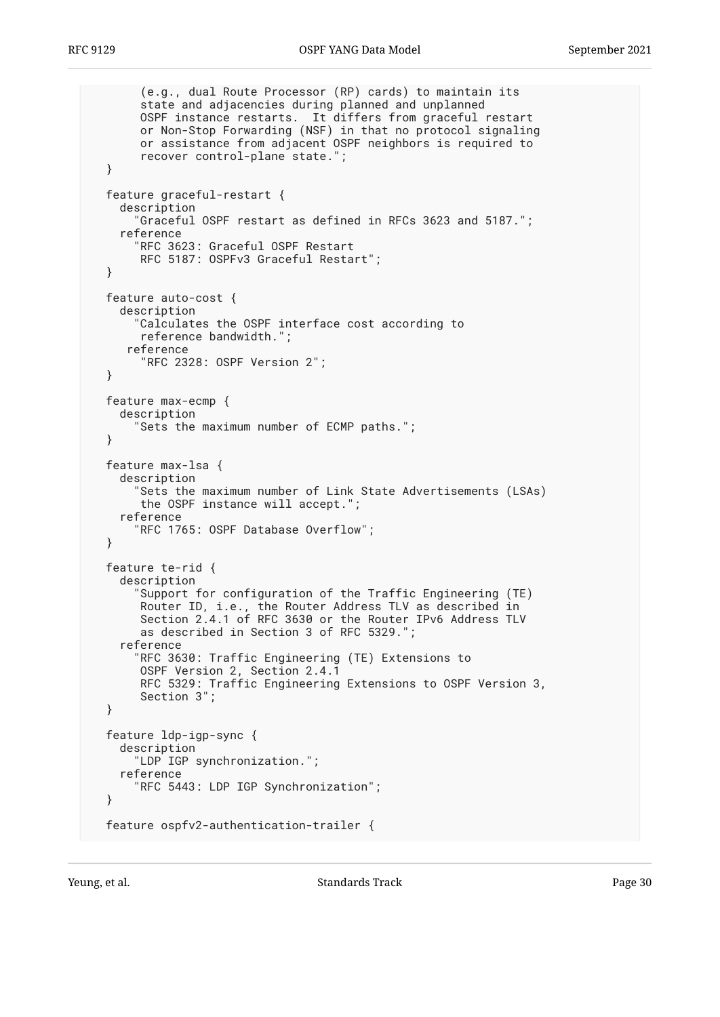```
 (e.g., dual Route Processor (RP) cards) to maintain its
        state and adjacencies during planned and unplanned
       OSPF instance restarts. It differs from graceful restart
       or Non-Stop Forwarding (NSF) in that no protocol signaling
       or assistance from adjacent OSPF neighbors is required to
        recover control-plane state.";
  }
  feature graceful-restart {
     description
       "Graceful OSPF restart as defined in RFCs 3623 and 5187.";
     reference
       "RFC 3623: Graceful OSPF Restart
       RFC 5187: OSPFv3 Graceful Restart";
  }
  feature auto-cost {
     description
       "Calculates the OSPF interface cost according to
       reference bandwidth.";
      reference
        "RFC 2328: OSPF Version 2";
  }
  feature max-ecmp {
     description
       "Sets the maximum number of ECMP paths.";
  }
  feature max-lsa {
     description
       "Sets the maximum number of Link State Advertisements (LSAs)
       the OSPF instance will accept.";
     reference
       "RFC 1765: OSPF Database Overflow";
  }
  feature te-rid {
    description
       "Support for configuration of the Traffic Engineering (TE)
 Router ID, i.e., the Router Address TLV as described in
 Section 2.4.1 of RFC 3630 or the Router IPv6 Address TLV
       as described in Section 3 of RFC 5329.";
     reference
       "RFC 3630: Traffic Engineering (TE) Extensions to
       OSPF Version 2, Section 2.4.1
       RFC 5329: Traffic Engineering Extensions to OSPF Version 3,
       Section 3";
  }
  feature ldp-igp-sync {
     description
       "LDP IGP synchronization.";
     reference
       "RFC 5443: LDP IGP Synchronization";
  }
  feature ospfv2-authentication-trailer {
```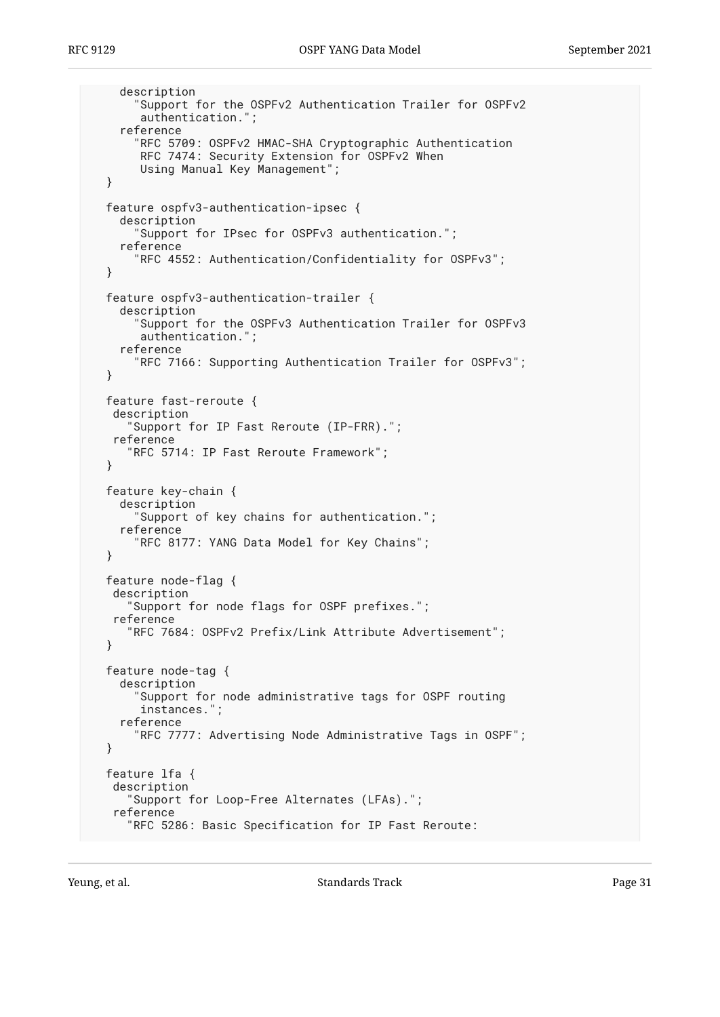```
 description
     "Support for the OSPFv2 Authentication Trailer for OSPFv2
      authentication.";
   reference
     "RFC 5709: OSPFv2 HMAC-SHA Cryptographic Authentication
      RFC 7474: Security Extension for OSPFv2 When
      Using Manual Key Management";
 }
 feature ospfv3-authentication-ipsec {
   description
     "Support for IPsec for OSPFv3 authentication.";
   reference
     "RFC 4552: Authentication/Confidentiality for OSPFv3";
 }
 feature ospfv3-authentication-trailer {
   description
     "Support for the OSPFv3 Authentication Trailer for OSPFv3
      authentication.";
   reference
     "RFC 7166: Supporting Authentication Trailer for OSPFv3";
 }
 feature fast-reroute {
  description
    "Support for IP Fast Reroute (IP-FRR).";
  reference
    "RFC 5714: IP Fast Reroute Framework";
 }
 feature key-chain {
   description
     "Support of key chains for authentication.";
   reference
     "RFC 8177: YANG Data Model for Key Chains";
 }
 feature node-flag {
  description
    "Support for node flags for OSPF prefixes.";
  reference
    "RFC 7684: OSPFv2 Prefix/Link Attribute Advertisement";
 }
 feature node-tag {
   description
     "Support for node administrative tags for OSPF routing
      instances.";
   reference
     "RFC 7777: Advertising Node Administrative Tags in OSPF";
 }
 feature lfa {
  description
    "Support for Loop-Free Alternates (LFAs).";
  reference
    "RFC 5286: Basic Specification for IP Fast Reroute:
```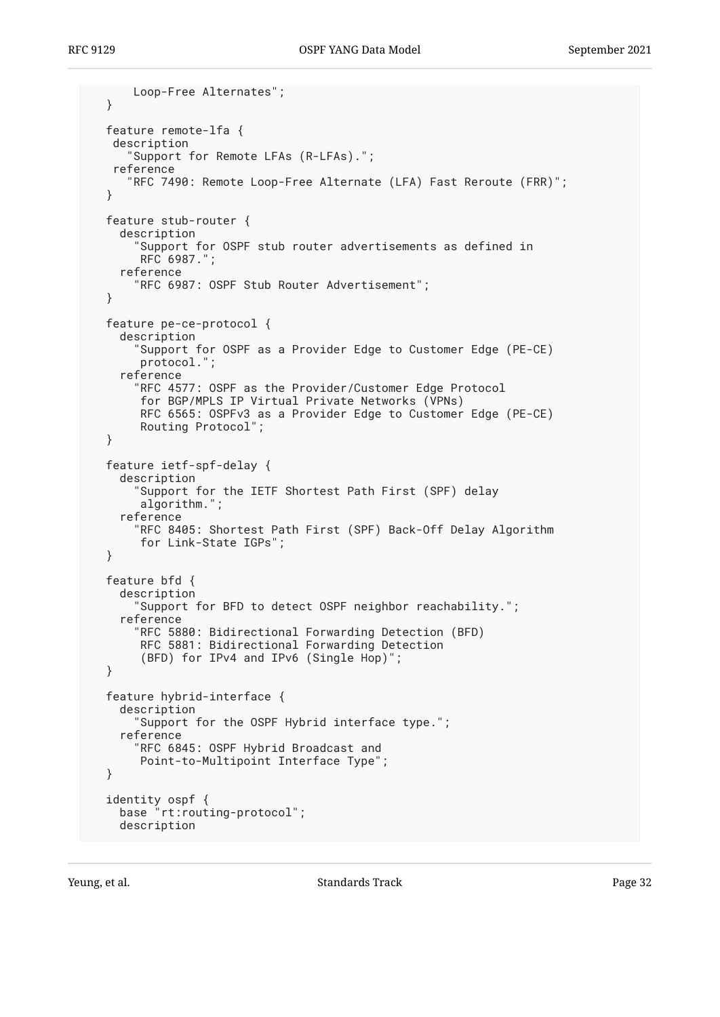```
 Loop-Free Alternates";
  }
  feature remote-lfa {
   description
      "Support for Remote LFAs (R-LFAs).";
   reference
      "RFC 7490: Remote Loop-Free Alternate (LFA) Fast Reroute (FRR)";
  }
  feature stub-router {
     description
       "Support for OSPF stub router advertisements as defined in
        RFC 6987.";
     reference
       "RFC 6987: OSPF Stub Router Advertisement";
  }
  feature pe-ce-protocol {
    description
       "Support for OSPF as a Provider Edge to Customer Edge (PE-CE)
        protocol.";
     reference
       "RFC 4577: OSPF as the Provider/Customer Edge Protocol
       for BGP/MPLS IP Virtual Private Networks (VPNs)
        RFC 6565: OSPFv3 as a Provider Edge to Customer Edge (PE-CE)
        Routing Protocol";
  }
  feature ietf-spf-delay {
     description
       "Support for the IETF Shortest Path First (SPF) delay
        algorithm.";
     reference
       "RFC 8405: Shortest Path First (SPF) Back-Off Delay Algorithm
        for Link-State IGPs";
  }
  feature bfd {
     description
       "Support for BFD to detect OSPF neighbor reachability.";
     reference
       "RFC 5880: Bidirectional Forwarding Detection (BFD)
        RFC 5881: Bidirectional Forwarding Detection
        (BFD) for IPv4 and IPv6 (Single Hop)";
  }
  feature hybrid-interface {
    description
       "Support for the OSPF Hybrid interface type.";
     reference
       "RFC 6845: OSPF Hybrid Broadcast and
       Point-to-Multipoint Interface Type";
  }
 identity ospf {
 base "rt:routing-protocol";
    description
```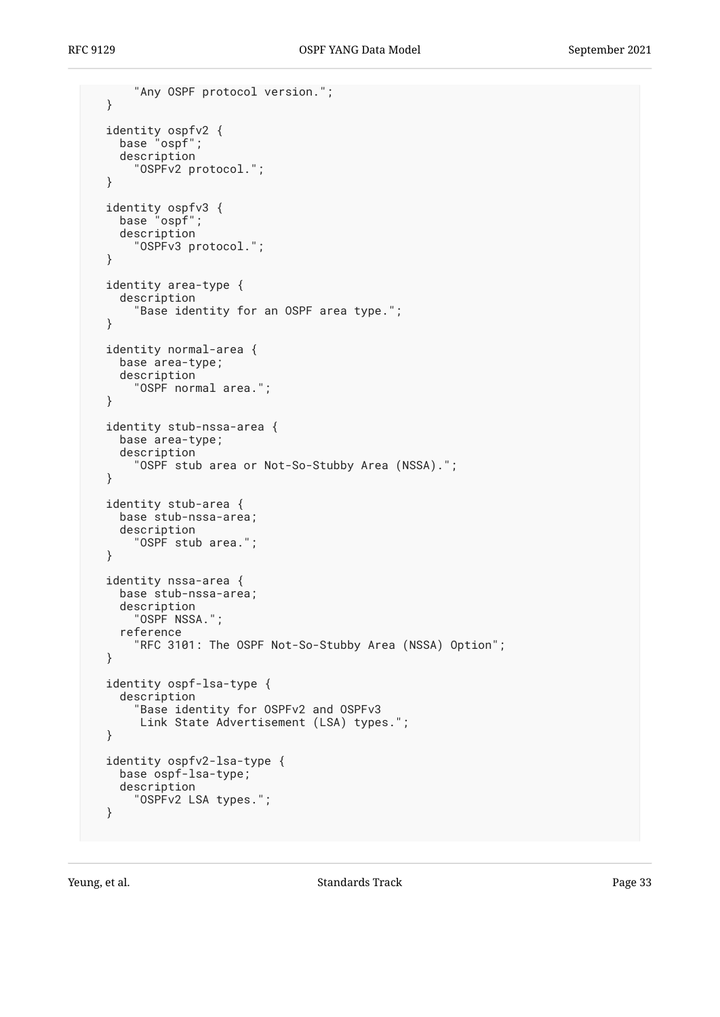```
 "Any OSPF protocol version.";
  }
 identity ospfv2 {
 base "ospf";
     description
       "OSPFv2 protocol.";
  }
 identity ospfv3 {
 base "ospf";
     description
       "OSPFv3 protocol.";
  }
  identity area-type {
    description
       "Base identity for an OSPF area type.";
  }
  identity normal-area {
    base area-type;
     description
       "OSPF normal area.";
  }
  identity stub-nssa-area {
    base area-type;
     description
       "OSPF stub area or Not-So-Stubby Area (NSSA).";
  }
  identity stub-area {
    base stub-nssa-area;
    description
       "OSPF stub area.";
  }
  identity nssa-area {
    base stub-nssa-area;
    description
       "OSPF NSSA.";
     reference
       "RFC 3101: The OSPF Not-So-Stubby Area (NSSA) Option";
  }
  identity ospf-lsa-type {
     description
       "Base identity for OSPFv2 and OSPFv3
        Link State Advertisement (LSA) types.";
  }
  identity ospfv2-lsa-type {
    base ospf-lsa-type;
    description
       "OSPFv2 LSA types.";
  }
```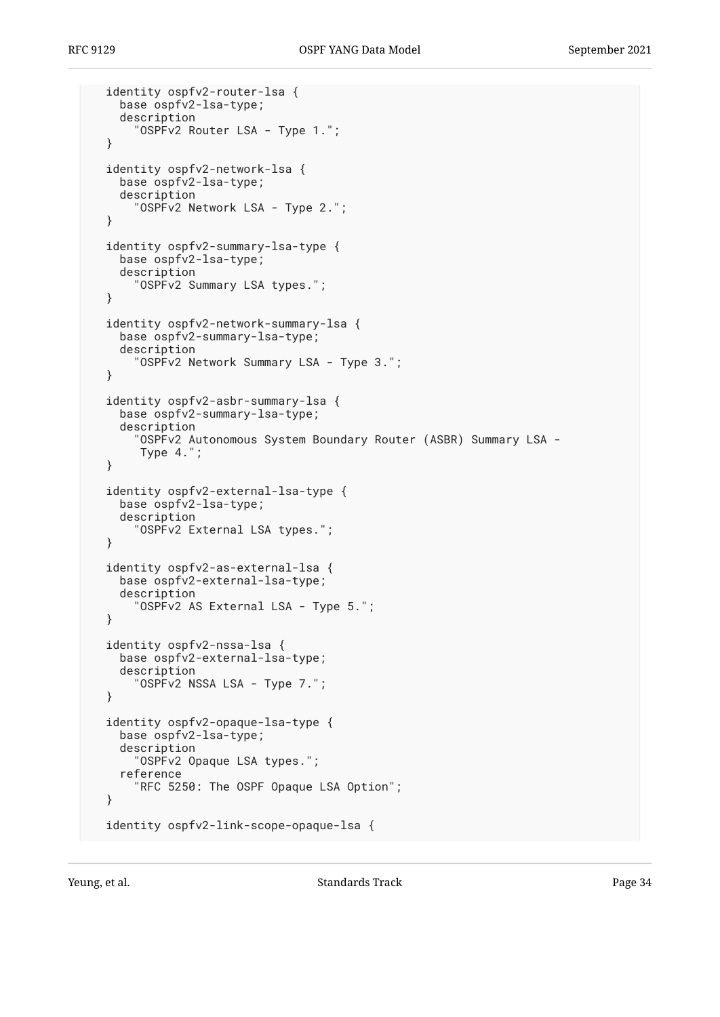```
 identity ospfv2-router-lsa {
   base ospfv2-lsa-type;
   description
     "OSPFv2 Router LSA - Type 1.";
 }
 identity ospfv2-network-lsa {
   base ospfv2-lsa-type;
   description
     "OSPFv2 Network LSA - Type 2.";
 }
 identity ospfv2-summary-lsa-type {
  base ospfv2-lsa-type;
  description
     "OSPFv2 Summary LSA types.";
 }
 identity ospfv2-network-summary-lsa {
   base ospfv2-summary-lsa-type;
   description
     "OSPFv2 Network Summary LSA - Type 3.";
 }
 identity ospfv2-asbr-summary-lsa {
   base ospfv2-summary-lsa-type;
   description
     "OSPFv2 Autonomous System Boundary Router (ASBR) Summary LSA -
      Type 4.";
 }
 identity ospfv2-external-lsa-type {
  base ospfv2-lsa-type;
  description
     "OSPFv2 External LSA types.";
 }
 identity ospfv2-as-external-lsa {
  base ospfv2-external-lsa-type;
   description
     "OSPFv2 AS External LSA - Type 5.";
 }
 identity ospfv2-nssa-lsa {
   base ospfv2-external-lsa-type;
   description
     "OSPFv2 NSSA LSA - Type 7.";
 }
 identity ospfv2-opaque-lsa-type {
   base ospfv2-lsa-type;
   description
     "OSPFv2 Opaque LSA types.";
   reference
     "RFC 5250: The OSPF Opaque LSA Option";
 }
 identity ospfv2-link-scope-opaque-lsa {
```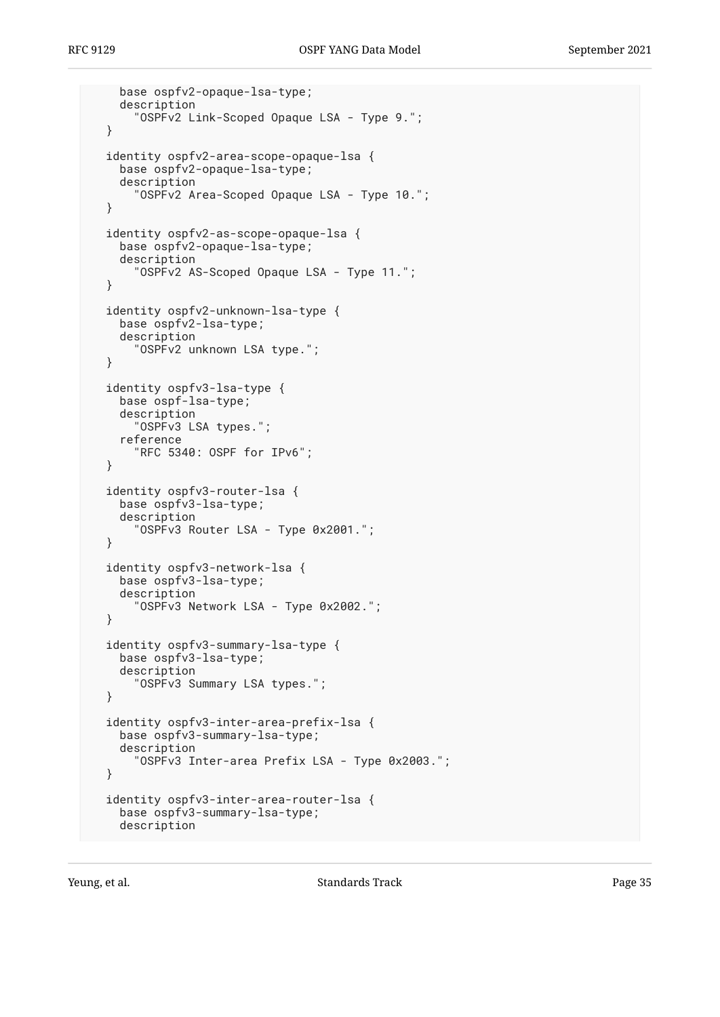```
 base ospfv2-opaque-lsa-type;
   description
     "OSPFv2 Link-Scoped Opaque LSA - Type 9.";
 }
 identity ospfv2-area-scope-opaque-lsa {
   base ospfv2-opaque-lsa-type;
   description
     "OSPFv2 Area-Scoped Opaque LSA - Type 10.";
 }
 identity ospfv2-as-scope-opaque-lsa {
   base ospfv2-opaque-lsa-type;
   description
     "OSPFv2 AS-Scoped Opaque LSA - Type 11.";
 }
 identity ospfv2-unknown-lsa-type {
   base ospfv2-lsa-type;
   description
     "OSPFv2 unknown LSA type.";
 }
 identity ospfv3-lsa-type {
   base ospf-lsa-type;
   description
     "OSPFv3 LSA types.";
   reference
     "RFC 5340: OSPF for IPv6";
 }
 identity ospfv3-router-lsa {
  base ospfv3-lsa-type;
  description
     "OSPFv3 Router LSA - Type 0x2001.";
 }
 identity ospfv3-network-lsa {
  base ospfv3-lsa-type;
   description
     "OSPFv3 Network LSA - Type 0x2002.";
 }
 identity ospfv3-summary-lsa-type {
   base ospfv3-lsa-type;
   description
     "OSPFv3 Summary LSA types.";
 }
 identity ospfv3-inter-area-prefix-lsa {
   base ospfv3-summary-lsa-type;
   description
     "OSPFv3 Inter-area Prefix LSA - Type 0x2003.";
 }
 identity ospfv3-inter-area-router-lsa {
   base ospfv3-summary-lsa-type;
   description
```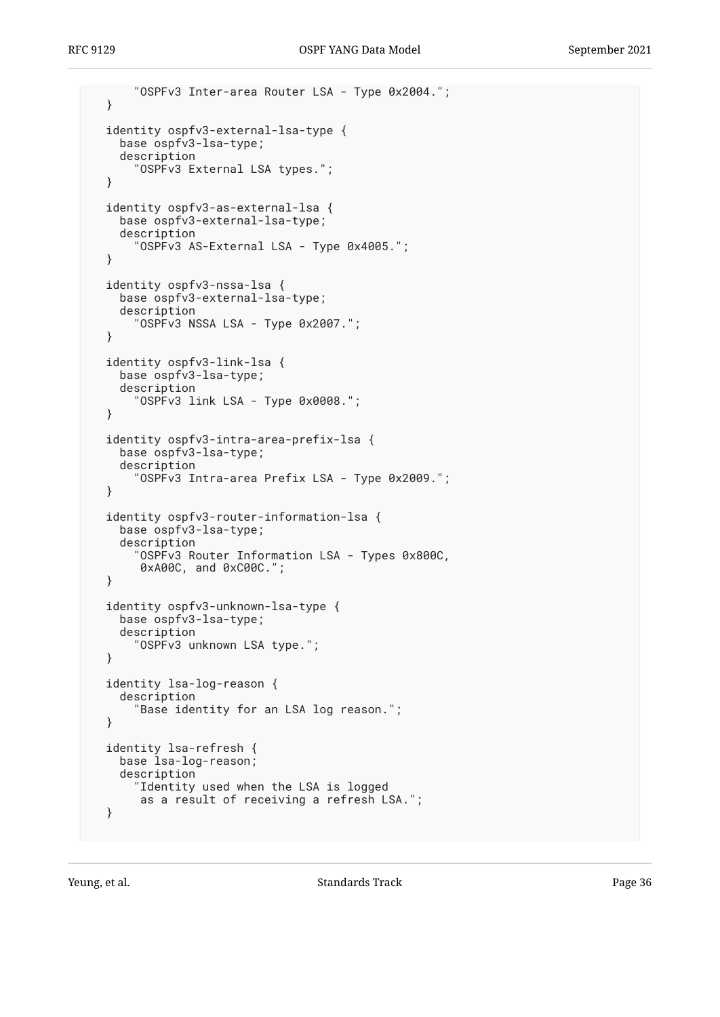```
 "OSPFv3 Inter-area Router LSA - Type 0x2004.";
 }
 identity ospfv3-external-lsa-type {
  base ospfv3-lsa-type;
   description
     "OSPFv3 External LSA types.";
 }
 identity ospfv3-as-external-lsa {
   base ospfv3-external-lsa-type;
   description
     "OSPFv3 AS-External LSA - Type 0x4005.";
 }
 identity ospfv3-nssa-lsa {
   base ospfv3-external-lsa-type;
   description
     "OSPFv3 NSSA LSA - Type 0x2007.";
 }
 identity ospfv3-link-lsa {
  base ospfv3-lsa-type;
   description
     "OSPFv3 link LSA - Type 0x0008.";
 }
 identity ospfv3-intra-area-prefix-lsa {
   base ospfv3-lsa-type;
   description
     "OSPFv3 Intra-area Prefix LSA - Type 0x2009.";
 }
 identity ospfv3-router-information-lsa {
   base ospfv3-lsa-type;
   description
     "OSPFv3 Router Information LSA - Types 0x800C,
      0xA00C, and 0xC00C.";
 }
 identity ospfv3-unknown-lsa-type {
   base ospfv3-lsa-type;
   description
     "OSPFv3 unknown LSA type.";
 }
 identity lsa-log-reason {
   description
     "Base identity for an LSA log reason.";
 }
 identity lsa-refresh {
  base lsa-log-reason;
   description
     "Identity used when the LSA is logged
      as a result of receiving a refresh LSA.";
 }
```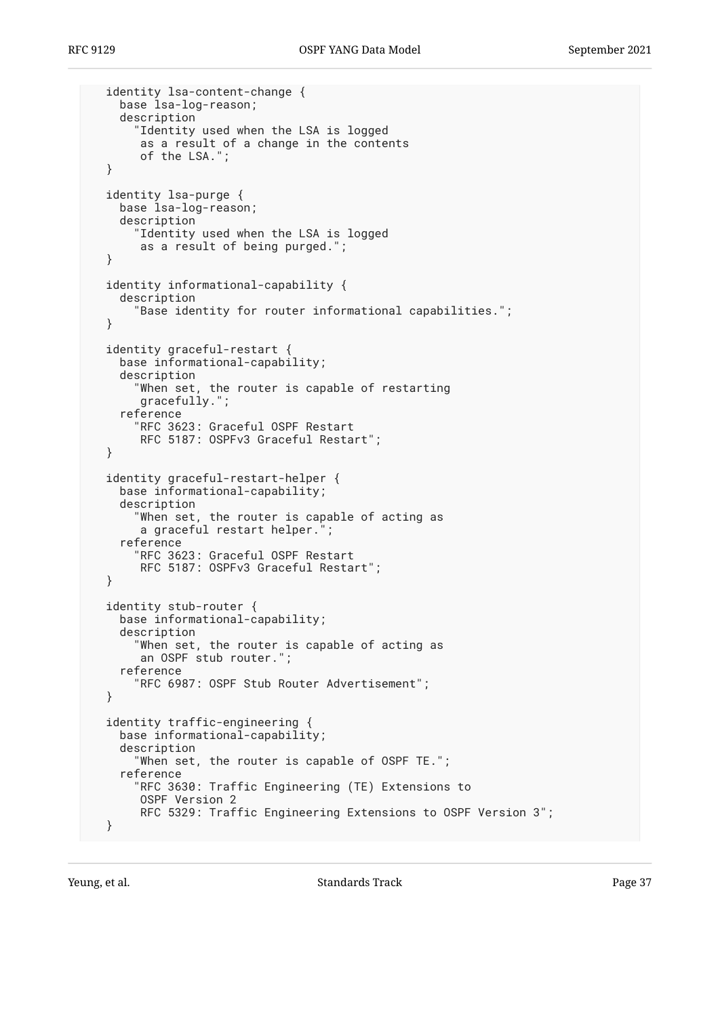```
 identity lsa-content-change {
  base lsa-log-reason;
  description
    "Identity used when the LSA is logged
     as a result of a change in the contents
     of the LSA.";
}
identity lsa-purge {
  base lsa-log-reason;
  description
    "Identity used when the LSA is logged
     as a result of being purged.";
}
identity informational-capability {
  description
    "Base identity for router informational capabilities.";
}
identity graceful-restart {
  base informational-capability;
  description
    "When set, the router is capable of restarting
     gracefully.";
  reference
    "RFC 3623: Graceful OSPF Restart
     RFC 5187: OSPFv3 Graceful Restart";
}
identity graceful-restart-helper {
  base informational-capability;
  description
    "When set, the router is capable of acting as
     a graceful restart helper.";
  reference
    "RFC 3623: Graceful OSPF Restart
     RFC 5187: OSPFv3 Graceful Restart";
}
identity stub-router {
  base informational-capability;
  description
    "When set, the router is capable of acting as
     an OSPF stub router.";
  reference
    "RFC 6987: OSPF Stub Router Advertisement";
}
identity traffic-engineering {
  base informational-capability;
  description
    "When set, the router is capable of OSPF TE.";
  reference
    "RFC 3630: Traffic Engineering (TE) Extensions to
     OSPF Version 2
     RFC 5329: Traffic Engineering Extensions to OSPF Version 3";
}
```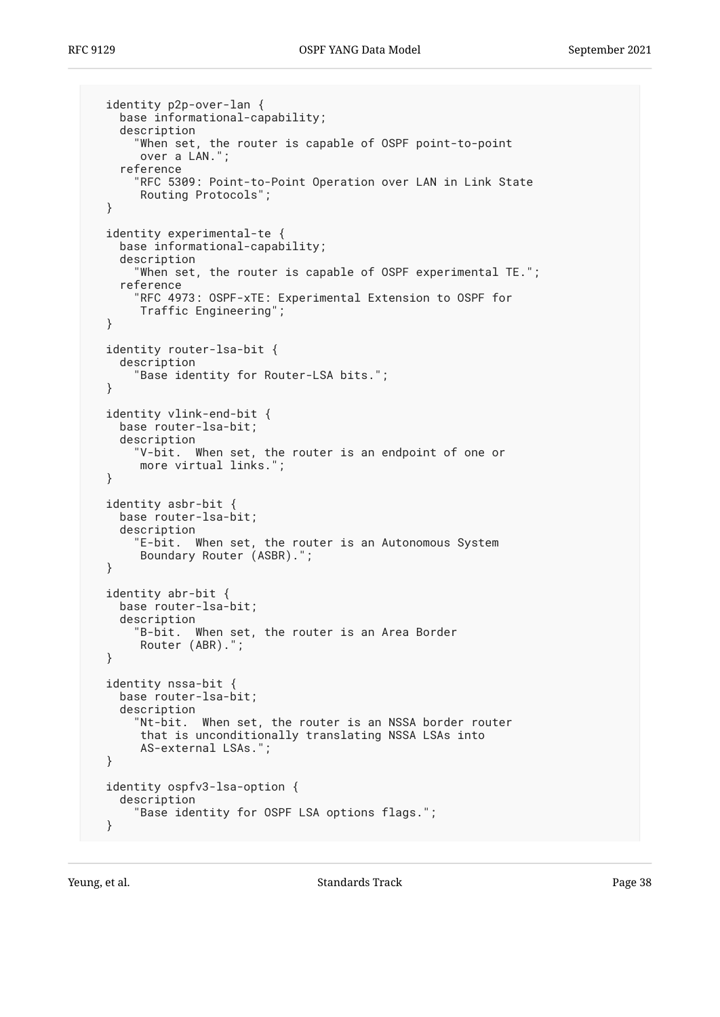```
 identity p2p-over-lan {
  base informational-capability;
  description
    "When set, the router is capable of OSPF point-to-point
     over a LAN.";
  reference
    "RFC 5309: Point-to-Point Operation over LAN in Link State
     Routing Protocols";
}
identity experimental-te {
 base informational-capability;
  description
    "When set, the router is capable of OSPF experimental TE.";
  reference
    "RFC 4973: OSPF-xTE: Experimental Extension to OSPF for
     Traffic Engineering";
}
identity router-lsa-bit {
  description
    "Base identity for Router-LSA bits.";
}
identity vlink-end-bit {
  base router-lsa-bit;
  description
    "V-bit. When set, the router is an endpoint of one or
     more virtual links.";
}
identity asbr-bit {
 base router-lsa-bit;
  description
    "E-bit. When set, the router is an Autonomous System
     Boundary Router (ASBR).";
}
identity abr-bit {
 base router-lsa-bit;
  description
    "B-bit. When set, the router is an Area Border
     Router (ABR).";
}
identity nssa-bit {
  base router-lsa-bit;
  description
    "Nt-bit. When set, the router is an NSSA border router
     that is unconditionally translating NSSA LSAs into
     AS-external LSAs.";
}
identity ospfv3-lsa-option {
 description
    "Base identity for OSPF LSA options flags.";
}
```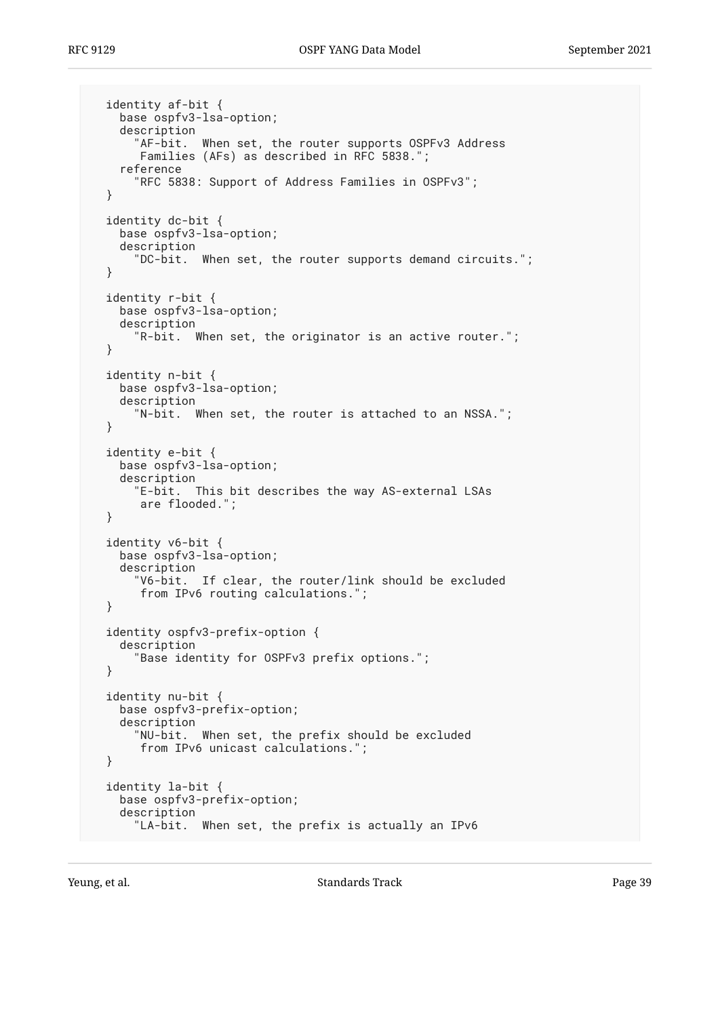identity af-bit { base ospfv3-lsa-option; description "AF-bit. When set, the router supports OSPFv3 Address Families (AFs) as described in RFC 5838."; reference "RFC 5838: Support of Address Families in OSPFv3"; } identity dc-bit { base ospfv3-lsa-option; description "DC-bit. When set, the router supports demand circuits."; } identity r-bit { base ospfv3-lsa-option; description "R-bit. When set, the originator is an active router."; } identity n-bit { base ospfv3-lsa-option; description "N-bit. When set, the router is attached to an NSSA."; } identity e-bit { base ospfv3-lsa-option; description "E-bit. This bit describes the way AS-external LSAs are flooded."; } identity v6-bit { base ospfv3-lsa-option; description "V6-bit. If clear, the router/link should be excluded from IPv6 routing calculations."; } identity ospfv3-prefix-option { description "Base identity for OSPFv3 prefix options."; } identity nu-bit { base ospfv3-prefix-option; description "NU-bit. When set, the prefix should be excluded from IPv6 unicast calculations."; } identity la-bit { base ospfv3-prefix-option; description "LA-bit. When set, the prefix is actually an IPv6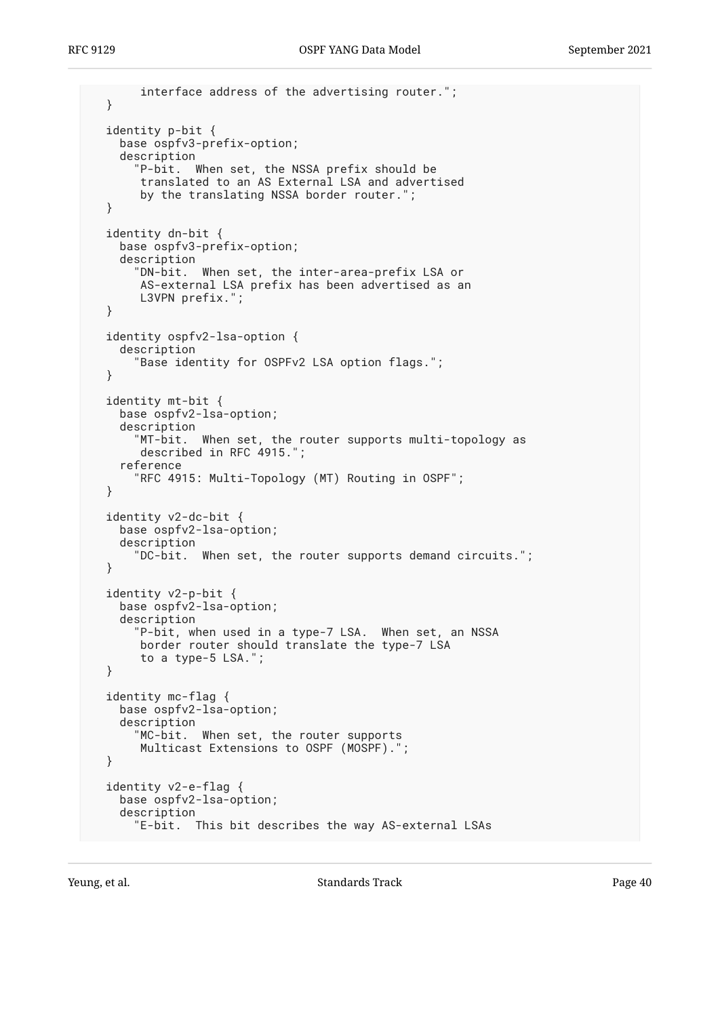```
 interface address of the advertising router.";
 }
 identity p-bit {
   base ospfv3-prefix-option;
    description
"P-bit. When set, the NSSA prefix should be
translated to an AS External LSA and advertised
      by the translating NSSA border router.";
 }
 identity dn-bit {
   base ospfv3-prefix-option;
    description
      "DN-bit. When set, the inter-area-prefix LSA or
      AS-external LSA prefix has been advertised as an
      L3VPN prefix.";
 }
 identity ospfv2-lsa-option {
    description
      "Base identity for OSPFv2 LSA option flags.";
 }
 identity mt-bit {
    base ospfv2-lsa-option;
    description
      "MT-bit. When set, the router supports multi-topology as
      described in RFC 4915.";
    reference
      "RFC 4915: Multi-Topology (MT) Routing in OSPF";
 }
 identity v2-dc-bit {
   base ospfv2-lsa-option;
   description
      "DC-bit. When set, the router supports demand circuits.";
 }
 identity v2-p-bit {
   base ospfv2-lsa-option;
    description
      "P-bit, when used in a type-7 LSA. When set, an NSSA
      border router should translate the type-7 LSA
      to a type-5 LSA.";
 }
 identity mc-flag {
   base ospfv2-lsa-option;
    description
      "MC-bit. When set, the router supports
      Multicast Extensions to OSPF (MOSPF).";
 }
 identity v2-e-flag {
   base ospfv2-lsa-option;
    description
      "E-bit. This bit describes the way AS-external LSAs
```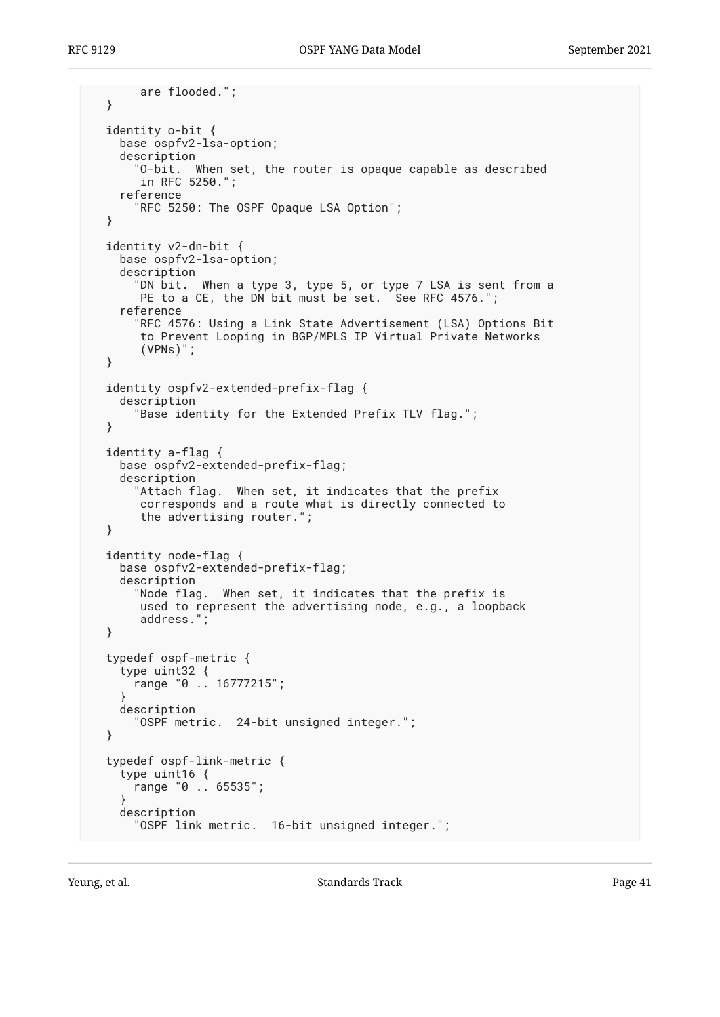```
 are flooded.";
 }
 identity o-bit {
   base ospfv2-lsa-option;
   description
      "O-bit. When set, the router is opaque capable as described
       in RFC 5250.";
    reference
      "RFC 5250: The OSPF Opaque LSA Option";
 }
 identity v2-dn-bit {
   base ospfv2-lsa-option;
    description
      "DN bit. When a type 3, type 5, or type 7 LSA is sent from a
      PE to a CE, the DN bit must be set. See RFC 4576.";
    reference
      "RFC 4576: Using a Link State Advertisement (LSA) Options Bit
       to Prevent Looping in BGP/MPLS IP Virtual Private Networks
       (VPNs)";
 }
 identity ospfv2-extended-prefix-flag {
   description
      "Base identity for the Extended Prefix TLV flag.";
 }
 identity a-flag {
   base ospfv2-extended-prefix-flag;
    description
      "Attach flag. When set, it indicates that the prefix
       corresponds and a route what is directly connected to
       the advertising router.";
 }
 identity node-flag {
   base ospfv2-extended-prefix-flag;
   description
      "Node flag. When set, it indicates that the prefix is
       used to represent the advertising node, e.g., a loopback
       address.";
 }
 typedef ospf-metric {
   type uint32 {
     range "0 .. 16777215";
}
   description
      "OSPF metric. 24-bit unsigned integer.";
 }
 typedef ospf-link-metric {
    type uint16 {
     range "0 .. 65535";
}
    description
      "OSPF link metric. 16-bit unsigned integer.";
```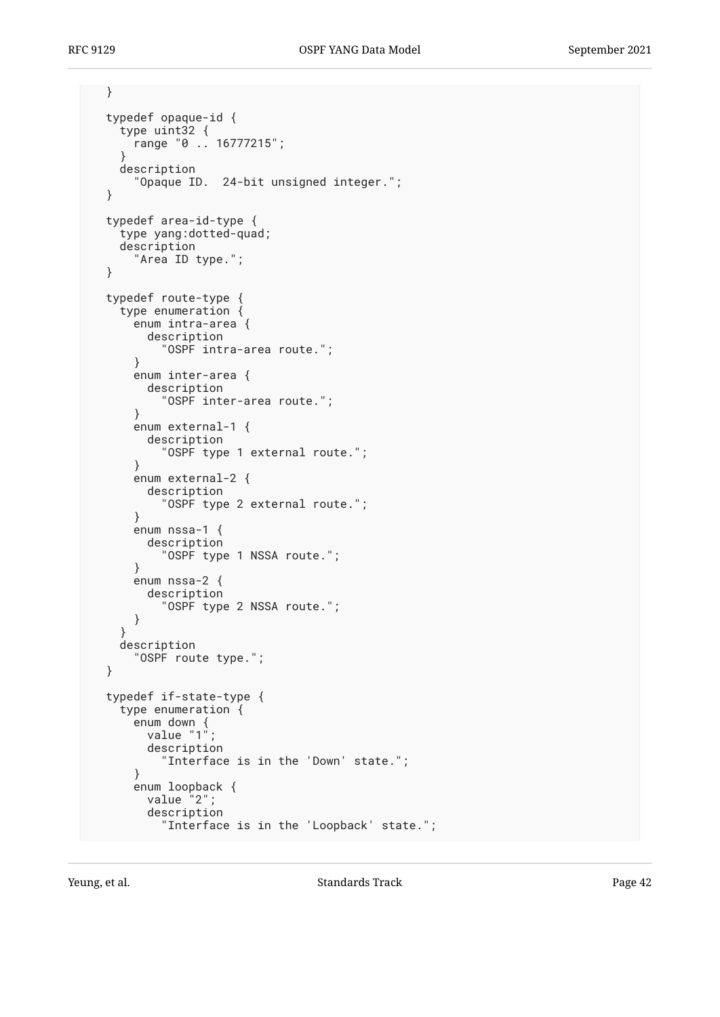```
 }
 typedef opaque-id {
    type uint32 {
      range "0 .. 16777215";
    }
    description
      "Opaque ID. 24-bit unsigned integer.";
 }
 typedef area-id-type {
    type yang:dotted-quad;
    description
      "Area ID type.";
 }
 typedef route-type {
    type enumeration {
      enum intra-area {
        description
          "OSPF intra-area route.";
      }
      enum inter-area {
        description
          "OSPF inter-area route.";
      }
      enum external-1 {
        description
          "OSPF type 1 external route.";
      }
      enum external-2 {
        description
          "OSPF type 2 external route.";
      }
      enum nssa-1 {
        description
          "OSPF type 1 NSSA route.";
      }
      enum nssa-2 {
        description
          "OSPF type 2 NSSA route.";
      }
    }
    description
      "OSPF route type.";
 }
 typedef if-state-type {
    type enumeration {
enum down {
value "1";
        description
          "Interface is in the 'Down' state.";
      }
enum loopback {
value "2";
        description
          "Interface is in the 'Loopback' state.";
```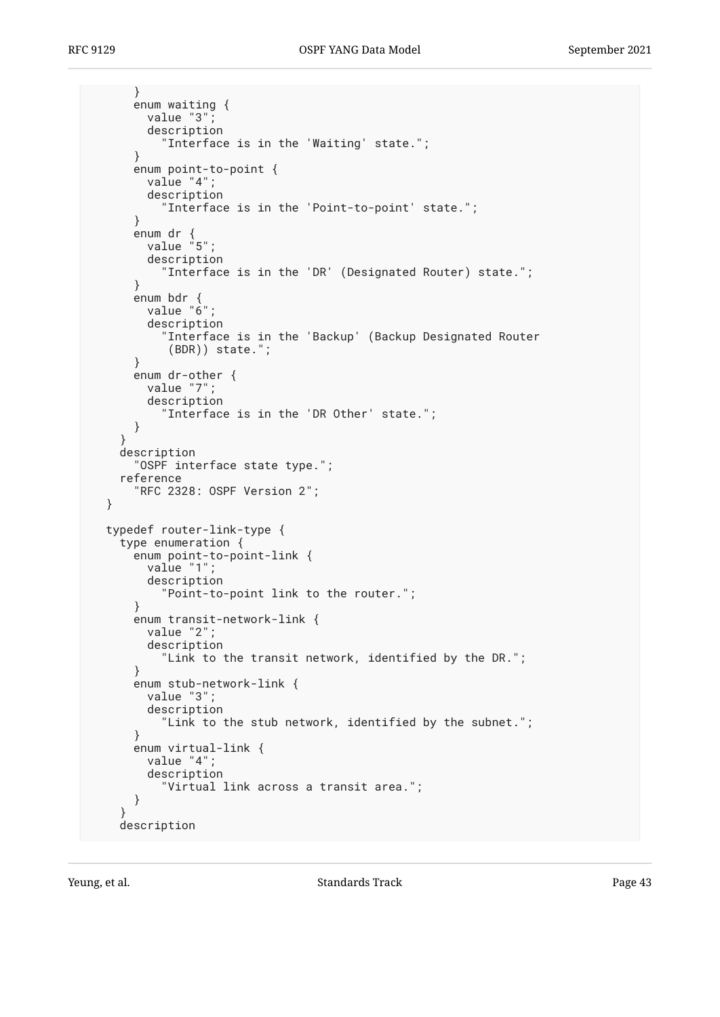```
 }
      enum waiting {
        value "3";
        description
           "Interface is in the 'Waiting' state.";
      }
enum point-to-point {
value "4";
        description
          "Interface is in the 'Point-to-point' state.";
      }
      enum dr {
        value "5";
        description
          "Interface is in the 'DR' (Designated Router) state.";
      }
      enum bdr {
        value "6";
        description
          "Interface is in the 'Backup' (Backup Designated Router
           (BDR)) state.";
      }
     enum dr-other {
        value "7";
        description
           "Interface is in the 'DR Other' state.";
     }
    }
    description
      "OSPF interface state type.";
    reference
      "RFC 2328: OSPF Version 2";
 }
 typedef router-link-type {
    type enumeration {
enum point-to-point-link {
value "1";
        description
          "Point-to-point link to the router.";
      }
      enum transit-network-link {
        value "2";
        description
          "Link to the transit network, identified by the DR.";
      }
      enum stub-network-link {
       value "3":
        description
          "Link to the stub network, identified by the subnet.";
      }
     enum virtual-link {
        value "4";
        description
          "Virtual link across a transit area.";
      }
    }
    description
```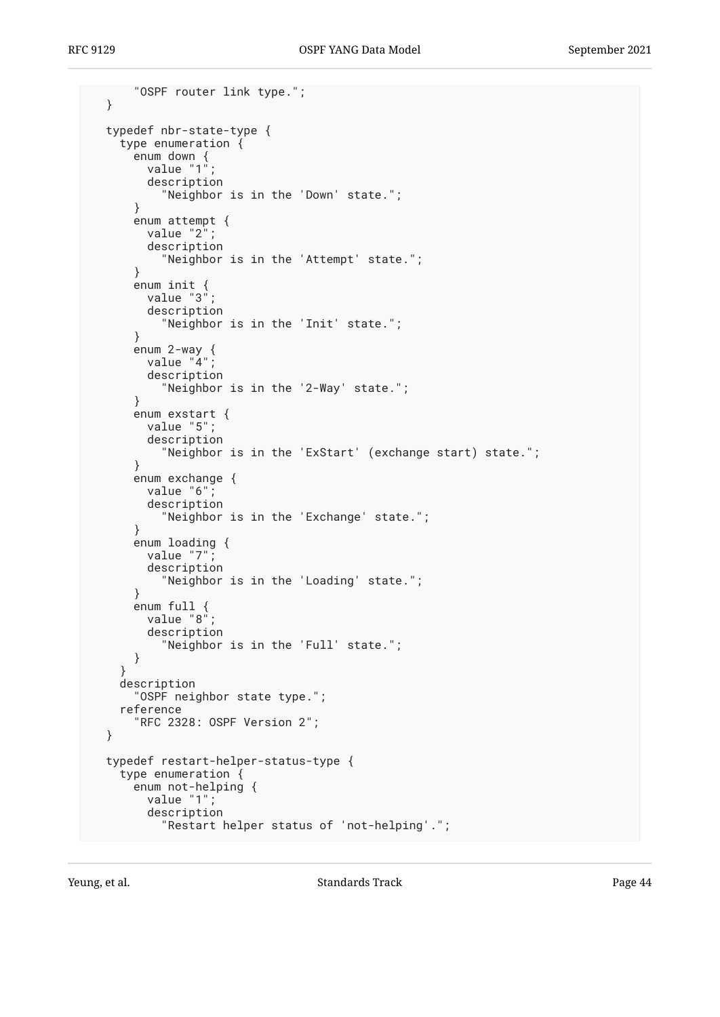```
 "OSPF router link type.";
 }
 typedef nbr-state-type {
   type enumeration {
enum down {
value "1";
       description
          "Neighbor is in the 'Down' state.";
     }
     enum attempt {
       value "2";
       description
         "Neighbor is in the 'Attempt' state.";
     }
enum init {
value "3";
description
         "Neighbor is in the 'Init' state.";
     }
enum 2-way {
value "4";
       description
          "Neighbor is in the '2-Way' state.";
     }
enum exstart {
value "5";
       description
          "Neighbor is in the 'ExStart' (exchange start) state.";
     }
     enum exchange {
       value "6";
       description
         "Neighbor is in the 'Exchange' state.";
     }
     enum loading {
      value "7";
       description
          "Neighbor is in the 'Loading' state.";
     }
     enum full {
      value "8";
       description
          "Neighbor is in the 'Full' state.";
     }
   }
   description
     "OSPF neighbor state type.";
   reference
     "RFC 2328: OSPF Version 2";
 }
 typedef restart-helper-status-type {
   type enumeration {
enum not-helping {
value "1";
       description
          "Restart helper status of 'not-helping'.";
```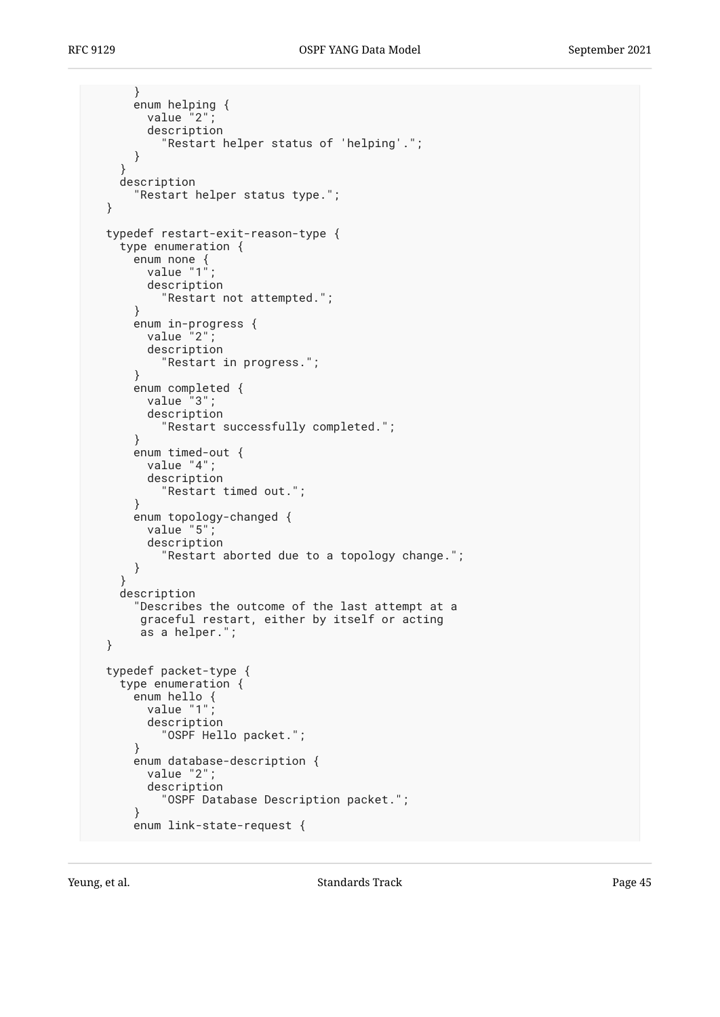```
 }
enum helping {
value "2";
        description
          "Restart helper status of 'helping'.";
      }
    }
    description
      "Restart helper status type.";
 }
 typedef restart-exit-reason-type {
    type enumeration {
enum none {
value "1";
        description
          "Restart not attempted.";
      }
enum in-progress {
value "2";
        description
          "Restart in progress.";
      }
     enum completed {
        value "3";
        description
          "Restart successfully completed.";
      }
     enum timed-out {
       value "4";
        description
          "Restart timed out.";
      }
     enum topology-changed {
       value "5";
        description
          "Restart aborted due to a topology change.";
      }
    }
    description
      "Describes the outcome of the last attempt at a
      graceful restart, either by itself or acting
      as a helper.";
 }
 typedef packet-type {
    type enumeration {
enum hello {
value "1";
        description
          "OSPF Hello packet.";
      }
     enum database-description {
        value "2";
        description
          "OSPF Database Description packet.";
      }
     enum link-state-request {
```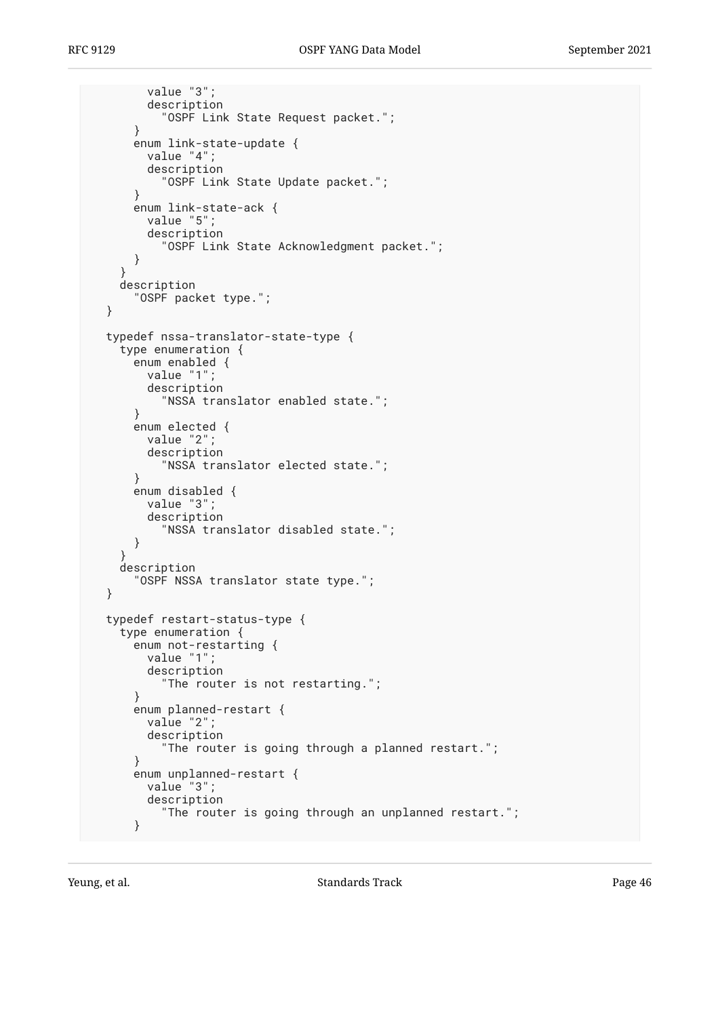```
 value "3";
      description
         "OSPF Link State Request packet.";
    }
    enum link-state-update {
      value "4";
      description
         "OSPF Link State Update packet.";
    }
    enum link-state-ack {
      value "5";
      description
         "OSPF Link State Acknowledgment packet.";
    }
  }
  description
    "OSPF packet type.";
}
typedef nssa-translator-state-type {
  type enumeration {
    enum enabled {
      value "1";
      description
         "NSSA translator enabled state.";
    }
    enum elected {
      value "2";
      description
         "NSSA translator elected state.";
    }
    enum disabled {
      value "3";
      description
         "NSSA translator disabled state.";
    }
  }
  description
    "OSPF NSSA translator state type.";
}
typedef restart-status-type {
  type enumeration {
    enum not-restarting {
      value "1";
      description
         "The router is not restarting.";
    }
    enum planned-restart {
      value "2";
      description
         "The router is going through a planned restart.";
    }
    enum unplanned-restart {
      value "3";
      description
         "The router is going through an unplanned restart.";
    }
```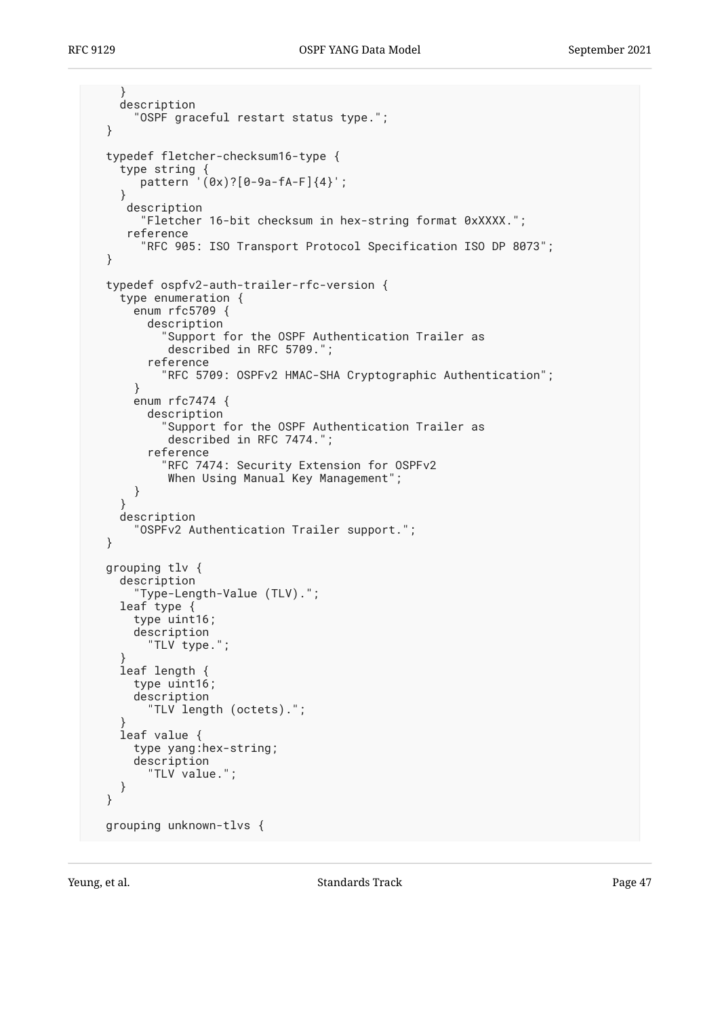```
 }
    description
      "OSPF graceful restart status type.";
 }
 typedef fletcher-checksum16-type {
type string {
pattern '(0x)?[0-9a-fA-F]{4}';
    }
     description
       "Fletcher 16-bit checksum in hex-string format 0xXXXX.";
     reference
       "RFC 905: ISO Transport Protocol Specification ISO DP 8073";
 }
 typedef ospfv2-auth-trailer-rfc-version {
    type enumeration {
     enum rfc5709 {
        description
          "Support for the OSPF Authentication Trailer as
           described in RFC 5709.";
        reference
          "RFC 5709: OSPFv2 HMAC-SHA Cryptographic Authentication";
      }
      enum rfc7474 {
        description
           "Support for the OSPF Authentication Trailer as
           described in RFC 7474.";
        reference
          "RFC 7474: Security Extension for OSPFv2
          When Using Manual Key Management";
     }
    }
    description
      "OSPFv2 Authentication Trailer support.";
 }
 grouping tlv {
    description
      "Type-Length-Value (TLV).";
    leaf type {
      type uint16;
      description
       "TLV type.";
}
    leaf length {
      type uint16;
      description
        "TLV length (octets).";
}
    leaf value {
      type yang:hex-string;
      description
        "TLV value.";
    }
 }
 grouping unknown-tlvs {
```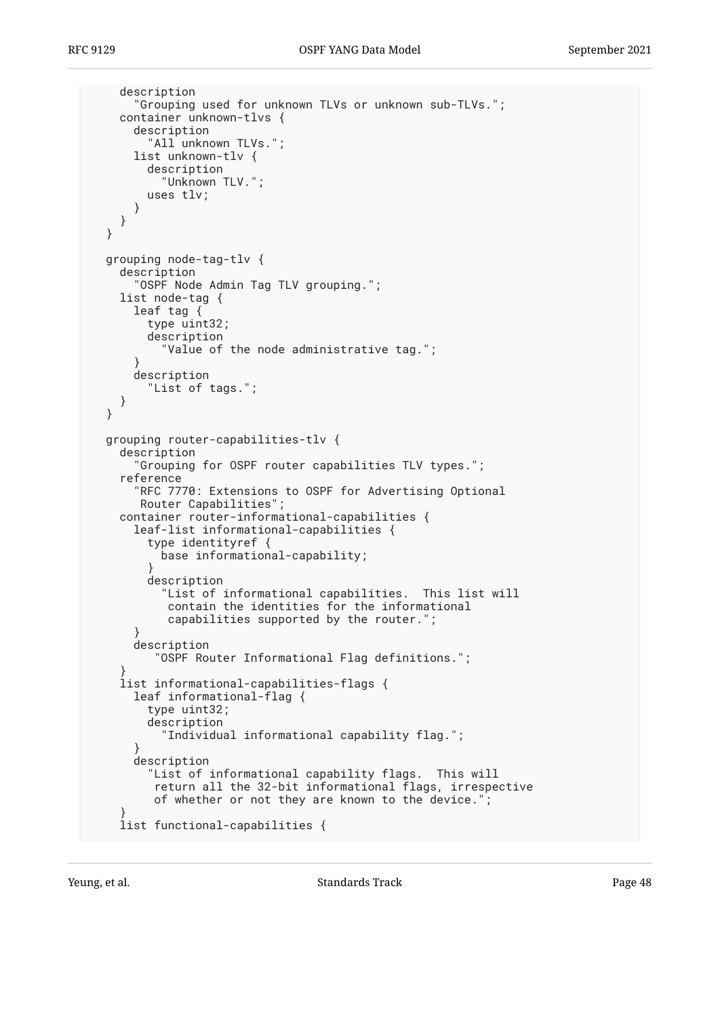```
 description
      "Grouping used for unknown TLVs or unknown sub-TLVs.";
    container unknown-tlvs {
      description
        "All unknown TLVs.";
      list unknown-tlv {
        description
          "Unknown TLV.";
        uses tlv;
     }
   }
 }
 grouping node-tag-tlv {
    description
      "OSPF Node Admin Tag TLV grouping.";
    list node-tag {
      leaf tag {
        type uint32;
        description
          "Value of the node administrative tag.";
      }
      description
        "List of tags.";
    }
 }
 grouping router-capabilities-tlv {
    description
      "Grouping for OSPF router capabilities TLV types.";
    reference
      "RFC 7770: Extensions to OSPF for Advertising Optional
      Router Capabilities";
    container router-informational-capabilities {
      leaf-list informational-capabilities {
        type identityref {
        base informational-capability;
}
        description
          "List of informational capabilities. This list will
           contain the identities for the informational
           capabilities supported by the router.";
      }
      description
         "OSPF Router Informational Flag definitions.";
}
    list informational-capabilities-flags {
      leaf informational-flag {
        type uint32;
        description
          "Individual informational capability flag.";
}
      description
        "List of informational capability flags. This will
         return all the 32-bit informational flags, irrespective
         of whether or not they are known to the device.";
}
    list functional-capabilities {
```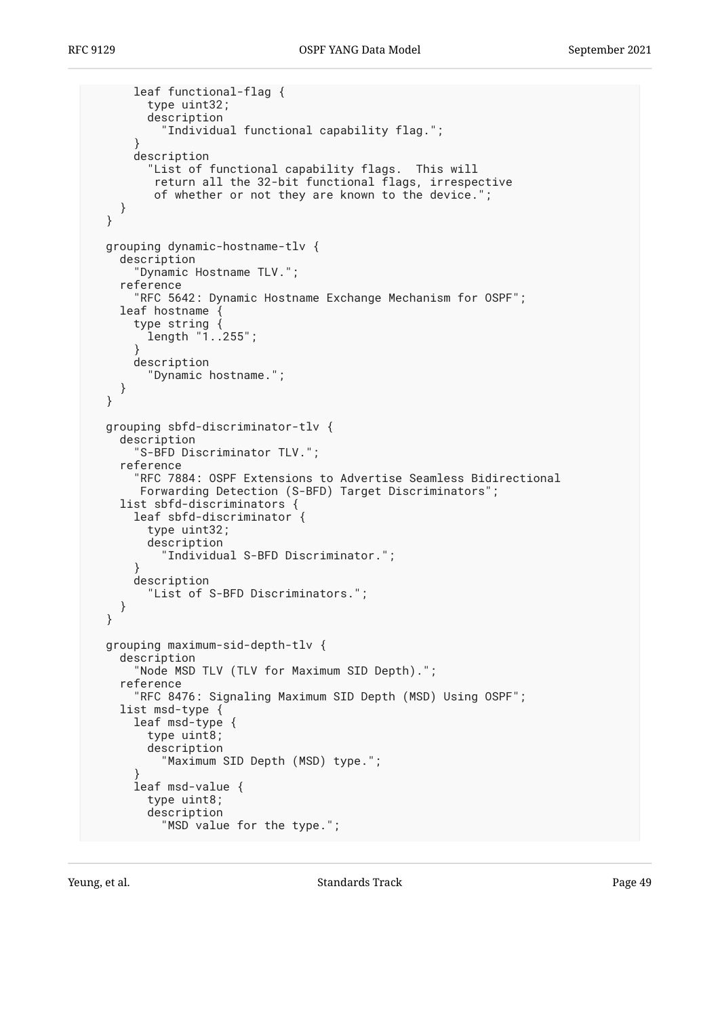```
 leaf functional-flag {
        type uint32;
        description
          "Individual functional capability flag.";
      }
      description
        "List of functional capability flags. This will
         return all the 32-bit functional flags, irrespective
         of whether or not they are known to the device.";
    }
 }
 grouping dynamic-hostname-tlv {
    description
      "Dynamic Hostname TLV.";
    reference
      "RFC 5642: Dynamic Hostname Exchange Mechanism for OSPF";
    leaf hostname {
      type string {
        length "1..255";
      }
      description
        "Dynamic hostname.";
    }
 }
 grouping sbfd-discriminator-tlv {
    description
      "S-BFD Discriminator TLV.";
    reference
      "RFC 7884: OSPF Extensions to Advertise Seamless Bidirectional
       Forwarding Detection (S-BFD) Target Discriminators";
    list sbfd-discriminators {
      leaf sbfd-discriminator {
        type uint32;
        description
          "Individual S-BFD Discriminator.";
      }
      description
        "List of S-BFD Discriminators.";
    }
 }
 grouping maximum-sid-depth-tlv {
    description
      "Node MSD TLV (TLV for Maximum SID Depth).";
    reference
      "RFC 8476: Signaling Maximum SID Depth (MSD) Using OSPF";
    list msd-type {
      leaf msd-type {
        type uint8;
        description
          "Maximum SID Depth (MSD) type.";
}
      leaf msd-value {
        type uint8;
        description
          "MSD value for the type.";
```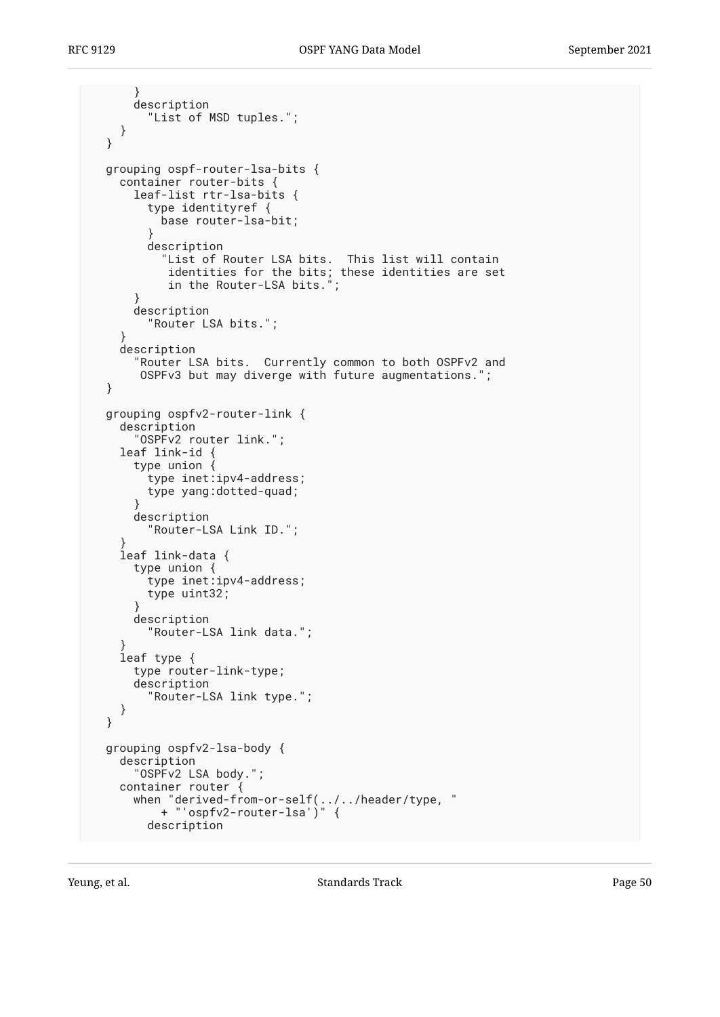```
 }
     description
        "List of MSD tuples.";
   }
 }
 grouping ospf-router-lsa-bits {
   container router-bits {
     leaf-list rtr-lsa-bits {
       type identityref {
         base router-lsa-bit;
}
       description
"List of Router LSA bits. This list will contain
identities for the bits; these identities are set
in the Router-LSA bits.";
     }
     description
       "Router LSA bits.";
   }
   description
      "Router LSA bits. Currently common to both OSPFv2 and
      OSPFv3 but may diverge with future augmentations.";
 }
 grouping ospfv2-router-link {
   description
     "OSPFv2 router link.";
   leaf link-id {
     type union {
       type inet:ipv4-address;
       type yang:dotted-quad;
     }
     description
        "Router-LSA Link ID.";
}
   leaf link-data {
type union {
type inet:ipv4-address;
       type uint32;
     }
     description
        "Router-LSA link data.";
}
   leaf type {
     type router-link-type;
     description
        "Router-LSA link type.";
   }
 }
 grouping ospfv2-lsa-body {
   description
     "OSPFv2 LSA body.";
   container router {
when "derived-from-or-self(../../header/type, "
+ "'ospfv2-router-lsa')" {
       description
```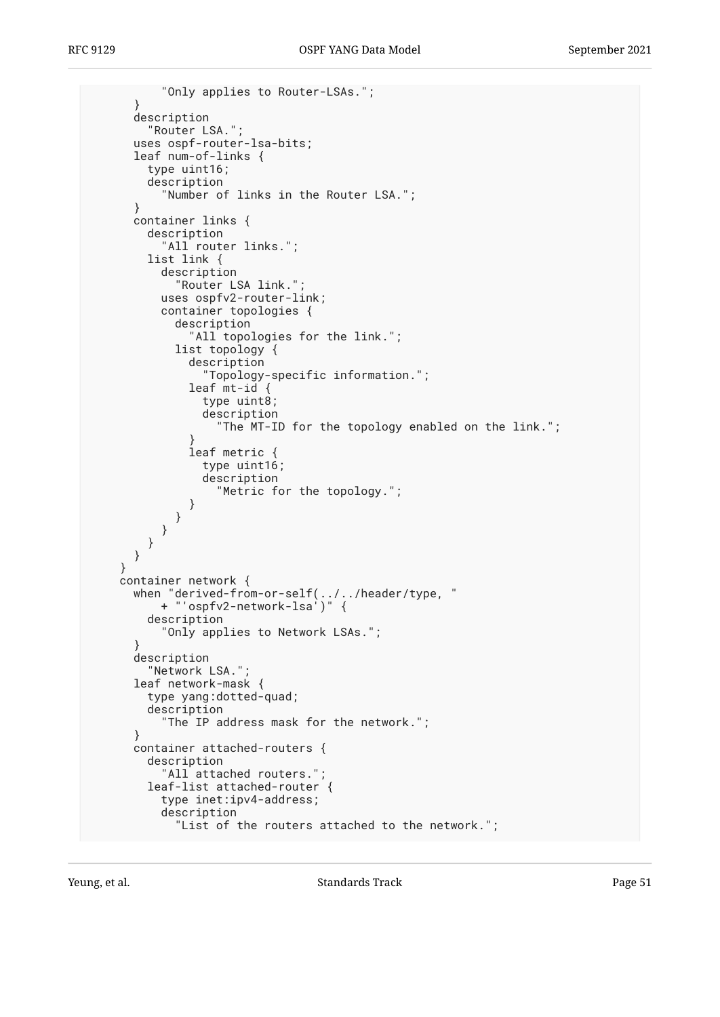```
 "Only applies to Router-LSAs.";
      }
     description
        "Router LSA.";
      uses ospf-router-lsa-bits;
      leaf num-of-links {
        type uint16;
        description
          "Number of links in the Router LSA.";
      }
     container links {
        description
          "All router links.";
        list link {
          description
            "Router LSA link.";
          uses ospfv2-router-link;
          container topologies {
            description
             "All topologies for the link.";
            list topology {
              description
                "Topology-specific information.";
              leaf mt-id {
                type uint8;
                description
                  "The MT-ID for the topology enabled on the link.";
}
              leaf metric {
                type uint16;
                description
                  "Metric for the topology.";
}
}
}
        }
     }
    }
    container network {
     when "derived-from-or-self(../../header/type, "
          + "'ospfv2-network-lsa')" {
        description
          "Only applies to Network LSAs.";
      }
     description
        "Network LSA.";
      leaf network-mask {
        type yang:dotted-quad;
        description
          "The IP address mask for the network.";
      }
      container attached-routers {
        description
          "All attached routers.";
        leaf-list attached-router {
          type inet:ipv4-address;
          description
            "List of the routers attached to the network.";
```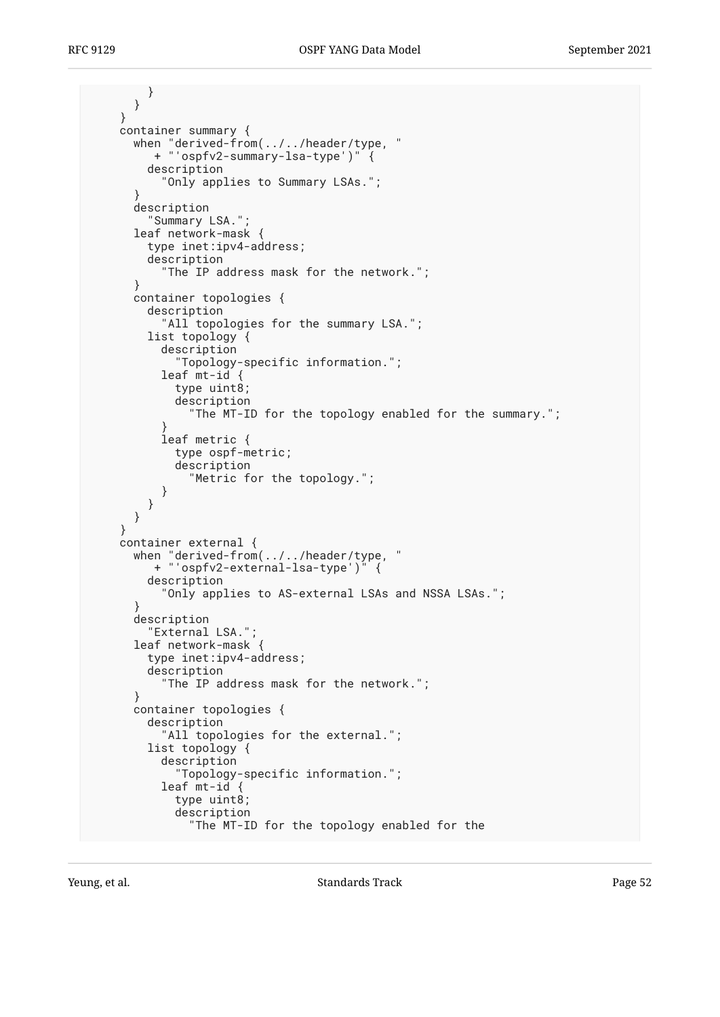} } } container summary { when "derived-from(../../header/type, " + "'ospfv2-summary-lsa-type')" { description "Only applies to Summary LSAs."; } description "Summary LSA."; leaf network-mask { type inet:ipv4-address; description "The IP address mask for the network."; } container topologies { description "All topologies for the summary LSA."; list topology { description "Topology-specific information."; leaf mt-id { type uint8; description "The MT-ID for the topology enabled for the summary."; } leaf metric { type ospf-metric; description "Metric for the topology."; } } } } container external { when "derived-from(../../header/type, " + "'ospfv2-external-lsa-type')" { description "Only applies to AS-external LSAs and NSSA LSAs."; } description "External LSA."; leaf network-mask { type inet:ipv4-address; description "The IP address mask for the network."; } container topologies { description "All topologies for the external."; list topology { description "Topology-specific information."; leaf mt-id { type uint8; description "The MT-ID for the topology enabled for the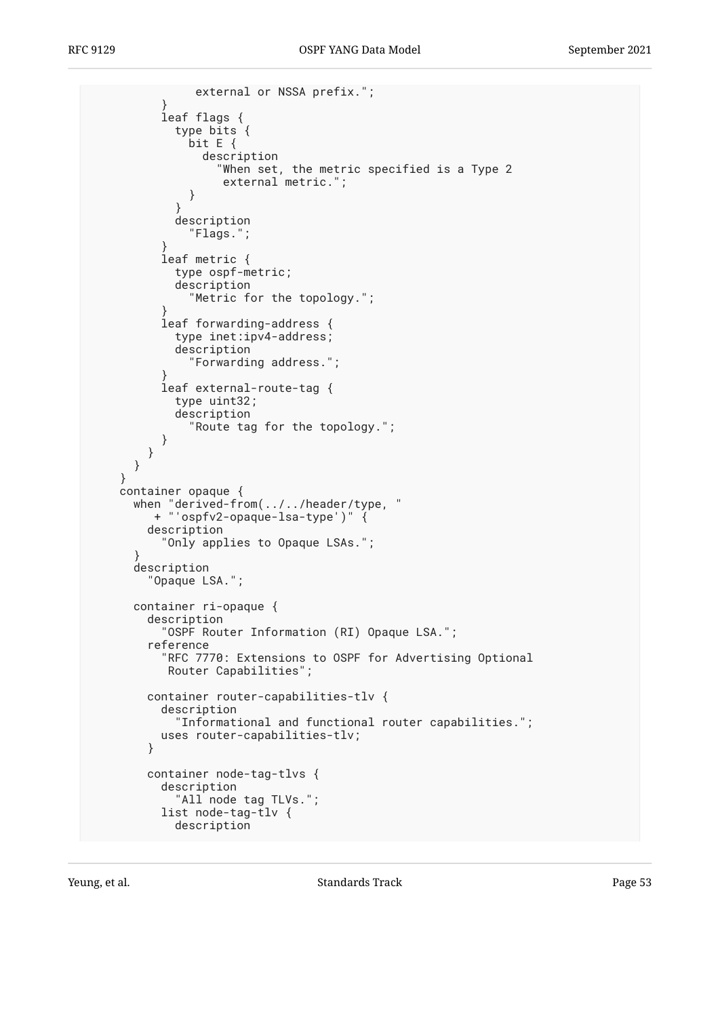```
 external or NSSA prefix.";
}
         leaf flags {
           type bits {
             bit E {
               description
                  "When set, the metric specified is a Type 2
                  external metric.";
}
}
           description
              "Flags.";
}
         leaf metric {
           type ospf-metric;
           description
              "Metric for the topology.";
}
         leaf forwarding-address {
           type inet:ipv4-address;
           description
              "Forwarding address.";
}
         leaf external-route-tag {
           type uint32;
           description
              "Route tag for the topology.";
}
       }
     }
   }
   container opaque {
     when "derived-from(../../header/type, "
        + "'ospfv2-opaque-lsa-type')" {
       description
          "Only applies to Opaque LSAs.";
}
     description
        "Opaque LSA.";
     container ri-opaque {
       description
          "OSPF Router Information (RI) Opaque LSA.";
       reference
          "RFC 7770: Extensions to OSPF for Advertising Optional
          Router Capabilities";
       container router-capabilities-tlv {
         description
           "Informational and functional router capabilities.";
         uses router-capabilities-tlv;
       }
       container node-tag-tlvs {
         description
            "All node tag TLVs.";
         list node-tag-tlv {
           description
```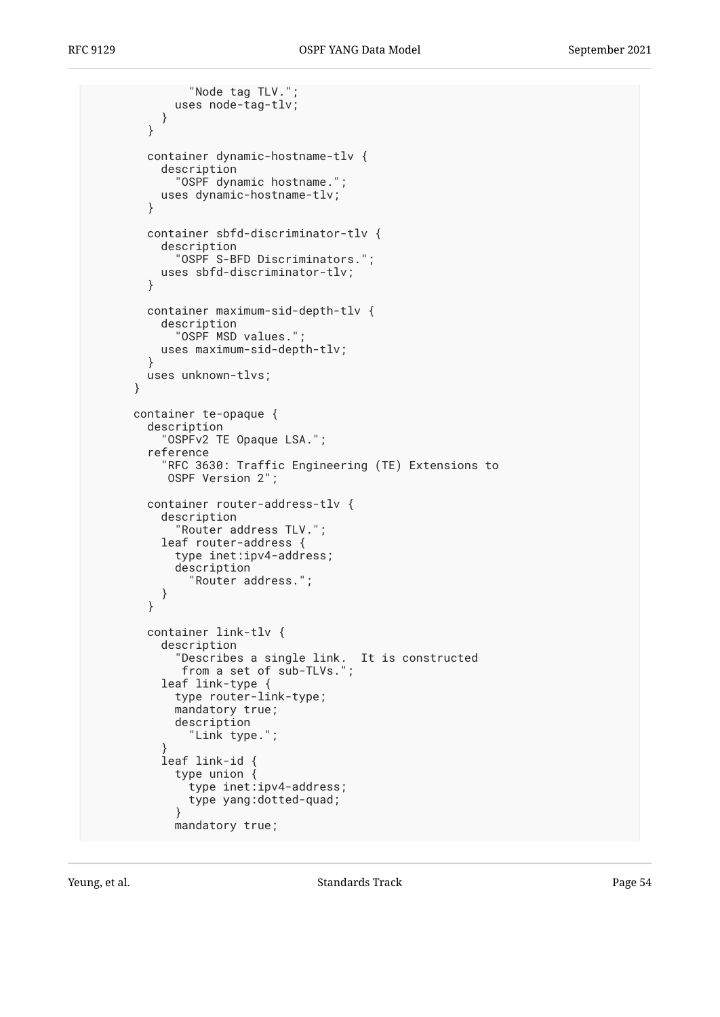```
 "Node tag TLV.";
            uses node-tag-tlv;
          }
        }
       container dynamic-hostname-tlv {
          description
            "OSPF dynamic hostname.";
          uses dynamic-hostname-tlv;
        }
       container sbfd-discriminator-tlv {
          description
            "OSPF S-BFD Discriminators.";
          uses sbfd-discriminator-tlv;
        }
       container maximum-sid-depth-tlv {
          description
            "OSPF MSD values.";
          uses maximum-sid-depth-tlv;
       }
       uses unknown-tlvs;
      }
     container te-opaque {
       description
          "OSPFv2 TE Opaque LSA.";
        reference
          "RFC 3630: Traffic Engineering (TE) Extensions to
           OSPF Version 2";
       container router-address-tlv {
          description
            "Router address TLV.";
          leaf router-address {
            type inet:ipv4-address;
            description
              "Router address.";
          }
        }
       container link-tlv {
          description
"Describes a single link. It is constructed
from a set of sub-TLVs.";
          leaf link-type {
            type router-link-type;
            mandatory true;
            description
              "Link type.";
}
          leaf link-id {
            type union {
              type inet:ipv4-address;
            type yang:dotted-quad;
}
            mandatory true;
```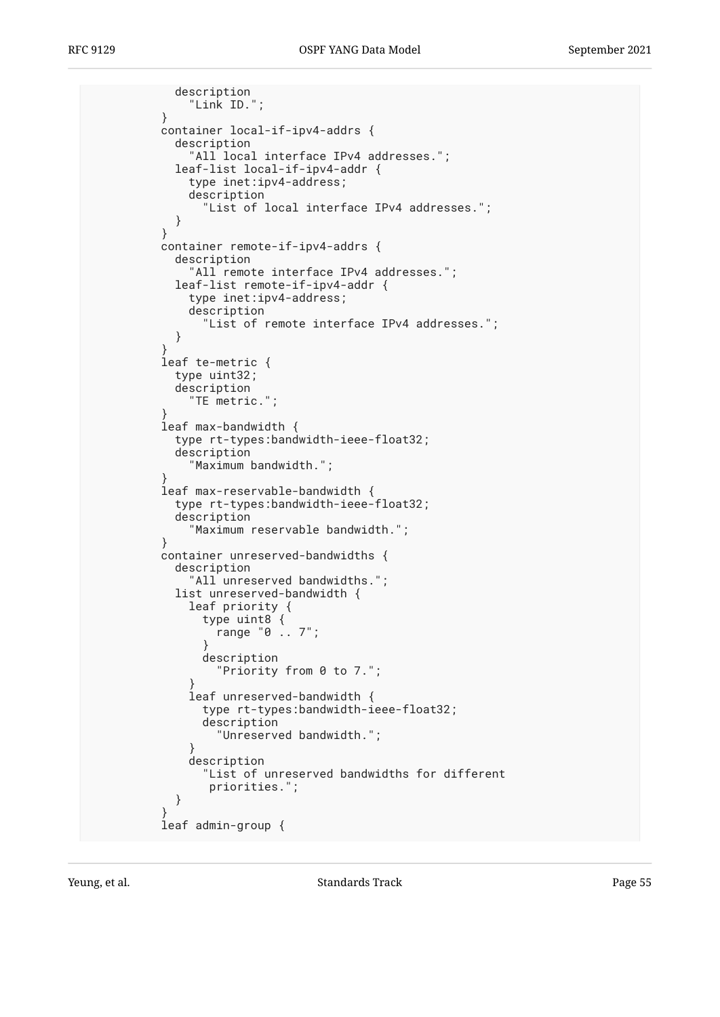description "Link ID."; } container local-if-ipv4-addrs { description 'All local interface IPv4 addresses."; leaf-list local-if-ipv4-addr { type inet:ipv4-address; description "List of local interface IPv4 addresses."; } } container remote-if-ipv4-addrs { description "All remote interface IPv4 addresses."; leaf-list remote-if-ipv4-addr { type inet:ipv4-address; description "List of remote interface IPv4 addresses."; } } leaf te-metric { type uint32; description "TE metric."; } leaf max-bandwidth { type rt-types:bandwidth-ieee-float32; description "Maximum bandwidth."; } leaf max-reservable-bandwidth { type rt-types:bandwidth-ieee-float32; description "Maximum reservable bandwidth."; } container unreserved-bandwidths { description "All unreserved bandwidths."; list unreserved-bandwidth { leaf priority { type uint8 { range "0 .. 7"; } description "Priority from 0 to 7."; } leaf unreserved-bandwidth { type rt-types:bandwidth-ieee-float32; description "Unreserved bandwidth."; } description "List of unreserved bandwidths for different priorities."; } } leaf admin-group {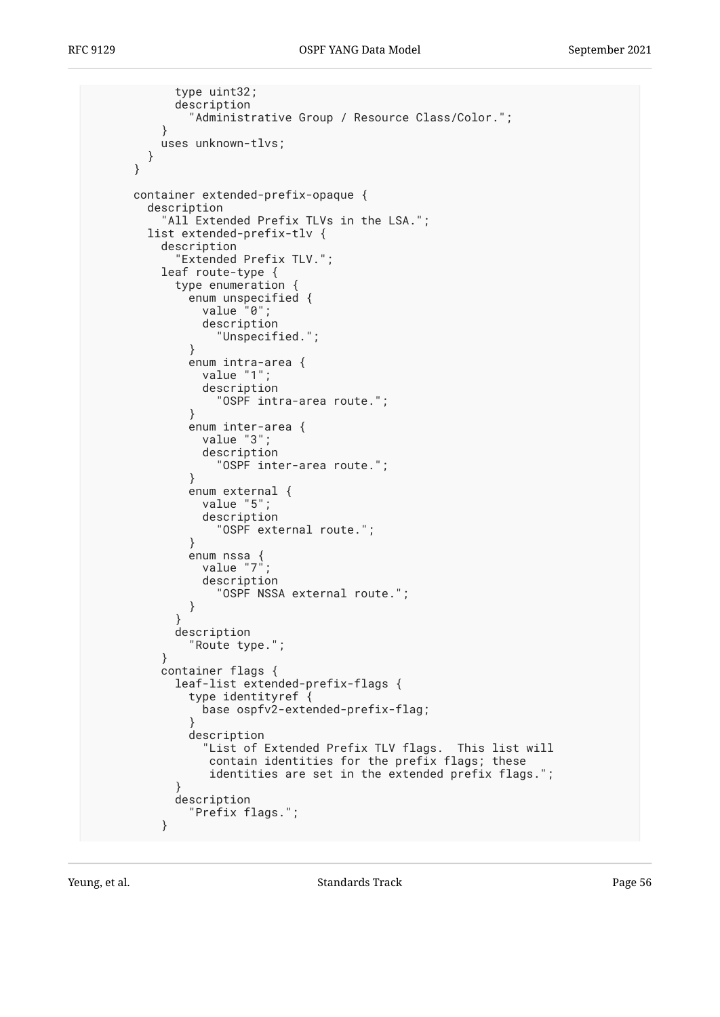```
 type uint32;
          description
             "Administrative Group / Resource Class/Color.";
}
        uses unknown-tlvs;
       }
     }
     container extended-prefix-opaque {
       description
        "All Extended Prefix TLVs in the LSA.";
       list extended-prefix-tlv {
         description
          "Extended Prefix TLV.";
         leaf route-type {
         type enumeration {
            enum unspecified {
              value "0";
              description
                "Unspecified.";
}
            enum intra-area {
             value "1";
              description
                "OSPF intra-area route.";
}
            enum inter-area {
              value "3";
              description
                "OSPF inter-area route.";
}
            enum external {
              value "5";
              description
                "OSPF external route.";
}
enum nssa {
value "7";
              description
            "OSPF NSSA external route.";
}
}
          description
             "Route type.";
         }
         container flags {
          leaf-list extended-prefix-flags {
            type identityref {
              base ospfv2-extended-prefix-flag;
}
            description
              "List of Extended Prefix TLV flags. This list will
               contain identities for the prefix flags; these
               identities are set in the extended prefix flags.";
}
          description
         "Prefix flags.";
}
```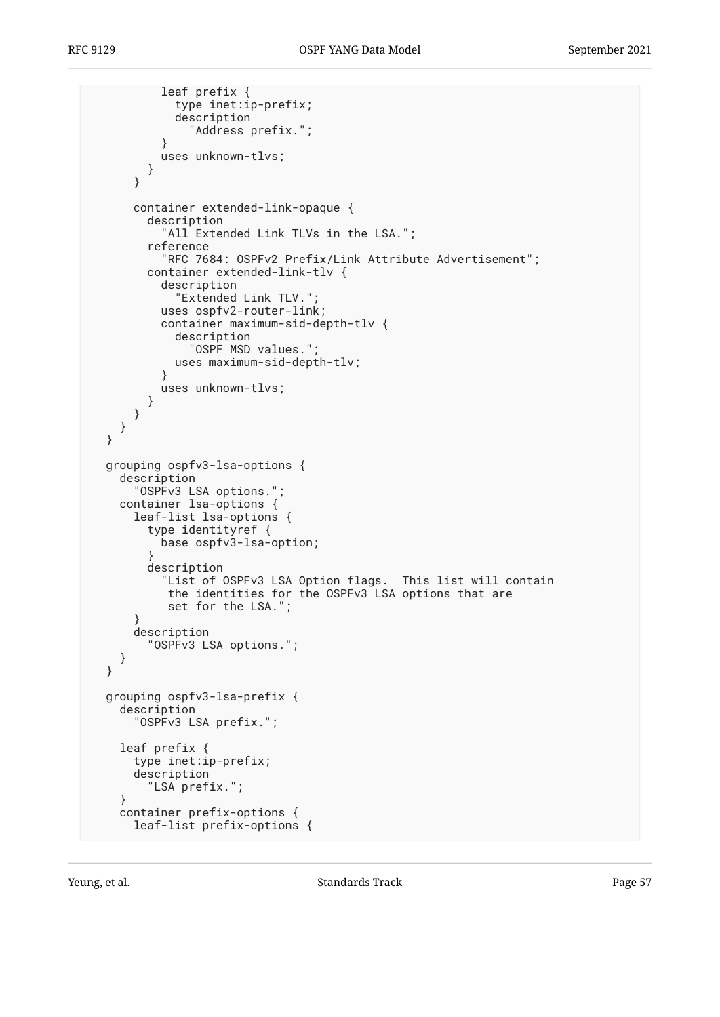```
 leaf prefix {
            type inet:ip-prefix;
            description
              "Address prefix.";
}
          uses unknown-tlvs;
        }
      }
      container extended-link-opaque {
        description
          "All Extended Link TLVs in the LSA.";
        reference
          "RFC 7684: OSPFv2 Prefix/Link Attribute Advertisement";
        container extended-link-tlv {
          description
            "Extended Link TLV.";
          uses ospfv2-router-link;
          container maximum-sid-depth-tlv {
            description
              "OSPF MSD values.";
            uses maximum-sid-depth-tlv;
}
          uses unknown-tlvs;
        }
     }
   }
 }
 grouping ospfv3-lsa-options {
   description
      "OSPFv3 LSA options.";
    container lsa-options {
     leaf-list lsa-options {
        type identityref {
          base ospfv3-lsa-option;
}
        description
          "List of OSPFv3 LSA Option flags. This list will contain
           the identities for the OSPFv3 LSA options that are
           set for the LSA.";
      }
      description
        "OSPFv3 LSA options.";
    }
 }
 grouping ospfv3-lsa-prefix {
   description
      "OSPFv3 LSA prefix.";
    leaf prefix {
     type inet:ip-prefix;
      description
        "LSA prefix.";
    }
   container prefix-options {
     leaf-list prefix-options {
```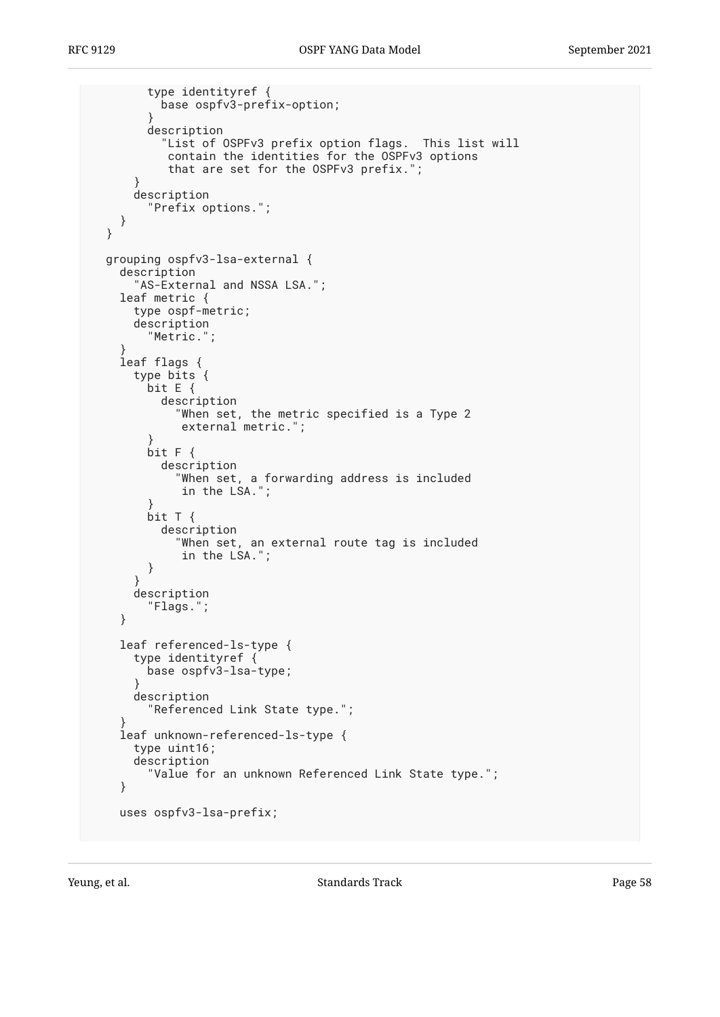```
 type identityref {
          base ospfv3-prefix-option;
}
        description
          "List of OSPFv3 prefix option flags. This list will
           contain the identities for the OSPFv3 options
           that are set for the OSPFv3 prefix.";
      }
      description
        "Prefix options.";
   }
 }
 grouping ospfv3-lsa-external {
   description
      "AS-External and NSSA LSA.";
   leaf metric {
      type ospf-metric;
      description
        "Metric.";
}
    leaf flags {
      type bits {
        bit E {
          description
             "When set, the metric specified is a Type 2
             external metric.";
}
        bit F {
          description
            "When set, a forwarding address is included
             in the LSA.";
}
        bit T {
          description
            "When set, an external route tag is included
             in the LSA.";
        }
      }
     description
        "Flags.";
    }
    leaf referenced-ls-type {
      type identityref {
        base ospfv3-lsa-type;
}
      description
        "Referenced Link State type.";
}
    leaf unknown-referenced-ls-type {
      type uint16;
     description
        "Value for an unknown Referenced Link State type.";
    }
    uses ospfv3-lsa-prefix;
```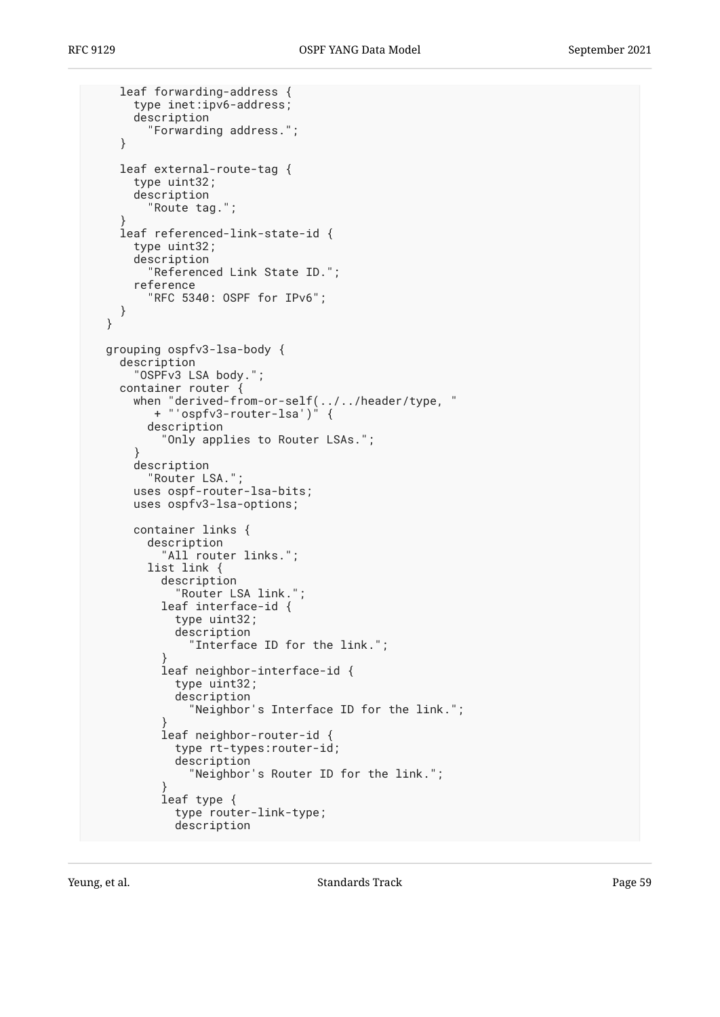```
 leaf forwarding-address {
      type inet:ipv6-address;
      description
        "Forwarding address.";
    }
    leaf external-route-tag {
     type uint32;
     description
        "Route tag.";
}
    leaf referenced-link-state-id {
     type uint32;
     description
        "Referenced Link State ID.";
     reference
        "RFC 5340: OSPF for IPv6";
    }
 }
 grouping ospfv3-lsa-body {
   description
      "OSPFv3 LSA body.";
    container router {
when "derived-from-or-self(../../header/type, "
+ "'ospfv3-router-lsa')" {
        description
          "Only applies to Router LSAs.";
}
     description
        "Router LSA.";
      uses ospf-router-lsa-bits;
     uses ospfv3-lsa-options;
     container links {
        description
          "All router links.";
        list link {
          description
            "Router LSA link.";
          leaf interface-id {
            type uint32;
            description
              "Interface ID for the link.";
}
          leaf neighbor-interface-id {
            type uint32;
            description
              "Neighbor's Interface ID for the link.";
}
          leaf neighbor-router-id {
            type rt-types:router-id;
            description
              "Neighbor's Router ID for the link.";
}
          leaf type {
            type router-link-type;
            description
```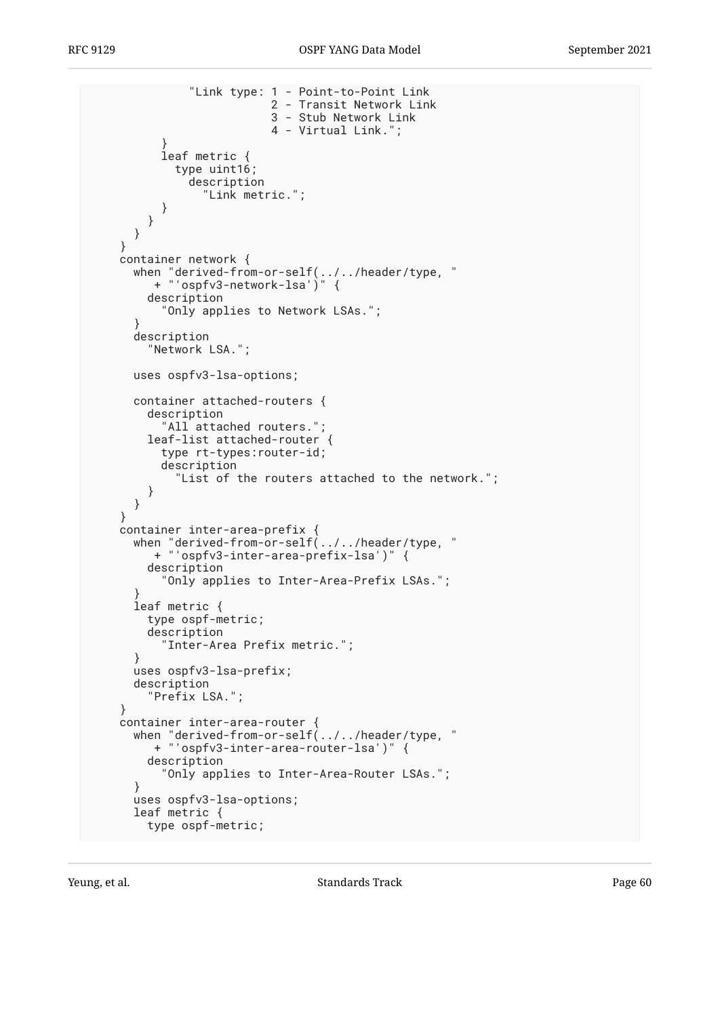```
 "Link type: 1 - Point-to-Point Link
                          2 - Transit Network Link
                          3 - Stub Network Link
                          4 - Virtual Link.";
}
          leaf metric {
            type uint16;
              description
                "Link metric.";
          }
       }
     }
    }
    container network {
when "derived-from-or-self(../../header/type, "
+ "'ospfv3-network-lsa')" {
       description
          "Only applies to Network LSAs.";
}
     description
        "Network LSA.";
     uses ospfv3-lsa-options;
     container attached-routers {
       description
          "All attached routers.";
       leaf-list attached-router {
          type rt-types:router-id;
          description
            "List of the routers attached to the network.";
       }
     }
    }
    container inter-area-prefix {
when "derived-from-or-self(../../header/type, "
+ "'ospfv3-inter-area-prefix-lsa')" {
       description
          "Only applies to Inter-Area-Prefix LSAs.";
}
     leaf metric {
       type ospf-metric;
       description
          "Inter-Area Prefix metric.";
      }
     uses ospfv3-lsa-prefix;
     description
        "Prefix LSA.";
    }
   container inter-area-router {
     when "derived-from-or-self(../../header/type, "
         + "'ospfv3-inter-area-router-lsa')" {
       description
          "Only applies to Inter-Area-Router LSAs.";
      }
     uses ospfv3-lsa-options;
     leaf metric {
       type ospf-metric;
```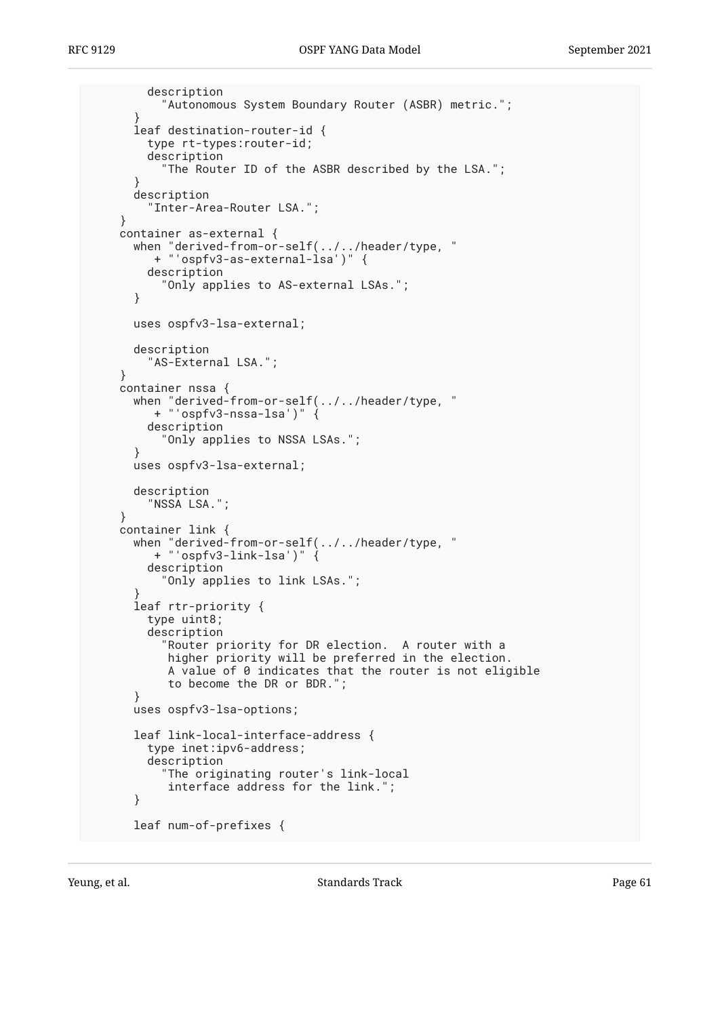```
 description
          "Autonomous System Boundary Router (ASBR) metric.";
      }
     leaf destination-router-id {
        type rt-types:router-id;
        description
          "The Router ID of the ASBR described by the LSA.";
      }
      description
        "Inter-Area-Router LSA.";
    }
    container as-external {
     when "derived-from-or-self(../../header/type, "
        + "'ospfv3-as-external-lsa')" {
        description
          "Only applies to AS-external LSAs.";
      }
     uses ospfv3-lsa-external;
     description
        "AS-External LSA.";
    }
    container nssa {
when "derived-from-or-self(../../header/type, "
+ "'ospfv3-nssa-lsa')" {
        description
          "Only applies to NSSA LSAs.";
      }
     uses ospfv3-lsa-external;
     description
        "NSSA LSA.";
    }
   container link {
when "derived-from-or-self(../../header/type, "
+ "'ospfv3-link-lsa')" {
        description
          "Only applies to link LSAs.";
}
      leaf rtr-priority {
        type uint8;
        description
          "Router priority for DR election. A router with a
           higher priority will be preferred in the election.
           A value of 0 indicates that the router is not eligible
           to become the DR or BDR.";
      }
     uses ospfv3-lsa-options;
     leaf link-local-interface-address {
        type inet:ipv6-address;
        description
          "The originating router's link-local
           interface address for the link.";
      }
     leaf num-of-prefixes {
```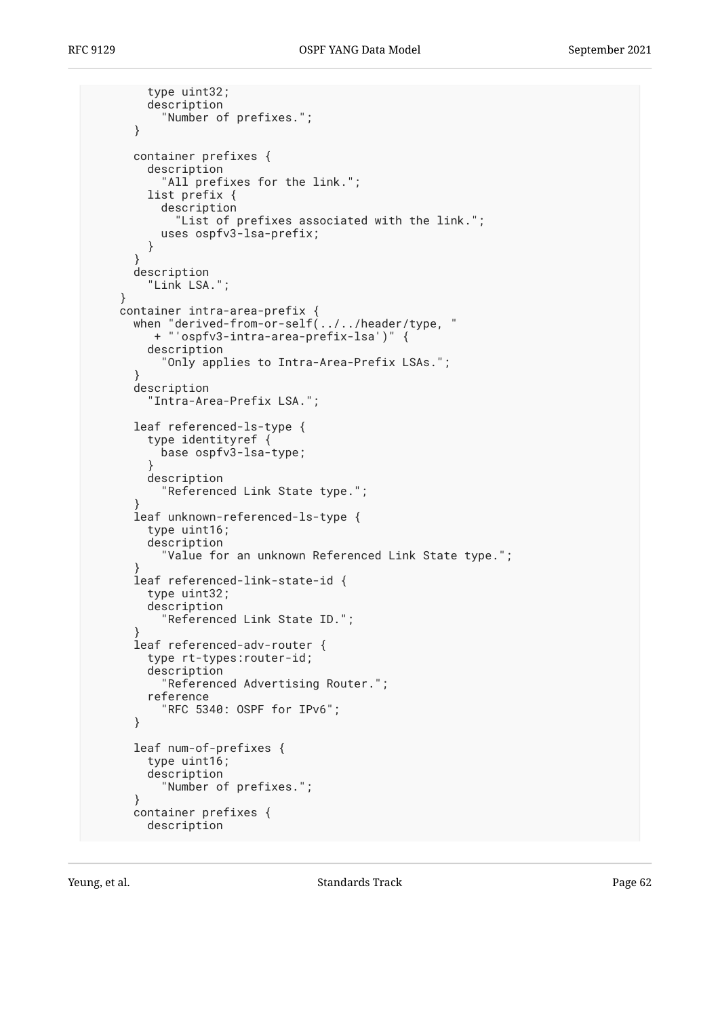```
 type uint32;
        description
          "Number of prefixes.";
      }
     container prefixes {
        description
         "All prefixes for the link.";
        list prefix {
          description
            "List of prefixes associated with the link.";
          uses ospfv3-lsa-prefix;
        }
}
     description
        "Link LSA.";
    }
    container intra-area-prefix {
when "derived-from-or-self(../../header/type, "
+ "'ospfv3-intra-area-prefix-lsa')" {
        description
          "Only applies to Intra-Area-Prefix LSAs.";
      }
      description
        "Intra-Area-Prefix LSA.";
     leaf referenced-ls-type {
        type identityref {
          base ospfv3-lsa-type;
}
        description
          "Referenced Link State type.";
}
      leaf unknown-referenced-ls-type {
        type uint16;
        description
          "Value for an unknown Referenced Link State type.";
}
      leaf referenced-link-state-id {
        type uint32;
        description
          "Referenced Link State ID.";
}
      leaf referenced-adv-router {
        type rt-types:router-id;
        description
          "Referenced Advertising Router.";
        reference
          "RFC 5340: OSPF for IPv6";
      }
     leaf num-of-prefixes {
        type uint16;
        description
          "Number of prefixes.";
      }
     container prefixes {
        description
```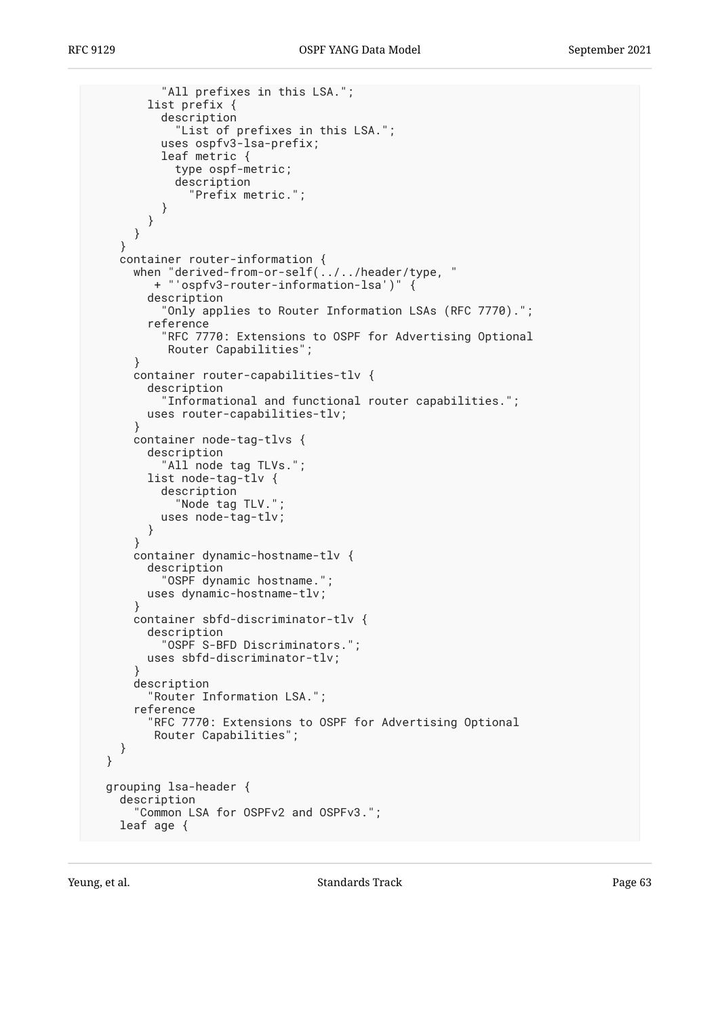```
 "All prefixes in this LSA.";
        list prefix {
          description
            "List of prefixes in this LSA.";
          uses ospfv3-lsa-prefix;
          leaf metric {
            type ospf-metric;
            description
              "Prefix metric.";
          }
        }
     }
    }
    container router-information {
when "derived-from-or-self(../../header/type, "
+ "'ospfv3-router-information-lsa')" {
        description
          "Only applies to Router Information LSAs (RFC 7770).";
        reference
          "RFC 7770: Extensions to OSPF for Advertising Optional
           Router Capabilities";
      }
      container router-capabilities-tlv {
        description
          "Informational and functional router capabilities.";
        uses router-capabilities-tlv;
}
      container node-tag-tlvs {
        description
         "All node tag TLVs.";
        list node-tag-tlv {
          description
            "Node tag TLV.";
          uses node-tag-tlv;
        }
      }
      container dynamic-hostname-tlv {
        description
          "OSPF dynamic hostname.";
        uses dynamic-hostname-tlv;
      }
      container sbfd-discriminator-tlv {
        description
          "OSPF S-BFD Discriminators.";
        uses sbfd-discriminator-tlv;
}
      description
        "Router Information LSA.";
      reference
        "RFC 7770: Extensions to OSPF for Advertising Optional
         Router Capabilities";
   }
 }
 grouping lsa-header {
    description
      "Common LSA for OSPFv2 and OSPFv3.";
   leaf age {
```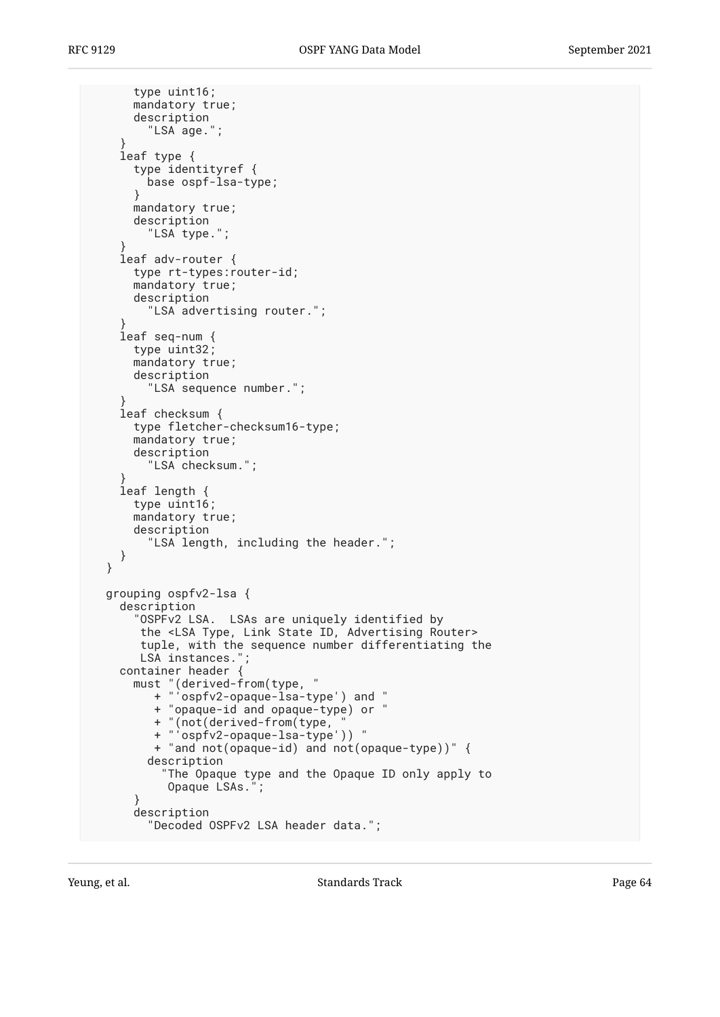```
 type uint16;
     mandatory true;
      description
        "LSA age.";
}
    leaf type {
      type identityref {
       base ospf-lsa-type;
      }
     mandatory true;
     description
        "LSA type.";
}
    leaf adv-router {
     type rt-types:router-id;
     mandatory true;
     description
        "LSA advertising router.";
}
    leaf seq-num {
     type uint32;
     mandatory true;
     description
        "LSA sequence number.";
}
    leaf checksum {
     type fletcher-checksum16-type;
     mandatory true;
     description
        "LSA checksum.";
}
    leaf length {
     type uint16;
     mandatory true;
     description
        "LSA length, including the header.";
   }
 }
 grouping ospfv2-lsa {
    description
      "OSPFv2 LSA. LSAs are uniquely identified by
      the <LSA Type, Link State ID, Advertising Router>
      tuple, with the sequence number differentiating the
      LSA instances.";
   container header {
must "(derived-from(type, "
+ "'ospfv2-opaque-lsa-type') and "
         + "opaque-id and opaque-type) or "
+ "(not(derived-from(type, "
+ "'ospfv2-opaque-lsa-type')) "
         + "and not(opaque-id) and not(opaque-type))" {
       description
          "The Opaque type and the Opaque ID only apply to
          Opaque LSAs.";
      }
      description
        "Decoded OSPFv2 LSA header data.";
```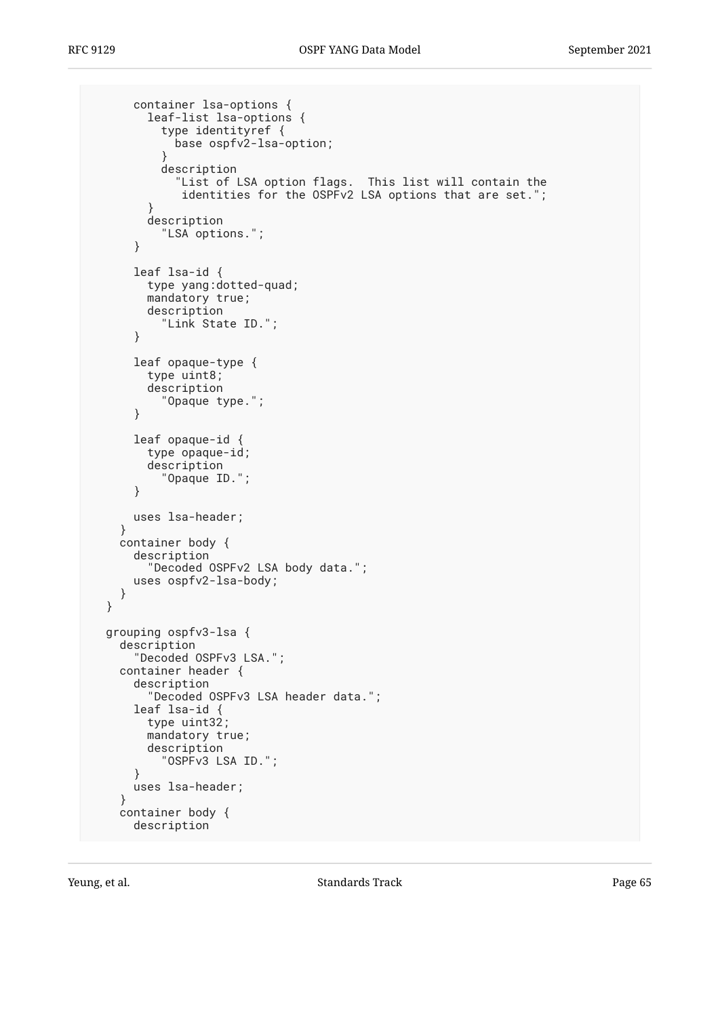```
 container lsa-options {
        leaf-list lsa-options {
          type identityref {
            base ospfv2-lsa-option;
}
          description
             "List of LSA option flags. This list will contain the
             identities for the OSPFv2 LSA options that are set.";
        }
        description
          "LSA options.";
      }
      leaf lsa-id {
        type yang:dotted-quad;
        mandatory true;
        description
          "Link State ID.";
      }
      leaf opaque-type {
        type uint8;
        description
          "Opaque type.";
      }
      leaf opaque-id {
        type opaque-id;
        description
          "Opaque ID.";
      }
      uses lsa-header;
    }
    container body {
      description
        "Decoded OSPFv2 LSA body data.";
      uses ospfv2-lsa-body;
    }
 }
 grouping ospfv3-lsa {
    description
      "Decoded OSPFv3 LSA.";
    container header {
      description
        "Decoded OSPFv3 LSA header data.";
      leaf lsa-id {
        type uint32;
        mandatory true;
        description
          "OSPFv3 LSA ID.";
      }
      uses lsa-header;
    }
    container body {
      description
```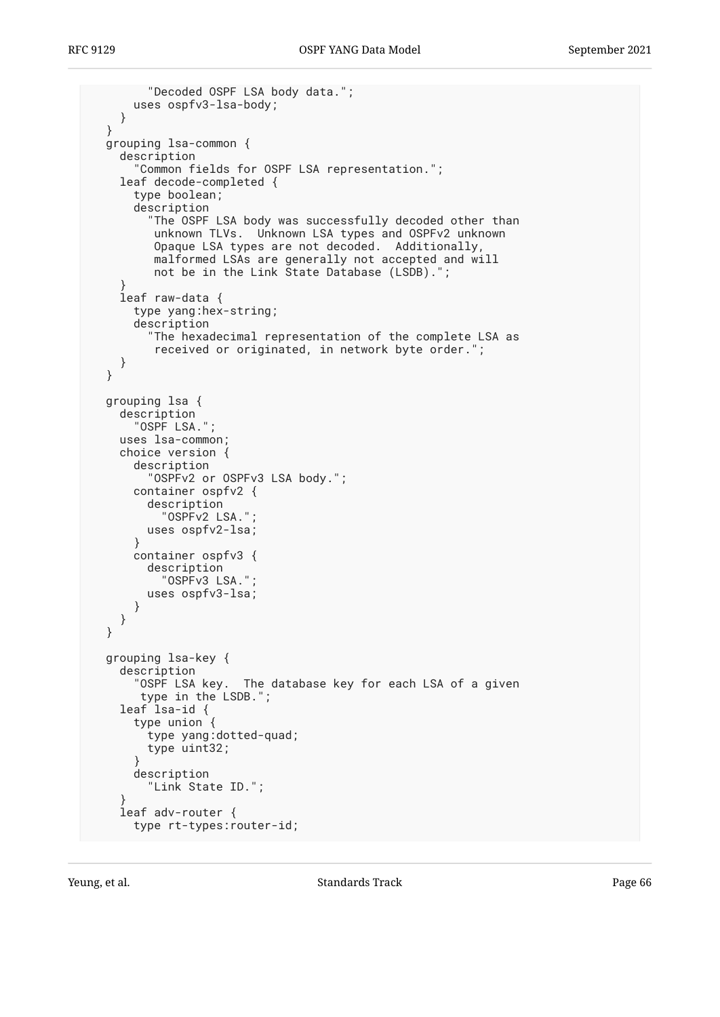```
 "Decoded OSPF LSA body data.";
      uses ospfv3-lsa-body;
    }
 }
 grouping lsa-common {
    description
      "Common fields for OSPF LSA representation.";
    leaf decode-completed {
      type boolean;
      description
        "The OSPF LSA body was successfully decoded other than
         unknown TLVs. Unknown LSA types and OSPFv2 unknown
         Opaque LSA types are not decoded. Additionally,
         malformed LSAs are generally not accepted and will
         not be in the Link State Database (LSDB).";
}
    leaf raw-data {
      type yang:hex-string;
      description
        "The hexadecimal representation of the complete LSA as
         received or originated, in network byte order.";
    }
 }
 grouping lsa {
    description
      "OSPF LSA.";
    uses lsa-common;
    choice version {
      description
        "OSPFv2 or OSPFv3 LSA body.";
      container ospfv2 {
        description
          "OSPFv2 LSA.";
        uses ospfv2-lsa;
      }
      container ospfv3 {
        description
          "OSPFv3 LSA.";
        uses ospfv3-lsa;
      }
    }
 }
 grouping lsa-key {
    description
      "OSPF LSA key. The database key for each LSA of a given
       type in the LSDB.";
    leaf lsa-id {
      type union {
        type yang:dotted-quad;
        type uint32;
      }
      description
        "Link State ID.";
}
    leaf adv-router {
      type rt-types:router-id;
```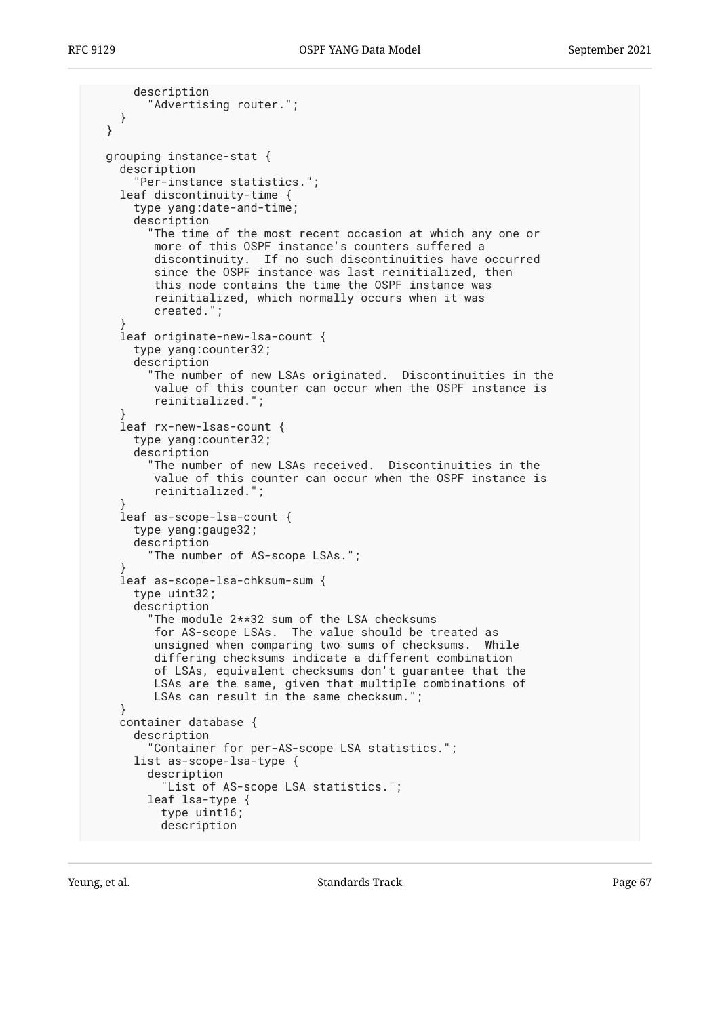```
 description
        "Advertising router.";
    }
 }
 grouping instance-stat {
    description
      "Per-instance statistics.";
    leaf discontinuity-time {
      type yang:date-and-time;
      description
        "The time of the most recent occasion at which any one or
         more of this OSPF instance's counters suffered a
         discontinuity. If no such discontinuities have occurred
        since the OSPF instance was last reinitialized, then
         this node contains the time the OSPF instance was
         reinitialized, which normally occurs when it was
         created.";
}
    leaf originate-new-lsa-count {
     type yang:counter32;
      description
        "The number of new LSAs originated. Discontinuities in the
         value of this counter can occur when the OSPF instance is
         reinitialized.";
}
    leaf rx-new-lsas-count {
     type yang:counter32;
     description
        "The number of new LSAs received. Discontinuities in the
         value of this counter can occur when the OSPF instance is
         reinitialized.";
}
    leaf as-scope-lsa-count {
     type yang:gauge32;
     description
        "The number of AS-scope LSAs.";
}
    leaf as-scope-lsa-chksum-sum {
     type uint32;
      description
        "The module 2**32 sum of the LSA checksums
         for AS-scope LSAs. The value should be treated as
         unsigned when comparing two sums of checksums. While
         differing checksums indicate a different combination
         of LSAs, equivalent checksums don't guarantee that the
LSAs are the same, given that multiple combinations of
LSAs can result in the same checksum.";
    }
    container database {
      description
        "Container for per-AS-scope LSA statistics.";
      list as-scope-lsa-type {
       description
          "List of AS-scope LSA statistics.";
       leaf lsa-type {
          type uint16;
          description
```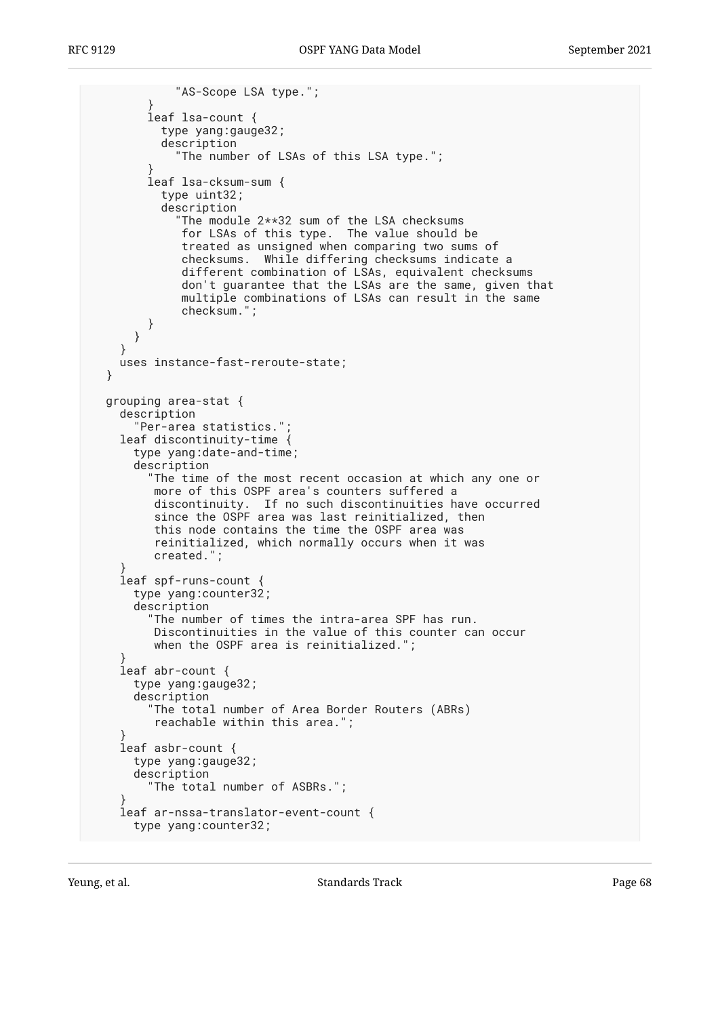```
 "AS-Scope LSA type.";
}
        leaf lsa-count {
          type yang:gauge32;
          description
             "The number of LSAs of this LSA type.";
}
        leaf lsa-cksum-sum {
          type uint32;
          description
            "The module 2**32 sum of the LSA checksums
             for LSAs of this type. The value should be
             treated as unsigned when comparing two sums of
             checksums. While differing checksums indicate a
             different combination of LSAs, equivalent checksums
             don't guarantee that the LSAs are the same, given that
             multiple combinations of LSAs can result in the same
             checksum.";
        }
     }
    }
   uses instance-fast-reroute-state;
 }
 grouping area-stat {
    description
      "Per-area statistics.";
   leaf discontinuity-time {
     type yang:date-and-time;
     description
        "The time of the most recent occasion at which any one or
         more of this OSPF area's counters suffered a
         discontinuity. If no such discontinuities have occurred
         since the OSPF area was last reinitialized, then
         this node contains the time the OSPF area was
         reinitialized, which normally occurs when it was
         created.";
}
    leaf spf-runs-count {
     type yang:counter32;
      description
        "The number of times the intra-area SPF has run.
         Discontinuities in the value of this counter can occur
         when the OSPF area is reinitialized.";
}
    leaf abr-count {
     type yang:gauge32;
     description
        "The total number of Area Border Routers (ABRs)
         reachable within this area.";
}
    leaf asbr-count {
     type yang:gauge32;
     description
        "The total number of ASBRs.";
}
    leaf ar-nssa-translator-event-count {
     type yang:counter32;
```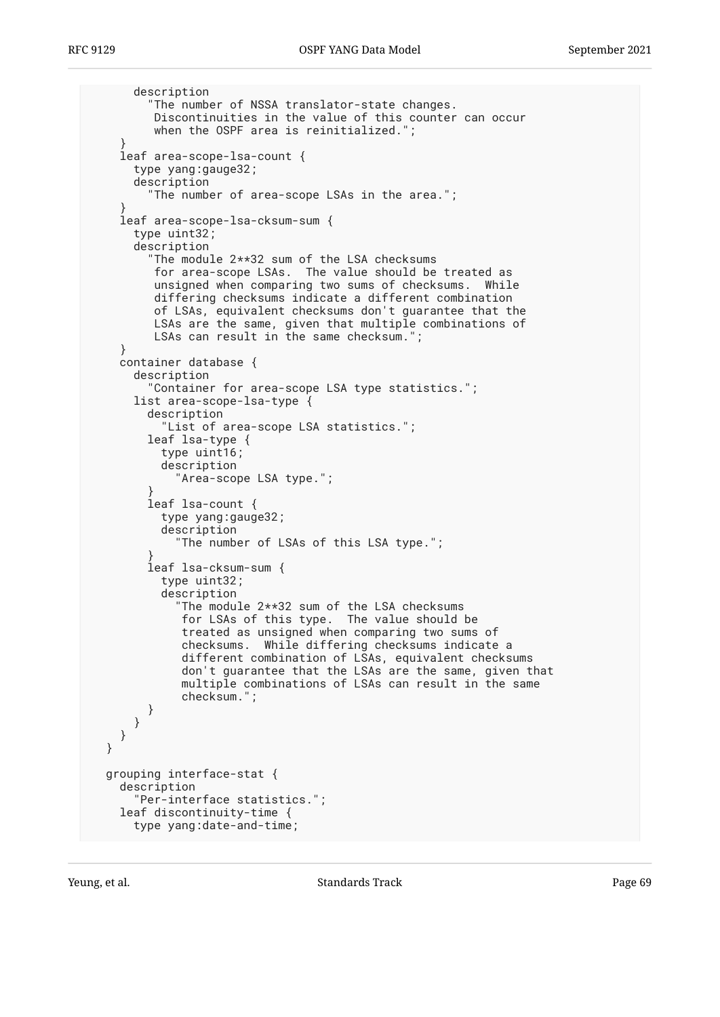```
 description
        "The number of NSSA translator-state changes.
        Discontinuities in the value of this counter can occur
        when the OSPF area is reinitialized.";
}
   leaf area-scope-lsa-count {
     type yang:gauge32;
     description
       "The number of area-scope LSAs in the area.";
}
   leaf area-scope-lsa-cksum-sum {
     type uint32;
     description
        "The module 2**32 sum of the LSA checksums
        for area-scope LSAs. The value should be treated as
        unsigned when comparing two sums of checksums. While
        differing checksums indicate a different combination
        of LSAs, equivalent checksums don't guarantee that the
        LSAs are the same, given that multiple combinations of
       LSAs can result in the same checksum."
   }
   container database {
     description
        "Container for area-scope LSA type statistics.";
     list area-scope-lsa-type {
        description
          "List of area-scope LSA statistics.";
       leaf lsa-type {
          type uint16;
          description
            "Area-scope LSA type.";
}
       leaf lsa-count {
          type yang:gauge32;
          description
            "The number of LSAs of this LSA type.";
}
        leaf lsa-cksum-sum {
          type uint32;
          description
            "The module 2**32 sum of the LSA checksums
             for LSAs of this type. The value should be
             treated as unsigned when comparing two sums of
             checksums. While differing checksums indicate a
             different combination of LSAs, equivalent checksums
don't guarantee that the LSAs are the same, given that
multiple combinations of LSAs can result in the same
             checksum.";
       }
     }
   }
 }
 grouping interface-stat {
   description
     "Per-interface statistics.";
   leaf discontinuity-time {
     type yang:date-and-time;
```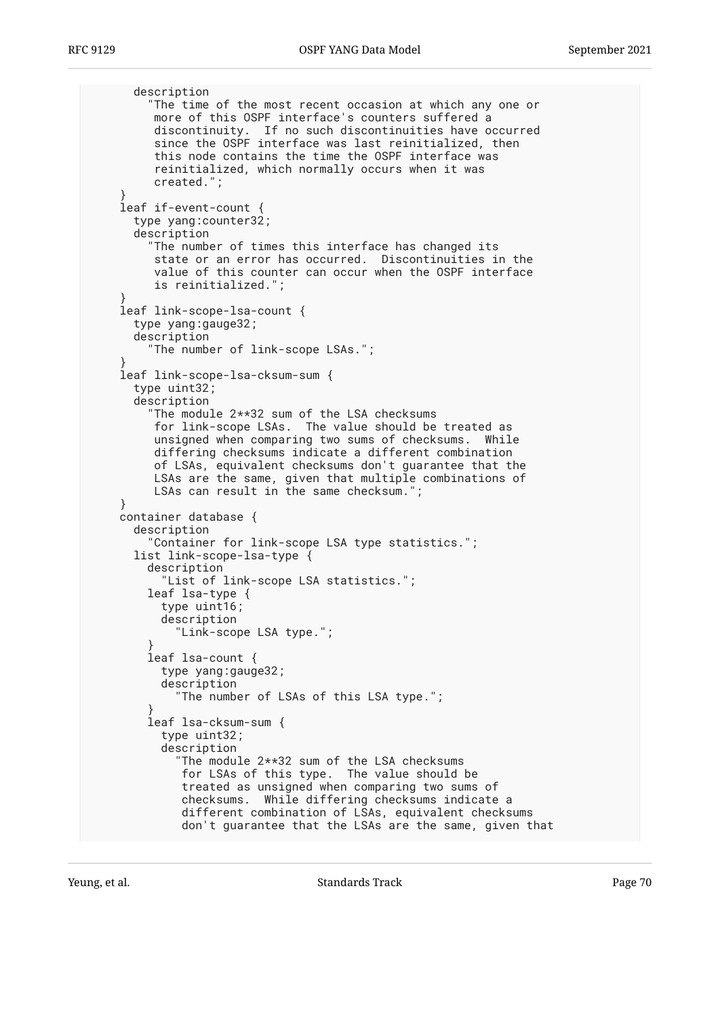```
 description
        "The time of the most recent occasion at which any one or
        more of this OSPF interface's counters suffered a
discontinuity. If no such discontinuities have occurred
since the OSPF interface was last reinitialized, then
        this node contains the time the OSPF interface was
        reinitialized, which normally occurs when it was
        created.";
}
   leaf if-event-count {
     type yang:counter32;
     description
        "The number of times this interface has changed its
        state or an error has occurred. Discontinuities in the
        value of this counter can occur when the OSPF interface
        is reinitialized.";
}
   leaf link-scope-lsa-count {
     type yang:gauge32;
     description
        "The number of link-scope LSAs.";
}
   leaf link-scope-lsa-cksum-sum {
     type uint32;
     description
       The module 2**32 sum of the LSA checksums
        for link-scope LSAs. The value should be treated as
        unsigned when comparing two sums of checksums. While
        differing checksums indicate a different combination
        of LSAs, equivalent checksums don't guarantee that the
        LSAs are the same, given that multiple combinations of
        LSAs can result in the same checksum.";
}
   container database {
     description
        "Container for link-scope LSA type statistics.";
     list link-scope-lsa-type {
       description
          "List of link-scope LSA statistics.";
       leaf lsa-type {
         type uint16;
         description
            "Link-scope LSA type.";
}
       leaf lsa-count {
         type yang:gauge32;
         description
            "The number of LSAs of this LSA type.";
}
       leaf lsa-cksum-sum {
         type uint32;
         description
            "The module 2**32 sum of the LSA checksums
            for LSAs of this type. The value should be
            treated as unsigned when comparing two sums of
checksums. While differing checksums indicate a
different combination of LSAs, equivalent checksums
            don't guarantee that the LSAs are the same, given that
```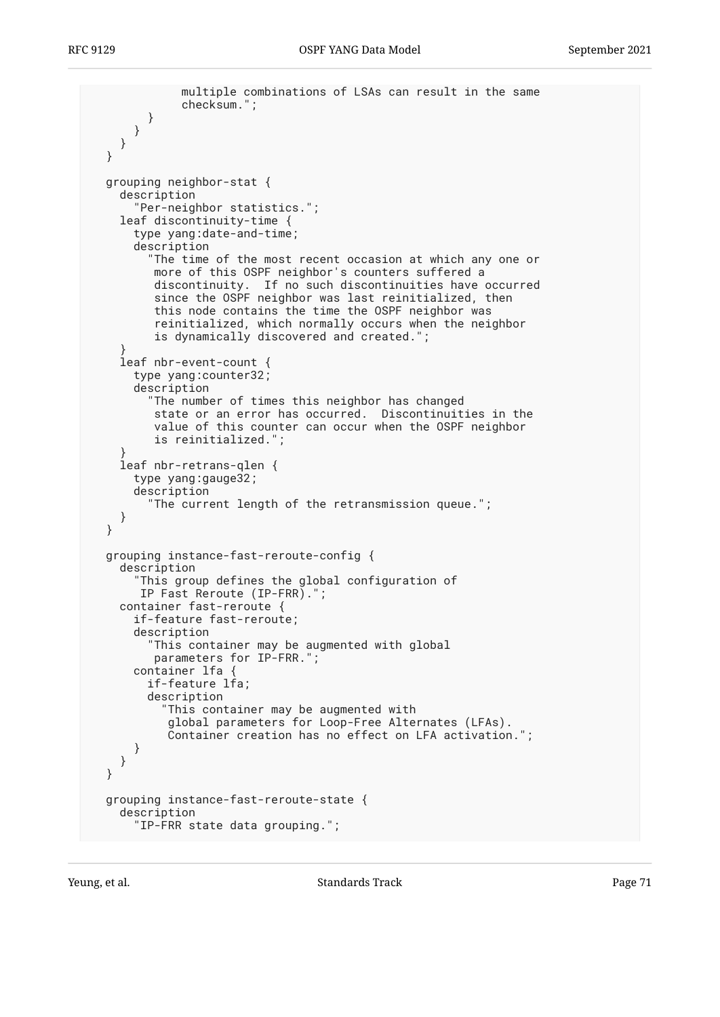```
 multiple combinations of LSAs can result in the same
             checksum.";
       }
     }
   }
 }
 grouping neighbor-stat {
   description
      "Per-neighbor statistics.";
   leaf discontinuity-time {
     type yang:date-and-time;
     description
        "The time of the most recent occasion at which any one or
        more of this OSPF neighbor's counters suffered a
discontinuity. If no such discontinuities have occurred
since the OSPF neighbor was last reinitialized, then
this node contains the time the OSPF neighbor was
        reinitialized, which normally occurs when the neighbor
        is dynamically discovered and created.";
}
   leaf nbr-event-count {
     type yang:counter32;
     description
        "The number of times this neighbor has changed
state or an error has occurred. Discontinuities in the
value of this counter can occur when the OSPF neighbor
        is reinitialized.";
}
   leaf nbr-retrans-qlen {
     type yang:gauge32;
     description
        "The current length of the retransmission queue.";
   }
 }
 grouping instance-fast-reroute-config {
   description
      "This group defines the global configuration of
      IP Fast Reroute (IP-FRR).";
   container fast-reroute {
     if-feature fast-reroute;
     description
        "This container may be augmented with global
        parameters for IP-FRR.";
     container lfa {
       if-feature lfa;
       description
          "This container may be augmented with
          global parameters for Loop-Free Alternates (LFAs).
          Container creation has no effect on LFA activation.";
     }
   }
 }
 grouping instance-fast-reroute-state {
   description
     "IP-FRR state data grouping.";
```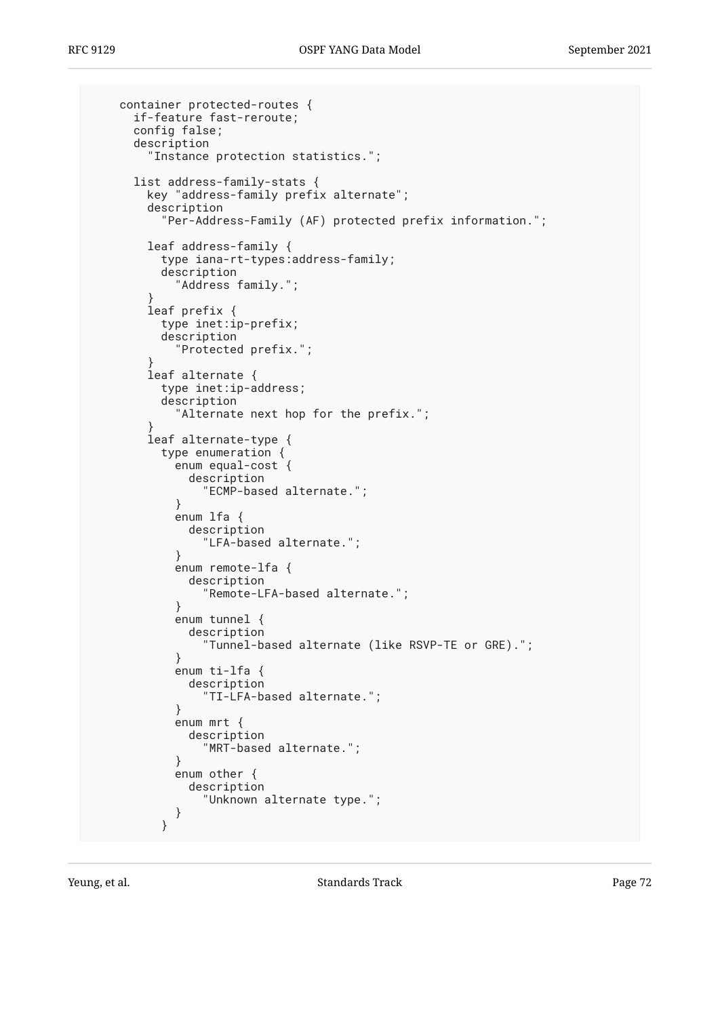```
 container protected-routes {
     if-feature fast-reroute;
     config false;
     description
        "Instance protection statistics.";
     list address-family-stats {
       key "address-family prefix alternate";
       description
         "Per-Address-Family (AF) protected prefix information.";
       leaf address-family {
         type iana-rt-types:address-family;
         description
           "Address family.";
}
       leaf prefix {
         type inet:ip-prefix;
         description
           "Protected prefix.";
}
       leaf alternate {
         type inet:ip-address;
         description
            "Alternate next hop for the prefix.";
}
       leaf alternate-type {
         type enumeration {
           enum equal-cost {
             description
           "ECMP-based alternate.";
}
           enum lfa {
             description
                "LFA-based alternate.";
}
           enum remote-lfa {
             description
               "Remote-LFA-based alternate.";
}
           enum tunnel {
             description
                "Tunnel-based alternate (like RSVP-TE or GRE).";
}
           enum ti-lfa {
             description
               "TI-LFA-based alternate.";
}
           enum mrt {
             description
               "MRT-based alternate.";
}
           enum other {
             description
                "Unknown alternate type.";
        \begin{matrix} \end{matrix} }
```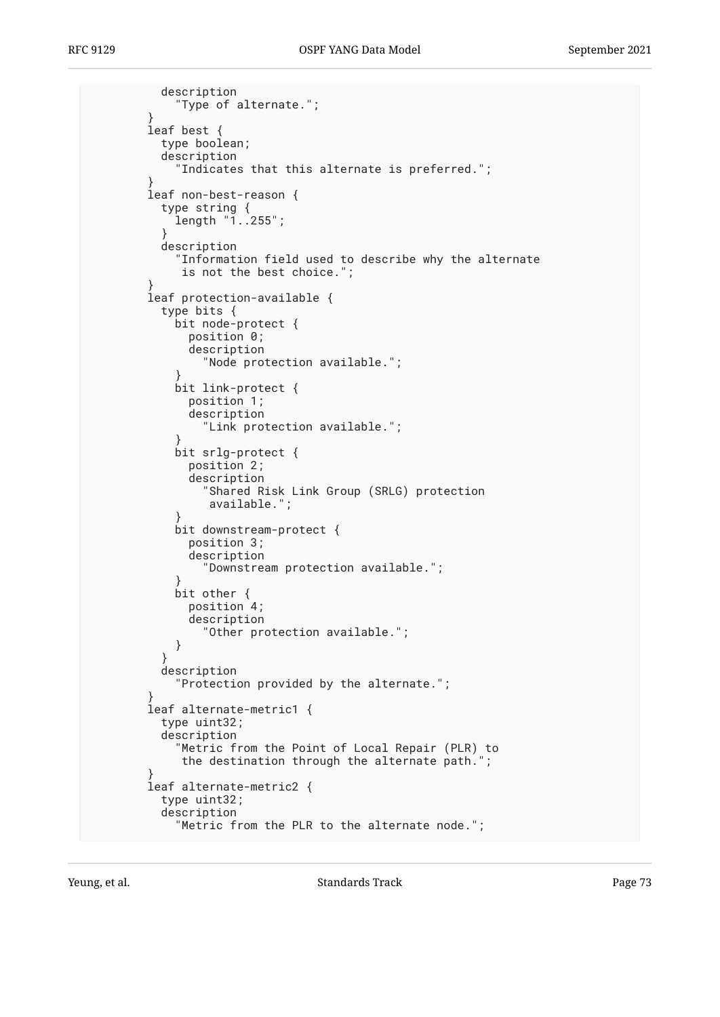```
 description
            "Type of alternate.";
 }
        leaf best {
          type boolean;
          description
             "Indicates that this alternate is preferred.";
 }
        leaf non-best-reason {
          type string {
            length "1..255";
 }
          description
            "Information field used to describe why the alternate
             is not the best choice.";
 }
        leaf protection-available {
          type bits {
            bit node-protect {
              position 0;
              description
                "Node protection available.";
 }
            bit link-protect {
              position 1;
              description
                "Link protection available.";
 }
            bit srlg-protect {
              position 2;
              description
                "Shared Risk Link Group (SRLG) protection
                 available.";
 }
            bit downstream-protect {
              position 3;
              description
                "Downstream protection available.";
 }
            bit other {
              position 4;
              description
            "Other protection available.";
 }
 }
          description
            "Protection provided by the alternate.";
 }
        leaf alternate-metric1 {
          type uint32;
          description
            "Metric from the Point of Local Repair (PLR) to
             the destination through the alternate path.";
 }
        leaf alternate-metric2 {
          type uint32;
          description
            "Metric from the PLR to the alternate node.";
```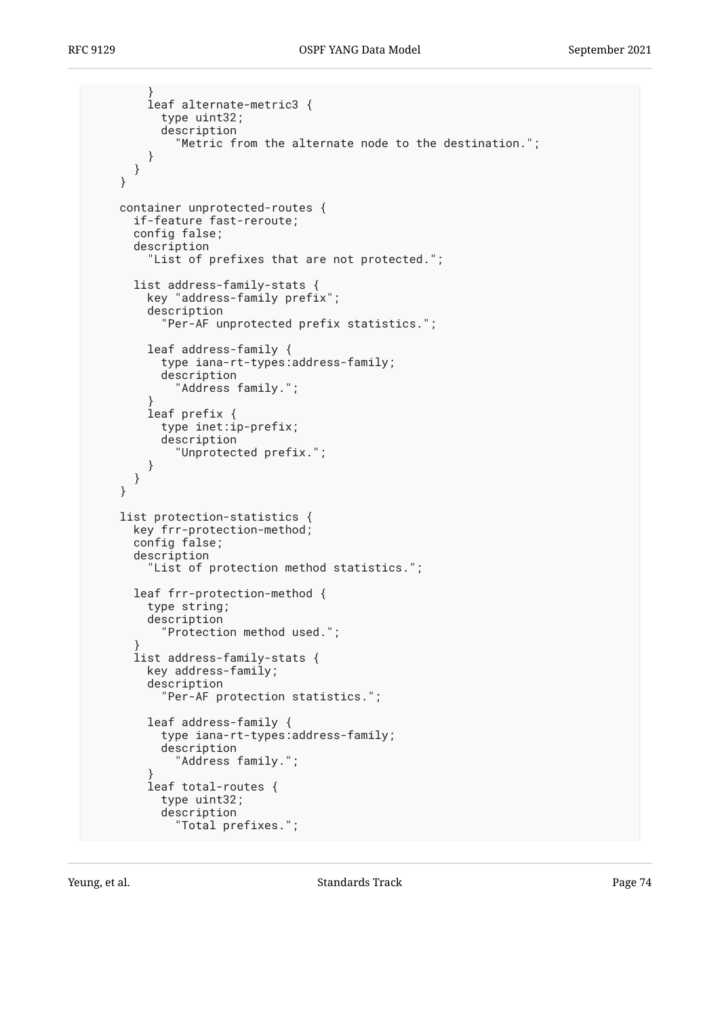```
 }
         leaf alternate-metric3 {
           type uint32;
           description
             "Metric from the alternate node to the destination.";
         }
      }
     }
     container unprotected-routes {
      if-feature fast-reroute;
       config false;
       description
         "List of prefixes that are not protected.";
       list address-family-stats {
         key "address-family prefix";
         description
           "Per-AF unprotected prefix statistics.";
         leaf address-family {
           type iana-rt-types:address-family;
           description
             "Address family.";
 }
         leaf prefix {
           type inet:ip-prefix;
           description
             "Unprotected prefix.";
         }
      }
     }
     list protection-statistics {
       key frr-protection-method;
       config false;
       description
         "List of protection method statistics.";
       leaf frr-protection-method {
         type string;
         description
           "Protection method used.";
 }
       list address-family-stats {
         key address-family;
         description
           "Per-AF protection statistics.";
         leaf address-family {
           type iana-rt-types:address-family;
           description
             "Address family.";
 }
         leaf total-routes {
           type uint32;
           description
             "Total prefixes.";
```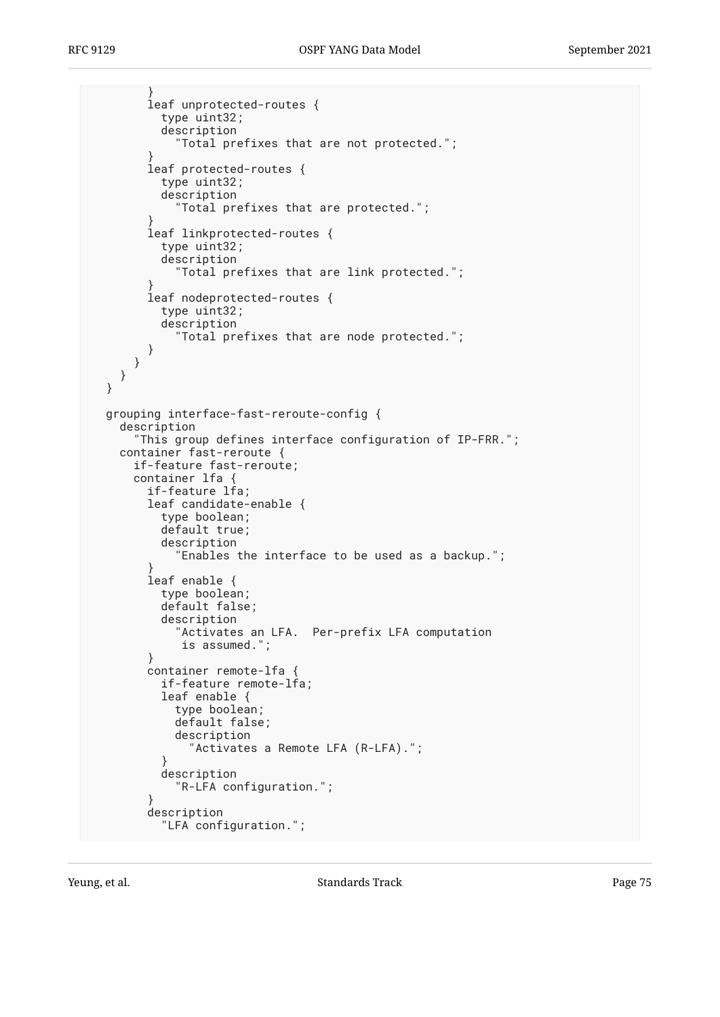```
 }
         leaf unprotected-routes {
           type uint32;
           description
             "Total prefixes that are not protected.";
 }
         leaf protected-routes {
           type uint32;
           description
             "Total prefixes that are protected.";
 }
         leaf linkprotected-routes {
           type uint32;
           description
             "Total prefixes that are link protected.";
 }
         leaf nodeprotected-routes {
           type uint32;
           description
             "Total prefixes that are node protected.";
        }
      }
    }
  }
  grouping interface-fast-reroute-config {
     description
       "This group defines interface configuration of IP-FRR.";
     container fast-reroute {
      if-feature fast-reroute;
      container lfa {
        if-feature lfa;
        leaf candidate-enable {
           type boolean;
           default true;
           description
             "Enables the interface to be used as a backup.";
 }
        leaf enable {
          type boolean;
           default false;
           description
             "Activates an LFA. Per-prefix LFA computation
              is assumed.";
         }
         container remote-lfa {
           if-feature remote-lfa;
           leaf enable {
             type boolean;
             default false;
             description
               "Activates a Remote LFA (R-LFA).";
 }
           description
             "R-LFA configuration.";
 }
        description
           "LFA configuration.";
```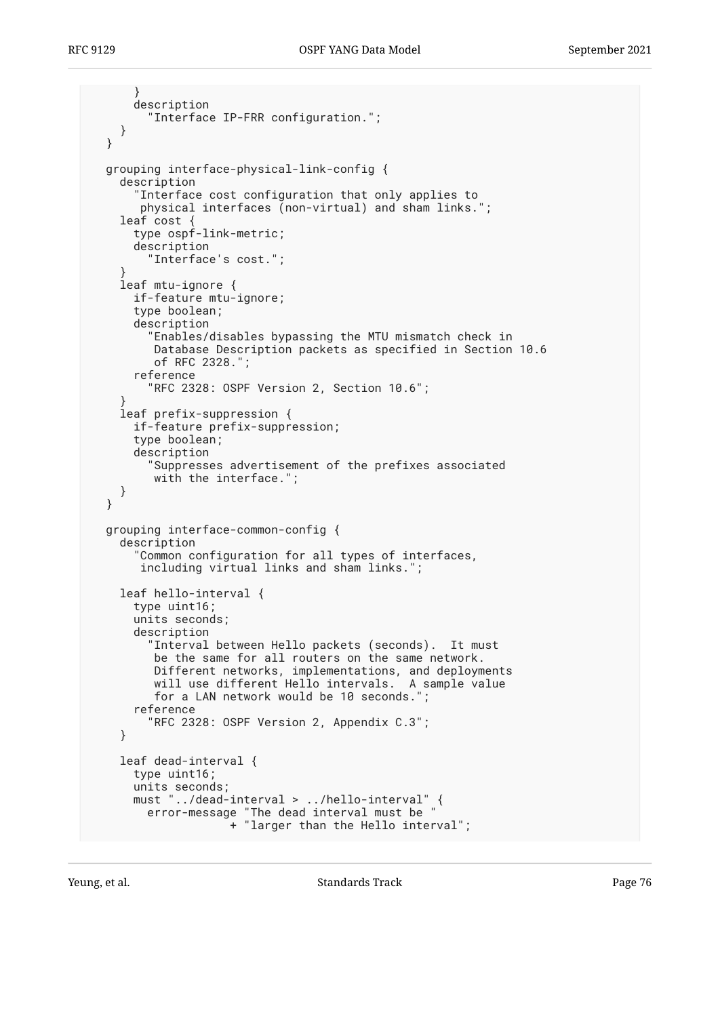```
 }
      description
         "Interface IP-FRR configuration.";
    }
  }
  grouping interface-physical-link-config {
    description
       "Interface cost configuration that only applies to
       physical interfaces (non-virtual) and sham links.";
    leaf cost {
      type ospf-link-metric;
      description
         "Interface's cost.";
 }
    leaf mtu-ignore {
      if-feature mtu-ignore;
      type boolean;
      description
         "Enables/disables bypassing the MTU mismatch check in
         Database Description packets as specified in Section 10.6
         of RFC 2328.";
      reference
         "RFC 2328: OSPF Version 2, Section 10.6";
 }
    leaf prefix-suppression {
      if-feature prefix-suppression;
      type boolean;
      description
         "Suppresses advertisement of the prefixes associated
         with the interface.";
    }
  }
  grouping interface-common-config {
    description
       "Common configuration for all types of interfaces,
       including virtual links and sham links.";
    leaf hello-interval {
      type uint16;
      units seconds;
      description
         "Interval between Hello packets (seconds). It must
         be the same for all routers on the same network.
 Different networks, implementations, and deployments
 will use different Hello intervals. A sample value
         for a LAN network would be 10 seconds.";
      reference
         "RFC 2328: OSPF Version 2, Appendix C.3";
    }
    leaf dead-interval {
      type uint16;
      units seconds;
 must "../dead-interval > ../hello-interval" {
 error-message "The dead interval must be "
 + "larger than the Hello interval";
```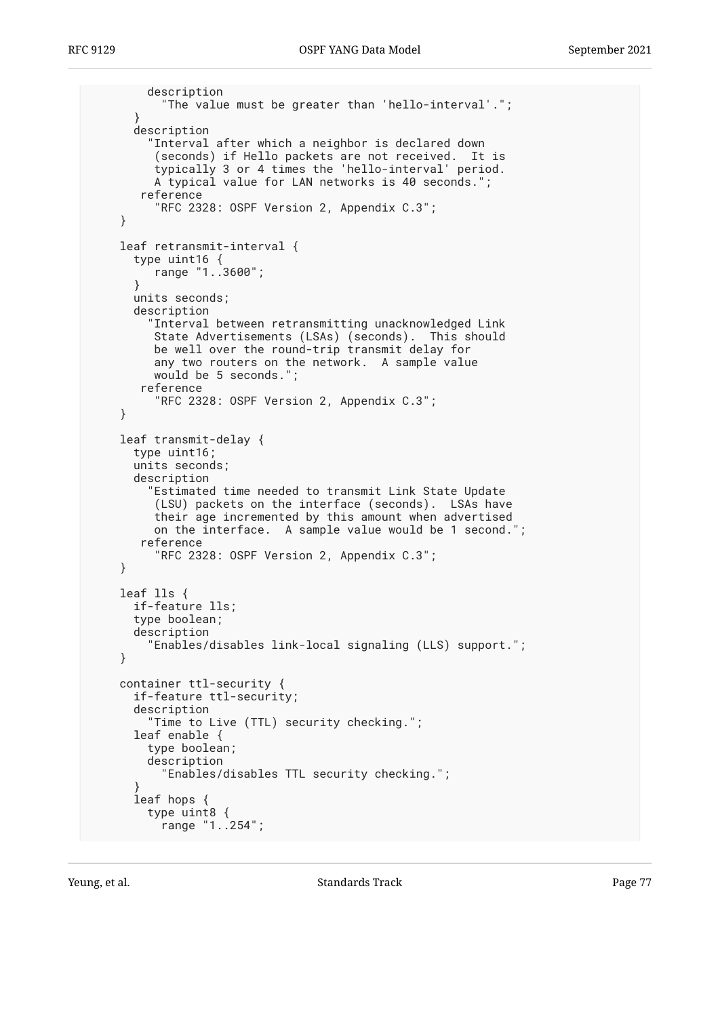```
 description
           "The value must be greater than 'hello-interval'.";
       }
       description
         "Interval after which a neighbor is declared down
 (seconds) if Hello packets are not received. It is
 typically 3 or 4 times the 'hello-interval' period.
         A typical value for LAN networks is 40 seconds.
        reference
          "RFC 2328: OSPF Version 2, Appendix C.3";
     }
     leaf retransmit-interval {
      type uint16 {
          range "1..3600";
       }
      units seconds;
      description
         "Interval between retransmitting unacknowledged Link
          State Advertisements (LSAs) (seconds). This should
          be well over the round-trip transmit delay for
          any two routers on the network. A sample value
          would be 5 seconds.";
        reference
          "RFC 2328: OSPF Version 2, Appendix C.3";
     }
     leaf transmit-delay {
      type uint16;
      units seconds;
      description
         "Estimated time needed to transmit Link State Update
          (LSU) packets on the interface (seconds). LSAs have
          their age incremented by this amount when advertised
          on the interface. A sample value would be 1 second.";
        reference
          "RFC 2328: OSPF Version 2, Appendix C.3";
     }
    leaf lls {
      if-feature lls;
      type boolean;
      description
         "Enables/disables link-local signaling (LLS) support.";
     }
     container ttl-security {
      if-feature ttl-security;
      description
         "Time to Live (TTL) security checking.";
       leaf enable {
         type boolean;
         description
           "Enables/disables TTL security checking.";
 }
       leaf hops {
         type uint8 {
          range "1..254";
```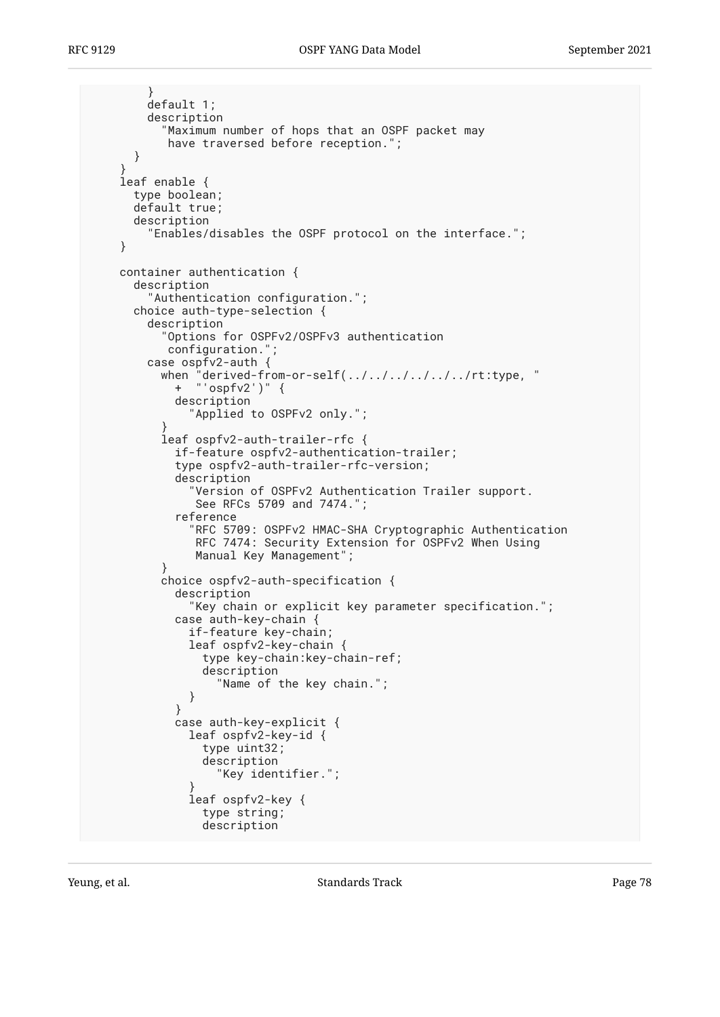```
 }
        default 1;
        description
           "Maximum number of hops that an OSPF packet may
           have traversed before reception.";
      }
 }
    leaf enable {
      type boolean;
      default true;
      description
         "Enables/disables the OSPF protocol on the interface.";
    }
    container authentication {
      description
         "Authentication configuration.";
      choice auth-type-selection {
        description
           "Options for OSPFv2/OSPFv3 authentication
           configuration.";
        case ospfv2-auth {
           when "derived-from-or-self(../../../../../../rt:type, "
            + "'ospfv2')" {
             description
               "Applied to OSPFv2 only.";
 }
           leaf ospfv2-auth-trailer-rfc {
             if-feature ospfv2-authentication-trailer;
             type ospfv2-auth-trailer-rfc-version;
             description
               "Version of OSPFv2 Authentication Trailer support.
               See RFCs 5709 and 7474.";
             reference
               "RFC 5709: OSPFv2 HMAC-SHA Cryptographic Authentication
               RFC 7474: Security Extension for OSPFv2 When Using
               Manual Key Management";
 }
           choice ospfv2-auth-specification {
             description
               "Key chain or explicit key parameter specification.";
             case auth-key-chain {
               if-feature key-chain;
               leaf ospfv2-key-chain {
                 type key-chain:key-chain-ref;
                 description
                   "Name of the key chain.";
 }
 }
             case auth-key-explicit {
               leaf ospfv2-key-id {
                 type uint32;
                 description
                   "Key identifier.";
 }
               leaf ospfv2-key {
                 type string;
                 description
```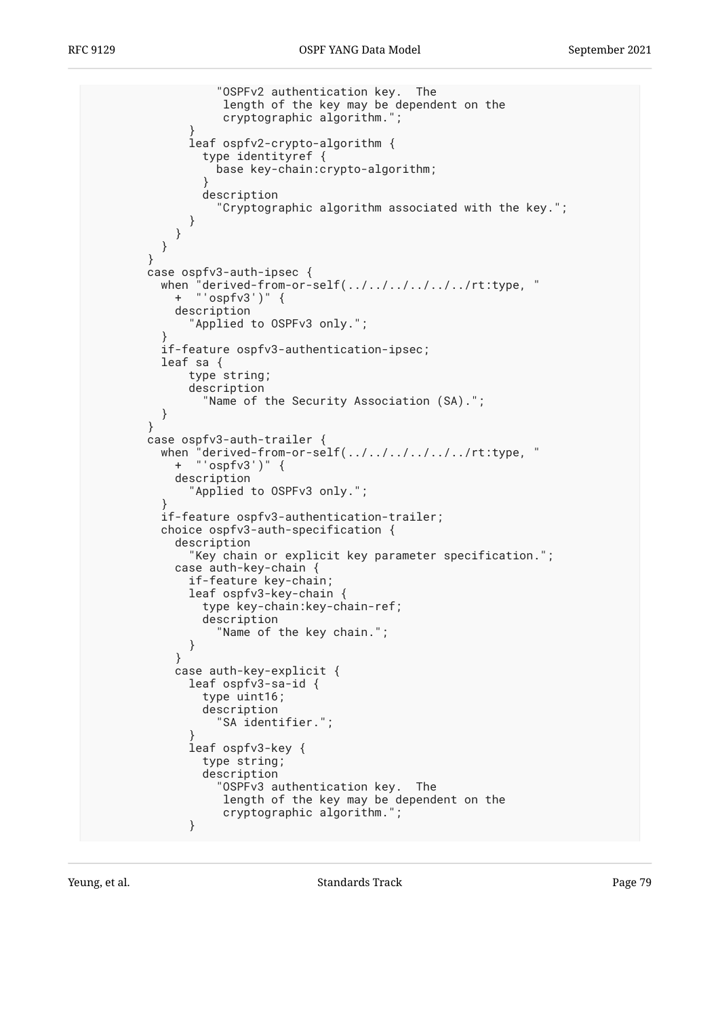```
 "OSPFv2 authentication key. The
                   length of the key may be dependent on the
                   cryptographic algorithm.";
 }
              leaf ospfv2-crypto-algorithm {
                type identityref {
                 base key-chain:crypto-algorithm;
 }
                description
                  "Cryptographic algorithm associated with the key.";
 }
 }
 }
        }
        case ospfv3-auth-ipsec {
              'derived-from-or-self(../../../../../../rt:type, "
         when "derived-from<br>+ "'ospfv3')" {
            description
              "Applied to OSPFv3 only.";
 }
          if-feature ospfv3-authentication-ipsec;
          leaf sa {
              type string;
              description
                "Name of the Security Association (SA).";
          }
 }
        case ospfv3-auth-trailer {
              "derived-from-or-self(../../../../../r\t;type, "when "derived-from<br>+ "'ospfv3')" {
            description
              "Applied to OSPFv3 only.";
 }
          if-feature ospfv3-authentication-trailer;
          choice ospfv3-auth-specification {
            description
              "Key chain or explicit key parameter specification.";
            case auth-key-chain {
             if-feature key-chain;
              leaf ospfv3-key-chain {
                type key-chain:key-chain-ref;
                description
                  "Name of the key chain.";
 }
 }
            case auth-key-explicit {
              leaf ospfv3-sa-id {
                type uint16;
                description
                  "SA identifier.";
 }
              leaf ospfv3-key {
                type string;
                description
                  "OSPFv3 authentication key. The
 length of the key may be dependent on the
 cryptographic algorithm.";
 }
```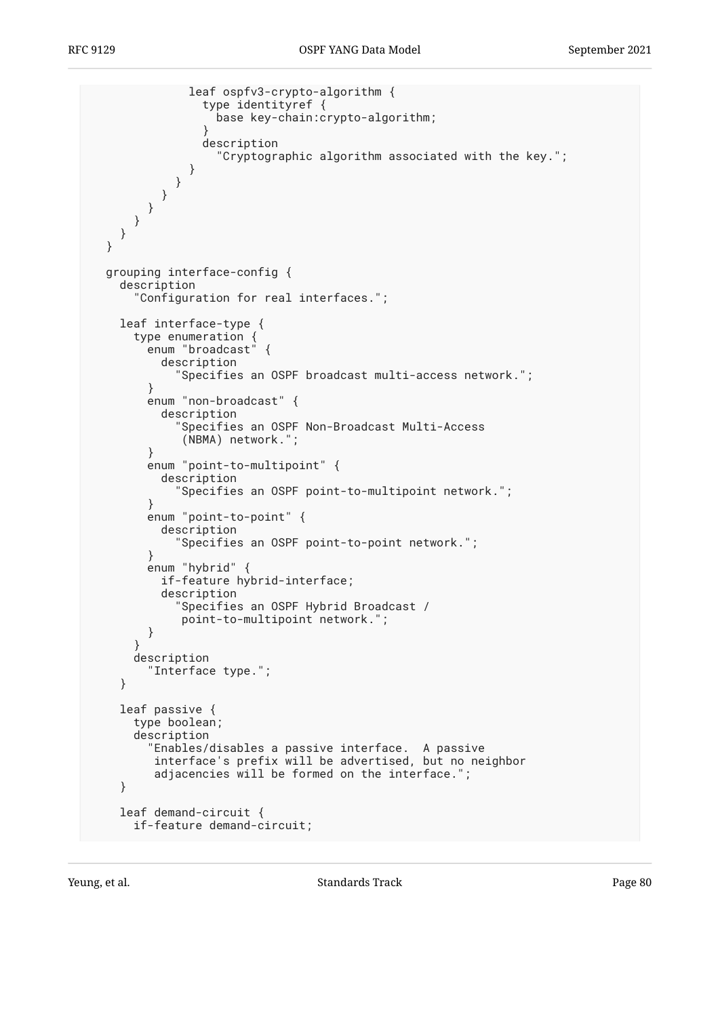```
 leaf ospfv3-crypto-algorithm {
                 type identityref {
                  base key-chain:crypto-algorithm;
 }
                description
                   "Cryptographic algorithm associated with the key.";
 }
 }
 }
 }
 }
    }
  }
  grouping interface-config {
    description
       "Configuration for real interfaces.";
    leaf interface-type {
      type enumeration {
        enum "broadcast" {
          description
             "Specifies an OSPF broadcast multi-access network.";
         }
        enum "non-broadcast" {
          description
             "Specifies an OSPF Non-Broadcast Multi-Access
             (NBMA) network.";
 }
        enum "point-to-multipoint" {
          description
             "Specifies an OSPF point-to-multipoint network.";
         }
        enum "point-to-point" {
          description
             "Specifies an OSPF point-to-point network.";
 }
        enum "hybrid" {
          if-feature hybrid-interface;
          description
             "Specifies an OSPF Hybrid Broadcast /
             point-to-multipoint network.";
         }
      }
      description
         "Interface type.";
    }
    leaf passive {
      type boolean;
      description
         "Enables/disables a passive interface. A passive
         interface's prefix will be advertised, but no neighbor
         adjacencies will be formed on the interface.";
    }
    leaf demand-circuit {
      if-feature demand-circuit;
```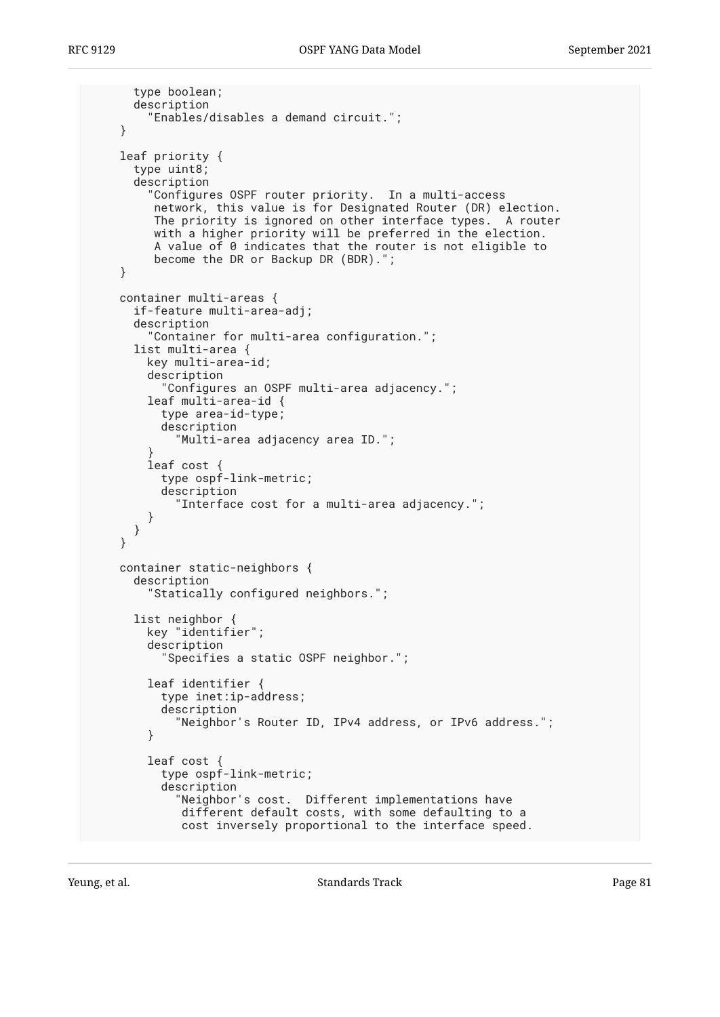```
 type boolean;
       description
         "Enables/disables a demand circuit.";
     }
     leaf priority {
       type uint8;
       description
         "Configures OSPF router priority. In a multi-access
          network, this value is for Designated Router (DR) election.
          The priority is ignored on other interface types. A router
          with a higher priority will be preferred in the election.
          A value of 0 indicates that the router is not eligible to
          become the DR or Backup DR (BDR).";
     }
     container multi-areas {
       if-feature multi-area-adj;
       description
         "Container for multi-area configuration.";
       list multi-area {
         key multi-area-id;
         description
           "Configures an OSPF multi-area adjacency.";
         leaf multi-area-id {
           type area-id-type;
           description
             "Multi-area adjacency area ID.";
 }
         leaf cost {
           type ospf-link-metric;
           description
             "Interface cost for a multi-area adjacency.";
         }
       }
     }
     container static-neighbors {
       description
         "Statically configured neighbors.";
       list neighbor {
         key "identifier";
         description
           "Specifies a static OSPF neighbor.";
         leaf identifier {
           type inet:ip-address;
           description
             "Neighbor's Router ID, IPv4 address, or IPv6 address.";
         }
         leaf cost {
           type ospf-link-metric;
           description
              "Neighbor's cost. Different implementations have
              different default costs, with some defaulting to a
              cost inversely proportional to the interface speed.
```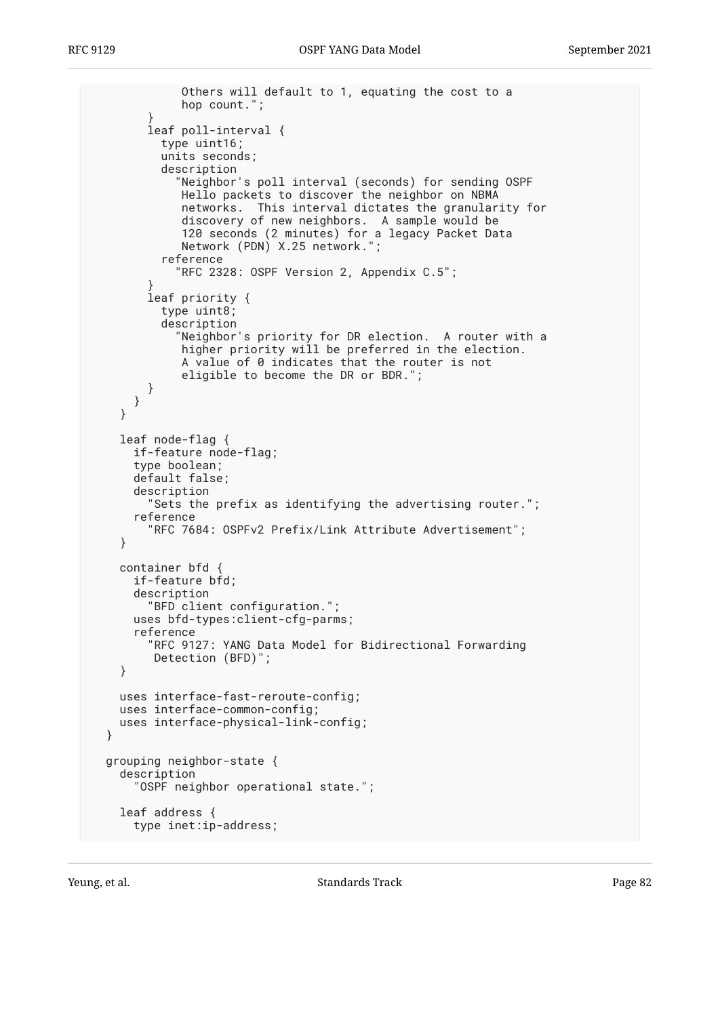```
 Others will default to 1, equating the cost to a
              hop count.";
 }
         leaf poll-interval {
           type uint16;
           units seconds;
           description
             "Neighbor's poll interval (seconds) for sending OSPF
              Hello packets to discover the neighbor on NBMA
              networks. This interval dictates the granularity for
              discovery of new neighbors. A sample would be
              120 seconds (2 minutes) for a legacy Packet Data
              Network (PDN) X.25 network.";
           reference
             "RFC 2328: OSPF Version 2, Appendix C.5";
 }
         leaf priority {
           type uint8;
           description
             "Neighbor's priority for DR election. A router with a
              higher priority will be preferred in the election.
              A value of 0 indicates that the router is not
              eligible to become the DR or BDR.";
         }
      }
     }
     leaf node-flag {
      if-feature node-flag;
       type boolean;
      default false;
       description
         "Sets the prefix as identifying the advertising router.";
       reference
         "RFC 7684: OSPFv2 Prefix/Link Attribute Advertisement";
     }
    container bfd {
      if-feature bfd;
       description
         "BFD client configuration.";
       uses bfd-types:client-cfg-parms;
       reference
         "RFC 9127: YANG Data Model for Bidirectional Forwarding
          Detection (BFD)";
     }
    uses interface-fast-reroute-config;
    uses interface-common-config;
    uses interface-physical-link-config;
  grouping neighbor-state {
    description
       "OSPF neighbor operational state.";
     leaf address {
      type inet:ip-address;
```
}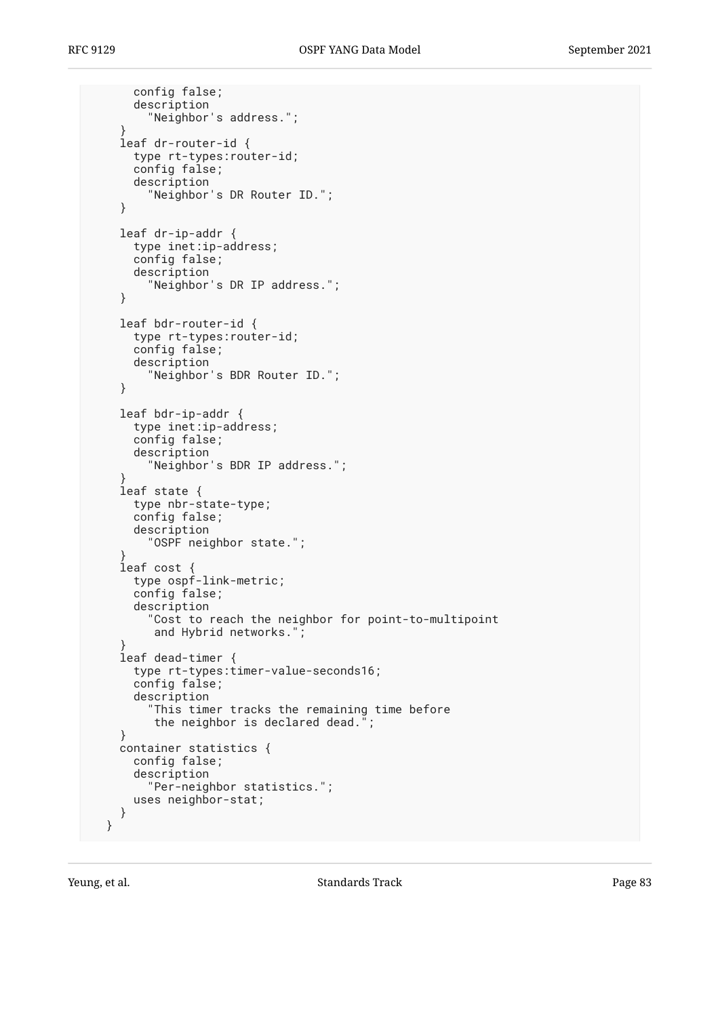```
 config false;
       description
         "Neighbor's address.";
 }
     leaf dr-router-id {
       type rt-types:router-id;
       config false;
       description
         "Neighbor's DR Router ID.";
     }
     leaf dr-ip-addr {
       type inet:ip-address;
       config false;
       description
         "Neighbor's DR IP address.";
     }
     leaf bdr-router-id {
       type rt-types:router-id;
       config false;
       description
         "Neighbor's BDR Router ID.";
     }
     leaf bdr-ip-addr {
       type inet:ip-address;
       config false;
       description
         "Neighbor's BDR IP address.";
 }
     leaf state {
       type nbr-state-type;
       config false;
       description
         "OSPF neighbor state.";
 }
     leaf cost {
       type ospf-link-metric;
       config false;
       description
         "Cost to reach the neighbor for point-to-multipoint
          and Hybrid networks.";
 }
     leaf dead-timer {
       type rt-types:timer-value-seconds16;
       config false;
       description
         "This timer tracks the remaining time before
          the neighbor is declared dead.";
     }
     container statistics {
       config false;
       description
         "Per-neighbor statistics.";
       uses neighbor-stat;
    }
  }
```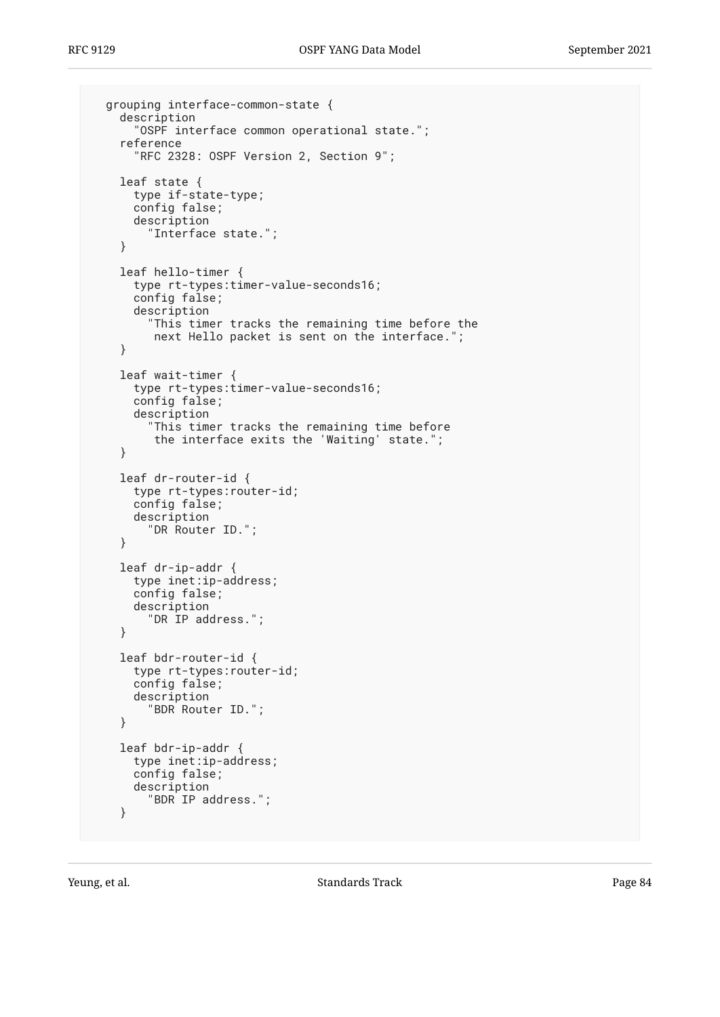```
 grouping interface-common-state {
   description
     "OSPF interface common operational state.";
   reference
     "RFC 2328: OSPF Version 2, Section 9";
   leaf state {
     type if-state-type;
     config false;
     description
       "Interface state.";
   }
   leaf hello-timer {
     type rt-types:timer-value-seconds16;
     config false;
     description
       "This timer tracks the remaining time before the
        next Hello packet is sent on the interface.";
   }
   leaf wait-timer {
     type rt-types:timer-value-seconds16;
     config false;
     description
        "This timer tracks the remaining time before
        the interface exits the 'Waiting' state.";
   }
   leaf dr-router-id {
     type rt-types:router-id;
     config false;
     description
       "DR Router ID.";
   }
   leaf dr-ip-addr {
     type inet:ip-address;
     config false;
     description
       "DR IP address.";
   }
   leaf bdr-router-id {
     type rt-types:router-id;
     config false;
     description
       "BDR Router ID.";
   }
   leaf bdr-ip-addr {
     type inet:ip-address;
     config false;
     description
       "BDR IP address.";
   }
```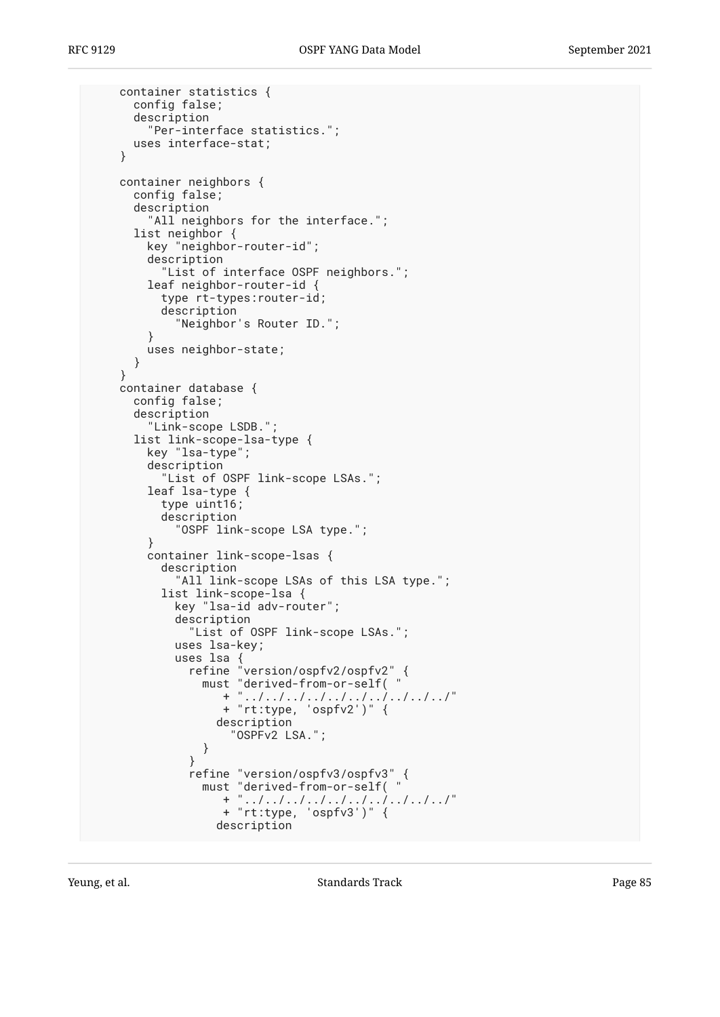```
 container statistics {
      config false;
      description
        "Per-interface statistics.";
      uses interface-stat;
    }
    container neighbors {
      config false;
      description
       "All neighbors for the interface.";
      list neighbor {
        key "neighbor-router-id";
        description
          "List of interface OSPF neighbors.";
        leaf neighbor-router-id {
          type rt-types:router-id;
          description
           "Neighbor's Router ID.";
        }
        uses neighbor-state;
      }
    }
    container database {
      config false;
      description
        "Link-scope LSDB.";
      list link-scope-lsa-type {
        key "lsa-type";
        description
          "List of OSPF link-scope LSAs.";
        leaf lsa-type {
          type uint16;
          description
            "OSPF link-scope LSA type.";
        }
        container link-scope-lsas {
          description
           "All link-scope LSAs of this LSA type.";
          list link-scope-lsa {
           key "lsa-id adv-router";
           description
              "List of OSPF link-scope LSAs.";
           uses lsa-key;
 uses lsa {
 refine "version/ospfv2/ospfv2" {
 must "derived-from-or-self( "
 + "../../../../../../../../../../"
 + "rt:type, 'ospfv2')" {
                 description
               "OSPFv2 LSA.";
 }
 }
 refine "version/ospfv3/ospfv3" {
 must "derived-from-or-self( "
 + "../../../../../../../../../../"
 + "rt:type, 'ospfv3')" {
                 description
```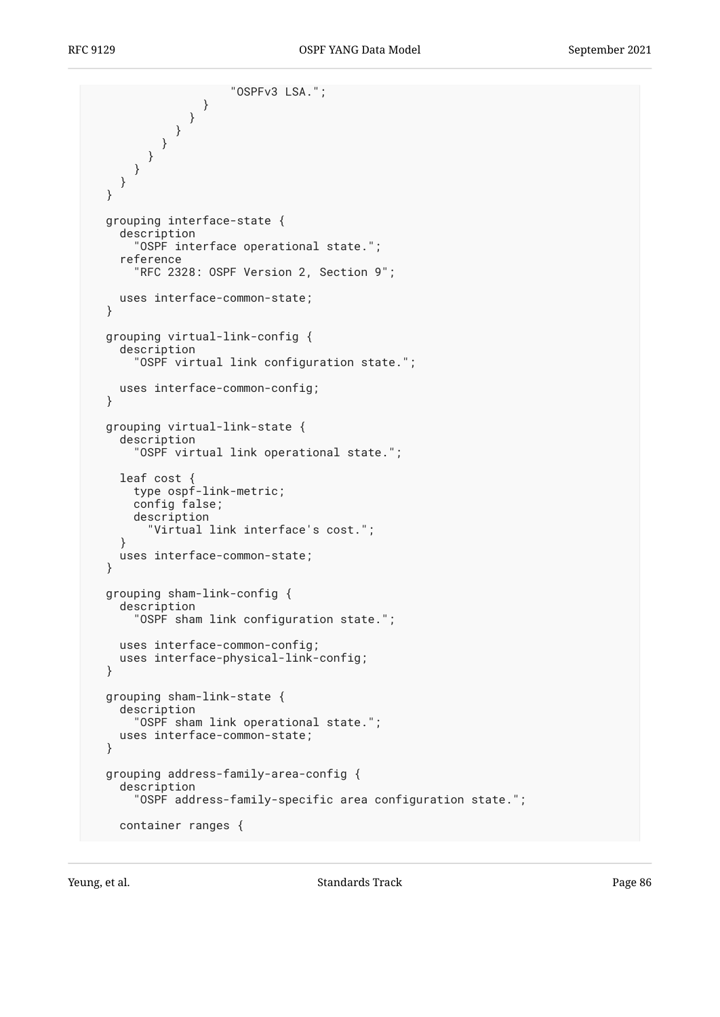```
 "OSPFv3 LSA.";
 }
 }
 }
 }
 }
 }
 }
  }
  grouping interface-state {
    description
       "OSPF interface operational state.";
    reference
       "RFC 2328: OSPF Version 2, Section 9";
    uses interface-common-state;
  }
  grouping virtual-link-config {
    description
      "OSPF virtual link configuration state.";
    uses interface-common-config;
  }
  grouping virtual-link-state {
    description
      "OSPF virtual link operational state.";
    leaf cost {
      type ospf-link-metric;
      config false;
      description
        "Virtual link interface's cost.";
 }
    uses interface-common-state;
  }
  grouping sham-link-config {
    description
       "OSPF sham link configuration state.";
    uses interface-common-config;
    uses interface-physical-link-config;
  }
  grouping sham-link-state {
    description
      "OSPF sham link operational state.";
    uses interface-common-state;
  }
  grouping address-family-area-config {
    description
       "OSPF address-family-specific area configuration state.";
    container ranges {
```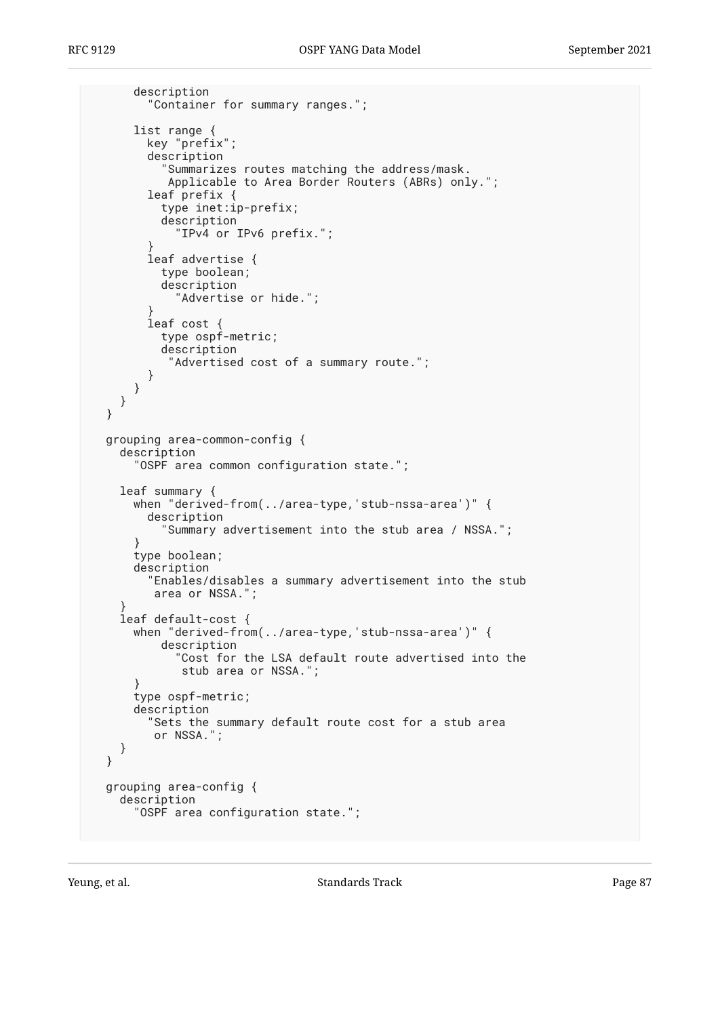```
 description
         "Container for summary ranges.";
      list range {
         key "prefix";
         description
            "Summarizes routes matching the address/mask.
            Applicable to Area Border Routers (ABRs) only.";
 leaf prefix {
 type inet:ip-prefix;
           description
             "IPv4 or IPv6 prefix.";
 }
         leaf advertise {
           type boolean;
           description
             "Advertise or hide.";
 }
         leaf cost {
           type ospf-metric;
           description
            "Advertised cost of a summary route.";
         }
      }
     }
  }
  grouping area-common-config {
     description
       "OSPF area common configuration state.";
     leaf summary {
      when "derived-from(../area-type,'stub-nssa-area')" {
         description
           "Summary advertisement into the stub area / NSSA.";
       }
      type boolean;
      description
         "Enables/disables a summary advertisement into the stub
         area or NSSA.";
 }
     leaf default-cost {
      when "derived-from(../area-type,'stub-nssa-area')" {
           description
             "Cost for the LSA default route advertised into the
              stub area or NSSA.";
 }
      type ospf-metric;
      description
         "Sets the summary default route cost for a stub area
         or NSSA.";
     }
  }
  grouping area-config {
    description
       "OSPF area configuration state.";
```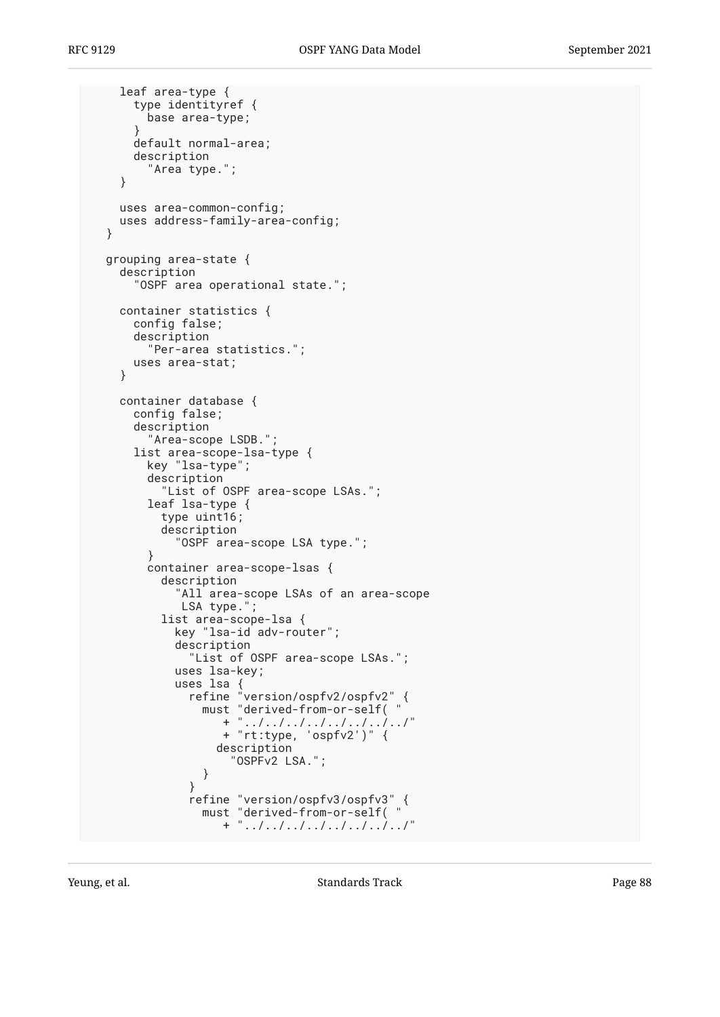```
 leaf area-type {
      type identityref {
        base area-type;
      }
      default normal-area;
      description
        "Area type.";
    }
    uses area-common-config;
    uses address-family-area-config;
  }
  grouping area-state {
    description
      "OSPF area operational state.";
    container statistics {
      config false;
      description
        "Per-area statistics.";
      uses area-stat;
    }
    container database {
      config false;
      description
        "Area-scope LSDB.";
      list area-scope-lsa-type {
        key "lsa-type";
        description
          "List of OSPF area-scope LSAs.";
        leaf lsa-type {
          type uint16;
          description
            "OSPF area-scope LSA type.";
        }
        container area-scope-lsas {
          description
            "All area-scope LSAs of an area-scope
            LSA type.";
          list area-scope-lsa {
           key "lsa-id adv-router";
            description
              "List of OSPF area-scope LSAs.";
            uses lsa-key;
 uses lsa {
 refine "version/ospfv2/ospfv2" {
 must "derived-from-or-self( "
 + "../../../../../../../../"
 + "rt:type, 'ospfv2')" {
                 description
               "OSPFv2 LSA.";
 }
 }
 refine "version/ospfv3/ospfv3" {
 must "derived-from-or-self( "
 + "../../../../../../../../"
```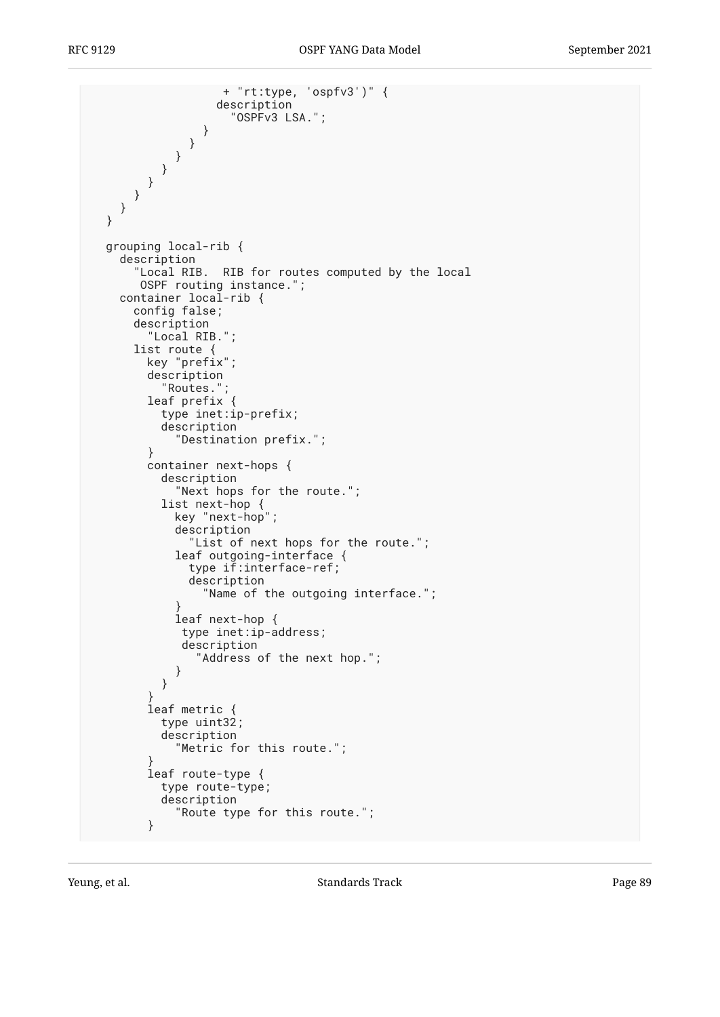```
 + "rt:type, 'ospfv3')" {
                  description
                    "OSPFv3 LSA.";
 }
 }
 }
 }
 }
 }
    }
  }
  grouping local-rib {
    description
       "Local RIB. RIB for routes computed by the local
       OSPF routing instance.";
    container local-rib {
      config false;
      description
        "Local RIB.";
      list route {
        key "prefix";
        description
          "Routes.";
        leaf prefix {
          type inet:ip-prefix;
          description
            "Destination prefix.";
        }
        container next-hops {
          description
            "Next hops for the route.";
          list next-hop {
            key "next-hop";
            description
              "List of next hops for the route.";
            leaf outgoing-interface {
              type if:interface-ref;
              description
                "Name of the outgoing interface.";
 }
            leaf next-hop {
             type inet:ip-address;
             description
               "Address of the next hop.";
 }
          }
 }
        leaf metric {
          type uint32;
          description
            "Metric for this route.";
 }
        leaf route-type {
          type route-type;
          description
            "Route type for this route.";
        }
```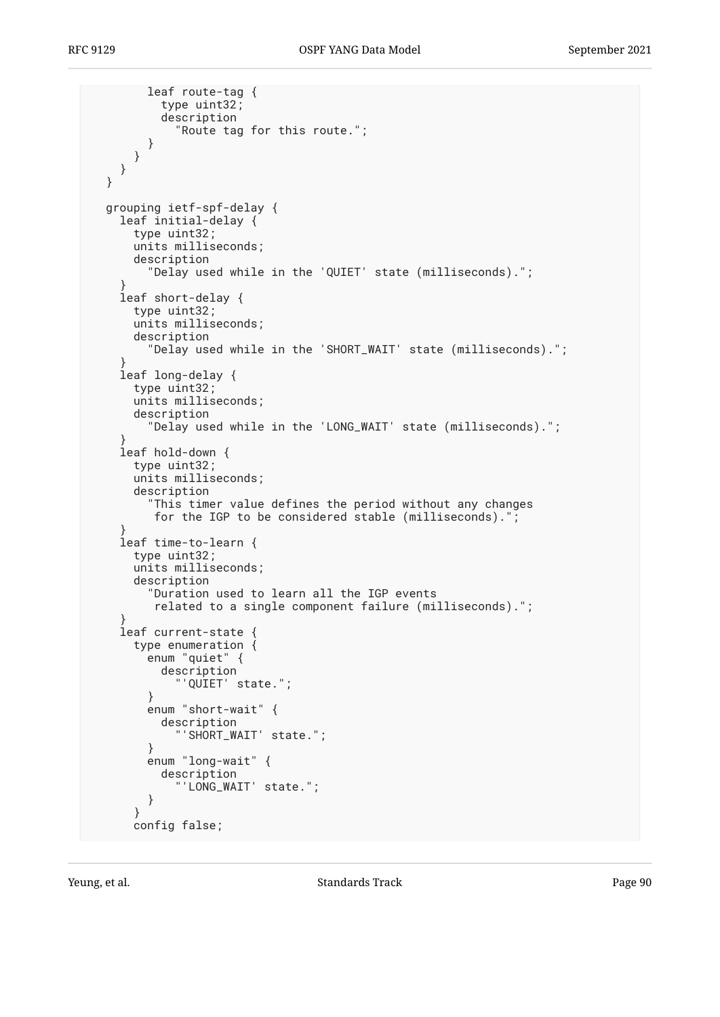```
 leaf route-tag {
           type uint32;
           description
             "Route tag for this route.";
         }
      }
    }
  }
  grouping ietf-spf-delay {
     leaf initial-delay {
      type uint32;
       units milliseconds;
       description
         "Delay used while in the 'QUIET' state (milliseconds).";
 }
     leaf short-delay {
       type uint32;
       units milliseconds;
      description
         "Delay used while in the 'SHORT_WAIT' state (milliseconds).";
 }
     leaf long-delay {
      type uint32;
       units milliseconds;
       description
         "Delay used while in the 'LONG_WAIT' state (milliseconds).";
 }
     leaf hold-down {
      type uint32;
       units milliseconds;
       description
         "This timer value defines the period without any changes
          for the IGP to be considered stable (milliseconds).";
 }
     leaf time-to-learn {
      type uint32;
       units milliseconds;
      description
         "Duration used to learn all the IGP events
          related to a single component failure (milliseconds).";
 }
     leaf current-state {
      type enumeration \{ enum "quiet" {
           description
              'QUIET' state.";
         }
         enum "short-wait" {
           description
              "'SHORT_WAIT' state.";
         }
         enum "long-wait" {
           description
             "'LONG_WAIT' state.";
         }
       }
       config false;
```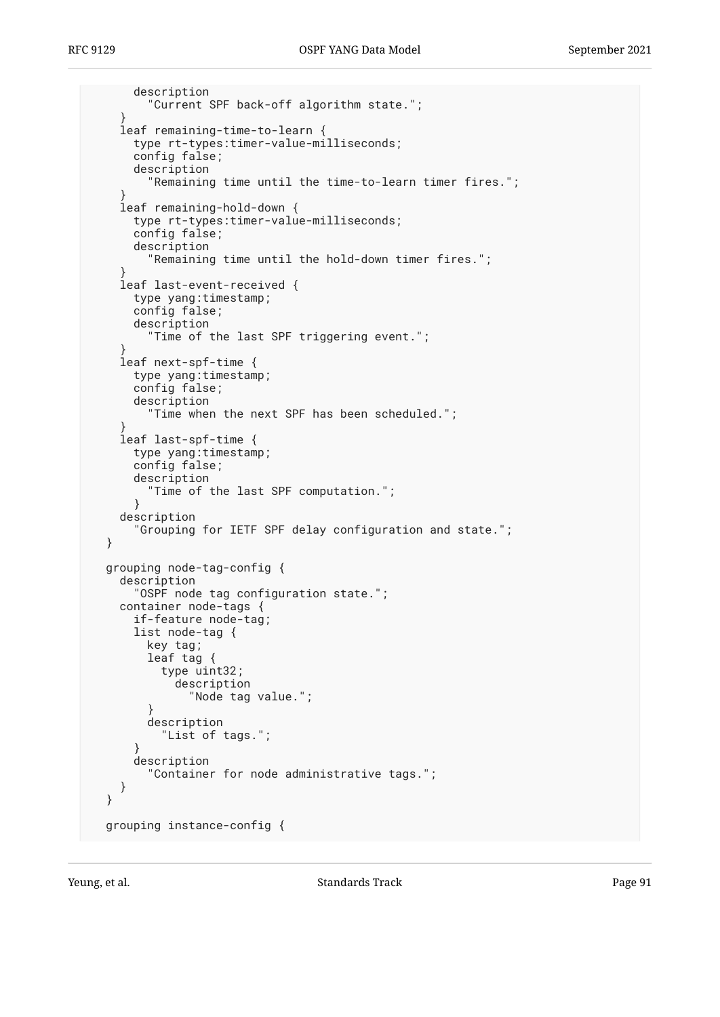```
 description
         "Current SPF back-off algorithm state.";
     }
     leaf remaining-time-to-learn {
      type rt-types:timer-value-milliseconds;
       config false;
       description
         "Remaining time until the time-to-learn timer fires.";
 }
     leaf remaining-hold-down {
       type rt-types:timer-value-milliseconds;
       config false;
       description
         "Remaining time until the hold-down timer fires.";
 }
     leaf last-event-received {
      type yang:timestamp;
       config false;
      description
         "Time of the last SPF triggering event.";
 }
     leaf next-spf-time {
      type yang:timestamp;
      config false;
      description
          "Time when the next SPF has been scheduled.";
 }
     leaf last-spf-time {
       type yang:timestamp;
      config false;
      description
         "Time of the last SPF computation.";
       }
    description
       "Grouping for IETF SPF delay configuration and state.";
  }
  grouping node-tag-config {
    description
       "OSPF node tag configuration state.";
     container node-tags {
       if-feature node-tag;
       list node-tag {
         key tag;
         leaf tag {
           type uint32;
             description
               "Node tag value.";
         }
         description
           "List of tags.";
 }
       description
         "Container for node administrative tags.";
     }
  }
  grouping instance-config {
```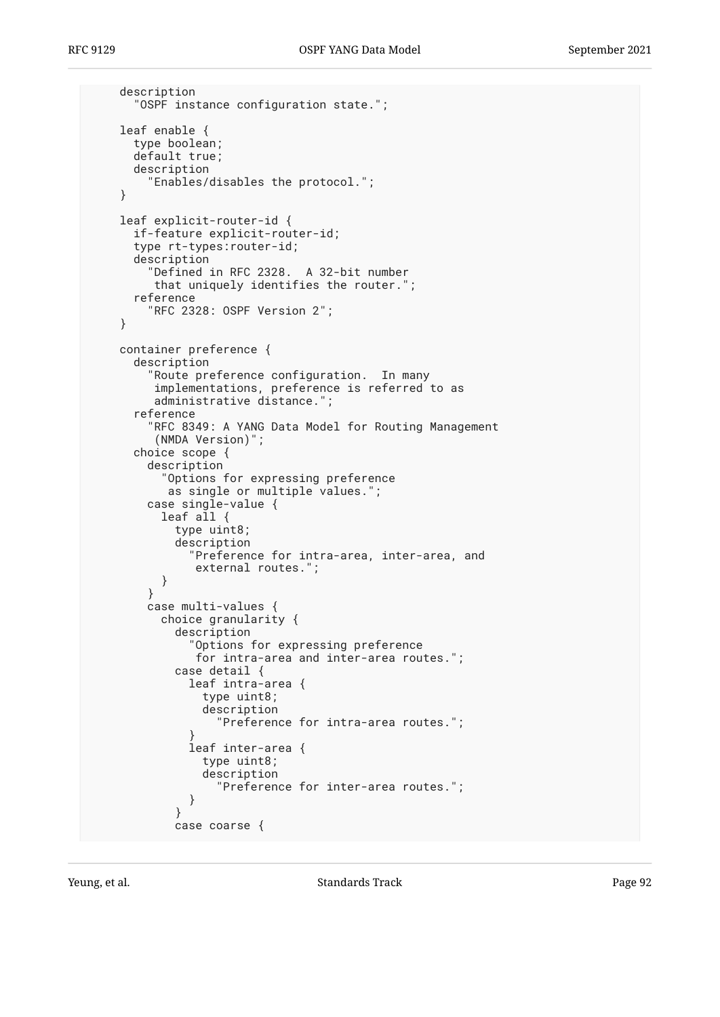```
 description
       "OSPF instance configuration state.";
     leaf enable {
      type boolean;
      default true;
      description
         "Enables/disables the protocol.";
     }
     leaf explicit-router-id {
      if-feature explicit-router-id;
      type rt-types:router-id;
      description
         "Defined in RFC 2328. A 32-bit number
          that uniquely identifies the router.";
       reference
         "RFC 2328: OSPF Version 2";
     }
     container preference {
       description
         "Route preference configuration. In many
          implementations, preference is referred to as
          administrative distance.";
       reference
         "RFC 8349: A YANG Data Model for Routing Management
          (NMDA Version)";
       choice scope {
        description
           "Options for expressing preference
            as single or multiple values.";
        case single-value {
           leaf all {
             type uint8;
             description
               "Preference for intra-area, inter-area, and
          external routes.";<br>}
 }
         }
        case multi-values {
           choice granularity {
             description
               "Options for expressing preference
                for intra-area and inter-area routes.";
             case detail {
               leaf intra-area {
                 type uint8;
                 description
                   "Preference for intra-area routes.";
 }
               leaf inter-area {
                 type uint8;
                 description
                   "Preference for inter-area routes.";
 }
 }
             case coarse {
```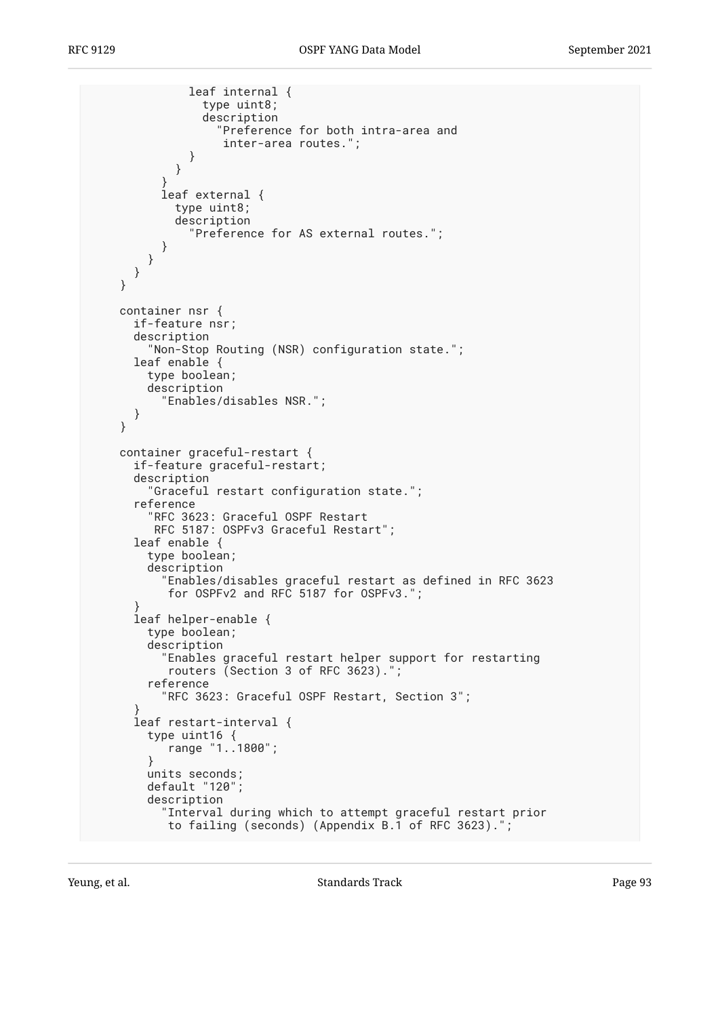```
 leaf internal {
                 type uint8;
                 description
                   "Preference for both intra-area and
                    inter-area routes.";
 }
 }
 }
           leaf external {
             type uint8;
             description
               "Preference for AS external routes.";
          }
        }
      }
     }
     container nsr {
      if-feature nsr;
      description
         "Non-Stop Routing (NSR) configuration state.";
      leaf enable {
         type boolean;
         description
           "Enables/disables NSR.";
      }
     }
     container graceful-restart {
      if-feature graceful-restart;
      description
         "Graceful restart configuration state.";
       reference
         "RFC 3623: Graceful OSPF Restart
          RFC 5187: OSPFv3 Graceful Restart";
      leaf enable {
         type boolean;
         description
           "Enables/disables graceful restart as defined in RFC 3623
           for OSPFv2 and RFC 5187 for OSPFv3.";
 }
       leaf helper-enable {
         type boolean;
         description
           "Enables graceful restart helper support for restarting
            routers (Section 3 of RFC 3623).";
         reference
           "RFC 3623: Graceful OSPF Restart, Section 3";
 }
       leaf restart-interval {
         type uint16 {
            range "1..1800";
         }
         units seconds;
         default "120";
         description
           "Interval during which to attempt graceful restart prior
           to failing (seconds) (Appendix B.1 of RFC 3623).";
```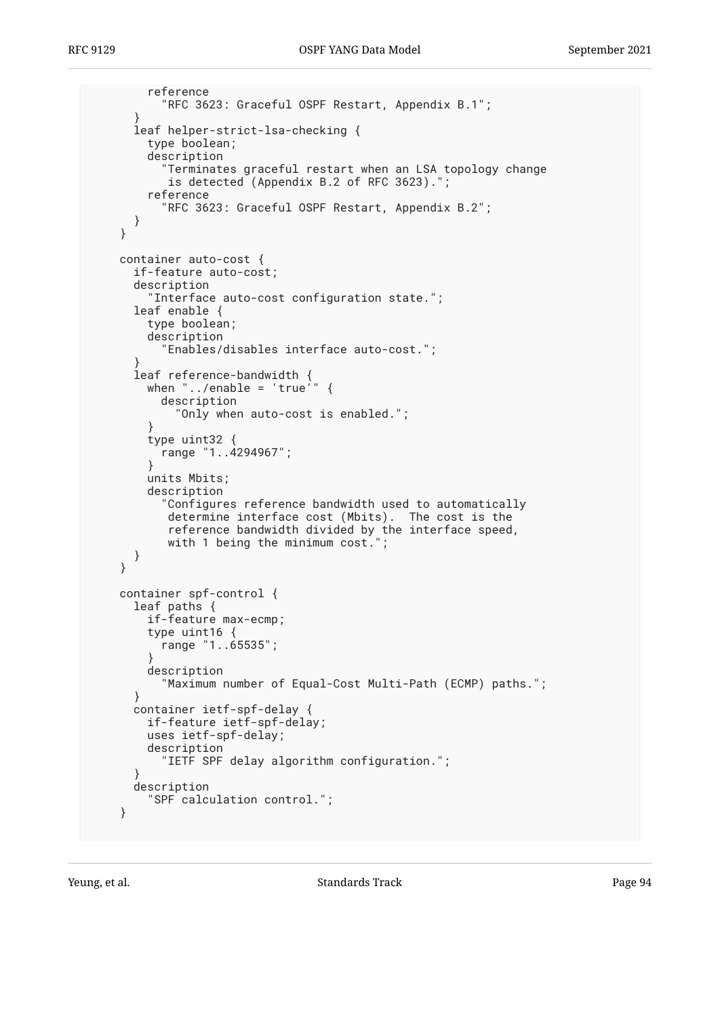```
 reference
           "RFC 3623: Graceful OSPF Restart, Appendix B.1";
 }
       leaf helper-strict-lsa-checking {
         type boolean;
         description
            "Terminates graceful restart when an LSA topology change
           is detected (Appendix B.2 of RFC 3623)."
         reference
           "RFC 3623: Graceful OSPF Restart, Appendix B.2";
      }
     }
     container auto-cost {
       if-feature auto-cost;
       description
         "Interface auto-cost configuration state.";
       leaf enable {
         type boolean;
         description
           "Enables/disables interface auto-cost.";
 }
       leaf reference-bandwidth {
        when "\ldots/enable = 'true'" {
           description
              "Only when auto-cost is enabled.";
 }
         type uint32 {
        range "1..4294967";<br>}
 }
         units Mbits;
         description
           "Configures reference bandwidth used to automatically
            determine interface cost (Mbits). The cost is the
            reference bandwidth divided by the interface speed,
            with 1 being the minimum cost.";
      }
     }
     container spf-control {
       leaf paths {
         if-feature max-ecmp;
         type uint16 {
           range "1..65535";
 }
         description
           "Maximum number of Equal-Cost Multi-Path (ECMP) paths.";
       }
       container ietf-spf-delay {
         if-feature ietf-spf-delay;
         uses ietf-spf-delay;
         description
           "IETF SPF delay algorithm configuration.";
       }
      description
         "SPF calculation control.";
     }
```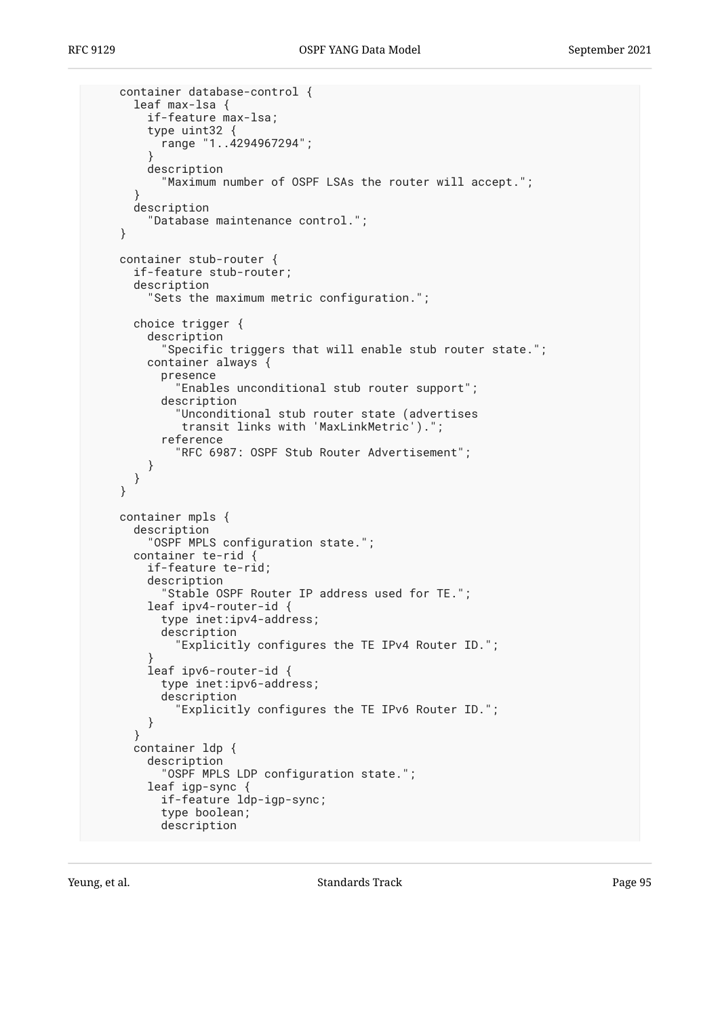```
 container database-control {
       leaf max-lsa {
         if-feature max-lsa;
         type uint32 {
           range "1..4294967294";
 }
         description
           "Maximum number of OSPF LSAs the router will accept.";
 }
      description
         "Database maintenance control.";
     }
     container stub-router {
      if-feature stub-router;
      description
         "Sets the maximum metric configuration.";
      choice trigger {
         description
           "Specific triggers that will enable stub router state.";
         container always {
           presence
             "Enables unconditional stub router support";
           description
 "Unconditional stub router state (advertises
 transit links with 'MaxLinkMetric').";
           reference
             "RFC 6987: OSPF Stub Router Advertisement";
         }
      }
     }
     container mpls {
      description
         "OSPF MPLS configuration state.";
      container te-rid {
         if-feature te-rid;
         description
           "Stable OSPF Router IP address used for TE.";
         leaf ipv4-router-id {
           type inet:ipv4-address;
           description
             "Explicitly configures the TE IPv4 Router ID.";
 }
         leaf ipv6-router-id {
           type inet:ipv6-address;
           description
             "Explicitly configures the TE IPv6 Router ID.";
         }
       }
       container ldp {
         description
           "OSPF MPLS LDP configuration state.";
         leaf igp-sync {
           if-feature ldp-igp-sync;
           type boolean;
           description
```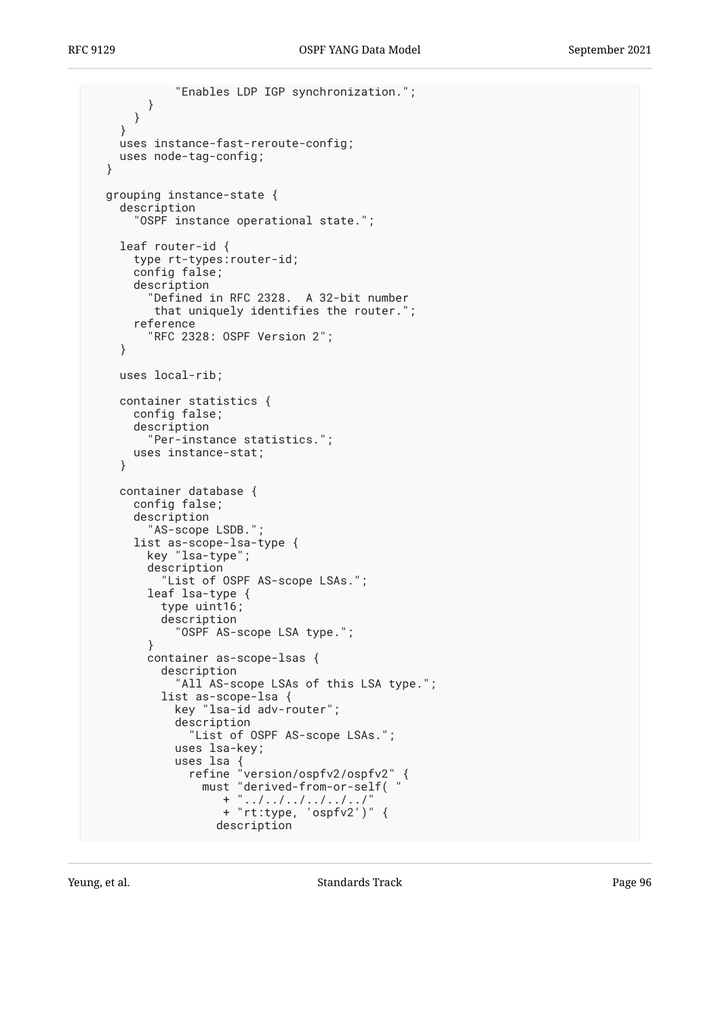```
 "Enables LDP IGP synchronization.";
         }
      }
    }
    uses instance-fast-reroute-config;
    uses node-tag-config;
  }
  grouping instance-state {
     description
       "OSPF instance operational state.";
     leaf router-id {
      type rt-types:router-id;
      config false;
      description
         "Defined in RFC 2328. A 32-bit number
         that uniquely identifies the router.'
       reference
         "RFC 2328: OSPF Version 2";
     }
    uses local-rib;
    container statistics {
      config false;
      description
         "Per-instance statistics.";
      uses instance-stat;
     }
     container database {
      config false;
      description
         "AS-scope LSDB.";
      list as-scope-lsa-type {
         key "lsa-type";
         description
           "List of OSPF AS-scope LSAs.";
         leaf lsa-type {
           type uint16;
           description
             "OSPF AS-scope LSA type.";
         }
         container as-scope-lsas {
           description
            "All AS-scope LSAs of this LSA type.";
           list as-scope-lsa {
             key "lsa-id adv-router";
             description
               "List of OSPF AS-scope LSAs.";
             uses lsa-key;
             uses lsa {
 refine "version/ospfv2/ospfv2" {
 must "derived-from-or-self( "
+ ".../.../.../.../.../.../" + "rt:type, 'ospfv2')" {
                   description
```
Yeung, et al. Note that the Standards Track Contract Page 96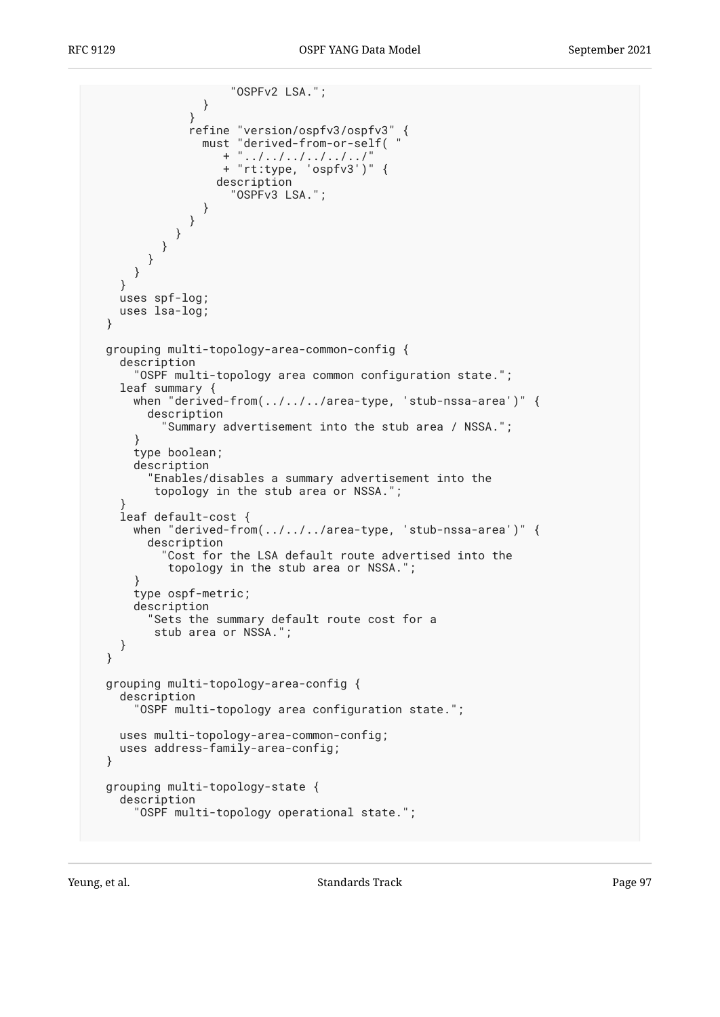```
 "OSPFv2 LSA.";
 }
 }
              refine "version/ospfv3/ospfv3" {
 must "derived-from-or-self( "
+ ".../.../.../.../.../.../" + "rt:type, 'ospfv3')" {
                  description
                    "OSPFv3 LSA.";
 }
 }
 }
 }
 }
      }
    }
    uses spf-log;
    uses lsa-log;
  }
  grouping multi-topology-area-common-config {
    description
      "OSPF multi-topology area common configuration state.";
    leaf summary {
      when "derived-from(../../../area-type, 'stub-nssa-area')" {
        description
          "Summary advertisement into the stub area / NSSA.";
      }
      type boolean;
      description
        "Enables/disables a summary advertisement into the
         topology in the stub area or NSSA.";
 }
    leaf default-cost {
      when "derived-from(../../../area-type, 'stub-nssa-area')" {
        description
          "Cost for the LSA default route advertised into the
           topology in the stub area or NSSA.";
      }
      type ospf-metric;
      description
        "Sets the summary default route cost for a
         stub area or NSSA.";
    }
  }
  grouping multi-topology-area-config {
    description
      "OSPF multi-topology area configuration state.";
    uses multi-topology-area-common-config;
    uses address-family-area-config;
  }
  grouping multi-topology-state {
    description
      "OSPF multi-topology operational state.";
```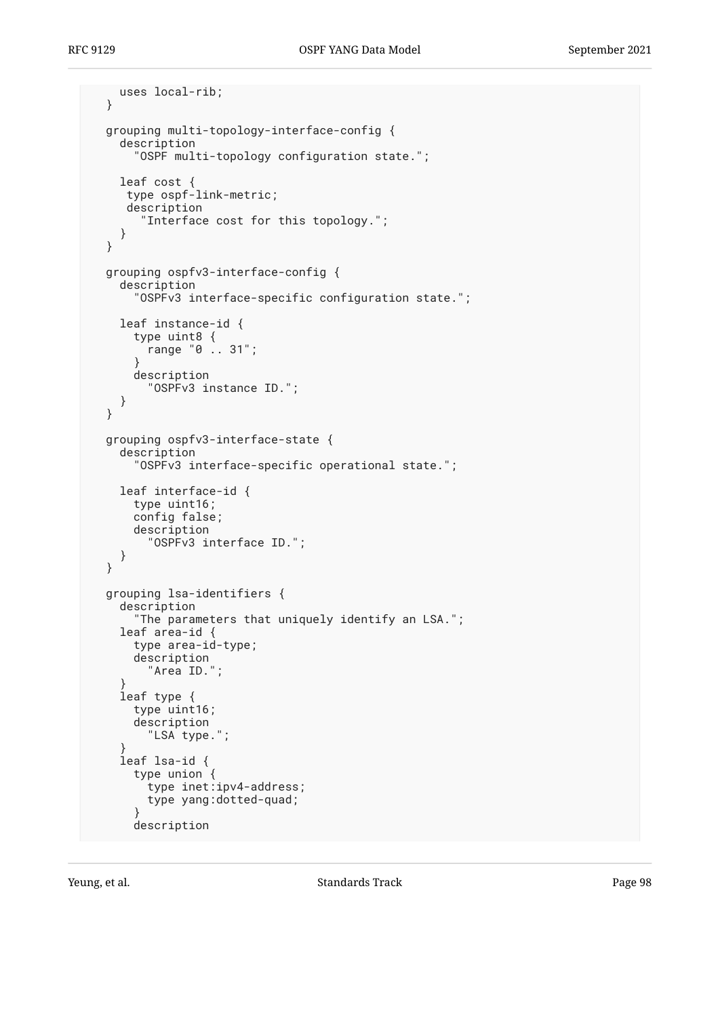```
 uses local-rib;
  }
  grouping multi-topology-interface-config {
     description
       "OSPF multi-topology configuration state.";
     leaf cost {
      type ospf-link-metric;
      description
        "Interface cost for this topology.";
     }
  }
  grouping ospfv3-interface-config {
     description
       "OSPFv3 interface-specific configuration state.";
     leaf instance-id {
       type uint8 {
         range "0 .. 31";
       }
       description
         "OSPFv3 instance ID.";
     }
  }
  grouping ospfv3-interface-state {
     description
       "OSPFv3 interface-specific operational state.";
     leaf interface-id {
       type uint16;
       config false;
       description
         "OSPFv3 interface ID.";
    }
  }
  grouping lsa-identifiers {
     description
       "The parameters that uniquely identify an LSA.";
     leaf area-id {
       type area-id-type;
       description
         "Area ID.";
 }
     leaf type {
       type uint16;
       description
         "LSA type.";
 }
     leaf lsa-id {
       type union {
         type inet:ipv4-address;
         type yang:dotted-quad;
 }
       description
```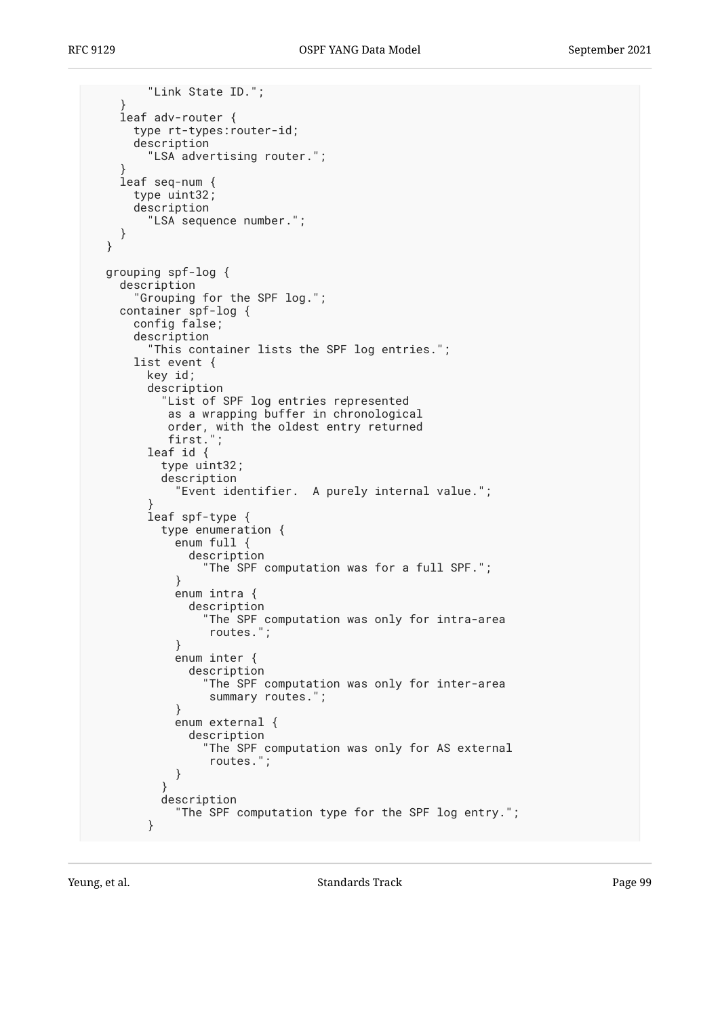```
 "Link State ID.";
    }
    leaf adv-router {
      type rt-types:router-id;
      description
         "LSA advertising router.";
 }
    leaf seq-num {
      type uint32;
      description
        "LSA sequence number.";
    }
  }
  grouping spf-log {
    description
      "Grouping for the SPF log.";
    container spf-log {
      config false;
      description
         "This container lists the SPF log entries.";
      list event {
        key id;
        description
           "List of SPF log entries represented
           as a wrapping buffer in chronological
 order, with the oldest entry returned
 first.";
        leaf id {
          type uint32;
          description
            "Event identifier. A purely internal value.";
 }
        leaf spf-type {
          type enumeration {
            enum full {
              description
            "The SPF computation was for a full SPF.";
 }
            enum intra {
              description
                "The SPF computation was only for intra-area
            routes.";
 }
            enum inter {
              description
                "The SPF computation was only for inter-area
           summary routes.";<br>}
 }
            enum external {
              description
                "The SPF computation was only for AS external
                 routes.";
 }
 }
          description
             "The SPF computation type for the SPF log entry.";
        }
```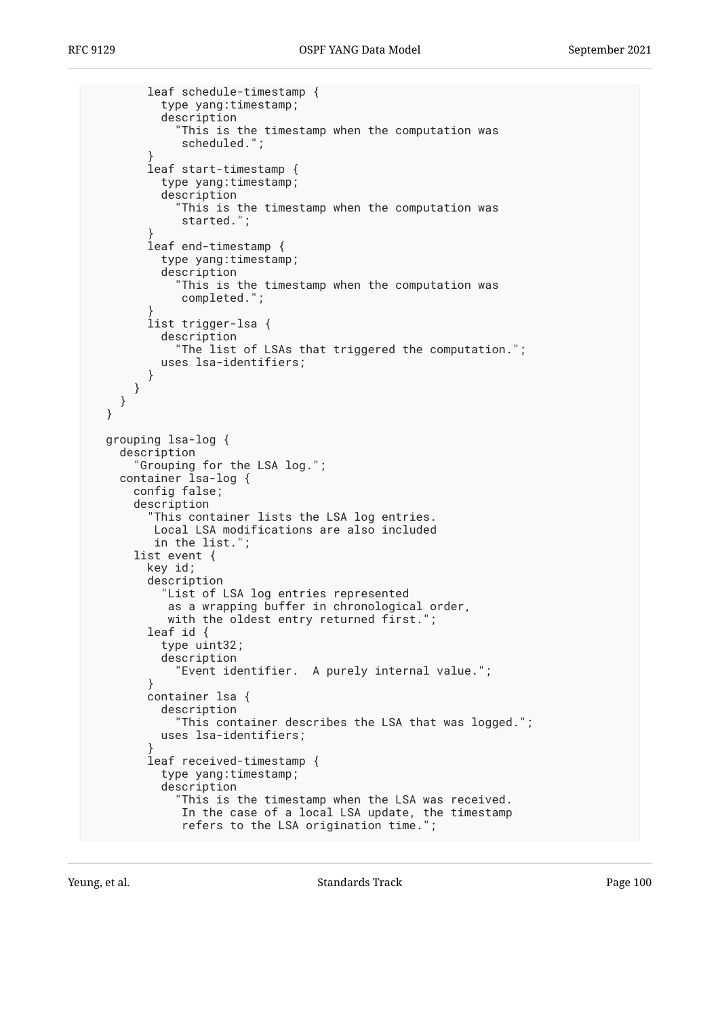```
 leaf schedule-timestamp {
           type yang:timestamp;
           description
             "This is the timestamp when the computation was
              scheduled.";
 }
         leaf start-timestamp {
           type yang:timestamp;
           description
             "This is the timestamp when the computation was
              started.";
 }
         leaf end-timestamp {
           type yang:timestamp;
           description
              "This is the timestamp when the computation was
              completed.";
 }
         list trigger-lsa {
           description
             "The list of LSAs that triggered the computation.";
           uses lsa-identifiers;
         }
      }
     }
  }
  grouping lsa-log {
     description
       "Grouping for the LSA log.";
    container lsa-log {
       config false;
       description
         "This container lists the LSA log entries.
          Local LSA modifications are also included
          in the list.";
       list event {
         key id;
         description
           "List of LSA log entries represented
            as a wrapping buffer in chronological order,
            with the oldest entry returned first.";
         leaf id {
           type uint32;
           description
             "Event identifier. A purely internal value.";
 }
         container lsa {
           description
             "This container describes the LSA that was logged.";
           uses lsa-identifiers;
 }
         leaf received-timestamp {
           type yang:timestamp;
           description
              "This is the timestamp when the LSA was received.
              In the case of a local LSA update, the timestamp
              refers to the LSA origination time.";
```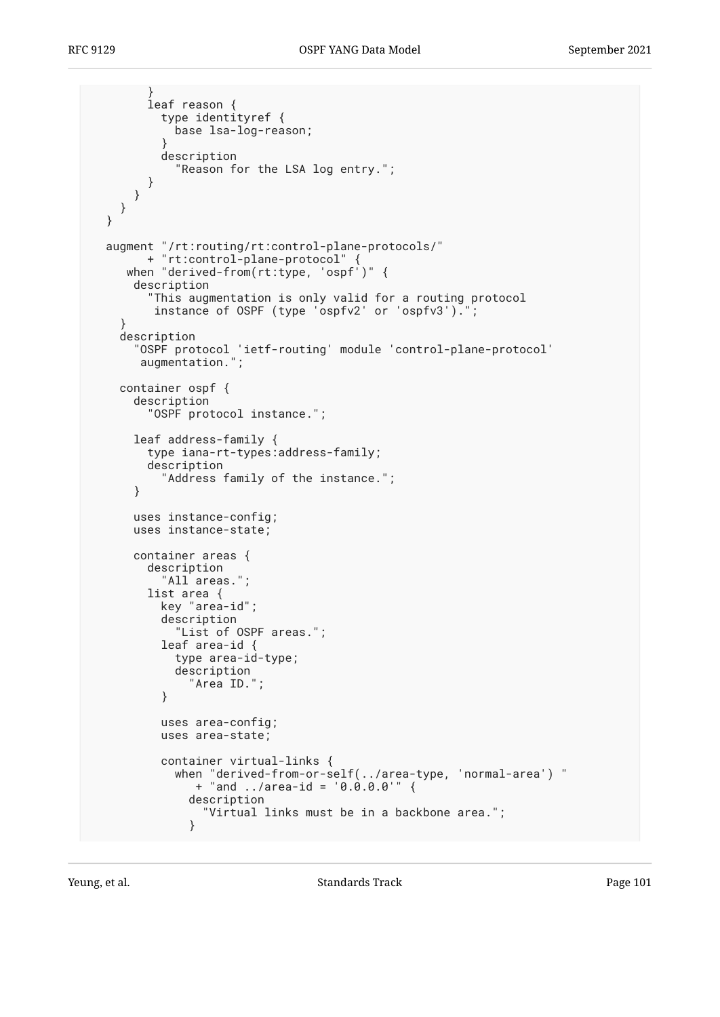```
 }
         leaf reason {
           type identityref {
             base lsa-log-reason;
 }
           description
             "Reason for the LSA log entry.";
         }
      }
    }
  }
  augment "/rt:routing/rt:control-plane-protocols/"
        + "rt:control-plane-protocol" {
     when "derived-from(rt:type, 'ospf')" {
      description
         "This augmentation is only valid for a routing protocol
         instance of OSPF (type 'ospfv2' or 'ospfv3').
     }
     description
       "OSPF protocol 'ietf-routing' module 'control-plane-protocol'
       augmentation.";
     container ospf {
      description
         "OSPF protocol instance.";
      leaf address-family {
         type iana-rt-types:address-family;
         description
           "Address family of the instance.";
       }
      uses instance-config;
      uses instance-state;
      container areas {
         description
           "All areas.";
         list area {
           key "area-id";
           description
             "List of OSPF areas.";
           leaf area-id {
             type area-id-type;
             description
              "Area ID.'
           }
           uses area-config;
           uses area-state;
           container virtual-links {
             when "derived-from-or-self(../area-type, 'normal-area') "
                + "and ../area-id = '0.0.0.0'" {
               description
                 "Virtual links must be in a backbone area.";
 }
```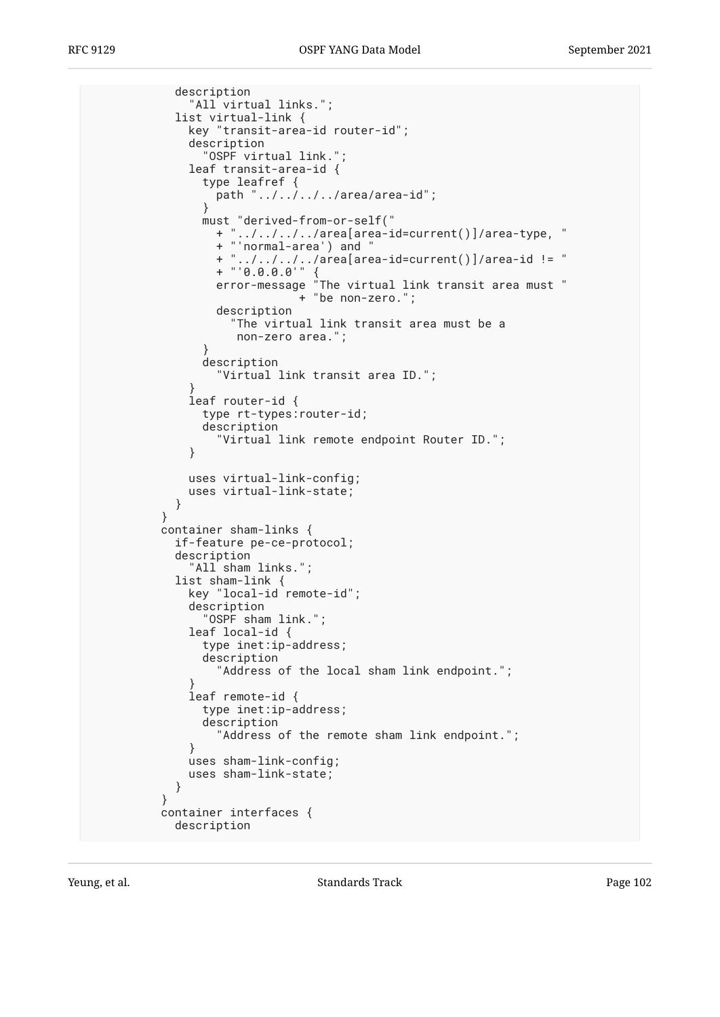```
 description
             "All virtual links.";
           list virtual-link {
             key "transit-area-id router-id";
             description
               "OSPF virtual link.";
             leaf transit-area-id {
               type leafref {
               path "../../../../area/area-id";
 }
               must "derived-from-or-self("
                 + "../../../../area[area-id=current()]/area-type, "
                 + "'normal-area') and "
 + "../../../../area[area-id=current()]/area-id != "
+ "'0.0.0.0'" {
 error-message "The virtual link transit area must "
 + "be non-zero.";
                 description
                   "The virtual link transit area must be a
                   non-zero area.";
 }
               description
                 "Virtual link transit area ID.";
 }
             leaf router-id {
               type rt-types:router-id;
               description
                 "Virtual link remote endpoint Router ID.";
 }
             uses virtual-link-config;
          uses virtual-link-state;<br>}
 }
 }
         container sham-links {
           if-feature pe-ce-protocol;
           description
            "All sham links.";
           list sham-link {
             key "local-id remote-id";
             description
               "OSPF sham link.";
             leaf local-id {
               type inet:ip-address;
               description
                 "Address of the local sham link endpoint.";
 }
             leaf remote-id {
               type inet:ip-address;
               description
                 "Address of the remote sham link endpoint.";
 }
             uses sham-link-config;
             uses sham-link-state;
 }
 }
         container interfaces {
           description
```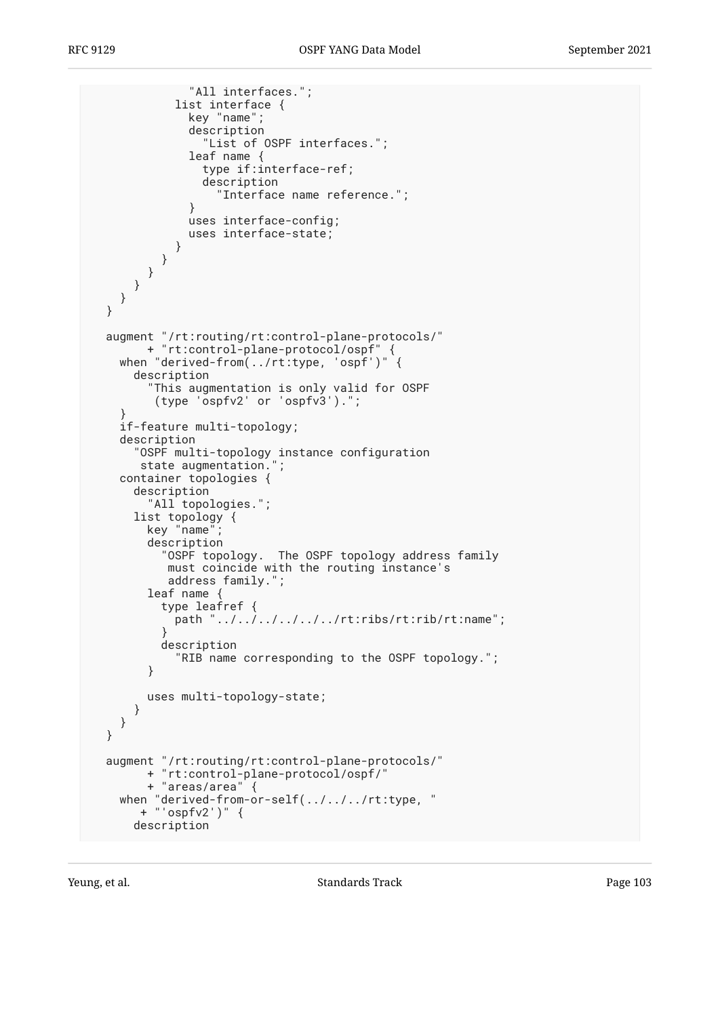```
 "All interfaces.";
            list interface {
              key "name";
              description
                 "List of OSPF interfaces.";
              leaf name {
                type if:interface-ref;
                description
                  "Interface name reference.";
 }
              uses interface-config;
              uses interface-state;
 }
 }
 }
 }
    }
  }
 augment "/rt:routing/rt:control-plane-protocols/"
 + "rt:control-plane-protocol/ospf" {
   when "derived-from(../rt:type, 'ospf')"
      description
         "This augmentation is only valid for OSPF
         (type 'ospfv2' or 'ospfv3').";
 }
    if-feature multi-topology;
    description
 "OSPF multi-topology instance configuration
 state augmentation.";
    container topologies {
      description
        "All topologies.";
      list topology {
       key "name"
        description
           "OSPF topology. The OSPF topology address family
           must coincide with the routing instance's
           address family.";
       leaf name {
          type leafref {
            path "../../../../../../rt:ribs/rt:rib/rt:name";
 }
          description
            "RIB name corresponding to the OSPF topology.";
        }
        uses multi-topology-state;
      }
    }
  }
  augment "/rt:routing/rt:control-plane-protocols/"
        + "rt:control-plane-protocol/ospf/"
        + "areas/area" {
 when "derived-from-or-self(../../../rt:type, "
 + "'ospfv2')" {
      description
```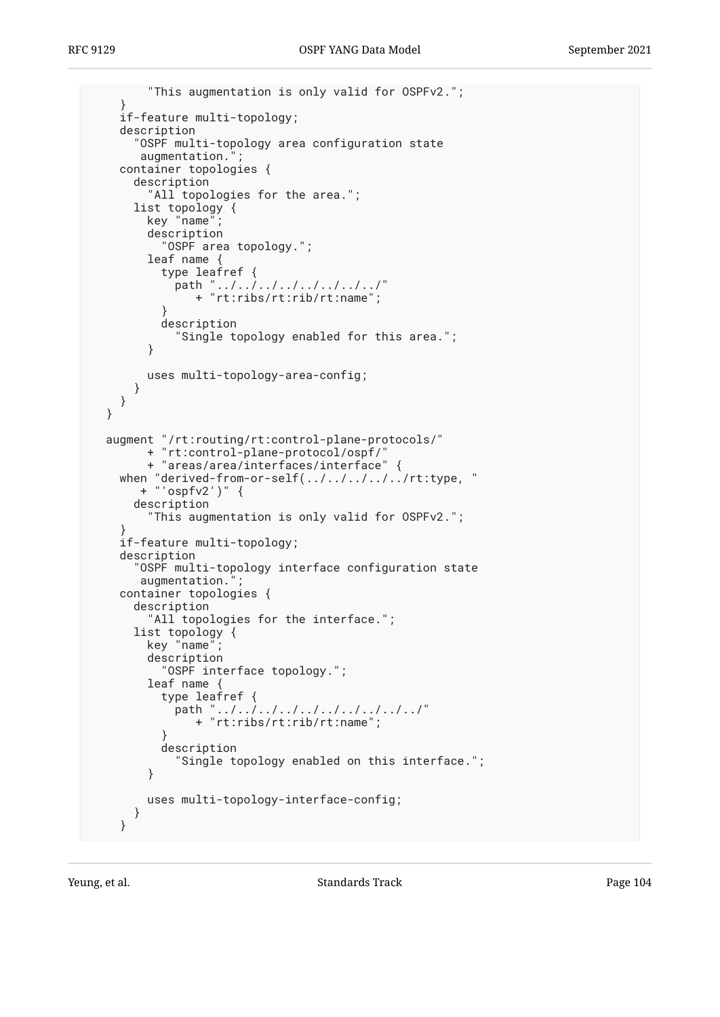```
 "This augmentation is only valid for OSPFv2.";
    }
    if-feature multi-topology;
    description
       "OSPF multi-topology area configuration state
      augmentation."
    container topologies {
      description
         "All topologies for the area.";
      list topology {
       key "name"
        description
           "OSPF area topology.";
        leaf name {
           type leafref {
path "../../../../../../../../"
 + "rt:ribs/rt:rib/rt:name";
 }
           description
             "Single topology enabled for this area.";
         }
        uses multi-topology-area-config;
      }
    }
  }
  augment "/rt:routing/rt:control-plane-protocols/"
        + "rt:control-plane-protocol/ospf/"
        + "areas/area/interfaces/interface" {
    when "derived-from-or-self(../../../../../rt:type, "
      + "'ospfv2')"
      description
         "This augmentation is only valid for OSPFv2.";
 }
    if-feature multi-topology;
    description
       "OSPF multi-topology interface configuration state
      augmentation."
    container topologies {
      description
        "All topologies for the interface.";
      list topology {
       key "name"
        description
           "OSPF interface topology.";
        leaf name {
           type leafref {
            path "../../../../../../../../../"
               + "rt:ribs/rt:rib/rt:name";
 }
           description
             "Single topology enabled on this interface.";
 }
        uses multi-topology-interface-config;
      }
    }
```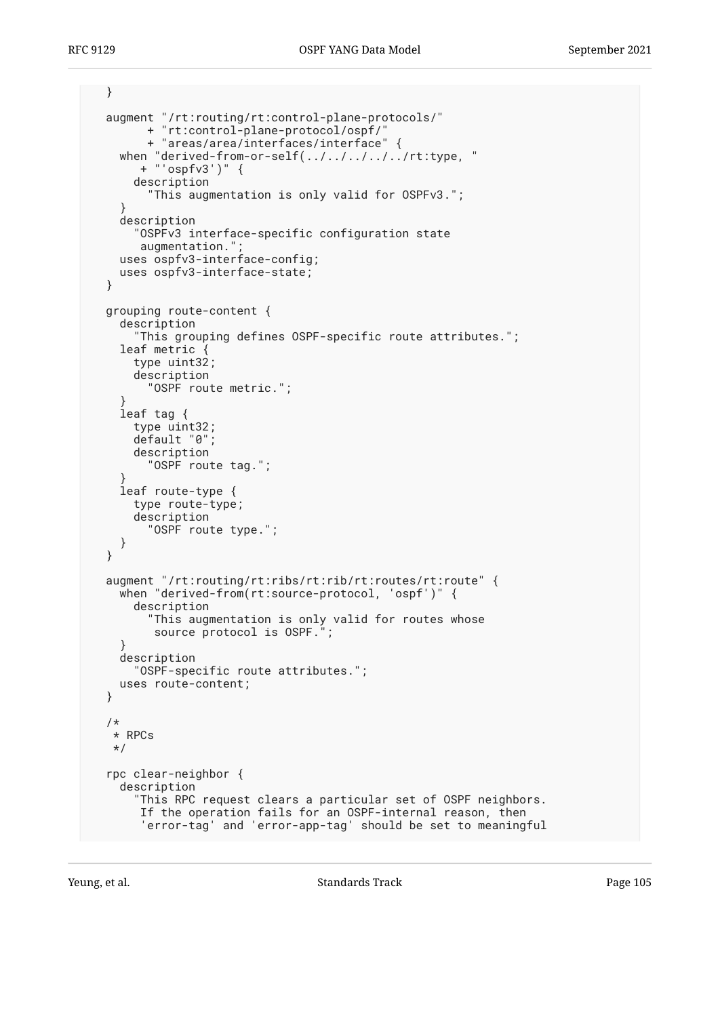```
 }
  augment "/rt:routing/rt:control-plane-protocols/"
         + "rt:control-plane-protocol/ospf/"
         + "areas/area/interfaces/interface" {
 when "derived-from-or-self(../../../../../rt:type, "
 + "'ospfv3')" {
       description
         "This augmentation is only valid for OSPFv3.";
 }
    description
       "OSPFv3 interface-specific configuration state
       augmentation."
     uses ospfv3-interface-config;
     uses ospfv3-interface-state;
  }
  grouping route-content {
     description
       "This grouping defines OSPF-specific route attributes.";
    leaf metric {
       type uint32;
       description
         "OSPF route metric.";
 }
     leaf tag {
       type uint32;
      default "0";
      description
         "OSPF route tag.";
 }
     leaf route-type {
       type route-type;
       description
         "OSPF route type.";
     }
  }
  augment "/rt:routing/rt:ribs/rt:rib/rt:routes/rt:route" {
    when "derived-from(rt:source-protocol, 'ospf')" {
       description
         "This augmentation is only valid for routes whose
          source protocol is OSPF.";
     }
    description
       "OSPF-specific route attributes.";
    uses route-content;
  }
  /*
   * RPCs
   */
  rpc clear-neighbor {
    description
       "This RPC request clears a particular set of OSPF neighbors.
        If the operation fails for an OSPF-internal reason, then
        'error-tag' and 'error-app-tag' should be set to meaningful
```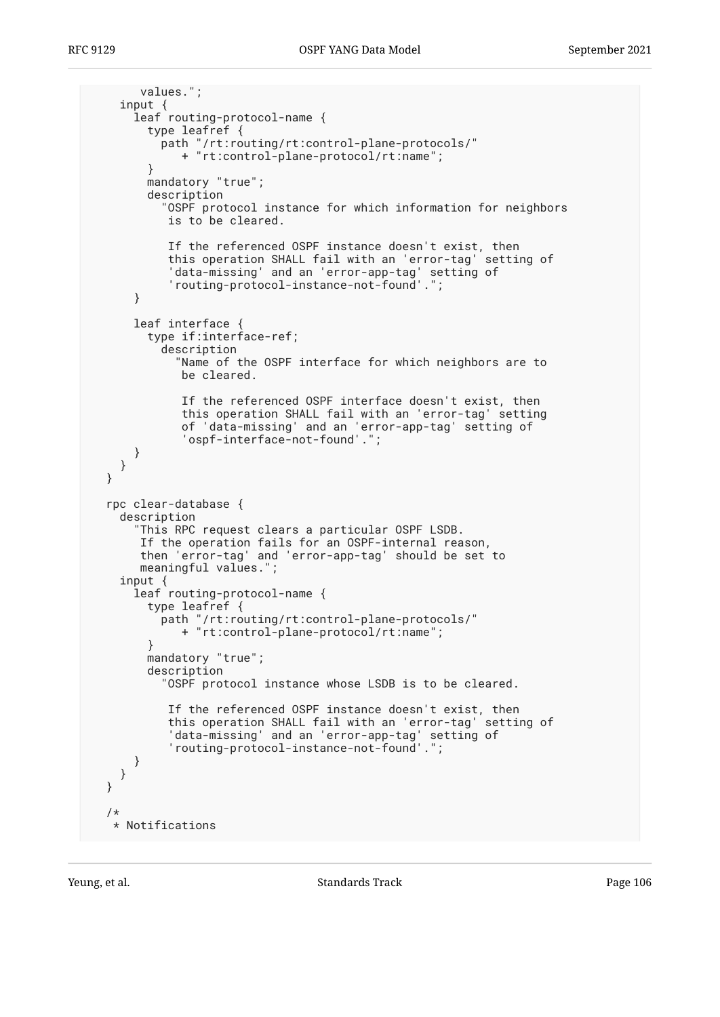```
 values.";
    input {
      leaf routing-protocol-name {
        type leafref {
          path "/rt:routing/rt:control-plane-protocols/"
             + "rt:control-plane-protocol/rt:name";
        }
        mandatory "true";
        description
           "OSPF protocol instance for which information for neighbors
           is to be cleared.
           If the referenced OSPF instance doesn't exist, then
           this operation SHALL fail with an 'error-tag' setting of
 'data-missing' and an 'error-app-tag' setting of
 'routing-protocol-instance-not-found'.";
      }
      leaf interface {
        type if:interface-ref;
          description
             "Name of the OSPF interface for which neighbors are to
             be cleared.
             If the referenced OSPF interface doesn't exist, then
 this operation SHALL fail with an 'error-tag' setting
 of 'data-missing' and an 'error-app-tag' setting of
 'ospf-interface-not-found'.";
      }
    }
  }
  rpc clear-database {
    description
       "This RPC request clears a particular OSPF LSDB.
       If the operation fails for an OSPF-internal reason,
       then 'error-tag' and 'error-app-tag' should be set to
      meaningful values.";
    input {
     leaf routing-protocol-name {
        type leafref {
          path "/rt:routing/rt:control-plane-protocols/"
             + "rt:control-plane-protocol/rt:name";
        }
        mandatory "true";
        description
           "OSPF protocol instance whose LSDB is to be cleared.
           If the referenced OSPF instance doesn't exist, then
           this operation SHALL fail with an 'error-tag' setting of
 'data-missing' and an 'error-app-tag' setting of
 'routing-protocol-instance-not-found'.";
      }
    }
  }
  /*
   * Notifications
```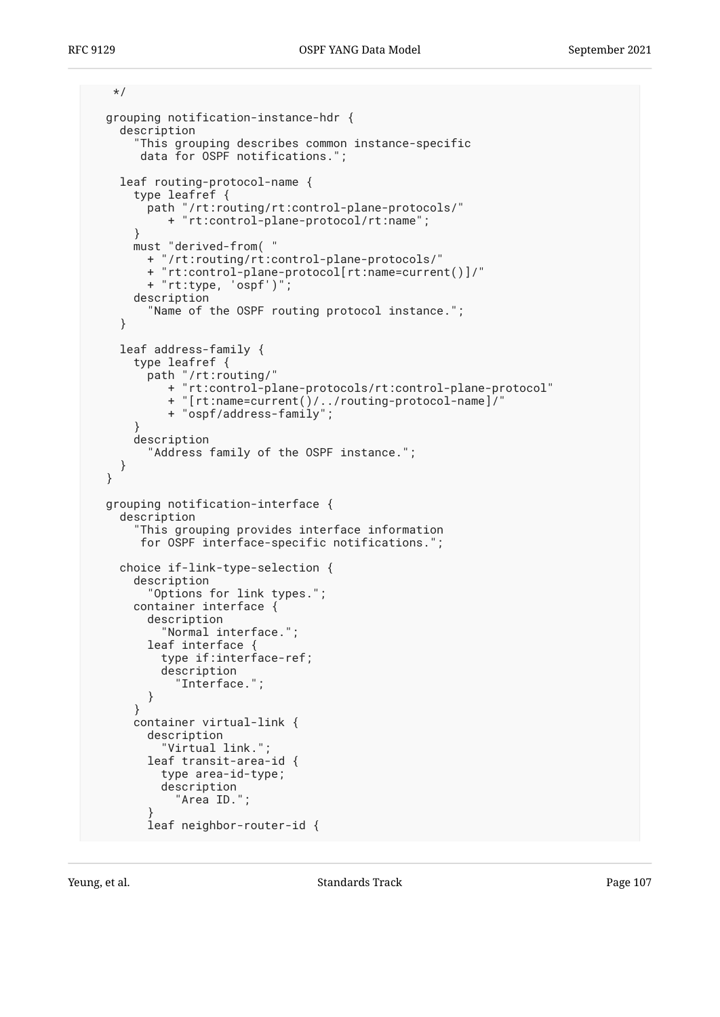```
 */
  grouping notification-instance-hdr {
     description
       "This grouping describes common instance-specific
       data for OSPF notifications.";
     leaf routing-protocol-name {
       type leafref {
         path "/rt:routing/rt:control-plane-protocols/"
            + "rt:control-plane-protocol/rt:name";
       }
      must "derived-from( "
         + "/rt:routing/rt:control-plane-protocols/"
         + "rt:control-plane-protocol[rt:name=current()]/"
         + "rt:type, 'ospf')";
      description
         "Name of the OSPF routing protocol instance.";
     }
    leaf address-family {
      type leafref {
         path "/rt:routing/"
            + "rt:control-plane-protocols/rt:control-plane-protocol"
 + "[rt:name=current()/../routing-protocol-name]/"
 + "ospf/address-family";
 }
      description
         "Address family of the OSPF instance.";
     }
  }
  grouping notification-interface {
     description
       "This grouping provides interface information
       for OSPF interface-specific notifications.";
     choice if-link-type-selection {
      description
         "Options for link types.";
      container interface {
         description
           "Normal interface.";
         leaf interface {
           type if:interface-ref;
           description
             "Interface.";
         }
       }
      container virtual-link {
         description
           "Virtual link.";
         leaf transit-area-id {
           type area-id-type;
           description
             "Area ID.";
 }
         leaf neighbor-router-id {
```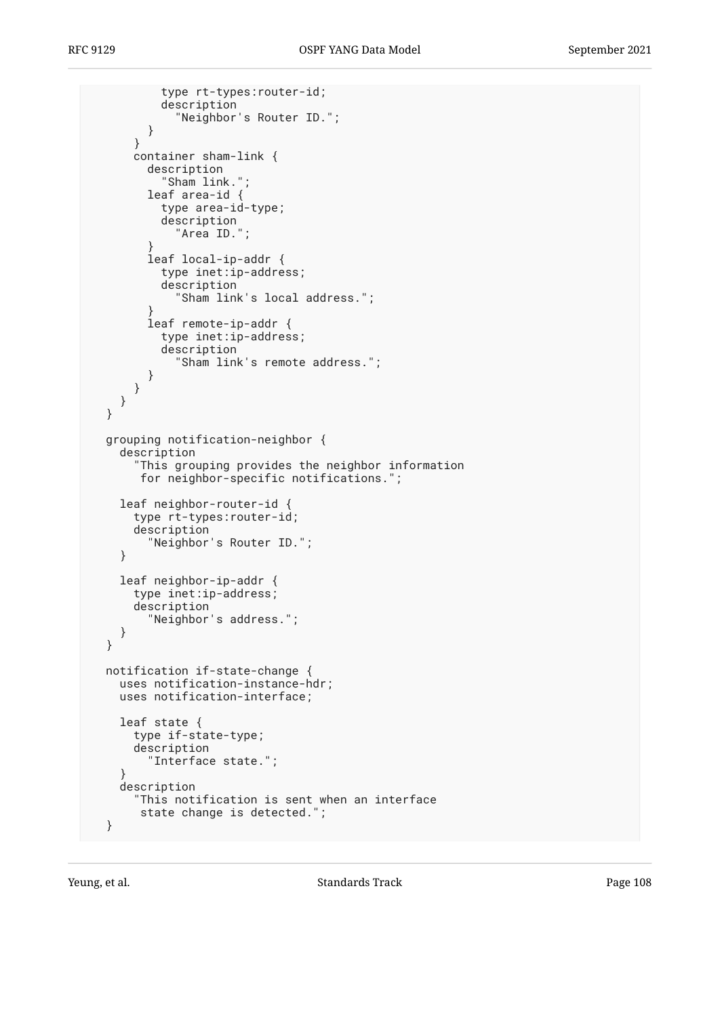```
 type rt-types:router-id;
           description
             "Neighbor's Router ID.";
         }
       }
       container sham-link {
         description
           "Sham link.";
         leaf area-id {
           type area-id-type;
           description
             "Area ID.";
 }
         leaf local-ip-addr {
           type inet:ip-address;
           description
             "Sham link's local address.";
 }
         leaf remote-ip-addr {
           type inet:ip-address;
           description
             "Sham link's remote address.";
         }
      }
     }
  }
  grouping notification-neighbor {
     description
       "This grouping provides the neighbor information
        for neighbor-specific notifications.";
     leaf neighbor-router-id {
       type rt-types:router-id;
       description
         "Neighbor's Router ID.";
     }
     leaf neighbor-ip-addr {
       type inet:ip-address;
       description
         "Neighbor's address.";
    }
  }
  notification if-state-change {
     uses notification-instance-hdr;
    uses notification-interface;
     leaf state {
      type if-state-type;
       description
         "Interface state.";
     }
    description
 "This notification is sent when an interface
 state change is detected.";
  }
```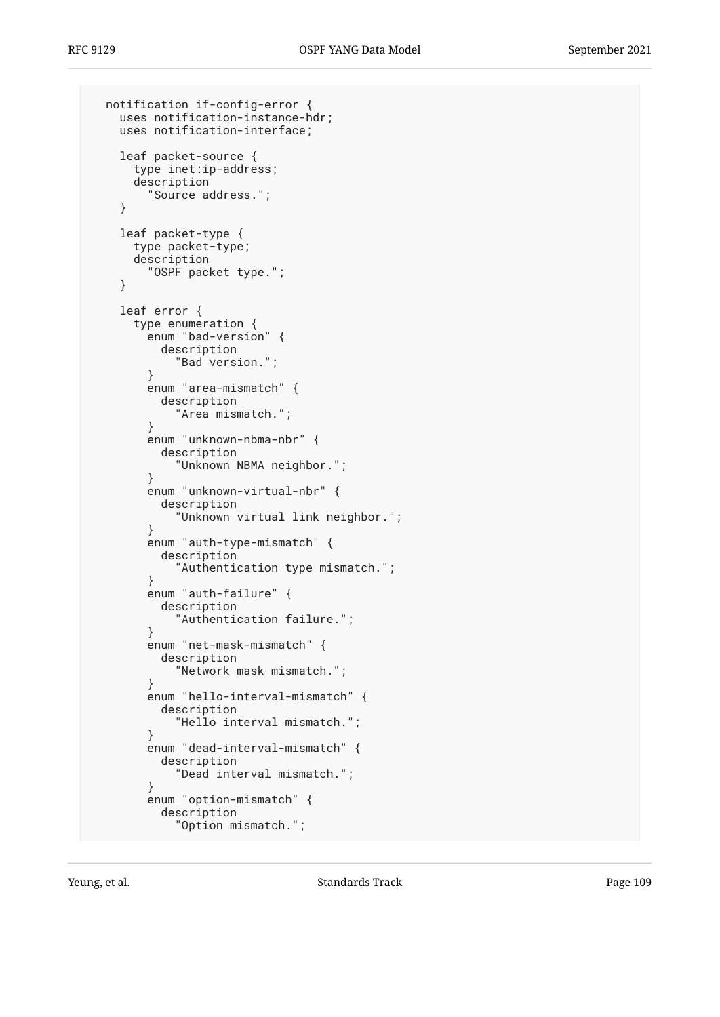```
 notification if-config-error {
     uses notification-instance-hdr;
     uses notification-interface;
     leaf packet-source {
      type inet:ip-address;
       description
         "Source address.";
     }
     leaf packet-type {
      type packet-type;
      description
         "OSPF packet type.";
     }
     leaf error {
       type enumeration {
         enum "bad-version" {
           description
             "Bad version.";
         }
         enum "area-mismatch" {
           description
              "Area mismatch.";
 }
         enum "unknown-nbma-nbr" {
           description
             "Unknown NBMA neighbor.";
 }
         enum "unknown-virtual-nbr" {
           description
             "Unknown virtual link neighbor.";
         }
         enum "auth-type-mismatch" {
           description
             "Authentication type mismatch.";
         }
         enum "auth-failure" {
           description
             "Authentication failure.";
         }
         enum "net-mask-mismatch" {
           description
              "Network mask mismatch.";
 }
         enum "hello-interval-mismatch" {
           description
             "Hello interval mismatch.";
         }
         enum "dead-interval-mismatch" {
           description
             "Dead interval mismatch.";
         }
         enum "option-mismatch" {
           description
             "Option mismatch.";
```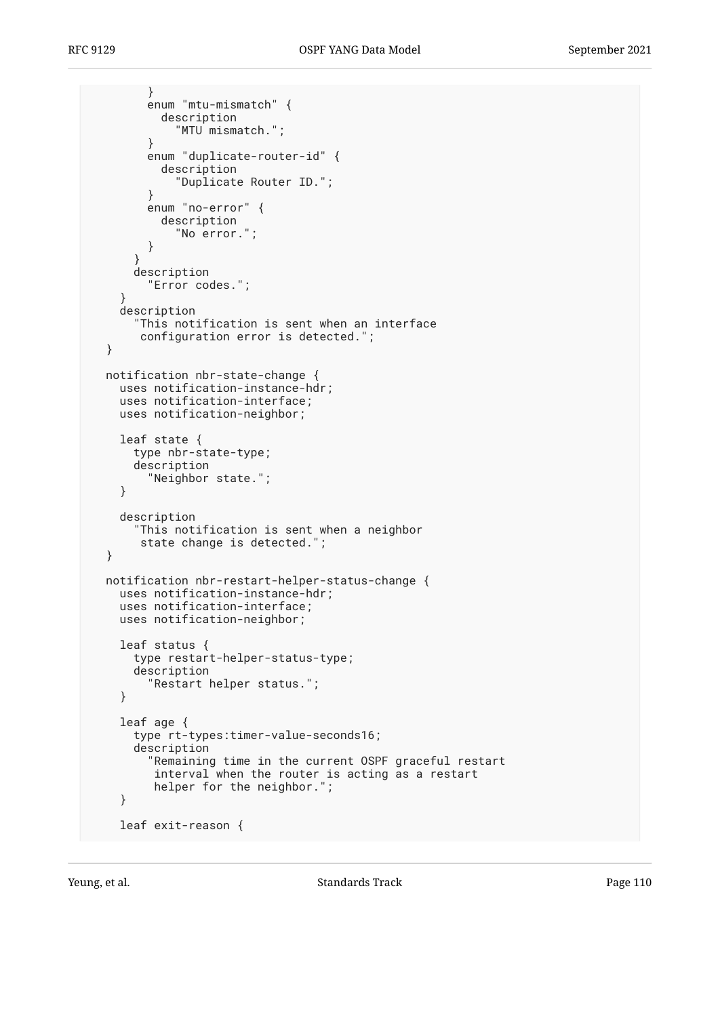```
 }
         enum "mtu-mismatch" {
           description
             "MTU mismatch.";
         }
         enum "duplicate-router-id" {
           description
              "Duplicate Router ID.";
         }
         enum "no-error" {
           description
             "No error.";
         }
       }
       description
         "Error codes.";
 }
     description
       "This notification is sent when an interface
        configuration error is detected.";
  }
  notification nbr-state-change {
    uses notification-instance-hdr;
     uses notification-interface;
    uses notification-neighbor;
     leaf state {
       type nbr-state-type;
       description
         "Neighbor state.";
     }
     description
       "This notification is sent when a neighbor
        state change is detected.";
  }
  notification nbr-restart-helper-status-change {
    uses notification-instance-hdr;
     uses notification-interface;
    uses notification-neighbor;
     leaf status {
       type restart-helper-status-type;
       description
         "Restart helper status.";
     }
     leaf age {
       type rt-types:timer-value-seconds16;
       description
         "Remaining time in the current OSPF graceful restart
          interval when the router is acting as a restart
          helper for the neighbor.";
     }
     leaf exit-reason {
```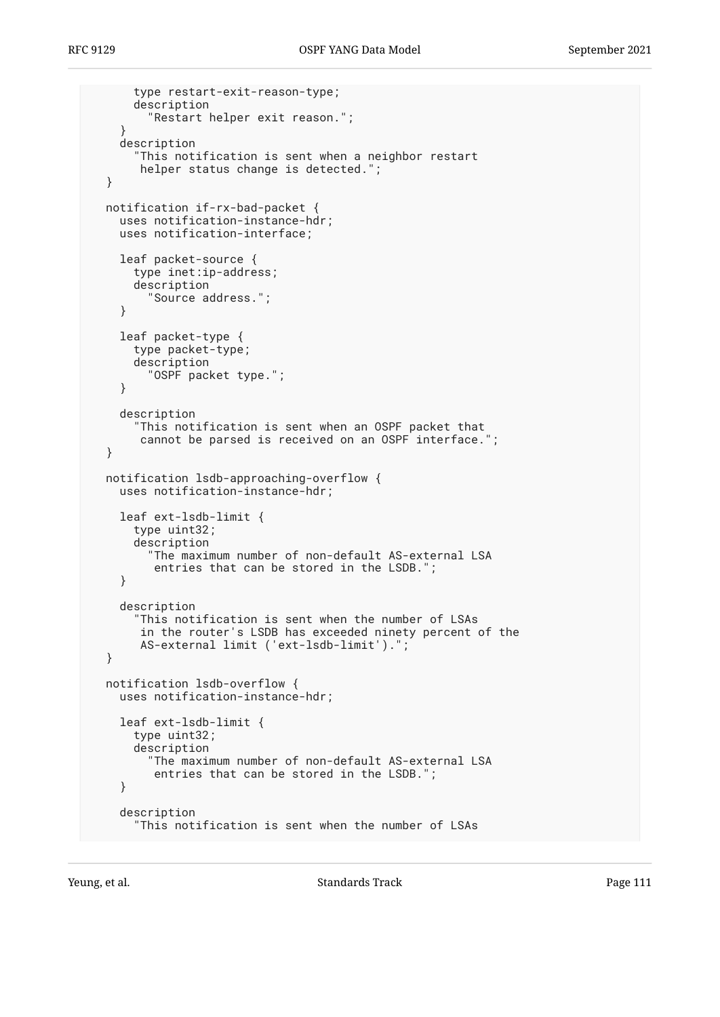```
 type restart-exit-reason-type;
     description
       "Restart helper exit reason.";
   }
   description
     "This notification is sent when a neighbor restart
      helper status change is detected.";
 }
 notification if-rx-bad-packet {
  uses notification-instance-hdr;
   uses notification-interface;
   leaf packet-source {
     type inet:ip-address;
     description
       "Source address.";
   }
   leaf packet-type {
     type packet-type;
     description
       "OSPF packet type.";
   }
   description
     "This notification is sent when an OSPF packet that
      cannot be parsed is received on an OSPF interface.";
 }
 notification lsdb-approaching-overflow {
  uses notification-instance-hdr;
   leaf ext-lsdb-limit {
     type uint32;
     description
       "The maximum number of non-default AS-external LSA
        entries that can be stored in the LSDB.";
   }
   description
     "This notification is sent when the number of LSAs
      in the router's LSDB has exceeded ninety percent of the
      AS-external limit ('ext-lsdb-limit').";
 }
 notification lsdb-overflow {
   uses notification-instance-hdr;
   leaf ext-lsdb-limit {
     type uint32;
     description
        "The maximum number of non-default AS-external LSA
        entries that can be stored in the LSDB.";
   }
   description
     "This notification is sent when the number of LSAs
```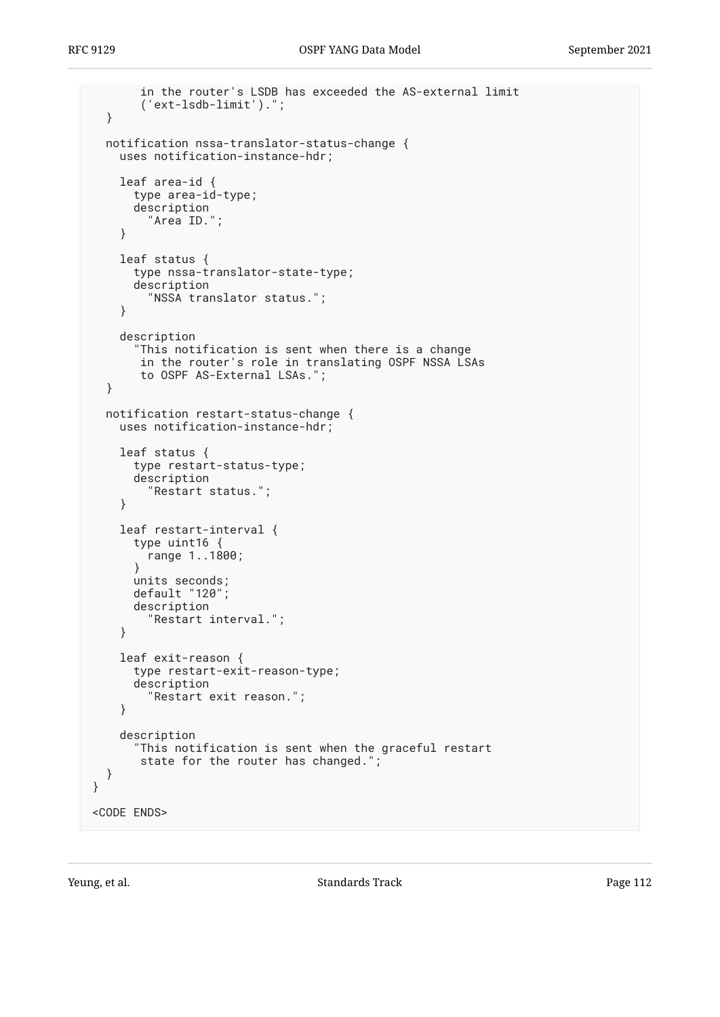```
 in the router's LSDB has exceeded the AS-external limit
        ('ext-lsdb-limit').";
   }
   notification nssa-translator-status-change {
     uses notification-instance-hdr;
     leaf area-id {
       type area-id-type;
       description
         "Area ID.";
     }
     leaf status {
       type nssa-translator-state-type;
       description
         "NSSA translator status.";
     }
     description
       "This notification is sent when there is a change
        in the router's role in translating OSPF NSSA LSAs
        to OSPF AS-External LSAs.";
   }
   notification restart-status-change {
     uses notification-instance-hdr;
     leaf status {
       type restart-status-type;
       description
         "Restart status.";
     }
     leaf restart-interval {
       type uint16 {
         range 1..1800;
       }
       units seconds;
       default "120";
       description
         "Restart interval.";
     }
     leaf exit-reason {
       type restart-exit-reason-type;
       description
         "Restart exit reason.";
     }
     description
       "This notification is sent when the graceful restart
        state for the router has changed.";
   }
}
<CODE ENDS>
```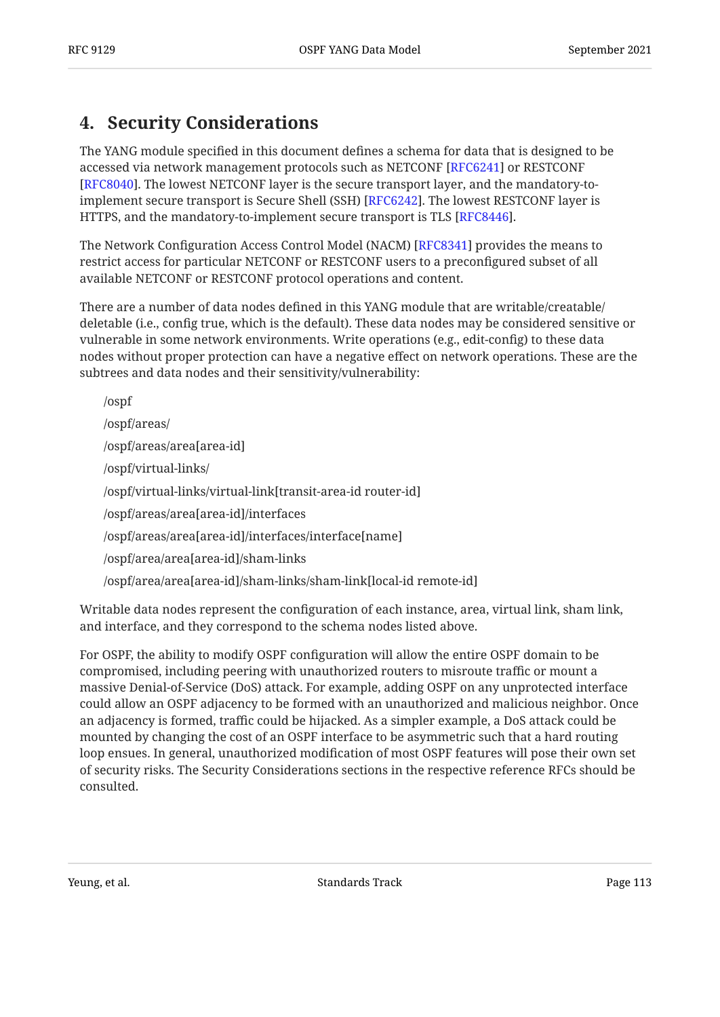# <span id="page-112-0"></span>**[4. Security Considerations](#page-112-0)**

The YANG module specified in this document defines a schema for data that is designed to be accessed via network management protocols such as NETCONF [[RFC6241\]](#page-116-0) or RESTCONF [[RFC8040\]](#page-117-0). The lowest NETCONF layer is the secure transport layer, and the mandatory-toimplement secure transport is Secure Shell (SSH) [RFC6242]. The lowest RESTCONF layer is HTTPS, and the mandatory-to-implement secure transport is TLS [RFC8446].

The Network Configuration Access Control Model (NACM) [RFC8341] provides the means to restrict access for particular NETCONF or RESTCONF users to a preconfigured subset of all available NETCONF or RESTCONF protocol operations and content.

There are a number of data nodes defined in this YANG module that are writable/creatable/ deletable (i.e., config true, which is the default). These data nodes may be considered sensitive or vulnerable in some network environments. Write operations (e.g., edit-config) to these data nodes without proper protection can have a negative effect on network operations. These are the subtrees and data nodes and their sensitivity/vulnerability:

/ospf /ospf/areas/ /ospf/areas/area[area-id] /ospf/virtual-links/ /ospf/virtual-links/virtual-link[transit-area-id router-id] /ospf/areas/area[area-id]/interfaces /ospf/areas/area[area-id]/interfaces/interface[name] /ospf/area/area[area-id]/sham-links /ospf/area/area[area-id]/sham-links/sham-link[local-id remote-id]

Writable data nodes represent the configuration of each instance, area, virtual link, sham link, and interface, and they correspond to the schema nodes listed above.

For OSPF, the ability to modify OSPF configuration will allow the entire OSPF domain to be compromised, including peering with unauthorized routers to misroute traffic or mount a massive Denial-of-Service (DoS) attack. For example, adding OSPF on any unprotected interface could allow an OSPF adjacency to be formed with an unauthorized and malicious neighbor. Once an adjacency is formed, traffic could be hijacked. As a simpler example, a DoS attack could be mounted by changing the cost of an OSPF interface to be asymmetric such that a hard routing loop ensues. In general, unauthorized modification of most OSPF features will pose their own set of security risks. The Security Considerations sections in the respective reference RFCs should be consulted.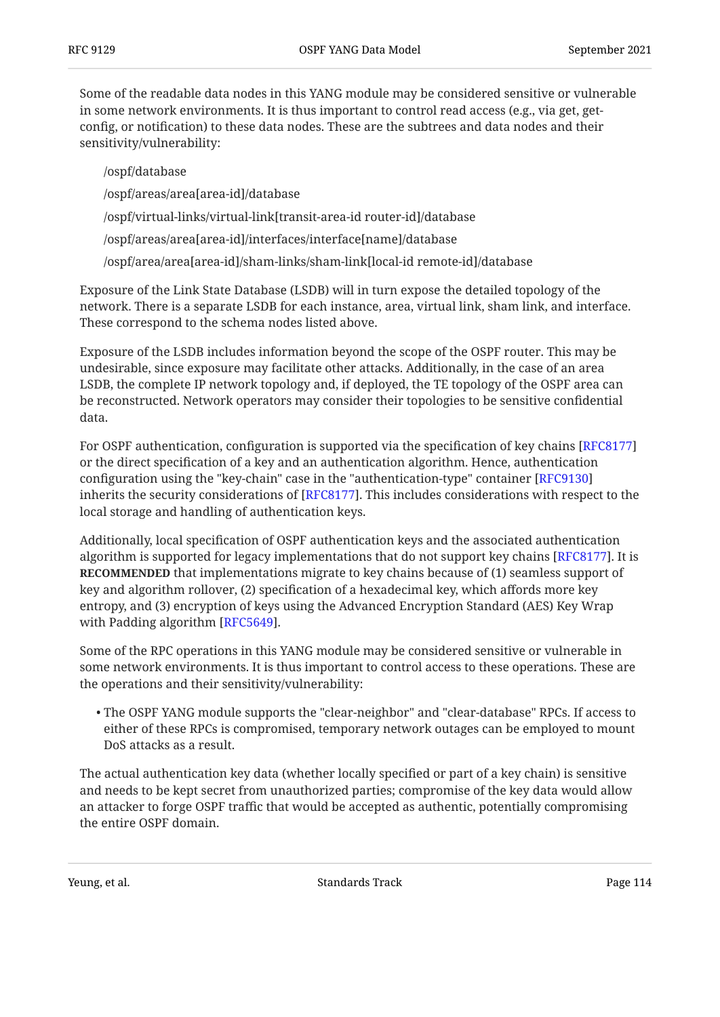Some of the readable data nodes in this YANG module may be considered sensitive or vulnerable in some network environments. It is thus important to control read access (e.g., via get, getconfig, or notification) to these data nodes. These are the subtrees and data nodes and their sensitivity/vulnerability:

/ospf/database /ospf/areas/area[area-id]/database /ospf/virtual-links/virtual-link[transit-area-id router-id]/database /ospf/areas/area[area-id]/interfaces/interface[name]/database

/ospf/area/area[area-id]/sham-links/sham-link[local-id remote-id]/database

Exposure of the Link State Database (LSDB) will in turn expose the detailed topology of the network. There is a separate LSDB for each instance, area, virtual link, sham link, and interface. These correspond to the schema nodes listed above.

Exposure of the LSDB includes information beyond the scope of the OSPF router. This may be undesirable, since exposure may facilitate other attacks. Additionally, in the case of an area LSDB, the complete IP network topology and, if deployed, the TE topology of the OSPF area can be reconstructed. Network operators may consider their topologies to be sensitive confidential data.

For OSPF authentication, configuration is supported via the specification of key chains [\[RFC8177\]](#page-117-1) or the direct specification of a key and an authentication algorithm. Hence, authentication configuration using the "key-chain" case in the "authentication-type" container [[RFC9130\]](#page-119-0) inherits the security considerations of [RFC8177]. This includes considerations with respect to the local storage and handling of authentication keys.

Additionally, local specification of OSPF authentication keys and the associated authentication algorithm is supported for legacy implementations that do not support key chains [RFC8177]. It is **RECOMMENDED** that implementations migrate to key chains because of (1) seamless support of key and algorithm rollover, (2) specification of a hexadecimal key, which affords more key entropy, and (3) encryption of keys using the Advanced Encryption Standard (AES) Key Wrap with Padding algorithm [RFC5649].

Some of the RPC operations in this YANG module may be considered sensitive or vulnerable in some network environments. It is thus important to control access to these operations. These are the operations and their sensitivity/vulnerability:

The OSPF YANG module supports the "clear-neighbor" and "clear-database" RPCs. If access to • either of these RPCs is compromised, temporary network outages can be employed to mount DoS attacks as a result.

The actual authentication key data (whether locally specified or part of a key chain) is sensitive and needs to be kept secret from unauthorized parties; compromise of the key data would allow an attacker to forge OSPF traffic that would be accepted as authentic, potentially compromising the entire OSPF domain.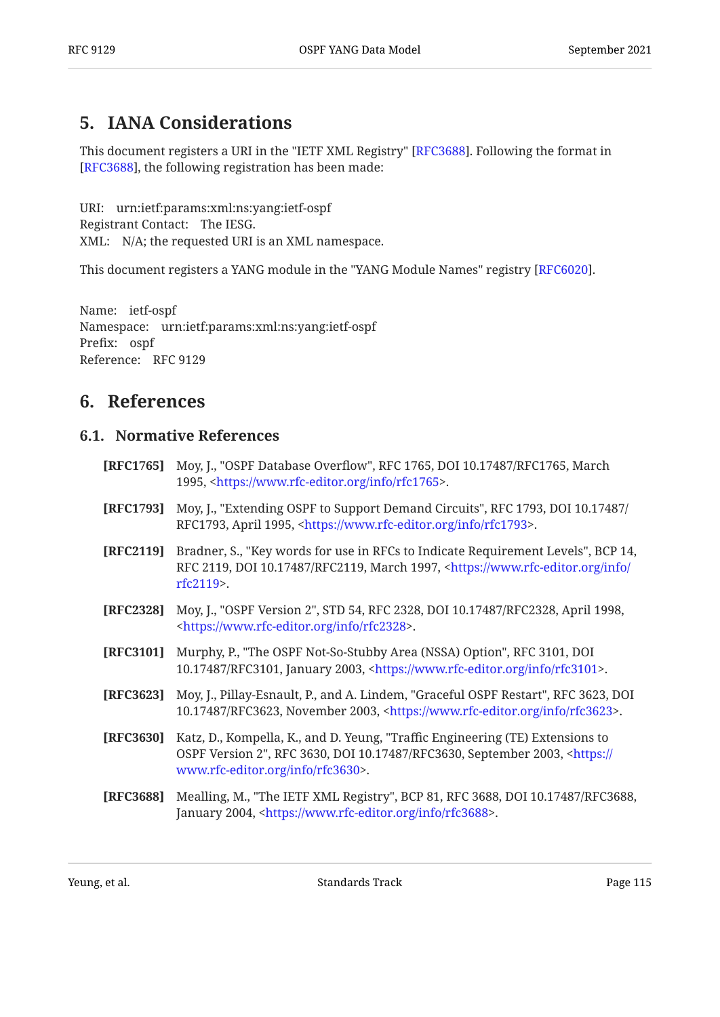# <span id="page-114-0"></span>**[5. IANA Considerations](#page-114-0)**

This document registers a URI in the "IETF XML Registry" [RFC3688]. Following the format in [[RFC3688\]](#page-114-1), the following registration has been made:

URI: urn:ietf:params:xml:ns:yang:ietf-ospf Registrant Contact: The IESG. XML: N/A; the requested URI is an XML namespace.

This document registers a YANG module in the "YANG Module Names" registry [RFC6020].

Name: ietf-ospf Namespace: urn:ietf:params:xml:ns:yang:ietf-ospf Prefix: ospf Reference: RFC 9129

## <span id="page-114-3"></span><span id="page-114-2"></span>**[6. References](#page-114-2)**

### **[6.1. Normative References](#page-114-3)**

- **[RFC1765]** Moy, J., "OSPF Database Overflow", RFC 1765, DOI 10.17487/RFC1765, March 1995, <https://www.rfc-editor.org/info/rfc1765>.
- **[RFC1793]** Moy, J., "Extending OSPF to Support Demand Circuits", RFC 1793, DOI 10.17487/ RFC1793, April 1995, <<https://www.rfc-editor.org/info/rfc1793>>.
- **[RFC2119]** Bradner, S., "Key words for use in RFCs to Indicate Requirement Levels", BCP 14, RFC 2119, DOI 10.17487/RFC2119, March 1997, <[https://www.rfc-editor.org/info/](https://www.rfc-editor.org/info/rfc2119) . [rfc2119>](https://www.rfc-editor.org/info/rfc2119)
- **[RFC2328]** Moy, J., "OSPF Version 2", STD 54, RFC 2328, DOI 10.17487/RFC2328, April 1998, . [<https://www.rfc-editor.org/info/rfc2328](https://www.rfc-editor.org/info/rfc2328)>
- **[RFC3101]** Murphy, P., "The OSPF Not-So-Stubby Area (NSSA) Option", RFC 3101, DOI 10.17487/RFC3101, January 2003, [<https://www.rfc-editor.org/info/rfc3101](https://www.rfc-editor.org/info/rfc3101)>.
- **[RFC3623]** Moy, J., Pillay-Esnault, P., and A. Lindem, "Graceful OSPF Restart", RFC 3623, DOI 10.17487/RFC3623, November 2003, [<https://www.rfc-editor.org/info/rfc3623](https://www.rfc-editor.org/info/rfc3623)>.
- **[RFC3630]** Katz, D., Kompella, K., and D. Yeung, "Traffic Engineering (TE) Extensions to OSPF Version 2", RFC 3630, DOI 10.17487/RFC3630, September 2003, [<https://](https://www.rfc-editor.org/info/rfc3630) . [www.rfc-editor.org/info/rfc3630>](https://www.rfc-editor.org/info/rfc3630)
- <span id="page-114-1"></span>**[RFC3688]** Mealling, M., "The IETF XML Registry", BCP 81, RFC 3688, DOI 10.17487/RFC3688, January 2004, <[https://www.rfc-editor.org/info/rfc3688>](https://www.rfc-editor.org/info/rfc3688).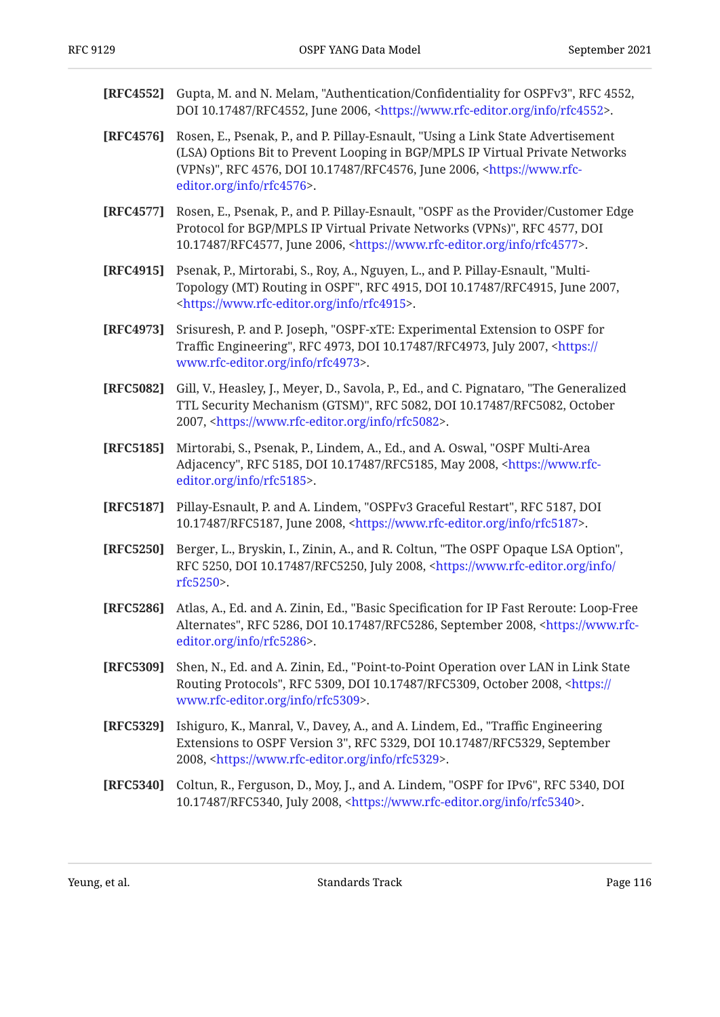| [RFC4552] | Gupta, M. and N. Melam, "Authentication/Confidentiality for OSPFv3", RFC 4552,<br>DOI 10.17487/RFC4552, June 2006, <https: info="" rfc4552="" www.rfc-editor.org="">.</https:>                                                                                                      |
|-----------|-------------------------------------------------------------------------------------------------------------------------------------------------------------------------------------------------------------------------------------------------------------------------------------|
| [RFC4576] | Rosen, E., Psenak, P., and P. Pillay-Esnault, "Using a Link State Advertisement<br>(LSA) Options Bit to Prevent Looping in BGP/MPLS IP Virtual Private Networks<br>(VPNs)", RFC 4576, DOI 10.17487/RFC4576, June 2006, <https: www.rfc-<br="">editor.org/info/rfc4576&gt;.</https:> |
| [RFC4577] | Rosen, E., Psenak, P., and P. Pillay-Esnault, "OSPF as the Provider/Customer Edge<br>Protocol for BGP/MPLS IP Virtual Private Networks (VPNs)", RFC 4577, DOI<br>10.17487/RFC4577, June 2006, <https: info="" rfc4577="" www.rfc-editor.org="">.</https:>                           |
| [RFC4915] | Psenak, P., Mirtorabi, S., Roy, A., Nguyen, L., and P. Pillay-Esnault, "Multi-<br>Topology (MT) Routing in OSPF", RFC 4915, DOI 10.17487/RFC4915, June 2007,<br><https: info="" rfc4915="" www.rfc-editor.org="">.</https:>                                                         |
| [RFC4973] | Srisuresh, P. and P. Joseph, "OSPF-xTE: Experimental Extension to OSPF for<br>Traffic Engineering", RFC 4973, DOI 10.17487/RFC4973, July 2007, <https: <br="">www.rfc-editor.org/info/rfc4973&gt;.</https:>                                                                         |
| [RFC5082] | Gill, V., Heasley, J., Meyer, D., Savola, P., Ed., and C. Pignataro, "The Generalized<br>TTL Security Mechanism (GTSM)", RFC 5082, DOI 10.17487/RFC5082, October<br>2007, <https: info="" rfc5082="" www.rfc-editor.org="">.</https:>                                               |
| [RFC5185] | Mirtorabi, S., Psenak, P., Lindem, A., Ed., and A. Oswal, "OSPF Multi-Area<br>Adjacency", RFC 5185, DOI 10.17487/RFC5185, May 2008, <https: www.rfc-<br="">editor.org/info/rfc5185&gt;.</https:>                                                                                    |
| [RFC5187] | Pillay-Esnault, P. and A. Lindem, "OSPFv3 Graceful Restart", RFC 5187, DOI<br>10.17487/RFC5187, June 2008, <https: info="" rfc5187="" www.rfc-editor.org="">.</https:>                                                                                                              |
| [RFC5250] | Berger, L., Bryskin, I., Zinin, A., and R. Coltun, "The OSPF Opaque LSA Option",<br>RFC 5250, DOI 10.17487/RFC5250, July 2008, <https: <br="" info="" www.rfc-editor.org="">rfc5250&gt;.</https:>                                                                                   |
| [RFC5286] | Atlas, A., Ed. and A. Zinin, Ed., "Basic Specification for IP Fast Reroute: Loop-Free<br>Alternates", RFC 5286, DOI 10.17487/RFC5286, September 2008, <https: www.rfc-<br="">editor.org/info/rfc5286&gt;.</https:>                                                                  |
| [RFC5309] | Shen, N., Ed. and A. Zinin, Ed., "Point-to-Point Operation over LAN in Link State<br>Routing Protocols", RFC 5309, DOI 10.17487/RFC5309, October 2008, <https: <br="">www.rfc-editor.org/info/rfc5309&gt;.</https:>                                                                 |
| [RFC5329] | Ishiguro, K., Manral, V., Davey, A., and A. Lindem, Ed., "Traffic Engineering<br>Extensions to OSPF Version 3", RFC 5329, DOI 10.17487/RFC5329, September<br>2008, <https: info="" rfc5329="" www.rfc-editor.org="">.</https:>                                                      |
| [RFC5340] | Coltun, R., Ferguson, D., Moy, J., and A. Lindem, "OSPF for IPv6", RFC 5340, DOI<br>10.17487/RFC5340, July 2008, <https: info="" rfc5340="" www.rfc-editor.org="">.</https:>                                                                                                        |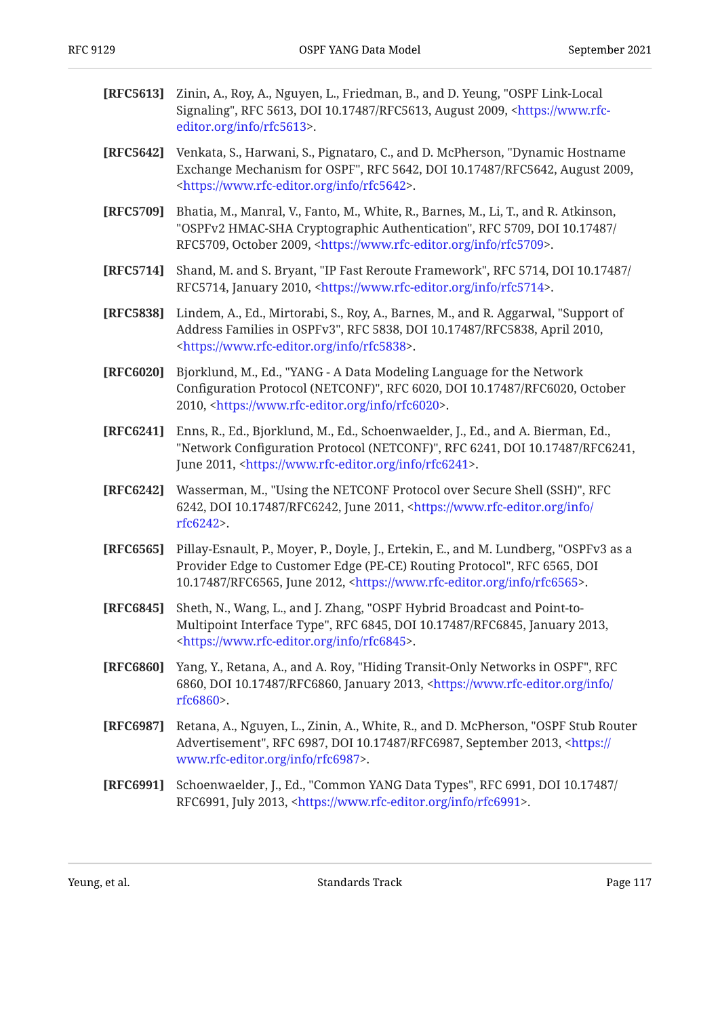- **[RFC5613]** Zinin, A., Roy, A., Nguyen, L., Friedman, B., and D. Yeung, "OSPF Link-Local Signaling", RFC 5613, DOI 10.17487/RFC5613, August 2009, [<https://www.rfc-](https://www.rfc-editor.org/info/rfc5613). [editor.org/info/rfc5613>](https://www.rfc-editor.org/info/rfc5613)
- **[RFC5642]** Venkata, S., Harwani, S., Pignataro, C., and D. McPherson, "Dynamic Hostname Exchange Mechanism for OSPF", RFC 5642, DOI 10.17487/RFC5642, August 2009, . [<https://www.rfc-editor.org/info/rfc5642](https://www.rfc-editor.org/info/rfc5642)>
- **[RFC5709]** Bhatia, M., Manral, V., Fanto, M., White, R., Barnes, M., Li, T., and R. Atkinson, "OSPFv2 HMAC-SHA Cryptographic Authentication", RFC 5709, DOI 10.17487/ RFC5709, October 2009, <https://www.rfc-editor.org/info/rfc5709>.
- **[RFC5714]** Shand, M. and S. Bryant, "IP Fast Reroute Framework", RFC 5714, DOI 10.17487/ RFC5714, January 2010, <https://www.rfc-editor.org/info/rfc5714>.
- **[RFC5838]** Lindem, A., Ed., Mirtorabi, S., Roy, A., Barnes, M., and R. Aggarwal, "Support of Address Families in OSPFv3", RFC 5838, DOI 10.17487/RFC5838, April 2010, . [<https://www.rfc-editor.org/info/rfc5838](https://www.rfc-editor.org/info/rfc5838)>
- <span id="page-116-2"></span>**[RFC6020]** , Bjorklund, M., Ed. "YANG - A Data Modeling Language for the Network Configuration Protocol (NETCONF)", RFC 6020, DOI 10.17487/RFC6020, October 2010, <<https://www.rfc-editor.org/info/rfc6020>>.
- <span id="page-116-0"></span>**[RFC6241]** Enns, R., Ed., Bjorklund, M., Ed., Schoenwaelder, J., Ed., and A. Bierman, Ed., "Network Configuration Protocol (NETCONF)", RFC 6241, DOI 10.17487/RFC6241, June 2011, <https://www.rfc-editor.org/info/rfc6241>.
- <span id="page-116-1"></span>**[RFC6242]** Wasserman, M., "Using the NETCONF Protocol over Secure Shell (SSH)", RFC 6242, DOI 10.17487/RFC6242, June 2011, [<https://www.rfc-editor.org/info/](https://www.rfc-editor.org/info/rfc6242) . [rfc6242>](https://www.rfc-editor.org/info/rfc6242)
- **[RFC6565]** Pillay-Esnault, P., Moyer, P., Doyle, J., Ertekin, E., and M. Lundberg, "OSPFv3 as a Provider Edge to Customer Edge (PE-CE) Routing Protocol", RFC 6565, DOI 10.17487/RFC6565, June 2012, <<https://www.rfc-editor.org/info/rfc6565>>.
- **[RFC6845]** Sheth, N., Wang, L., and J. Zhang, "OSPF Hybrid Broadcast and Point-to-Multipoint Interface Type", RFC 6845, DOI 10.17487/RFC6845, January 2013, . [<https://www.rfc-editor.org/info/rfc6845](https://www.rfc-editor.org/info/rfc6845)>
- **[RFC6860]** Yang, Y., Retana, A., and A. Roy, "Hiding Transit-Only Networks in OSPF", RFC 6860, DOI 10.17487/RFC6860, January 2013, <[https://www.rfc-editor.org/info/](https://www.rfc-editor.org/info/rfc6860) . [rfc6860>](https://www.rfc-editor.org/info/rfc6860)
- **[RFC6987]** Retana, A., Nguyen, L., Zinin, A., White, R., and D. McPherson, "OSPF Stub Router Advertisement", RFC 6987, DOI 10.17487/RFC6987, September 2013, <[https://](https://www.rfc-editor.org/info/rfc6987) . [www.rfc-editor.org/info/rfc6987>](https://www.rfc-editor.org/info/rfc6987)
- **[RFC6991]** Schoenwaelder, J., Ed., "Common YANG Data Types", RFC 6991, DOI 10.17487/ RFC6991, July 2013, <https://www.rfc-editor.org/info/rfc6991>.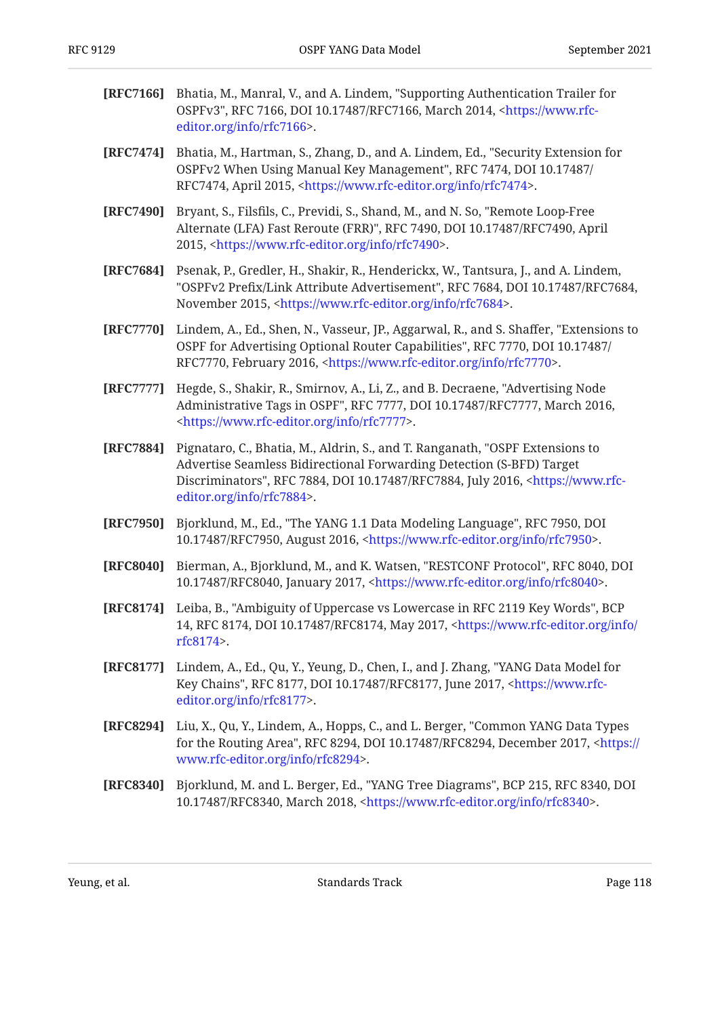- **[RFC7166]** Bhatia, M., Manral, V., and A. Lindem, "Supporting Authentication Trailer for OSPFv3", RFC 7166, DOI 10.17487/RFC7166, March 2014, [<https://www.rfc-](https://www.rfc-editor.org/info/rfc7166). [editor.org/info/rfc7166>](https://www.rfc-editor.org/info/rfc7166)
- **[RFC7474]** Bhatia, M., Hartman, S., Zhang, D., and A. Lindem, Ed., "Security Extension for OSPFv2 When Using Manual Key Management", RFC 7474, DOI 10.17487/ RFC7474, April 2015, <https://www.rfc-editor.org/info/rfc7474>.
- **[RFC7490]** Bryant, S., Filsfils, C., Previdi, S., Shand, M., and N. So, "Remote Loop-Free Alternate (LFA) Fast Reroute (FRR)", RFC 7490, DOI 10.17487/RFC7490, April 2015, <https://www.rfc-editor.org/info/rfc7490>.
- **[RFC7684]** Psenak, P., Gredler, H., Shakir, R., Henderickx, W., Tantsura, J., and A. Lindem, "OSPFv2 Prefix/Link Attribute Advertisement", RFC 7684, DOI 10.17487/RFC7684, November 2015, <https://www.rfc-editor.org/info/rfc7684>.
- **[RFC7770]** Lindem, A., Ed., Shen, N., Vasseur, JP., Aggarwal, R., and S. Shaffer, "Extensions to OSPF for Advertising Optional Router Capabilities", RFC 7770, DOI 10.17487/ RFC7770, February 2016, <https://www.rfc-editor.org/info/rfc7770>.
- **[RFC7777]** Hegde, S., Shakir, R., Smirnov, A., Li, Z., and B. Decraene, "Advertising Node Administrative Tags in OSPF", RFC 7777, DOI 10.17487/RFC7777, March 2016, . [<https://www.rfc-editor.org/info/rfc7777](https://www.rfc-editor.org/info/rfc7777)>
- **[RFC7884]** Pignataro, C., Bhatia, M., Aldrin, S., and T. Ranganath, "OSPF Extensions to Discriminators", RFC 7884, DOI 10.17487/RFC7884, July 2016, <[https://www.rfc-](https://www.rfc-editor.org/info/rfc7884). [editor.org/info/rfc7884>](https://www.rfc-editor.org/info/rfc7884) Advertise Seamless Bidirectional Forwarding Detection (S-BFD) Target
- **[RFC7950]** Bjorklund, M., Ed., "The YANG 1.1 Data Modeling Language", RFC 7950, DOI 10.17487/RFC7950, August 2016, <https://www.rfc-editor.org/info/rfc7950>.
- <span id="page-117-0"></span>**[RFC8040]** Bierman, A., Bjorklund, M., and K. Watsen, "RESTCONF Protocol", RFC 8040, DOI 10.17487/RFC8040, January 2017, [<https://www.rfc-editor.org/info/rfc8040](https://www.rfc-editor.org/info/rfc8040)>.
- **[RFC8174]** Leiba, B., "Ambiguity of Uppercase vs Lowercase in RFC 2119 Key Words", BCP 14, RFC 8174, DOI 10.17487/RFC8174, May 2017, [<https://www.rfc-editor.org/info/](https://www.rfc-editor.org/info/rfc8174) . [rfc8174>](https://www.rfc-editor.org/info/rfc8174)
- <span id="page-117-1"></span>**[RFC8177]** Lindem, A., Ed., Qu, Y., Yeung, D., Chen, I., and J. Zhang, "YANG Data Model for Key Chains", RFC 8177, DOI 10.17487/RFC8177, June 2017, [<https://www.rfc-](https://www.rfc-editor.org/info/rfc8177). [editor.org/info/rfc8177>](https://www.rfc-editor.org/info/rfc8177)
- **[RFC8294]** Liu, X., Qu, Y., Lindem, A., Hopps, C., and L. Berger, "Common YANG Data Types for the Routing Area", RFC 8294, DOI 10.17487/RFC8294, December 2017, [<https://](https://www.rfc-editor.org/info/rfc8294) . [www.rfc-editor.org/info/rfc8294>](https://www.rfc-editor.org/info/rfc8294)
- **[RFC8340]** Bjorklund, M. and L. Berger, Ed., "YANG Tree Diagrams", BCP 215, RFC 8340, DOI 10.17487/RFC8340, March 2018, <https://www.rfc-editor.org/info/rfc8340>.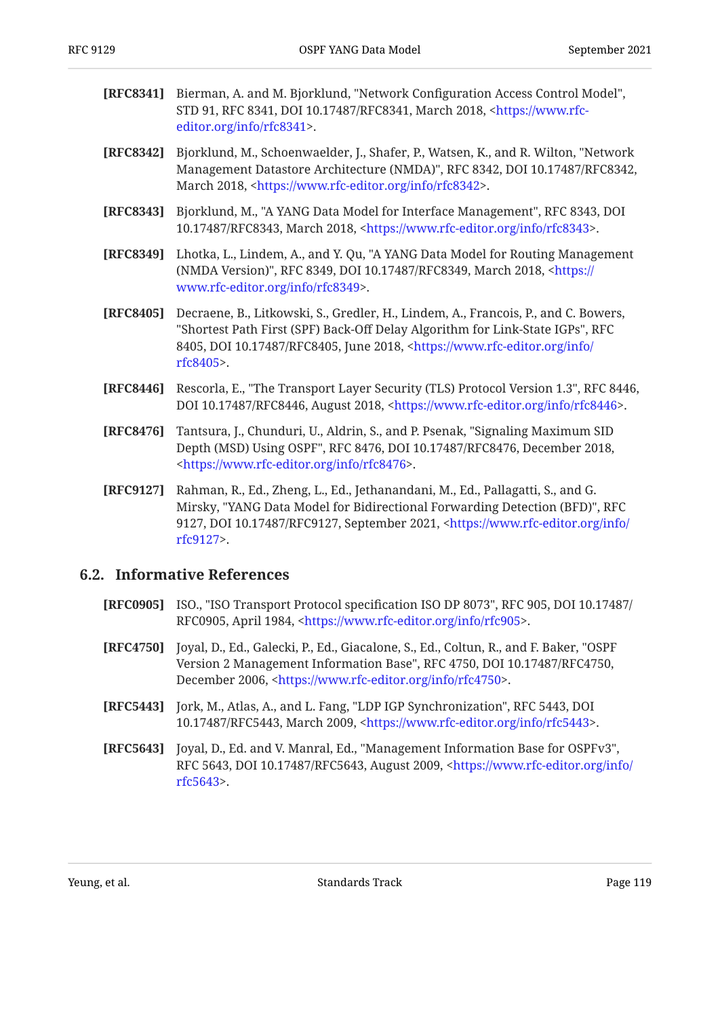- <span id="page-118-1"></span>[RFC8341] Bierman, A. and M. Bjorklund, "Network Configuration Access Control Model", STD 91, RFC 8341, DOI 10.17487/RFC8341, March 2018, [<https://www.rfc-](https://www.rfc-editor.org/info/rfc8341). [editor.org/info/rfc8341>](https://www.rfc-editor.org/info/rfc8341)
- **[RFC8342]** Bjorklund, M., Schoenwaelder, J., Shafer, P., Watsen, K., and R. Wilton, "Network Management Datastore Architecture (NMDA)", RFC 8342, DOI 10.17487/RFC8342, March 2018, <https://www.rfc-editor.org/info/rfc8342>.
- **[RFC8343]** Bjorklund, M., "A YANG Data Model for Interface Management", RFC 8343, DOI 10.17487/RFC8343, March 2018, <https://www.rfc-editor.org/info/rfc8343>.
- **[RFC8349]** Lhotka, L., Lindem, A., and Y. Qu, "A YANG Data Model for Routing Management (NMDA Version)", RFC 8349, DOI 10.17487/RFC8349, March 2018, <[https://](https://www.rfc-editor.org/info/rfc8349) . [www.rfc-editor.org/info/rfc8349>](https://www.rfc-editor.org/info/rfc8349)
- **[RFC8405]** Decraene, B., Litkowski, S., Gredler, H., Lindem, A., Francois, P., and C. Bowers, "Shortest Path First (SPF) Back-Off Delay Algorithm for Link-State IGPs", RFC 8405, DOI 10.17487/RFC8405, June 2018, [<https://www.rfc-editor.org/info/](https://www.rfc-editor.org/info/rfc8405) . [rfc8405>](https://www.rfc-editor.org/info/rfc8405)
- <span id="page-118-0"></span>**[RFC8446]** Rescorla, E., "The Transport Layer Security (TLS) Protocol Version 1.3", RFC 8446, DOI 10.17487/RFC8446, August 2018, <https://www.rfc-editor.org/info/rfc8446>.
- **[RFC8476]** Tantsura, J., Chunduri, U., Aldrin, S., and P. Psenak, "Signaling Maximum SID Depth (MSD) Using OSPF", RFC 8476, DOI 10.17487/RFC8476, December 2018, . [<https://www.rfc-editor.org/info/rfc8476](https://www.rfc-editor.org/info/rfc8476)>
- **[RFC9127]** Rahman, R., Ed., Zheng, L., Ed., Jethanandani, M., Ed., Pallagatti, S., and G. Mirsky, "YANG Data Model for Bidirectional Forwarding Detection (BFD)", RFC 9127, DOI 10.17487/RFC9127, September 2021, <[https://www.rfc-editor.org/info/](https://www.rfc-editor.org/info/rfc9127) . [rfc9127>](https://www.rfc-editor.org/info/rfc9127)

### <span id="page-118-2"></span>**[6.2. Informative References](#page-118-2)**

- **[RFC0905]** ISO., "ISO Transport Protocol specification ISO DP 8073", RFC 905, DOI 10.17487/ RFC0905, April 1984, <[https://www.rfc-editor.org/info/rfc905>](https://www.rfc-editor.org/info/rfc905).
- **[RFC4750]** Joyal, D., Ed., Galecki, P., Ed., Giacalone, S., Ed., Coltun, R., and F. Baker, "OSPF Version 2 Management Information Base", RFC 4750, DOI 10.17487/RFC4750, December 2006, [<https://www.rfc-editor.org/info/rfc4750](https://www.rfc-editor.org/info/rfc4750)>.
- **[RFC5443]** Jork, M., Atlas, A., and L. Fang, "LDP IGP Synchronization", RFC 5443, DOI 10.17487/RFC5443, March 2009, [<https://www.rfc-editor.org/info/rfc5443](https://www.rfc-editor.org/info/rfc5443)>.
- **[RFC5643]** Joyal, D., Ed. and V. Manral, Ed., "Management Information Base for OSPFv3", RFC 5643, DOI 10.17487/RFC5643, August 2009, <[https://www.rfc-editor.org/info/](https://www.rfc-editor.org/info/rfc5643) . [rfc5643>](https://www.rfc-editor.org/info/rfc5643)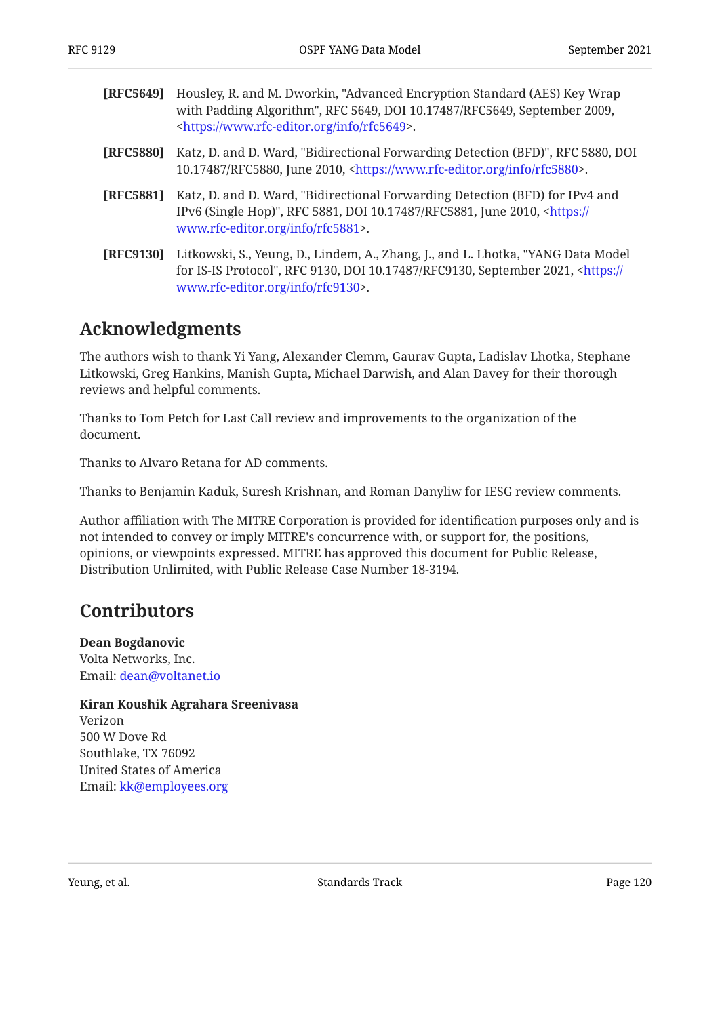<span id="page-119-1"></span>

| [RFC5649] | Housley, R. and M. Dworkin, "Advanced Encryption Standard (AES) Key Wrap<br>with Padding Algorithm", RFC 5649, DOI 10.17487/RFC5649, September 2009,<br><https: info="" rfc5649="" www.rfc-editor.org="">.</https:> |
|-----------|---------------------------------------------------------------------------------------------------------------------------------------------------------------------------------------------------------------------|
| [RFC5880] | Katz, D. and D. Ward, "Bidirectional Forwarding Detection (BFD)", RFC 5880, DOI<br>10.17487/RFC5880, June 2010, <https: info="" rfc5880="" www.rfc-editor.org="">.</https:>                                         |
| [RFC5881] | Katz, D. and D. Ward, "Bidirectional Forwarding Detection (BFD) for IPv4 and<br>IPv6 (Single Hop)", RFC 5881, DOI 10.17487/RFC5881, June 2010, <https: <br="">www.rfc-editor.org/info/rfc5881&gt;.</https:>         |
| [RFC9130] | Litkowski, S., Yeung, D., Lindem, A., Zhang, J., and L. Lhotka, "YANG Data Model<br>for IS-IS Protocol", RFC 9130, DOI 10.17487/RFC9130, September 2021, <https: <="" th=""></https:>                               |

### <span id="page-119-2"></span><span id="page-119-0"></span>**[Acknowledgments](#page-119-2)**

The authors wish to thank Yi Yang, Alexander Clemm, Gaurav Gupta, Ladislav Lhotka, Stephane Litkowski, Greg Hankins, Manish Gupta, Michael Darwish, and Alan Davey for their thorough reviews and helpful comments.

Thanks to Tom Petch for Last Call review and improvements to the organization of the document.

. [www.rfc-editor.org/info/rfc9130>](https://www.rfc-editor.org/info/rfc9130)

Thanks to Alvaro Retana for AD comments.

Thanks to Benjamin Kaduk, Suresh Krishnan, and Roman Danyliw for IESG review comments.

Author affiliation with The MITRE Corporation is provided for identification purposes only and is not intended to convey or imply MITRE's concurrence with, or support for, the positions, opinions, or viewpoints expressed. MITRE has approved this document for Public Release, Distribution Unlimited, with Public Release Case Number 18-3194.

### <span id="page-119-3"></span>**[Contributors](#page-119-3)**

**Dean Bogdanovic** Volta Networks, Inc. Email: [dean@voltanet.io](mailto:dean@voltanet.io)

**Kiran Koushik Agrahara Sreenivasa** Verizon 500 W Dove Rd Southlake, TX 76092 United States of America Email: [kk@employees.org](mailto:kk@employees.org)